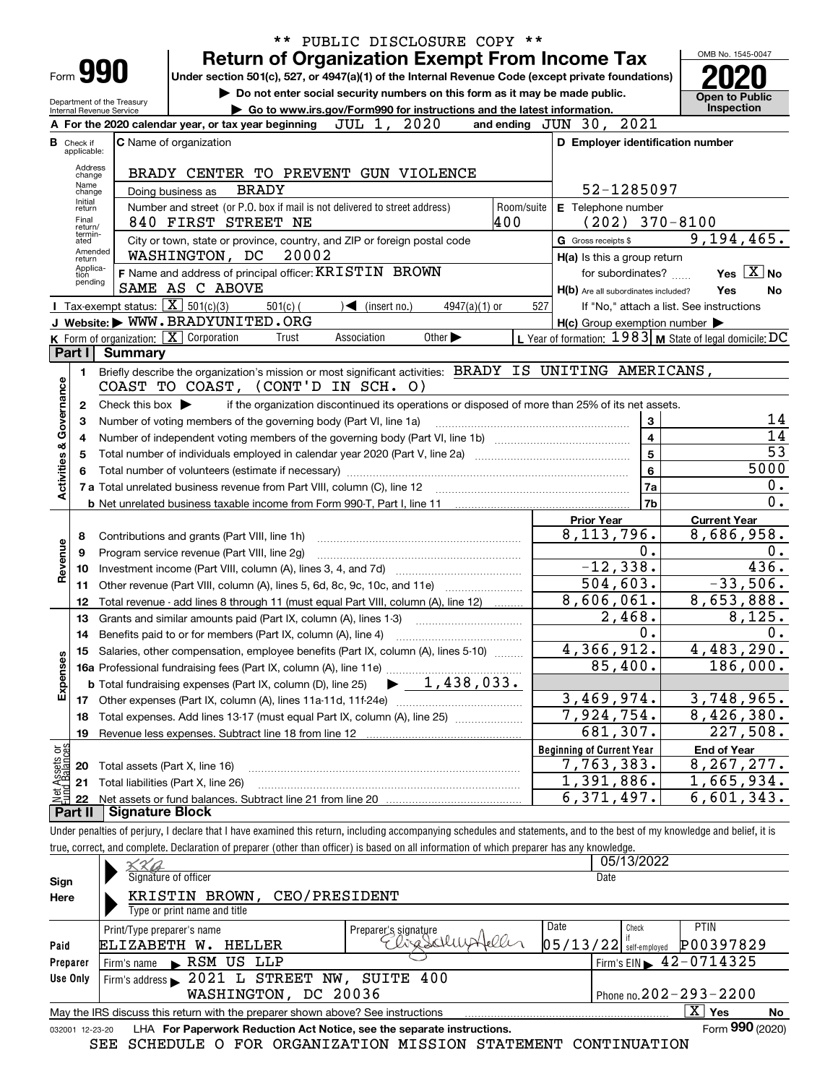|                           |                             |                                                            | ** PUBLIC DISCLOSURE COPY **                                                                                                                                               |                                                           |                       |
|---------------------------|-----------------------------|------------------------------------------------------------|----------------------------------------------------------------------------------------------------------------------------------------------------------------------------|-----------------------------------------------------------|-----------------------|
|                           |                             |                                                            | <b>Return of Organization Exempt From Income Tax</b>                                                                                                                       |                                                           | OMB No. 1545-0047     |
|                           |                             | Form 990                                                   | Under section 501(c), 527, or 4947(a)(1) of the Internal Revenue Code (except private foundations)                                                                         |                                                           |                       |
|                           |                             |                                                            | Do not enter social security numbers on this form as it may be made public.                                                                                                |                                                           | <b>Open to Public</b> |
|                           |                             | Department of the Treasury<br>Internal Revenue Service     | Go to www.irs.gov/Form990 for instructions and the latest information.                                                                                                     |                                                           | Inspection            |
|                           |                             |                                                            | JUL 1, 2020<br>A For the 2020 calendar year, or tax year beginning                                                                                                         | and ending JUN 30, 2021                                   |                       |
|                           | <b>B</b> Check if           |                                                            | <b>C</b> Name of organization                                                                                                                                              | D Employer identification number                          |                       |
|                           | applicable:                 |                                                            |                                                                                                                                                                            |                                                           |                       |
|                           | Address<br>change           |                                                            | BRADY CENTER TO PREVENT GUN VIOLENCE                                                                                                                                       |                                                           |                       |
|                           | Name<br>change<br>Initial   |                                                            | <b>BRADY</b><br>Doing business as                                                                                                                                          | 52-1285097                                                |                       |
|                           | return                      |                                                            | Number and street (or P.O. box if mail is not delivered to street address)<br>Room/suite                                                                                   | E Telephone number                                        |                       |
|                           | Final<br>return/<br>termin- |                                                            | 400<br>840 FIRST STREET NE                                                                                                                                                 | $(202)$ 370-8100                                          |                       |
|                           | ated<br>Amended             |                                                            | City or town, state or province, country, and ZIP or foreign postal code                                                                                                   | G Gross receipts \$                                       | 9,194,465.            |
|                           | return<br>Applica-          |                                                            | WASHINGTON, DC<br>20002                                                                                                                                                    | H(a) Is this a group return                               |                       |
|                           | tion<br>pending             |                                                            | F Name and address of principal officer: KRISTIN BROWN                                                                                                                     | for subordinates?                                         | Yes $X$ No            |
|                           |                             |                                                            | SAME AS C ABOVE                                                                                                                                                            | H(b) Are all subordinates included?                       | Yes<br>No             |
|                           |                             | <b>I</b> Tax-exempt status: $\boxed{\mathbf{X}}$ 501(c)(3) | $501(c)$ (<br>$\sqrt{\frac{1}{1}}$ (insert no.)<br>$4947(a)(1)$ or                                                                                                         | 527<br>If "No," attach a list. See instructions           |                       |
|                           |                             |                                                            | J Website: WWW.BRADYUNITED.ORG<br>K Form of organization: X Corporation<br>Trust<br>Association<br>Other $\blacktriangleright$                                             | $H(c)$ Group exemption number $\blacktriangleright$       |                       |
|                           | Part I                      | <b>Summary</b>                                             |                                                                                                                                                                            | L Year of formation: $1983$ M State of legal domicile: DC |                       |
|                           |                             |                                                            | Briefly describe the organization's mission or most significant activities: BRADY IS UNITING AMERICANS,                                                                    |                                                           |                       |
|                           | 1.                          |                                                            | COAST TO COAST, (CONT'D IN SCH. O)                                                                                                                                         |                                                           |                       |
|                           | 2                           | Check this box $\blacktriangleright$                       | if the organization discontinued its operations or disposed of more than 25% of its net assets.                                                                            |                                                           |                       |
| Governance                | З                           |                                                            | Number of voting members of the governing body (Part VI, line 1a)                                                                                                          | 3                                                         | 14                    |
|                           | 4                           |                                                            |                                                                                                                                                                            | $\overline{\mathbf{4}}$                                   | $\overline{14}$       |
|                           | 5                           |                                                            |                                                                                                                                                                            | 5                                                         | $\overline{53}$       |
| <b>Activities &amp;</b>   | 6                           |                                                            |                                                                                                                                                                            | 6                                                         | 5000                  |
|                           |                             |                                                            |                                                                                                                                                                            | 7a                                                        | 0.                    |
|                           |                             |                                                            |                                                                                                                                                                            | 7 <sub>b</sub>                                            | $\overline{0}$ .      |
|                           |                             |                                                            |                                                                                                                                                                            | <b>Prior Year</b>                                         | <b>Current Year</b>   |
|                           | 8                           |                                                            | Contributions and grants (Part VIII, line 1h)                                                                                                                              | 8, 113, 796.                                              | 8,686,958.            |
| Revenue                   | 9                           |                                                            | Program service revenue (Part VIII, line 2g)                                                                                                                               | Ο.                                                        | ο.                    |
|                           | 10                          |                                                            |                                                                                                                                                                            | $-12, 338.$                                               | 436.                  |
|                           | 11                          |                                                            | Other revenue (Part VIII, column (A), lines 5, 6d, 8c, 9c, 10c, and 11e)                                                                                                   | $\overline{504}$ , 603.                                   | $-33,506.$            |
|                           | 12                          |                                                            | Total revenue - add lines 8 through 11 (must equal Part VIII, column (A), line 12)                                                                                         | 8,606,061.                                                | 8,653,888.            |
|                           | 13                          |                                                            | Grants and similar amounts paid (Part IX, column (A), lines 1-3)                                                                                                           | $\overline{2}$ , 468.                                     | 8,125.                |
|                           | 14                          |                                                            | Benefits paid to or for members (Part IX, column (A), line 4)                                                                                                              | 0.                                                        | 0.                    |
|                           |                             |                                                            | 15 Salaries, other compensation, employee benefits (Part IX, column (A), lines 5-10)                                                                                       | 4,366,912.                                                | 4,483,290.            |
|                           |                             |                                                            |                                                                                                                                                                            | 85,400.                                                   | 186,000.              |
| Expenses                  |                             |                                                            |                                                                                                                                                                            |                                                           |                       |
|                           |                             |                                                            |                                                                                                                                                                            | 3,469,974.                                                | 3,748,965.            |
|                           | 18                          |                                                            | Total expenses. Add lines 13-17 (must equal Part IX, column (A), line 25)                                                                                                  | 7,924,754.                                                | 8,426,380.            |
|                           | 19                          |                                                            |                                                                                                                                                                            | 681,307.                                                  | 227,508.              |
| t Assets or<br>d Balances |                             |                                                            |                                                                                                                                                                            | <b>Beginning of Current Year</b>                          | <b>End of Year</b>    |
|                           | 20                          | Total assets (Part X, line 16)                             |                                                                                                                                                                            | 7,763,383.                                                | 8,267,277.            |
|                           | 21                          |                                                            | Total liabilities (Part X, line 26)                                                                                                                                        | 1,391,886.                                                | 1,665,934.            |
| 혫                         | 22                          |                                                            |                                                                                                                                                                            | 6,371,497.                                                | 6,601,343.            |
|                           | Part II                     | Signature Block                                            |                                                                                                                                                                            |                                                           |                       |
|                           |                             |                                                            | Under penalties of perjury, I declare that I have examined this return, including accompanying schedules and statements, and to the best of my knowledge and belief, it is |                                                           |                       |
|                           |                             |                                                            | true, correct, and complete. Declaration of preparer (other than officer) is based on all information of which preparer has any knowledge.                                 |                                                           |                       |
|                           |                             | $\sim$ No                                                  |                                                                                                                                                                            | 05/13/2022                                                |                       |

|          | $\times\mu$                                                                                                  |                      |                          | <b>UUI IUILULL</b> |                                             |     |  |  |  |
|----------|--------------------------------------------------------------------------------------------------------------|----------------------|--------------------------|--------------------|---------------------------------------------|-----|--|--|--|
| Sign     | Signature of officer                                                                                         |                      |                          | Date               |                                             |     |  |  |  |
| Here     | CEO/PRESIDENT<br>KRISTIN BROWN,                                                                              |                      |                          |                    |                                             |     |  |  |  |
|          | Type or print name and title                                                                                 |                      |                          |                    |                                             |     |  |  |  |
|          | Print/Type preparer's name                                                                                   | Preparer's signature | Date                     | Check              | <b>PTIN</b>                                 |     |  |  |  |
| Paid     | ELIZABETH W.<br>HELLER                                                                                       |                      | $05/13/22$ self-employed |                    | P00397829                                   |     |  |  |  |
| Preparer | RSM US LLP<br>Firm's name<br>$\blacksquare$                                                                  |                      |                          |                    | Firm's EIN $\blacktriangleright$ 42-0714325 |     |  |  |  |
| Use Only | 2021 L STREET NW, SUITE 400<br>Firm's address $\blacktriangleright$                                          |                      |                          |                    |                                             |     |  |  |  |
|          | WASHINGTON, DC 20036                                                                                         |                      |                          |                    | Phone no. $202 - 293 - 2200$                |     |  |  |  |
|          | May the IRS discuss this return with the preparer shown above? See instructions                              |                      |                          |                    | $\overline{X}$ Yes                          | No. |  |  |  |
|          | Form 990 (2020)<br>LHA For Paperwork Reduction Act Notice, see the separate instructions.<br>032001 12-23-20 |                      |                          |                    |                                             |     |  |  |  |

SEE SCHEDULE O FOR ORGANIZATION MISSION STATEMENT CONTINUATION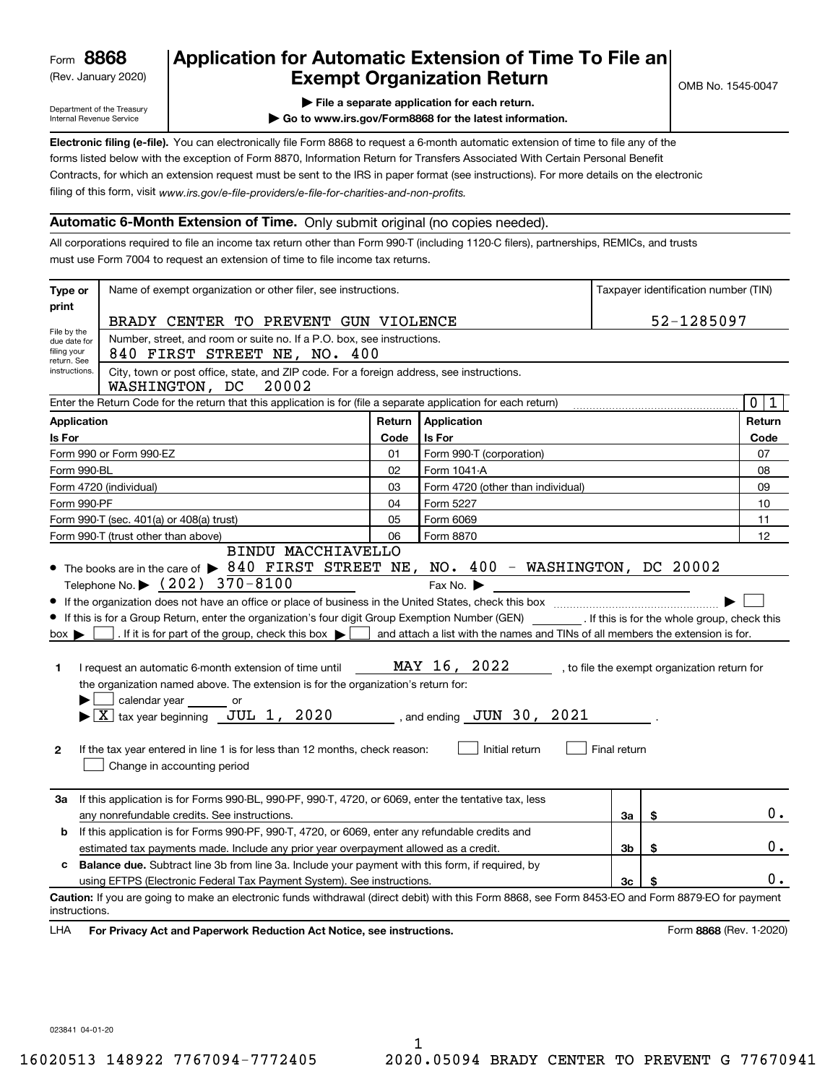# (Rev. January 2020) **Cxempt Organization Return** and the No. 1545-0047 **8868 Application for Automatic Extension of Time To File an**

Department of the Treasury Internal Revenue Service

**| File a separate application for each return.**

**| Go to www.irs.gov/Form8868 for the latest information.**

**Electronic filing (e-file).** You can electronically file Form 8868 to request a 6-month automatic extension of time to file any of the filing of this form, visit www.irs.gov/e-file-providers/e-file-for-charities-and-non-profits. forms listed below with the exception of Form 8870, Information Return for Transfers Associated With Certain Personal Benefit Contracts, for which an extension request must be sent to the IRS in paper format (see instructions). For more details on the electronic

# **Automatic 6-Month Extension of Time.** Only submit original (no copies needed).

All corporations required to file an income tax return other than Form 990-T (including 1120-C filers), partnerships, REMICs, and trusts must use Form 7004 to request an extension of time to file income tax returns.

| Type or                                                                    | Name of exempt organization or other filer, see instructions.                                                                                                                                                                                                                                                                                                                                                                                                                                                                                                                                                                                    |        |                                                                                                                                                               |                | Taxpayer identification number (TIN) |
|----------------------------------------------------------------------------|--------------------------------------------------------------------------------------------------------------------------------------------------------------------------------------------------------------------------------------------------------------------------------------------------------------------------------------------------------------------------------------------------------------------------------------------------------------------------------------------------------------------------------------------------------------------------------------------------------------------------------------------------|--------|---------------------------------------------------------------------------------------------------------------------------------------------------------------|----------------|--------------------------------------|
| print                                                                      | BRADY CENTER TO PREVENT GUN VIOLENCE                                                                                                                                                                                                                                                                                                                                                                                                                                                                                                                                                                                                             |        |                                                                                                                                                               |                | 52-1285097                           |
| File by the<br>due date for<br>filing your<br>return. See<br>instructions. | Number, street, and room or suite no. If a P.O. box, see instructions.<br>840 FIRST STREET NE, NO. 400<br>City, town or post office, state, and ZIP code. For a foreign address, see instructions.<br>WASHINGTON, DC<br>20002                                                                                                                                                                                                                                                                                                                                                                                                                    |        |                                                                                                                                                               |                |                                      |
|                                                                            | Enter the Return Code for the return that this application is for (file a separate application for each return)                                                                                                                                                                                                                                                                                                                                                                                                                                                                                                                                  |        |                                                                                                                                                               |                | $\mathbf 0$<br>1                     |
| Application                                                                |                                                                                                                                                                                                                                                                                                                                                                                                                                                                                                                                                                                                                                                  | Return | Application                                                                                                                                                   |                | Return                               |
| Is For                                                                     |                                                                                                                                                                                                                                                                                                                                                                                                                                                                                                                                                                                                                                                  | Code   | <b>Is For</b>                                                                                                                                                 |                | Code                                 |
|                                                                            | Form 990 or Form 990-EZ                                                                                                                                                                                                                                                                                                                                                                                                                                                                                                                                                                                                                          | 01     | Form 990-T (corporation)                                                                                                                                      |                | 07                                   |
| Form 990-BL                                                                |                                                                                                                                                                                                                                                                                                                                                                                                                                                                                                                                                                                                                                                  | 02     | Form 1041-A                                                                                                                                                   |                | 08                                   |
|                                                                            | Form 4720 (individual)                                                                                                                                                                                                                                                                                                                                                                                                                                                                                                                                                                                                                           | 03     | Form 4720 (other than individual)                                                                                                                             |                | 09                                   |
| Form 990-PF                                                                |                                                                                                                                                                                                                                                                                                                                                                                                                                                                                                                                                                                                                                                  | 04     | Form 5227                                                                                                                                                     |                | 10                                   |
|                                                                            | Form 990-T (sec. 401(a) or 408(a) trust)                                                                                                                                                                                                                                                                                                                                                                                                                                                                                                                                                                                                         | 05     | Form 6069                                                                                                                                                     |                | 11                                   |
|                                                                            | Form 990-T (trust other than above)                                                                                                                                                                                                                                                                                                                                                                                                                                                                                                                                                                                                              | 06     | Form 8870                                                                                                                                                     |                | 12                                   |
| $box \blacktriangleright$<br>1<br>$\mathbf{2}$                             | • If this is for a Group Return, enter the organization's four digit Group Exemption Number (GEN) _________. If this is for the whole group, check this<br>. If it is for part of the group, check this box $\blacktriangleright$<br>I request an automatic 6-month extension of time until<br>the organization named above. The extension is for the organization's return for:<br>calendar year _______ or<br>$\blacktriangleright$ $\boxed{\text{X}}$ tax year beginning $\boxed{\text{JUL}}$ 1, 2020 , and ending JUN 30, 2021<br>If the tax year entered in line 1 is for less than 12 months, check reason:<br>Change in accounting period |        | and attach a list with the names and TINs of all members the extension is for.<br>MAY 16, 2022 , to file the exempt organization return for<br>Initial return | Final return   |                                      |
| За                                                                         | If this application is for Forms 990-BL, 990-PF, 990-T, 4720, or 6069, enter the tentative tax, less<br>any nonrefundable credits. See instructions.                                                                                                                                                                                                                                                                                                                                                                                                                                                                                             |        |                                                                                                                                                               | За             | \$<br>$0$ .                          |
| b                                                                          | If this application is for Forms 990-PF, 990-T, 4720, or 6069, enter any refundable credits and                                                                                                                                                                                                                                                                                                                                                                                                                                                                                                                                                  |        |                                                                                                                                                               |                |                                      |
|                                                                            | estimated tax payments made. Include any prior year overpayment allowed as a credit.                                                                                                                                                                                                                                                                                                                                                                                                                                                                                                                                                             |        |                                                                                                                                                               | 3 <sub>b</sub> | \$<br>0.                             |
| c                                                                          | <b>Balance due.</b> Subtract line 3b from line 3a. Include your payment with this form, if required, by                                                                                                                                                                                                                                                                                                                                                                                                                                                                                                                                          |        |                                                                                                                                                               |                |                                      |
|                                                                            | using EFTPS (Electronic Federal Tax Payment System). See instructions.                                                                                                                                                                                                                                                                                                                                                                                                                                                                                                                                                                           |        |                                                                                                                                                               | 3c             | \$<br>$0$ .                          |
| instructions.                                                              | Caution: If you are going to make an electronic funds withdrawal (direct debit) with this Form 8868, see Form 8453-EO and Form 8879-EO for payment                                                                                                                                                                                                                                                                                                                                                                                                                                                                                               |        |                                                                                                                                                               |                |                                      |
| <b>LHA</b>                                                                 | For Privacy Act and Paperwork Reduction Act Notice, see instructions.                                                                                                                                                                                                                                                                                                                                                                                                                                                                                                                                                                            |        |                                                                                                                                                               |                | Form 8868 (Rev. 1-2020)              |

023841 04-01-20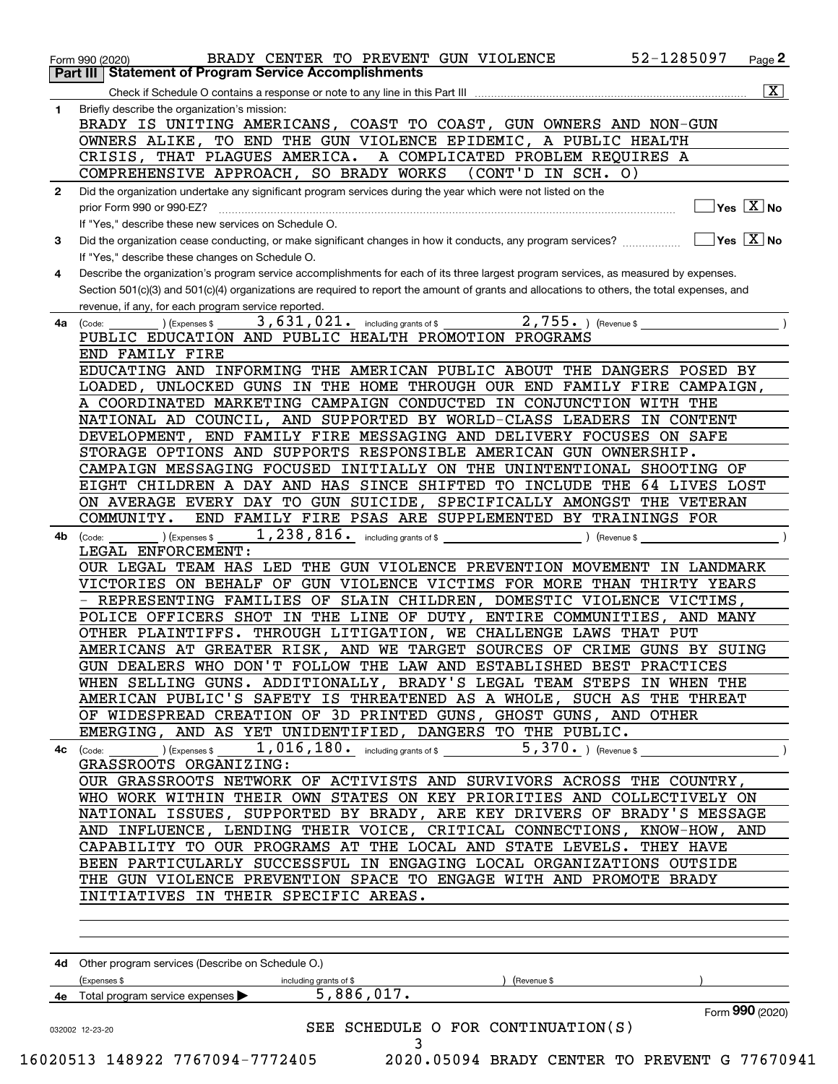|              | $\overline{\mathbf{X}}$                                                                                                                                                                                                                                  |
|--------------|----------------------------------------------------------------------------------------------------------------------------------------------------------------------------------------------------------------------------------------------------------|
| 1.           | Briefly describe the organization's mission:                                                                                                                                                                                                             |
|              | BRADY IS UNITING AMERICANS, COAST TO COAST, GUN OWNERS AND NON-GUN                                                                                                                                                                                       |
|              | OWNERS ALIKE, TO END THE GUN VIOLENCE EPIDEMIC, A PUBLIC HEALTH                                                                                                                                                                                          |
|              | CRISIS, THAT PLAGUES AMERICA. A COMPLICATED PROBLEM REQUIRES A                                                                                                                                                                                           |
|              | COMPREHENSIVE APPROACH, SO BRADY WORKS (CONT'D IN SCH. O)                                                                                                                                                                                                |
| $\mathbf{2}$ | Did the organization undertake any significant program services during the year which were not listed on the                                                                                                                                             |
|              | $\Box$ Yes $[\overline{\mathrm{X}}]$ No                                                                                                                                                                                                                  |
|              | If "Yes." describe these new services on Schedule O.                                                                                                                                                                                                     |
| 3            |                                                                                                                                                                                                                                                          |
|              | If "Yes," describe these changes on Schedule O.                                                                                                                                                                                                          |
| 4            | Describe the organization's program service accomplishments for each of its three largest program services, as measured by expenses.                                                                                                                     |
|              | Section 501(c)(3) and 501(c)(4) organizations are required to report the amount of grants and allocations to others, the total expenses, and                                                                                                             |
|              | revenue, if any, for each program service reported.                                                                                                                                                                                                      |
| 4a           | .) (Expenses \$ $\overline{\phantom{2}3}$ , $\overline{631}$ , $021$ . including grants of \$ $\overline{\phantom{2}2}$ , $\overline{755}$ .) (Revenue \$ $\overline{\phantom{2}2}$<br>(Code:                                                            |
|              | PUBLIC EDUCATION AND PUBLIC HEALTH PROMOTION PROGRAMS                                                                                                                                                                                                    |
|              | END FAMILY FIRE<br>EDUCATING AND INFORMING THE AMERICAN PUBLIC ABOUT THE DANGERS POSED BY                                                                                                                                                                |
|              |                                                                                                                                                                                                                                                          |
|              | LOADED, UNLOCKED GUNS IN THE HOME THROUGH OUR END FAMILY FIRE CAMPAIGN,                                                                                                                                                                                  |
|              | A COORDINATED MARKETING CAMPAIGN CONDUCTED IN CONJUNCTION WITH THE                                                                                                                                                                                       |
|              | NATIONAL AD COUNCIL, AND SUPPORTED BY WORLD-CLASS LEADERS IN CONTENT                                                                                                                                                                                     |
|              | DEVELOPMENT, END FAMILY FIRE MESSAGING AND DELIVERY FOCUSES ON SAFE                                                                                                                                                                                      |
|              | STORAGE OPTIONS AND SUPPORTS RESPONSIBLE AMERICAN GUN OWNERSHIP.                                                                                                                                                                                         |
|              | CAMPAIGN MESSAGING FOCUSED INITIALLY ON THE UNINTENTIONAL SHOOTING OF                                                                                                                                                                                    |
|              | EIGHT CHILDREN A DAY AND HAS SINCE SHIFTED TO INCLUDE THE 64 LIVES LOST                                                                                                                                                                                  |
|              | ON AVERAGE EVERY DAY TO GUN SUICIDE, SPECIFICALLY AMONGST THE VETERAN                                                                                                                                                                                    |
|              | END FAMILY FIRE PSAS ARE SUPPLEMENTED BY TRAININGS FOR<br>COMMUNITY.                                                                                                                                                                                     |
| 4b           | Revenue \$<br>) (Expenses \$<br>(Code:                                                                                                                                                                                                                   |
|              | LEGAL ENFORCEMENT:                                                                                                                                                                                                                                       |
|              | OUR LEGAL TEAM HAS LED THE GUN VIOLENCE PREVENTION MOVEMENT IN LANDMARK                                                                                                                                                                                  |
|              | VICTORIES ON BEHALF OF GUN VIOLENCE VICTIMS FOR MORE THAN THIRTY YEARS<br>- REPRESENTING FAMILIES OF SLAIN CHILDREN, DOMESTIC VIOLENCE VICTIMS,                                                                                                          |
|              | POLICE OFFICERS SHOT IN THE LINE OF DUTY, ENTIRE COMMUNITIES, AND MANY                                                                                                                                                                                   |
|              | OTHER PLAINTIFFS. THROUGH LITIGATION, WE CHALLENGE LAWS THAT PUT                                                                                                                                                                                         |
|              | AMERICANS AT GREATER RISK, AND WE TARGET SOURCES OF CRIME GUNS BY SUING                                                                                                                                                                                  |
|              | GUN DEALERS WHO DON'T FOLLOW THE LAW AND ESTABLISHED BEST PRACTICES                                                                                                                                                                                      |
|              | WHEN SELLING GUNS. ADDITIONALLY, BRADY'S LEGAL TEAM STEPS IN WHEN THE                                                                                                                                                                                    |
|              | AMERICAN PUBLIC'S SAFETY IS THREATENED AS A WHOLE, SUCH AS THE THREAT                                                                                                                                                                                    |
|              | OF WIDESPREAD CREATION OF 3D PRINTED GUNS, GHOST GUNS, AND OTHER                                                                                                                                                                                         |
|              | EMERGING, AND AS YET UNIDENTIFIED, DANGERS TO THE PUBLIC.                                                                                                                                                                                                |
|              | ) (Expenses \$ $\begin{array}{ c c c c c }\hline \end{array}$ , $\begin{array}{ c c c c }\hline \end{array}$ , $\begin{array}{ c c c }\hline \end{array}$ (Expenses \$ $\begin{array}{ c c c }\hline \end{array}$<br>$5,370.$ (Revenue \$<br>$4c$ (Code: |
|              | GRASSROOTS ORGANIZING:                                                                                                                                                                                                                                   |
|              | OUR GRASSROOTS NETWORK OF ACTIVISTS AND SURVIVORS ACROSS THE COUNTRY,                                                                                                                                                                                    |
|              | WHO WORK WITHIN THEIR OWN STATES ON KEY PRIORITIES AND COLLECTIVELY ON                                                                                                                                                                                   |
|              | NATIONAL ISSUES, SUPPORTED BY BRADY, ARE KEY DRIVERS OF BRADY'S MESSAGE                                                                                                                                                                                  |
|              | AND INFLUENCE, LENDING THEIR VOICE, CRITICAL CONNECTIONS, KNOW-HOW, AND                                                                                                                                                                                  |
|              | CAPABILITY TO OUR PROGRAMS AT THE LOCAL AND STATE LEVELS. THEY HAVE                                                                                                                                                                                      |
|              | BEEN PARTICULARLY SUCCESSFUL IN ENGAGING LOCAL ORGANIZATIONS OUTSIDE                                                                                                                                                                                     |
|              | THE GUN VIOLENCE PREVENTION SPACE TO ENGAGE WITH AND PROMOTE BRADY                                                                                                                                                                                       |
|              | INITIATIVES IN THEIR SPECIFIC AREAS.                                                                                                                                                                                                                     |
|              |                                                                                                                                                                                                                                                          |
|              |                                                                                                                                                                                                                                                          |
|              |                                                                                                                                                                                                                                                          |
|              | 4d Other program services (Describe on Schedule O.)                                                                                                                                                                                                      |
|              | (Expenses \$<br>(Revenue \$                                                                                                                                                                                                                              |
|              | including grants of \$<br>5,886,017.<br>Total program service expenses                                                                                                                                                                                   |
|              | Form 990 (2020)                                                                                                                                                                                                                                          |
|              |                                                                                                                                                                                                                                                          |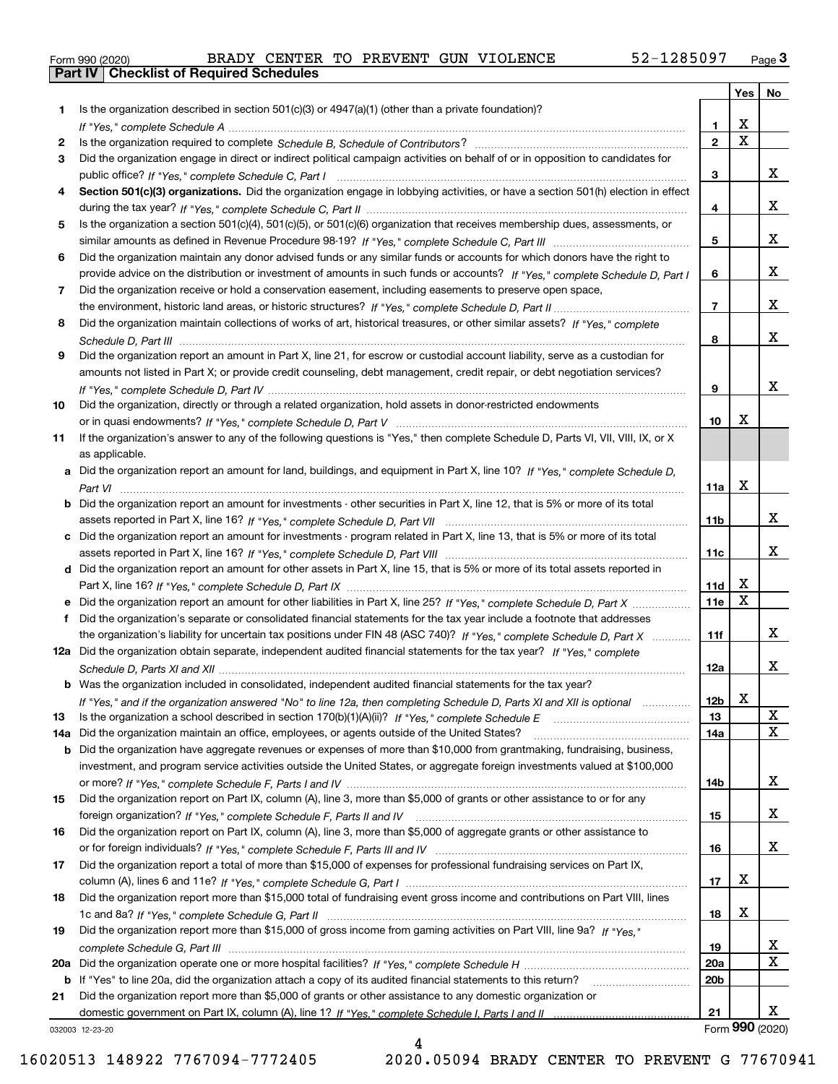|  | Form 990 (2020) |
|--|-----------------|
|  |                 |

| Is the organization described in section $501(c)(3)$ or $4947(a)(1)$ (other than a private foundation)?<br>1<br>X<br>1.<br>$\overline{\mathbf{x}}$<br>$\overline{2}$<br>2<br>Did the organization engage in direct or indirect political campaign activities on behalf of or in opposition to candidates for<br>3<br>x<br>3<br>Section 501(c)(3) organizations. Did the organization engage in lobbying activities, or have a section 501(h) election in effect<br>4<br>x<br>4<br>Is the organization a section 501(c)(4), 501(c)(5), or 501(c)(6) organization that receives membership dues, assessments, or<br>5<br>x<br>5<br>Did the organization maintain any donor advised funds or any similar funds or accounts for which donors have the right to<br>6<br>x<br>provide advice on the distribution or investment of amounts in such funds or accounts? If "Yes," complete Schedule D, Part I<br>6<br>Did the organization receive or hold a conservation easement, including easements to preserve open space,<br>7<br>x<br>$\overline{7}$<br>Did the organization maintain collections of works of art, historical treasures, or other similar assets? If "Yes," complete<br>8<br>x<br>8<br>Did the organization report an amount in Part X, line 21, for escrow or custodial account liability, serve as a custodian for<br>9<br>amounts not listed in Part X; or provide credit counseling, debt management, credit repair, or debt negotiation services?<br>x<br>9<br>Did the organization, directly or through a related organization, hold assets in donor-restricted endowments<br>10<br>X<br>10<br>If the organization's answer to any of the following questions is "Yes," then complete Schedule D, Parts VI, VII, VIII, IX, or X<br>11<br>as applicable.<br>a Did the organization report an amount for land, buildings, and equipment in Part X, line 10? If "Yes," complete Schedule D,<br>$\mathbf X$<br>11a<br>Did the organization report an amount for investments - other securities in Part X, line 12, that is 5% or more of its total<br>b<br>x<br>11 <sub>b</sub><br>Did the organization report an amount for investments - program related in Part X, line 13, that is 5% or more of its total<br>c<br>x<br>11c<br>d Did the organization report an amount for other assets in Part X, line 15, that is 5% or more of its total assets reported in<br>х<br>11d<br>$\mathbf X$<br>11e<br>Did the organization report an amount for other liabilities in Part X, line 25? If "Yes," complete Schedule D, Part X<br>Did the organization's separate or consolidated financial statements for the tax year include a footnote that addresses<br>f<br>x<br>the organization's liability for uncertain tax positions under FIN 48 (ASC 740)? If "Yes," complete Schedule D, Part X<br>11f<br>12a Did the organization obtain separate, independent audited financial statements for the tax year? If "Yes," complete<br>x<br>12a<br><b>b</b> Was the organization included in consolidated, independent audited financial statements for the tax year?<br>If "Yes," and if the organization answered "No" to line 12a, then completing Schedule D, Parts XI and XII is optional<br>12b<br>▵<br>х<br>Is the organization a school described in section $170(b)(1)(A)(ii)?$ If "Yes," complete Schedule E<br>13<br>13<br>X<br>Did the organization maintain an office, employees, or agents outside of the United States?<br>14a<br>14a<br>Did the organization have aggregate revenues or expenses of more than \$10,000 from grantmaking, fundraising, business,<br>b<br>investment, and program service activities outside the United States, or aggregate foreign investments valued at \$100,000<br>x<br>14b<br>Did the organization report on Part IX, column (A), line 3, more than \$5,000 of grants or other assistance to or for any<br>15<br>x<br>15<br>Did the organization report on Part IX, column (A), line 3, more than \$5,000 of aggregate grants or other assistance to<br>16<br>x<br>16<br>Did the organization report a total of more than \$15,000 of expenses for professional fundraising services on Part IX,<br>17<br>х<br>17<br>Did the organization report more than \$15,000 total of fundraising event gross income and contributions on Part VIII, lines<br>18<br>х<br>18<br>Did the organization report more than \$15,000 of gross income from gaming activities on Part VIII, line 9a? If "Yes."<br>19<br>x<br>19<br>$\mathbf x$<br>20a<br>20a<br>20 <sub>b</sub><br>If "Yes" to line 20a, did the organization attach a copy of its audited financial statements to this return?<br>b<br>Did the organization report more than \$5,000 of grants or other assistance to any domestic organization or<br>21<br>X.<br>21<br>032003 12-23-20 |  | Yes | No |
|-------------------------------------------------------------------------------------------------------------------------------------------------------------------------------------------------------------------------------------------------------------------------------------------------------------------------------------------------------------------------------------------------------------------------------------------------------------------------------------------------------------------------------------------------------------------------------------------------------------------------------------------------------------------------------------------------------------------------------------------------------------------------------------------------------------------------------------------------------------------------------------------------------------------------------------------------------------------------------------------------------------------------------------------------------------------------------------------------------------------------------------------------------------------------------------------------------------------------------------------------------------------------------------------------------------------------------------------------------------------------------------------------------------------------------------------------------------------------------------------------------------------------------------------------------------------------------------------------------------------------------------------------------------------------------------------------------------------------------------------------------------------------------------------------------------------------------------------------------------------------------------------------------------------------------------------------------------------------------------------------------------------------------------------------------------------------------------------------------------------------------------------------------------------------------------------------------------------------------------------------------------------------------------------------------------------------------------------------------------------------------------------------------------------------------------------------------------------------------------------------------------------------------------------------------------------------------------------------------------------------------------------------------------------------------------------------------------------------------------------------------------------------------------------------------------------------------------------------------------------------------------------------------------------------------------------------------------------------------------------------------------------------------------------------------------------------------------------------------------------------------------------------------------------------------------------------------------------------------------------------------------------------------------------------------------------------------------------------------------------------------------------------------------------------------------------------------------------------------------------------------------------------------------------------------------------------------------------------------------------------------------------------------------------------------------------------------------------------------------------------------------------------------------------------------------------------------------------------------------------------------------------------------------------------------------------------------------------------------------------------------------------------------------------------------------------------------------------------------------------------------------------------------------------------------------------------------------------------------------------------------------------------------------------------------------------------------------------------------------------------------------------------------------------------------------------------------------------------------------------------------------------------------------------------------------------------------------------------------------------------------------------------------------------------------------------------------------------------------------------------------------------------------------------------------|--|-----|----|
|                                                                                                                                                                                                                                                                                                                                                                                                                                                                                                                                                                                                                                                                                                                                                                                                                                                                                                                                                                                                                                                                                                                                                                                                                                                                                                                                                                                                                                                                                                                                                                                                                                                                                                                                                                                                                                                                                                                                                                                                                                                                                                                                                                                                                                                                                                                                                                                                                                                                                                                                                                                                                                                                                                                                                                                                                                                                                                                                                                                                                                                                                                                                                                                                                                                                                                                                                                                                                                                                                                                                                                                                                                                                                                                                                                                                                                                                                                                                                                                                                                                                                                                                                                                                                                                                                                                                                                                                                                                                                                                                                                                                                                                                                                                                                                                                       |  |     |    |
|                                                                                                                                                                                                                                                                                                                                                                                                                                                                                                                                                                                                                                                                                                                                                                                                                                                                                                                                                                                                                                                                                                                                                                                                                                                                                                                                                                                                                                                                                                                                                                                                                                                                                                                                                                                                                                                                                                                                                                                                                                                                                                                                                                                                                                                                                                                                                                                                                                                                                                                                                                                                                                                                                                                                                                                                                                                                                                                                                                                                                                                                                                                                                                                                                                                                                                                                                                                                                                                                                                                                                                                                                                                                                                                                                                                                                                                                                                                                                                                                                                                                                                                                                                                                                                                                                                                                                                                                                                                                                                                                                                                                                                                                                                                                                                                                       |  |     |    |
|                                                                                                                                                                                                                                                                                                                                                                                                                                                                                                                                                                                                                                                                                                                                                                                                                                                                                                                                                                                                                                                                                                                                                                                                                                                                                                                                                                                                                                                                                                                                                                                                                                                                                                                                                                                                                                                                                                                                                                                                                                                                                                                                                                                                                                                                                                                                                                                                                                                                                                                                                                                                                                                                                                                                                                                                                                                                                                                                                                                                                                                                                                                                                                                                                                                                                                                                                                                                                                                                                                                                                                                                                                                                                                                                                                                                                                                                                                                                                                                                                                                                                                                                                                                                                                                                                                                                                                                                                                                                                                                                                                                                                                                                                                                                                                                                       |  |     |    |
|                                                                                                                                                                                                                                                                                                                                                                                                                                                                                                                                                                                                                                                                                                                                                                                                                                                                                                                                                                                                                                                                                                                                                                                                                                                                                                                                                                                                                                                                                                                                                                                                                                                                                                                                                                                                                                                                                                                                                                                                                                                                                                                                                                                                                                                                                                                                                                                                                                                                                                                                                                                                                                                                                                                                                                                                                                                                                                                                                                                                                                                                                                                                                                                                                                                                                                                                                                                                                                                                                                                                                                                                                                                                                                                                                                                                                                                                                                                                                                                                                                                                                                                                                                                                                                                                                                                                                                                                                                                                                                                                                                                                                                                                                                                                                                                                       |  |     |    |
|                                                                                                                                                                                                                                                                                                                                                                                                                                                                                                                                                                                                                                                                                                                                                                                                                                                                                                                                                                                                                                                                                                                                                                                                                                                                                                                                                                                                                                                                                                                                                                                                                                                                                                                                                                                                                                                                                                                                                                                                                                                                                                                                                                                                                                                                                                                                                                                                                                                                                                                                                                                                                                                                                                                                                                                                                                                                                                                                                                                                                                                                                                                                                                                                                                                                                                                                                                                                                                                                                                                                                                                                                                                                                                                                                                                                                                                                                                                                                                                                                                                                                                                                                                                                                                                                                                                                                                                                                                                                                                                                                                                                                                                                                                                                                                                                       |  |     |    |
|                                                                                                                                                                                                                                                                                                                                                                                                                                                                                                                                                                                                                                                                                                                                                                                                                                                                                                                                                                                                                                                                                                                                                                                                                                                                                                                                                                                                                                                                                                                                                                                                                                                                                                                                                                                                                                                                                                                                                                                                                                                                                                                                                                                                                                                                                                                                                                                                                                                                                                                                                                                                                                                                                                                                                                                                                                                                                                                                                                                                                                                                                                                                                                                                                                                                                                                                                                                                                                                                                                                                                                                                                                                                                                                                                                                                                                                                                                                                                                                                                                                                                                                                                                                                                                                                                                                                                                                                                                                                                                                                                                                                                                                                                                                                                                                                       |  |     |    |
|                                                                                                                                                                                                                                                                                                                                                                                                                                                                                                                                                                                                                                                                                                                                                                                                                                                                                                                                                                                                                                                                                                                                                                                                                                                                                                                                                                                                                                                                                                                                                                                                                                                                                                                                                                                                                                                                                                                                                                                                                                                                                                                                                                                                                                                                                                                                                                                                                                                                                                                                                                                                                                                                                                                                                                                                                                                                                                                                                                                                                                                                                                                                                                                                                                                                                                                                                                                                                                                                                                                                                                                                                                                                                                                                                                                                                                                                                                                                                                                                                                                                                                                                                                                                                                                                                                                                                                                                                                                                                                                                                                                                                                                                                                                                                                                                       |  |     |    |
|                                                                                                                                                                                                                                                                                                                                                                                                                                                                                                                                                                                                                                                                                                                                                                                                                                                                                                                                                                                                                                                                                                                                                                                                                                                                                                                                                                                                                                                                                                                                                                                                                                                                                                                                                                                                                                                                                                                                                                                                                                                                                                                                                                                                                                                                                                                                                                                                                                                                                                                                                                                                                                                                                                                                                                                                                                                                                                                                                                                                                                                                                                                                                                                                                                                                                                                                                                                                                                                                                                                                                                                                                                                                                                                                                                                                                                                                                                                                                                                                                                                                                                                                                                                                                                                                                                                                                                                                                                                                                                                                                                                                                                                                                                                                                                                                       |  |     |    |
|                                                                                                                                                                                                                                                                                                                                                                                                                                                                                                                                                                                                                                                                                                                                                                                                                                                                                                                                                                                                                                                                                                                                                                                                                                                                                                                                                                                                                                                                                                                                                                                                                                                                                                                                                                                                                                                                                                                                                                                                                                                                                                                                                                                                                                                                                                                                                                                                                                                                                                                                                                                                                                                                                                                                                                                                                                                                                                                                                                                                                                                                                                                                                                                                                                                                                                                                                                                                                                                                                                                                                                                                                                                                                                                                                                                                                                                                                                                                                                                                                                                                                                                                                                                                                                                                                                                                                                                                                                                                                                                                                                                                                                                                                                                                                                                                       |  |     |    |
|                                                                                                                                                                                                                                                                                                                                                                                                                                                                                                                                                                                                                                                                                                                                                                                                                                                                                                                                                                                                                                                                                                                                                                                                                                                                                                                                                                                                                                                                                                                                                                                                                                                                                                                                                                                                                                                                                                                                                                                                                                                                                                                                                                                                                                                                                                                                                                                                                                                                                                                                                                                                                                                                                                                                                                                                                                                                                                                                                                                                                                                                                                                                                                                                                                                                                                                                                                                                                                                                                                                                                                                                                                                                                                                                                                                                                                                                                                                                                                                                                                                                                                                                                                                                                                                                                                                                                                                                                                                                                                                                                                                                                                                                                                                                                                                                       |  |     |    |
|                                                                                                                                                                                                                                                                                                                                                                                                                                                                                                                                                                                                                                                                                                                                                                                                                                                                                                                                                                                                                                                                                                                                                                                                                                                                                                                                                                                                                                                                                                                                                                                                                                                                                                                                                                                                                                                                                                                                                                                                                                                                                                                                                                                                                                                                                                                                                                                                                                                                                                                                                                                                                                                                                                                                                                                                                                                                                                                                                                                                                                                                                                                                                                                                                                                                                                                                                                                                                                                                                                                                                                                                                                                                                                                                                                                                                                                                                                                                                                                                                                                                                                                                                                                                                                                                                                                                                                                                                                                                                                                                                                                                                                                                                                                                                                                                       |  |     |    |
|                                                                                                                                                                                                                                                                                                                                                                                                                                                                                                                                                                                                                                                                                                                                                                                                                                                                                                                                                                                                                                                                                                                                                                                                                                                                                                                                                                                                                                                                                                                                                                                                                                                                                                                                                                                                                                                                                                                                                                                                                                                                                                                                                                                                                                                                                                                                                                                                                                                                                                                                                                                                                                                                                                                                                                                                                                                                                                                                                                                                                                                                                                                                                                                                                                                                                                                                                                                                                                                                                                                                                                                                                                                                                                                                                                                                                                                                                                                                                                                                                                                                                                                                                                                                                                                                                                                                                                                                                                                                                                                                                                                                                                                                                                                                                                                                       |  |     |    |
|                                                                                                                                                                                                                                                                                                                                                                                                                                                                                                                                                                                                                                                                                                                                                                                                                                                                                                                                                                                                                                                                                                                                                                                                                                                                                                                                                                                                                                                                                                                                                                                                                                                                                                                                                                                                                                                                                                                                                                                                                                                                                                                                                                                                                                                                                                                                                                                                                                                                                                                                                                                                                                                                                                                                                                                                                                                                                                                                                                                                                                                                                                                                                                                                                                                                                                                                                                                                                                                                                                                                                                                                                                                                                                                                                                                                                                                                                                                                                                                                                                                                                                                                                                                                                                                                                                                                                                                                                                                                                                                                                                                                                                                                                                                                                                                                       |  |     |    |
|                                                                                                                                                                                                                                                                                                                                                                                                                                                                                                                                                                                                                                                                                                                                                                                                                                                                                                                                                                                                                                                                                                                                                                                                                                                                                                                                                                                                                                                                                                                                                                                                                                                                                                                                                                                                                                                                                                                                                                                                                                                                                                                                                                                                                                                                                                                                                                                                                                                                                                                                                                                                                                                                                                                                                                                                                                                                                                                                                                                                                                                                                                                                                                                                                                                                                                                                                                                                                                                                                                                                                                                                                                                                                                                                                                                                                                                                                                                                                                                                                                                                                                                                                                                                                                                                                                                                                                                                                                                                                                                                                                                                                                                                                                                                                                                                       |  |     |    |
|                                                                                                                                                                                                                                                                                                                                                                                                                                                                                                                                                                                                                                                                                                                                                                                                                                                                                                                                                                                                                                                                                                                                                                                                                                                                                                                                                                                                                                                                                                                                                                                                                                                                                                                                                                                                                                                                                                                                                                                                                                                                                                                                                                                                                                                                                                                                                                                                                                                                                                                                                                                                                                                                                                                                                                                                                                                                                                                                                                                                                                                                                                                                                                                                                                                                                                                                                                                                                                                                                                                                                                                                                                                                                                                                                                                                                                                                                                                                                                                                                                                                                                                                                                                                                                                                                                                                                                                                                                                                                                                                                                                                                                                                                                                                                                                                       |  |     |    |
|                                                                                                                                                                                                                                                                                                                                                                                                                                                                                                                                                                                                                                                                                                                                                                                                                                                                                                                                                                                                                                                                                                                                                                                                                                                                                                                                                                                                                                                                                                                                                                                                                                                                                                                                                                                                                                                                                                                                                                                                                                                                                                                                                                                                                                                                                                                                                                                                                                                                                                                                                                                                                                                                                                                                                                                                                                                                                                                                                                                                                                                                                                                                                                                                                                                                                                                                                                                                                                                                                                                                                                                                                                                                                                                                                                                                                                                                                                                                                                                                                                                                                                                                                                                                                                                                                                                                                                                                                                                                                                                                                                                                                                                                                                                                                                                                       |  |     |    |
|                                                                                                                                                                                                                                                                                                                                                                                                                                                                                                                                                                                                                                                                                                                                                                                                                                                                                                                                                                                                                                                                                                                                                                                                                                                                                                                                                                                                                                                                                                                                                                                                                                                                                                                                                                                                                                                                                                                                                                                                                                                                                                                                                                                                                                                                                                                                                                                                                                                                                                                                                                                                                                                                                                                                                                                                                                                                                                                                                                                                                                                                                                                                                                                                                                                                                                                                                                                                                                                                                                                                                                                                                                                                                                                                                                                                                                                                                                                                                                                                                                                                                                                                                                                                                                                                                                                                                                                                                                                                                                                                                                                                                                                                                                                                                                                                       |  |     |    |
|                                                                                                                                                                                                                                                                                                                                                                                                                                                                                                                                                                                                                                                                                                                                                                                                                                                                                                                                                                                                                                                                                                                                                                                                                                                                                                                                                                                                                                                                                                                                                                                                                                                                                                                                                                                                                                                                                                                                                                                                                                                                                                                                                                                                                                                                                                                                                                                                                                                                                                                                                                                                                                                                                                                                                                                                                                                                                                                                                                                                                                                                                                                                                                                                                                                                                                                                                                                                                                                                                                                                                                                                                                                                                                                                                                                                                                                                                                                                                                                                                                                                                                                                                                                                                                                                                                                                                                                                                                                                                                                                                                                                                                                                                                                                                                                                       |  |     |    |
|                                                                                                                                                                                                                                                                                                                                                                                                                                                                                                                                                                                                                                                                                                                                                                                                                                                                                                                                                                                                                                                                                                                                                                                                                                                                                                                                                                                                                                                                                                                                                                                                                                                                                                                                                                                                                                                                                                                                                                                                                                                                                                                                                                                                                                                                                                                                                                                                                                                                                                                                                                                                                                                                                                                                                                                                                                                                                                                                                                                                                                                                                                                                                                                                                                                                                                                                                                                                                                                                                                                                                                                                                                                                                                                                                                                                                                                                                                                                                                                                                                                                                                                                                                                                                                                                                                                                                                                                                                                                                                                                                                                                                                                                                                                                                                                                       |  |     |    |
|                                                                                                                                                                                                                                                                                                                                                                                                                                                                                                                                                                                                                                                                                                                                                                                                                                                                                                                                                                                                                                                                                                                                                                                                                                                                                                                                                                                                                                                                                                                                                                                                                                                                                                                                                                                                                                                                                                                                                                                                                                                                                                                                                                                                                                                                                                                                                                                                                                                                                                                                                                                                                                                                                                                                                                                                                                                                                                                                                                                                                                                                                                                                                                                                                                                                                                                                                                                                                                                                                                                                                                                                                                                                                                                                                                                                                                                                                                                                                                                                                                                                                                                                                                                                                                                                                                                                                                                                                                                                                                                                                                                                                                                                                                                                                                                                       |  |     |    |
|                                                                                                                                                                                                                                                                                                                                                                                                                                                                                                                                                                                                                                                                                                                                                                                                                                                                                                                                                                                                                                                                                                                                                                                                                                                                                                                                                                                                                                                                                                                                                                                                                                                                                                                                                                                                                                                                                                                                                                                                                                                                                                                                                                                                                                                                                                                                                                                                                                                                                                                                                                                                                                                                                                                                                                                                                                                                                                                                                                                                                                                                                                                                                                                                                                                                                                                                                                                                                                                                                                                                                                                                                                                                                                                                                                                                                                                                                                                                                                                                                                                                                                                                                                                                                                                                                                                                                                                                                                                                                                                                                                                                                                                                                                                                                                                                       |  |     |    |
|                                                                                                                                                                                                                                                                                                                                                                                                                                                                                                                                                                                                                                                                                                                                                                                                                                                                                                                                                                                                                                                                                                                                                                                                                                                                                                                                                                                                                                                                                                                                                                                                                                                                                                                                                                                                                                                                                                                                                                                                                                                                                                                                                                                                                                                                                                                                                                                                                                                                                                                                                                                                                                                                                                                                                                                                                                                                                                                                                                                                                                                                                                                                                                                                                                                                                                                                                                                                                                                                                                                                                                                                                                                                                                                                                                                                                                                                                                                                                                                                                                                                                                                                                                                                                                                                                                                                                                                                                                                                                                                                                                                                                                                                                                                                                                                                       |  |     |    |
|                                                                                                                                                                                                                                                                                                                                                                                                                                                                                                                                                                                                                                                                                                                                                                                                                                                                                                                                                                                                                                                                                                                                                                                                                                                                                                                                                                                                                                                                                                                                                                                                                                                                                                                                                                                                                                                                                                                                                                                                                                                                                                                                                                                                                                                                                                                                                                                                                                                                                                                                                                                                                                                                                                                                                                                                                                                                                                                                                                                                                                                                                                                                                                                                                                                                                                                                                                                                                                                                                                                                                                                                                                                                                                                                                                                                                                                                                                                                                                                                                                                                                                                                                                                                                                                                                                                                                                                                                                                                                                                                                                                                                                                                                                                                                                                                       |  |     |    |
|                                                                                                                                                                                                                                                                                                                                                                                                                                                                                                                                                                                                                                                                                                                                                                                                                                                                                                                                                                                                                                                                                                                                                                                                                                                                                                                                                                                                                                                                                                                                                                                                                                                                                                                                                                                                                                                                                                                                                                                                                                                                                                                                                                                                                                                                                                                                                                                                                                                                                                                                                                                                                                                                                                                                                                                                                                                                                                                                                                                                                                                                                                                                                                                                                                                                                                                                                                                                                                                                                                                                                                                                                                                                                                                                                                                                                                                                                                                                                                                                                                                                                                                                                                                                                                                                                                                                                                                                                                                                                                                                                                                                                                                                                                                                                                                                       |  |     |    |
|                                                                                                                                                                                                                                                                                                                                                                                                                                                                                                                                                                                                                                                                                                                                                                                                                                                                                                                                                                                                                                                                                                                                                                                                                                                                                                                                                                                                                                                                                                                                                                                                                                                                                                                                                                                                                                                                                                                                                                                                                                                                                                                                                                                                                                                                                                                                                                                                                                                                                                                                                                                                                                                                                                                                                                                                                                                                                                                                                                                                                                                                                                                                                                                                                                                                                                                                                                                                                                                                                                                                                                                                                                                                                                                                                                                                                                                                                                                                                                                                                                                                                                                                                                                                                                                                                                                                                                                                                                                                                                                                                                                                                                                                                                                                                                                                       |  |     |    |
|                                                                                                                                                                                                                                                                                                                                                                                                                                                                                                                                                                                                                                                                                                                                                                                                                                                                                                                                                                                                                                                                                                                                                                                                                                                                                                                                                                                                                                                                                                                                                                                                                                                                                                                                                                                                                                                                                                                                                                                                                                                                                                                                                                                                                                                                                                                                                                                                                                                                                                                                                                                                                                                                                                                                                                                                                                                                                                                                                                                                                                                                                                                                                                                                                                                                                                                                                                                                                                                                                                                                                                                                                                                                                                                                                                                                                                                                                                                                                                                                                                                                                                                                                                                                                                                                                                                                                                                                                                                                                                                                                                                                                                                                                                                                                                                                       |  |     |    |
|                                                                                                                                                                                                                                                                                                                                                                                                                                                                                                                                                                                                                                                                                                                                                                                                                                                                                                                                                                                                                                                                                                                                                                                                                                                                                                                                                                                                                                                                                                                                                                                                                                                                                                                                                                                                                                                                                                                                                                                                                                                                                                                                                                                                                                                                                                                                                                                                                                                                                                                                                                                                                                                                                                                                                                                                                                                                                                                                                                                                                                                                                                                                                                                                                                                                                                                                                                                                                                                                                                                                                                                                                                                                                                                                                                                                                                                                                                                                                                                                                                                                                                                                                                                                                                                                                                                                                                                                                                                                                                                                                                                                                                                                                                                                                                                                       |  |     |    |
|                                                                                                                                                                                                                                                                                                                                                                                                                                                                                                                                                                                                                                                                                                                                                                                                                                                                                                                                                                                                                                                                                                                                                                                                                                                                                                                                                                                                                                                                                                                                                                                                                                                                                                                                                                                                                                                                                                                                                                                                                                                                                                                                                                                                                                                                                                                                                                                                                                                                                                                                                                                                                                                                                                                                                                                                                                                                                                                                                                                                                                                                                                                                                                                                                                                                                                                                                                                                                                                                                                                                                                                                                                                                                                                                                                                                                                                                                                                                                                                                                                                                                                                                                                                                                                                                                                                                                                                                                                                                                                                                                                                                                                                                                                                                                                                                       |  |     |    |
|                                                                                                                                                                                                                                                                                                                                                                                                                                                                                                                                                                                                                                                                                                                                                                                                                                                                                                                                                                                                                                                                                                                                                                                                                                                                                                                                                                                                                                                                                                                                                                                                                                                                                                                                                                                                                                                                                                                                                                                                                                                                                                                                                                                                                                                                                                                                                                                                                                                                                                                                                                                                                                                                                                                                                                                                                                                                                                                                                                                                                                                                                                                                                                                                                                                                                                                                                                                                                                                                                                                                                                                                                                                                                                                                                                                                                                                                                                                                                                                                                                                                                                                                                                                                                                                                                                                                                                                                                                                                                                                                                                                                                                                                                                                                                                                                       |  |     |    |
|                                                                                                                                                                                                                                                                                                                                                                                                                                                                                                                                                                                                                                                                                                                                                                                                                                                                                                                                                                                                                                                                                                                                                                                                                                                                                                                                                                                                                                                                                                                                                                                                                                                                                                                                                                                                                                                                                                                                                                                                                                                                                                                                                                                                                                                                                                                                                                                                                                                                                                                                                                                                                                                                                                                                                                                                                                                                                                                                                                                                                                                                                                                                                                                                                                                                                                                                                                                                                                                                                                                                                                                                                                                                                                                                                                                                                                                                                                                                                                                                                                                                                                                                                                                                                                                                                                                                                                                                                                                                                                                                                                                                                                                                                                                                                                                                       |  |     |    |
|                                                                                                                                                                                                                                                                                                                                                                                                                                                                                                                                                                                                                                                                                                                                                                                                                                                                                                                                                                                                                                                                                                                                                                                                                                                                                                                                                                                                                                                                                                                                                                                                                                                                                                                                                                                                                                                                                                                                                                                                                                                                                                                                                                                                                                                                                                                                                                                                                                                                                                                                                                                                                                                                                                                                                                                                                                                                                                                                                                                                                                                                                                                                                                                                                                                                                                                                                                                                                                                                                                                                                                                                                                                                                                                                                                                                                                                                                                                                                                                                                                                                                                                                                                                                                                                                                                                                                                                                                                                                                                                                                                                                                                                                                                                                                                                                       |  |     |    |
|                                                                                                                                                                                                                                                                                                                                                                                                                                                                                                                                                                                                                                                                                                                                                                                                                                                                                                                                                                                                                                                                                                                                                                                                                                                                                                                                                                                                                                                                                                                                                                                                                                                                                                                                                                                                                                                                                                                                                                                                                                                                                                                                                                                                                                                                                                                                                                                                                                                                                                                                                                                                                                                                                                                                                                                                                                                                                                                                                                                                                                                                                                                                                                                                                                                                                                                                                                                                                                                                                                                                                                                                                                                                                                                                                                                                                                                                                                                                                                                                                                                                                                                                                                                                                                                                                                                                                                                                                                                                                                                                                                                                                                                                                                                                                                                                       |  |     |    |
|                                                                                                                                                                                                                                                                                                                                                                                                                                                                                                                                                                                                                                                                                                                                                                                                                                                                                                                                                                                                                                                                                                                                                                                                                                                                                                                                                                                                                                                                                                                                                                                                                                                                                                                                                                                                                                                                                                                                                                                                                                                                                                                                                                                                                                                                                                                                                                                                                                                                                                                                                                                                                                                                                                                                                                                                                                                                                                                                                                                                                                                                                                                                                                                                                                                                                                                                                                                                                                                                                                                                                                                                                                                                                                                                                                                                                                                                                                                                                                                                                                                                                                                                                                                                                                                                                                                                                                                                                                                                                                                                                                                                                                                                                                                                                                                                       |  |     |    |
|                                                                                                                                                                                                                                                                                                                                                                                                                                                                                                                                                                                                                                                                                                                                                                                                                                                                                                                                                                                                                                                                                                                                                                                                                                                                                                                                                                                                                                                                                                                                                                                                                                                                                                                                                                                                                                                                                                                                                                                                                                                                                                                                                                                                                                                                                                                                                                                                                                                                                                                                                                                                                                                                                                                                                                                                                                                                                                                                                                                                                                                                                                                                                                                                                                                                                                                                                                                                                                                                                                                                                                                                                                                                                                                                                                                                                                                                                                                                                                                                                                                                                                                                                                                                                                                                                                                                                                                                                                                                                                                                                                                                                                                                                                                                                                                                       |  |     |    |
|                                                                                                                                                                                                                                                                                                                                                                                                                                                                                                                                                                                                                                                                                                                                                                                                                                                                                                                                                                                                                                                                                                                                                                                                                                                                                                                                                                                                                                                                                                                                                                                                                                                                                                                                                                                                                                                                                                                                                                                                                                                                                                                                                                                                                                                                                                                                                                                                                                                                                                                                                                                                                                                                                                                                                                                                                                                                                                                                                                                                                                                                                                                                                                                                                                                                                                                                                                                                                                                                                                                                                                                                                                                                                                                                                                                                                                                                                                                                                                                                                                                                                                                                                                                                                                                                                                                                                                                                                                                                                                                                                                                                                                                                                                                                                                                                       |  |     |    |
|                                                                                                                                                                                                                                                                                                                                                                                                                                                                                                                                                                                                                                                                                                                                                                                                                                                                                                                                                                                                                                                                                                                                                                                                                                                                                                                                                                                                                                                                                                                                                                                                                                                                                                                                                                                                                                                                                                                                                                                                                                                                                                                                                                                                                                                                                                                                                                                                                                                                                                                                                                                                                                                                                                                                                                                                                                                                                                                                                                                                                                                                                                                                                                                                                                                                                                                                                                                                                                                                                                                                                                                                                                                                                                                                                                                                                                                                                                                                                                                                                                                                                                                                                                                                                                                                                                                                                                                                                                                                                                                                                                                                                                                                                                                                                                                                       |  |     |    |
|                                                                                                                                                                                                                                                                                                                                                                                                                                                                                                                                                                                                                                                                                                                                                                                                                                                                                                                                                                                                                                                                                                                                                                                                                                                                                                                                                                                                                                                                                                                                                                                                                                                                                                                                                                                                                                                                                                                                                                                                                                                                                                                                                                                                                                                                                                                                                                                                                                                                                                                                                                                                                                                                                                                                                                                                                                                                                                                                                                                                                                                                                                                                                                                                                                                                                                                                                                                                                                                                                                                                                                                                                                                                                                                                                                                                                                                                                                                                                                                                                                                                                                                                                                                                                                                                                                                                                                                                                                                                                                                                                                                                                                                                                                                                                                                                       |  |     |    |
|                                                                                                                                                                                                                                                                                                                                                                                                                                                                                                                                                                                                                                                                                                                                                                                                                                                                                                                                                                                                                                                                                                                                                                                                                                                                                                                                                                                                                                                                                                                                                                                                                                                                                                                                                                                                                                                                                                                                                                                                                                                                                                                                                                                                                                                                                                                                                                                                                                                                                                                                                                                                                                                                                                                                                                                                                                                                                                                                                                                                                                                                                                                                                                                                                                                                                                                                                                                                                                                                                                                                                                                                                                                                                                                                                                                                                                                                                                                                                                                                                                                                                                                                                                                                                                                                                                                                                                                                                                                                                                                                                                                                                                                                                                                                                                                                       |  |     |    |
|                                                                                                                                                                                                                                                                                                                                                                                                                                                                                                                                                                                                                                                                                                                                                                                                                                                                                                                                                                                                                                                                                                                                                                                                                                                                                                                                                                                                                                                                                                                                                                                                                                                                                                                                                                                                                                                                                                                                                                                                                                                                                                                                                                                                                                                                                                                                                                                                                                                                                                                                                                                                                                                                                                                                                                                                                                                                                                                                                                                                                                                                                                                                                                                                                                                                                                                                                                                                                                                                                                                                                                                                                                                                                                                                                                                                                                                                                                                                                                                                                                                                                                                                                                                                                                                                                                                                                                                                                                                                                                                                                                                                                                                                                                                                                                                                       |  |     |    |
|                                                                                                                                                                                                                                                                                                                                                                                                                                                                                                                                                                                                                                                                                                                                                                                                                                                                                                                                                                                                                                                                                                                                                                                                                                                                                                                                                                                                                                                                                                                                                                                                                                                                                                                                                                                                                                                                                                                                                                                                                                                                                                                                                                                                                                                                                                                                                                                                                                                                                                                                                                                                                                                                                                                                                                                                                                                                                                                                                                                                                                                                                                                                                                                                                                                                                                                                                                                                                                                                                                                                                                                                                                                                                                                                                                                                                                                                                                                                                                                                                                                                                                                                                                                                                                                                                                                                                                                                                                                                                                                                                                                                                                                                                                                                                                                                       |  |     |    |
|                                                                                                                                                                                                                                                                                                                                                                                                                                                                                                                                                                                                                                                                                                                                                                                                                                                                                                                                                                                                                                                                                                                                                                                                                                                                                                                                                                                                                                                                                                                                                                                                                                                                                                                                                                                                                                                                                                                                                                                                                                                                                                                                                                                                                                                                                                                                                                                                                                                                                                                                                                                                                                                                                                                                                                                                                                                                                                                                                                                                                                                                                                                                                                                                                                                                                                                                                                                                                                                                                                                                                                                                                                                                                                                                                                                                                                                                                                                                                                                                                                                                                                                                                                                                                                                                                                                                                                                                                                                                                                                                                                                                                                                                                                                                                                                                       |  |     |    |
|                                                                                                                                                                                                                                                                                                                                                                                                                                                                                                                                                                                                                                                                                                                                                                                                                                                                                                                                                                                                                                                                                                                                                                                                                                                                                                                                                                                                                                                                                                                                                                                                                                                                                                                                                                                                                                                                                                                                                                                                                                                                                                                                                                                                                                                                                                                                                                                                                                                                                                                                                                                                                                                                                                                                                                                                                                                                                                                                                                                                                                                                                                                                                                                                                                                                                                                                                                                                                                                                                                                                                                                                                                                                                                                                                                                                                                                                                                                                                                                                                                                                                                                                                                                                                                                                                                                                                                                                                                                                                                                                                                                                                                                                                                                                                                                                       |  |     |    |
|                                                                                                                                                                                                                                                                                                                                                                                                                                                                                                                                                                                                                                                                                                                                                                                                                                                                                                                                                                                                                                                                                                                                                                                                                                                                                                                                                                                                                                                                                                                                                                                                                                                                                                                                                                                                                                                                                                                                                                                                                                                                                                                                                                                                                                                                                                                                                                                                                                                                                                                                                                                                                                                                                                                                                                                                                                                                                                                                                                                                                                                                                                                                                                                                                                                                                                                                                                                                                                                                                                                                                                                                                                                                                                                                                                                                                                                                                                                                                                                                                                                                                                                                                                                                                                                                                                                                                                                                                                                                                                                                                                                                                                                                                                                                                                                                       |  |     |    |
|                                                                                                                                                                                                                                                                                                                                                                                                                                                                                                                                                                                                                                                                                                                                                                                                                                                                                                                                                                                                                                                                                                                                                                                                                                                                                                                                                                                                                                                                                                                                                                                                                                                                                                                                                                                                                                                                                                                                                                                                                                                                                                                                                                                                                                                                                                                                                                                                                                                                                                                                                                                                                                                                                                                                                                                                                                                                                                                                                                                                                                                                                                                                                                                                                                                                                                                                                                                                                                                                                                                                                                                                                                                                                                                                                                                                                                                                                                                                                                                                                                                                                                                                                                                                                                                                                                                                                                                                                                                                                                                                                                                                                                                                                                                                                                                                       |  |     |    |
|                                                                                                                                                                                                                                                                                                                                                                                                                                                                                                                                                                                                                                                                                                                                                                                                                                                                                                                                                                                                                                                                                                                                                                                                                                                                                                                                                                                                                                                                                                                                                                                                                                                                                                                                                                                                                                                                                                                                                                                                                                                                                                                                                                                                                                                                                                                                                                                                                                                                                                                                                                                                                                                                                                                                                                                                                                                                                                                                                                                                                                                                                                                                                                                                                                                                                                                                                                                                                                                                                                                                                                                                                                                                                                                                                                                                                                                                                                                                                                                                                                                                                                                                                                                                                                                                                                                                                                                                                                                                                                                                                                                                                                                                                                                                                                                                       |  |     |    |
|                                                                                                                                                                                                                                                                                                                                                                                                                                                                                                                                                                                                                                                                                                                                                                                                                                                                                                                                                                                                                                                                                                                                                                                                                                                                                                                                                                                                                                                                                                                                                                                                                                                                                                                                                                                                                                                                                                                                                                                                                                                                                                                                                                                                                                                                                                                                                                                                                                                                                                                                                                                                                                                                                                                                                                                                                                                                                                                                                                                                                                                                                                                                                                                                                                                                                                                                                                                                                                                                                                                                                                                                                                                                                                                                                                                                                                                                                                                                                                                                                                                                                                                                                                                                                                                                                                                                                                                                                                                                                                                                                                                                                                                                                                                                                                                                       |  |     |    |
|                                                                                                                                                                                                                                                                                                                                                                                                                                                                                                                                                                                                                                                                                                                                                                                                                                                                                                                                                                                                                                                                                                                                                                                                                                                                                                                                                                                                                                                                                                                                                                                                                                                                                                                                                                                                                                                                                                                                                                                                                                                                                                                                                                                                                                                                                                                                                                                                                                                                                                                                                                                                                                                                                                                                                                                                                                                                                                                                                                                                                                                                                                                                                                                                                                                                                                                                                                                                                                                                                                                                                                                                                                                                                                                                                                                                                                                                                                                                                                                                                                                                                                                                                                                                                                                                                                                                                                                                                                                                                                                                                                                                                                                                                                                                                                                                       |  |     |    |
|                                                                                                                                                                                                                                                                                                                                                                                                                                                                                                                                                                                                                                                                                                                                                                                                                                                                                                                                                                                                                                                                                                                                                                                                                                                                                                                                                                                                                                                                                                                                                                                                                                                                                                                                                                                                                                                                                                                                                                                                                                                                                                                                                                                                                                                                                                                                                                                                                                                                                                                                                                                                                                                                                                                                                                                                                                                                                                                                                                                                                                                                                                                                                                                                                                                                                                                                                                                                                                                                                                                                                                                                                                                                                                                                                                                                                                                                                                                                                                                                                                                                                                                                                                                                                                                                                                                                                                                                                                                                                                                                                                                                                                                                                                                                                                                                       |  |     |    |
|                                                                                                                                                                                                                                                                                                                                                                                                                                                                                                                                                                                                                                                                                                                                                                                                                                                                                                                                                                                                                                                                                                                                                                                                                                                                                                                                                                                                                                                                                                                                                                                                                                                                                                                                                                                                                                                                                                                                                                                                                                                                                                                                                                                                                                                                                                                                                                                                                                                                                                                                                                                                                                                                                                                                                                                                                                                                                                                                                                                                                                                                                                                                                                                                                                                                                                                                                                                                                                                                                                                                                                                                                                                                                                                                                                                                                                                                                                                                                                                                                                                                                                                                                                                                                                                                                                                                                                                                                                                                                                                                                                                                                                                                                                                                                                                                       |  |     |    |
|                                                                                                                                                                                                                                                                                                                                                                                                                                                                                                                                                                                                                                                                                                                                                                                                                                                                                                                                                                                                                                                                                                                                                                                                                                                                                                                                                                                                                                                                                                                                                                                                                                                                                                                                                                                                                                                                                                                                                                                                                                                                                                                                                                                                                                                                                                                                                                                                                                                                                                                                                                                                                                                                                                                                                                                                                                                                                                                                                                                                                                                                                                                                                                                                                                                                                                                                                                                                                                                                                                                                                                                                                                                                                                                                                                                                                                                                                                                                                                                                                                                                                                                                                                                                                                                                                                                                                                                                                                                                                                                                                                                                                                                                                                                                                                                                       |  |     |    |
|                                                                                                                                                                                                                                                                                                                                                                                                                                                                                                                                                                                                                                                                                                                                                                                                                                                                                                                                                                                                                                                                                                                                                                                                                                                                                                                                                                                                                                                                                                                                                                                                                                                                                                                                                                                                                                                                                                                                                                                                                                                                                                                                                                                                                                                                                                                                                                                                                                                                                                                                                                                                                                                                                                                                                                                                                                                                                                                                                                                                                                                                                                                                                                                                                                                                                                                                                                                                                                                                                                                                                                                                                                                                                                                                                                                                                                                                                                                                                                                                                                                                                                                                                                                                                                                                                                                                                                                                                                                                                                                                                                                                                                                                                                                                                                                                       |  |     |    |
|                                                                                                                                                                                                                                                                                                                                                                                                                                                                                                                                                                                                                                                                                                                                                                                                                                                                                                                                                                                                                                                                                                                                                                                                                                                                                                                                                                                                                                                                                                                                                                                                                                                                                                                                                                                                                                                                                                                                                                                                                                                                                                                                                                                                                                                                                                                                                                                                                                                                                                                                                                                                                                                                                                                                                                                                                                                                                                                                                                                                                                                                                                                                                                                                                                                                                                                                                                                                                                                                                                                                                                                                                                                                                                                                                                                                                                                                                                                                                                                                                                                                                                                                                                                                                                                                                                                                                                                                                                                                                                                                                                                                                                                                                                                                                                                                       |  |     |    |
|                                                                                                                                                                                                                                                                                                                                                                                                                                                                                                                                                                                                                                                                                                                                                                                                                                                                                                                                                                                                                                                                                                                                                                                                                                                                                                                                                                                                                                                                                                                                                                                                                                                                                                                                                                                                                                                                                                                                                                                                                                                                                                                                                                                                                                                                                                                                                                                                                                                                                                                                                                                                                                                                                                                                                                                                                                                                                                                                                                                                                                                                                                                                                                                                                                                                                                                                                                                                                                                                                                                                                                                                                                                                                                                                                                                                                                                                                                                                                                                                                                                                                                                                                                                                                                                                                                                                                                                                                                                                                                                                                                                                                                                                                                                                                                                                       |  |     |    |
| Form 990 (2020)                                                                                                                                                                                                                                                                                                                                                                                                                                                                                                                                                                                                                                                                                                                                                                                                                                                                                                                                                                                                                                                                                                                                                                                                                                                                                                                                                                                                                                                                                                                                                                                                                                                                                                                                                                                                                                                                                                                                                                                                                                                                                                                                                                                                                                                                                                                                                                                                                                                                                                                                                                                                                                                                                                                                                                                                                                                                                                                                                                                                                                                                                                                                                                                                                                                                                                                                                                                                                                                                                                                                                                                                                                                                                                                                                                                                                                                                                                                                                                                                                                                                                                                                                                                                                                                                                                                                                                                                                                                                                                                                                                                                                                                                                                                                                                                       |  |     |    |
|                                                                                                                                                                                                                                                                                                                                                                                                                                                                                                                                                                                                                                                                                                                                                                                                                                                                                                                                                                                                                                                                                                                                                                                                                                                                                                                                                                                                                                                                                                                                                                                                                                                                                                                                                                                                                                                                                                                                                                                                                                                                                                                                                                                                                                                                                                                                                                                                                                                                                                                                                                                                                                                                                                                                                                                                                                                                                                                                                                                                                                                                                                                                                                                                                                                                                                                                                                                                                                                                                                                                                                                                                                                                                                                                                                                                                                                                                                                                                                                                                                                                                                                                                                                                                                                                                                                                                                                                                                                                                                                                                                                                                                                                                                                                                                                                       |  |     |    |

032003 12-23-20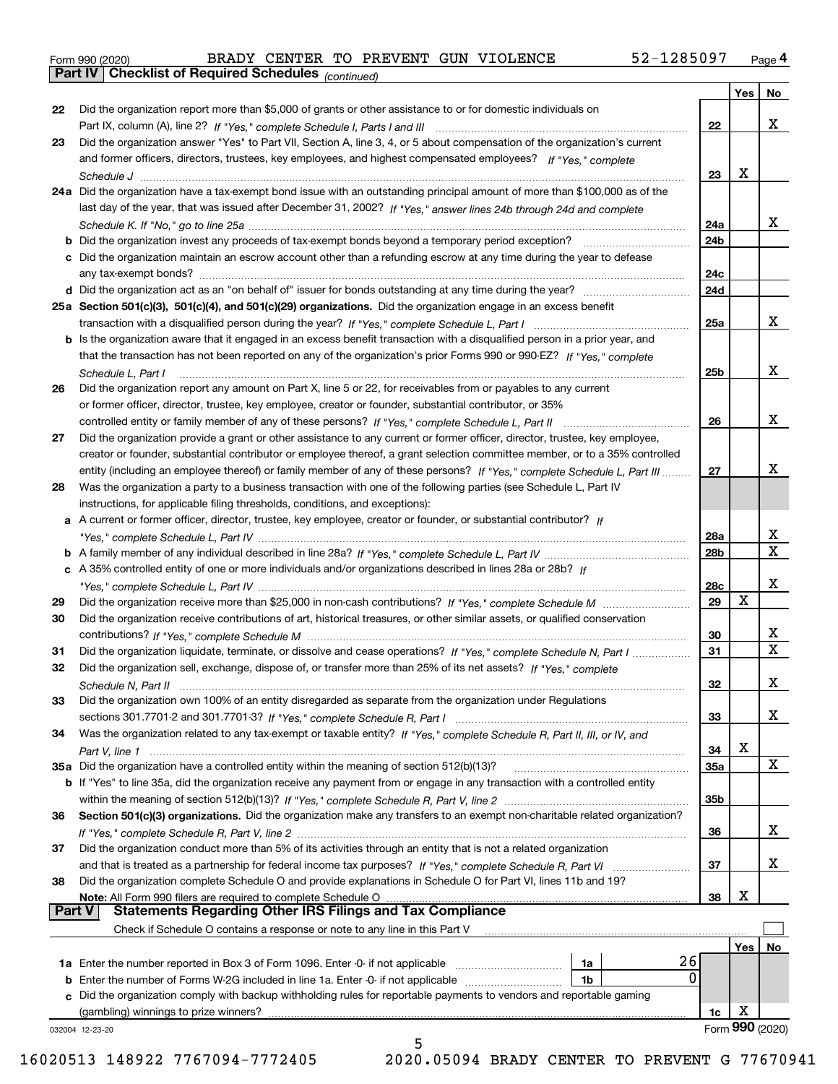|  | Form 990 (2020) |
|--|-----------------|
|  |                 |

**Part IV Checklist of Required Schedules**

*(continued)*

|               |                                                                                                                                    |            | Yes | No              |
|---------------|------------------------------------------------------------------------------------------------------------------------------------|------------|-----|-----------------|
| 22            | Did the organization report more than \$5,000 of grants or other assistance to or for domestic individuals on                      |            |     |                 |
|               | Part IX, column (A), line 2? If "Yes," complete Schedule I, Parts I and III [[11]] [11] [11] [11] [11] [11] [1                     | 22         |     | x               |
| 23            | Did the organization answer "Yes" to Part VII, Section A, line 3, 4, or 5 about compensation of the organization's current         |            |     |                 |
|               | and former officers, directors, trustees, key employees, and highest compensated employees? If "Yes," complete                     |            |     |                 |
|               |                                                                                                                                    | 23         | X   |                 |
|               | 24a Did the organization have a tax-exempt bond issue with an outstanding principal amount of more than \$100,000 as of the        |            |     |                 |
|               | last day of the year, that was issued after December 31, 2002? If "Yes," answer lines 24b through 24d and complete                 |            |     |                 |
|               |                                                                                                                                    | 24a        |     | х               |
|               | <b>b</b> Did the organization invest any proceeds of tax-exempt bonds beyond a temporary period exception?                         | 24b        |     |                 |
|               | c Did the organization maintain an escrow account other than a refunding escrow at any time during the year to defease             |            |     |                 |
|               |                                                                                                                                    | 24c        |     |                 |
|               |                                                                                                                                    | 24d        |     |                 |
|               | 25a Section 501(c)(3), 501(c)(4), and 501(c)(29) organizations. Did the organization engage in an excess benefit                   |            |     |                 |
|               |                                                                                                                                    | 25a        |     | х               |
|               | b Is the organization aware that it engaged in an excess benefit transaction with a disqualified person in a prior year, and       |            |     |                 |
|               | that the transaction has not been reported on any of the organization's prior Forms 990 or 990-EZ? If "Yes," complete              |            |     |                 |
|               | Schedule L, Part I                                                                                                                 | 25b        |     | x               |
| 26            | Did the organization report any amount on Part X, line 5 or 22, for receivables from or payables to any current                    |            |     |                 |
|               | or former officer, director, trustee, key employee, creator or founder, substantial contributor, or 35%                            |            |     |                 |
|               |                                                                                                                                    | 26         |     | x               |
| 27            | Did the organization provide a grant or other assistance to any current or former officer, director, trustee, key employee,        |            |     |                 |
|               | creator or founder, substantial contributor or employee thereof, a grant selection committee member, or to a 35% controlled        |            |     |                 |
|               | entity (including an employee thereof) or family member of any of these persons? If "Yes," complete Schedule L, Part III           | 27         |     | Х               |
| 28            | Was the organization a party to a business transaction with one of the following parties (see Schedule L, Part IV                  |            |     |                 |
|               | instructions, for applicable filing thresholds, conditions, and exceptions):                                                       |            |     |                 |
|               | a A current or former officer, director, trustee, key employee, creator or founder, or substantial contributor? If                 |            |     |                 |
|               |                                                                                                                                    | 28a        |     | х               |
|               |                                                                                                                                    | 28b        |     | $\mathbf X$     |
|               | c A 35% controlled entity of one or more individuals and/or organizations described in lines 28a or 28b? If                        |            |     |                 |
|               |                                                                                                                                    | 28c        |     | x               |
| 29            |                                                                                                                                    | 29         | х   |                 |
| 30            | Did the organization receive contributions of art, historical treasures, or other similar assets, or qualified conservation        |            |     |                 |
|               |                                                                                                                                    | 30         |     | х               |
| 31            | Did the organization liquidate, terminate, or dissolve and cease operations? If "Yes," complete Schedule N, Part I                 | 31         |     | $\mathbf X$     |
| 32            | Did the organization sell, exchange, dispose of, or transfer more than 25% of its net assets? If "Yes," complete                   |            |     |                 |
|               | Schedule N, Part II                                                                                                                | 32         |     | X               |
| 33            | Did the organization own 100% of an entity disregarded as separate from the organization under Regulations                         |            |     |                 |
|               |                                                                                                                                    | 33         |     | X               |
| 34            | Was the organization related to any tax-exempt or taxable entity? If "Yes," complete Schedule R, Part II, III, or IV, and          |            |     |                 |
|               |                                                                                                                                    | 34         | X   |                 |
|               | 35a Did the organization have a controlled entity within the meaning of section 512(b)(13)?                                        | <b>35a</b> |     | X               |
|               | <b>b</b> If "Yes" to line 35a, did the organization receive any payment from or engage in any transaction with a controlled entity |            |     |                 |
|               |                                                                                                                                    | 35b        |     |                 |
| 36            | Section 501(c)(3) organizations. Did the organization make any transfers to an exempt non-charitable related organization?         |            |     |                 |
|               |                                                                                                                                    | 36         |     | х               |
| 37            | Did the organization conduct more than 5% of its activities through an entity that is not a related organization                   |            |     |                 |
|               |                                                                                                                                    | 37         |     | x               |
| 38            | Did the organization complete Schedule O and provide explanations in Schedule O for Part VI, lines 11b and 19?                     |            |     |                 |
|               | Note: All Form 990 filers are required to complete Schedule O                                                                      | 38         | X   |                 |
| <b>Part V</b> | <b>Statements Regarding Other IRS Filings and Tax Compliance</b>                                                                   |            |     |                 |
|               | Check if Schedule O contains a response or note to any line in this Part V                                                         |            |     |                 |
|               |                                                                                                                                    |            | Yes | No              |
|               | 26<br>1a                                                                                                                           |            |     |                 |
|               | 0<br>1b                                                                                                                            |            |     |                 |
|               | c Did the organization comply with backup withholding rules for reportable payments to vendors and reportable gaming               |            |     |                 |
|               | (gambling) winnings to prize winners?                                                                                              | 1c         | X   |                 |
|               | 032004 12-23-20                                                                                                                    |            |     | Form 990 (2020) |
|               | 5                                                                                                                                  |            |     |                 |

16020513 148922 7767094-7772405 2020.05094 BRADY CENTER TO PREVENT G 77670941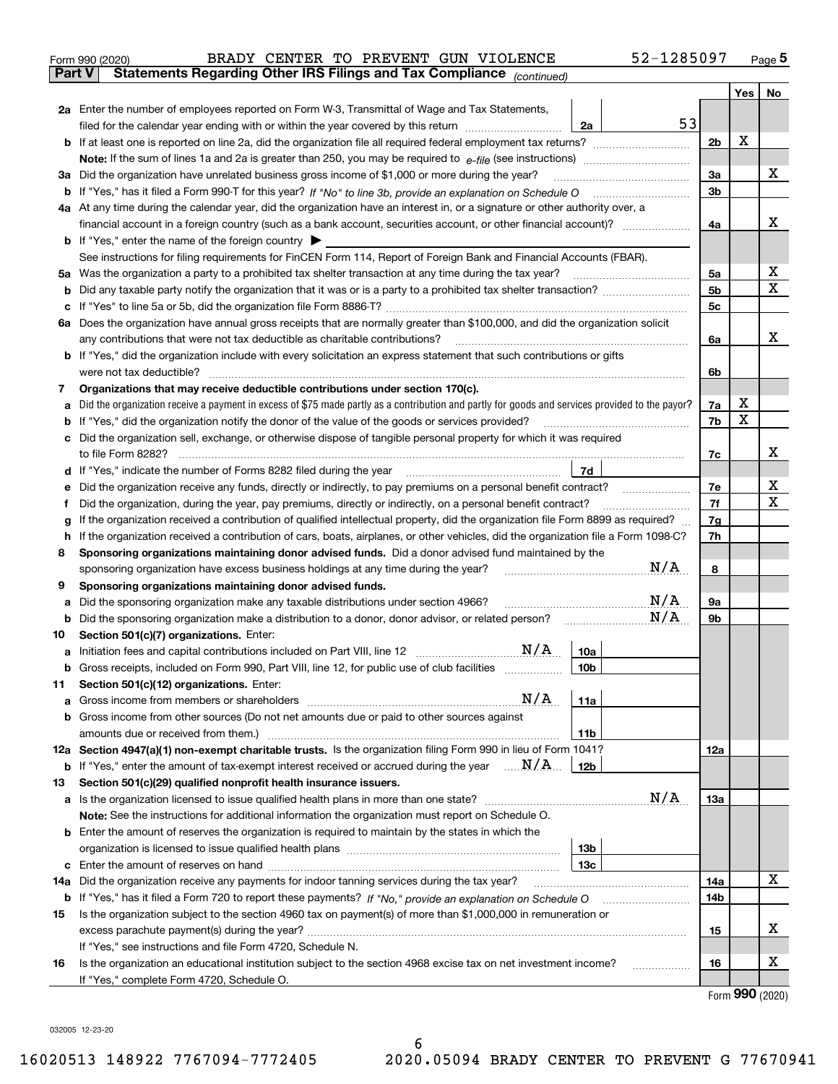|               | 52-1285097<br>BRADY CENTER TO PREVENT GUN VIOLENCE<br>Form 990 (2020)                                                                                                                       |                |     | $Page$ <sup>5</sup> |
|---------------|---------------------------------------------------------------------------------------------------------------------------------------------------------------------------------------------|----------------|-----|---------------------|
| <b>Part V</b> | Statements Regarding Other IRS Filings and Tax Compliance (continued)                                                                                                                       |                |     |                     |
|               |                                                                                                                                                                                             |                | Yes | No                  |
|               | 2a Enter the number of employees reported on Form W-3, Transmittal of Wage and Tax Statements,                                                                                              |                |     |                     |
|               | 53<br>filed for the calendar year ending with or within the year covered by this return<br>2a                                                                                               |                |     |                     |
|               |                                                                                                                                                                                             | 2 <sub>b</sub> | X   |                     |
|               |                                                                                                                                                                                             |                |     |                     |
|               | 3a Did the organization have unrelated business gross income of \$1,000 or more during the year?                                                                                            | 3a             |     | x                   |
| b             |                                                                                                                                                                                             | 3b             |     |                     |
|               | 4a At any time during the calendar year, did the organization have an interest in, or a signature or other authority over, a                                                                |                |     |                     |
|               | financial account in a foreign country (such as a bank account, securities account, or other financial account)?                                                                            | 4a             |     | х                   |
|               | <b>b</b> If "Yes," enter the name of the foreign country $\blacktriangleright$                                                                                                              |                |     |                     |
|               | See instructions for filing requirements for FinCEN Form 114, Report of Foreign Bank and Financial Accounts (FBAR).                                                                         |                |     |                     |
|               |                                                                                                                                                                                             | 5a             |     | х                   |
| b             |                                                                                                                                                                                             | 5b             |     | X                   |
| c             |                                                                                                                                                                                             | 5c             |     |                     |
|               | 6a Does the organization have annual gross receipts that are normally greater than \$100,000, and did the organization solicit                                                              |                |     |                     |
|               | any contributions that were not tax deductible as charitable contributions?                                                                                                                 | 6a             |     | х                   |
|               | <b>b</b> If "Yes," did the organization include with every solicitation an express statement that such contributions or gifts                                                               |                |     |                     |
|               | were not tax deductible?                                                                                                                                                                    | 6b             |     |                     |
| 7             | Organizations that may receive deductible contributions under section 170(c).                                                                                                               |                |     |                     |
| а             | Did the organization receive a payment in excess of \$75 made partly as a contribution and partly for goods and services provided to the payor?                                             | 7a             | х   |                     |
| b             | If "Yes," did the organization notify the donor of the value of the goods or services provided?                                                                                             | 7b             | X   |                     |
|               | c Did the organization sell, exchange, or otherwise dispose of tangible personal property for which it was required                                                                         |                |     |                     |
|               |                                                                                                                                                                                             | 7с             |     | х                   |
|               | 7d                                                                                                                                                                                          |                |     |                     |
| е             | Did the organization receive any funds, directly or indirectly, to pay premiums on a personal benefit contract?                                                                             | 7e             |     | х                   |
| f             | Did the organization, during the year, pay premiums, directly or indirectly, on a personal benefit contract?                                                                                | 7f             |     | X                   |
| g             | If the organization received a contribution of qualified intellectual property, did the organization file Form 8899 as required?                                                            | 7g             |     |                     |
| h             | If the organization received a contribution of cars, boats, airplanes, or other vehicles, did the organization file a Form 1098-C?                                                          | 7h             |     |                     |
| 8             | Sponsoring organizations maintaining donor advised funds. Did a donor advised fund maintained by the                                                                                        |                |     |                     |
|               | N/A<br>sponsoring organization have excess business holdings at any time during the year?                                                                                                   | 8              |     |                     |
| 9             | Sponsoring organizations maintaining donor advised funds.                                                                                                                                   |                |     |                     |
| а             | N/A<br>Did the sponsoring organization make any taxable distributions under section 4966?                                                                                                   | <b>9a</b>      |     |                     |
| b             | N/A<br>Did the sponsoring organization make a distribution to a donor, donor advisor, or related person?                                                                                    | 9b             |     |                     |
| 10            | Section 501(c)(7) organizations. Enter:                                                                                                                                                     |                |     |                     |
|               | 10a                                                                                                                                                                                         |                |     |                     |
|               | Gross receipts, included on Form 990, Part VIII, line 12, for public use of club facilities<br>10 <sub>b</sub>                                                                              |                |     |                     |
| 11            | Section 501(c)(12) organizations. Enter:                                                                                                                                                    |                |     |                     |
|               | N/A<br>11a                                                                                                                                                                                  |                |     |                     |
|               | b Gross income from other sources (Do not net amounts due or paid to other sources against                                                                                                  |                |     |                     |
|               | 11b<br>12a Section 4947(a)(1) non-exempt charitable trusts. Is the organization filing Form 990 in lieu of Form 1041?                                                                       |                |     |                     |
|               | <b>b</b> If "Yes," enter the amount of tax-exempt interest received or accrued during the year $\ldots \mathbf{N}/\mathbf{A}$<br>12b                                                        | 12a            |     |                     |
|               | Section 501(c)(29) qualified nonprofit health insurance issuers.                                                                                                                            |                |     |                     |
| 13            | N/A                                                                                                                                                                                         | <b>13a</b>     |     |                     |
|               | a Is the organization licensed to issue qualified health plans in more than one state?<br>Note: See the instructions for additional information the organization must report on Schedule O. |                |     |                     |
|               | <b>b</b> Enter the amount of reserves the organization is required to maintain by the states in which the                                                                                   |                |     |                     |
|               | 13b                                                                                                                                                                                         |                |     |                     |
|               | 13с                                                                                                                                                                                         |                |     |                     |
| 14a           | Did the organization receive any payments for indoor tanning services during the tax year?                                                                                                  | 14a            |     | x                   |
|               | <b>b</b> If "Yes," has it filed a Form 720 to report these payments? If "No," provide an explanation on Schedule O                                                                          | 14b            |     |                     |
| 15            | Is the organization subject to the section 4960 tax on payment(s) of more than \$1,000,000 in remuneration or                                                                               |                |     |                     |
|               |                                                                                                                                                                                             | 15             |     | X.                  |
|               | If "Yes," see instructions and file Form 4720, Schedule N.                                                                                                                                  |                |     |                     |
| 16            | Is the organization an educational institution subject to the section 4968 excise tax on net investment income?                                                                             | 16             |     | x                   |
|               | If "Yes," complete Form 4720, Schedule O.                                                                                                                                                   |                |     |                     |
|               |                                                                                                                                                                                             |                |     |                     |

| Form 990 (2020) |  |  |
|-----------------|--|--|
|-----------------|--|--|

032005 12-23-20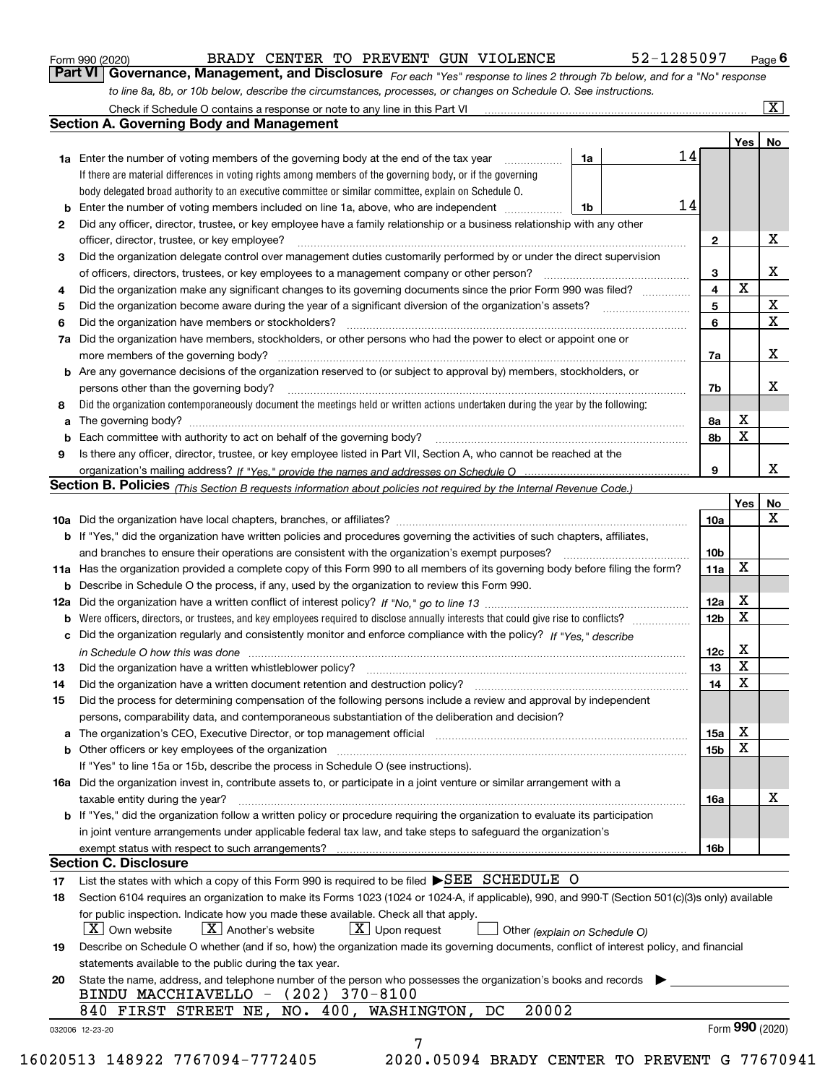|  | Form 990 (2020) |
|--|-----------------|
|  |                 |

### Form 990 (2020) BRADY CENTER TO PREVENT GUN VIOLENCE 52-I285U97 Page BRADY CENTER TO PREVENT GUN VIOLENCE 52-1285097

*For each "Yes" response to lines 2 through 7b below, and for a "No" response to line 8a, 8b, or 10b below, describe the circumstances, processes, or changes on Schedule O. See instructions.* **Part VI Governance, Management, and Disclosure** 

|        | <b>1a</b> Enter the number of voting members of the governing body at the end of the tax year <i>manumum</i>                                                                                                                   | 1a | 14 |              | Yes             | No                      |
|--------|--------------------------------------------------------------------------------------------------------------------------------------------------------------------------------------------------------------------------------|----|----|--------------|-----------------|-------------------------|
|        | If there are material differences in voting rights among members of the governing body, or if the governing                                                                                                                    |    |    |              |                 |                         |
|        | body delegated broad authority to an executive committee or similar committee, explain on Schedule O.                                                                                                                          |    |    |              |                 |                         |
| b      | Enter the number of voting members included on line 1a, above, who are independent                                                                                                                                             | 1b | 14 |              |                 |                         |
| 2      | Did any officer, director, trustee, or key employee have a family relationship or a business relationship with any other                                                                                                       |    |    |              |                 |                         |
|        | officer, director, trustee, or key employee?                                                                                                                                                                                   |    |    | $\mathbf{2}$ |                 | X                       |
| 3      | Did the organization delegate control over management duties customarily performed by or under the direct supervision                                                                                                          |    |    |              |                 |                         |
|        |                                                                                                                                                                                                                                |    |    | 3            |                 | X                       |
| 4      | Did the organization make any significant changes to its governing documents since the prior Form 990 was filed?                                                                                                               |    |    | 4            | $\mathbf X$     |                         |
| 5      |                                                                                                                                                                                                                                |    |    | 5            |                 | $\mathbf X$             |
| 6      | Did the organization have members or stockholders?                                                                                                                                                                             |    |    | 6            |                 | $\overline{\mathbf{x}}$ |
| 7a     | Did the organization have members, stockholders, or other persons who had the power to elect or appoint one or                                                                                                                 |    |    |              |                 |                         |
|        |                                                                                                                                                                                                                                |    |    | 7a           |                 | X                       |
|        | <b>b</b> Are any governance decisions of the organization reserved to (or subject to approval by) members, stockholders, or                                                                                                    |    |    |              |                 |                         |
|        | persons other than the governing body?                                                                                                                                                                                         |    |    | 7b           |                 | X                       |
| 8      | Did the organization contemporaneously document the meetings held or written actions undertaken during the year by the following:                                                                                              |    |    |              |                 |                         |
|        |                                                                                                                                                                                                                                |    |    |              | X               |                         |
| a      |                                                                                                                                                                                                                                |    |    | 8a<br>8b     | X               |                         |
| b<br>9 | Is there any officer, director, trustee, or key employee listed in Part VII, Section A, who cannot be reached at the                                                                                                           |    |    |              |                 |                         |
|        |                                                                                                                                                                                                                                |    |    | 9            |                 | х                       |
|        | Section B. Policies <sub>(This</sub> Section B requests information about policies not required by the Internal Revenue Code.)                                                                                                 |    |    |              |                 |                         |
|        |                                                                                                                                                                                                                                |    |    |              |                 |                         |
|        |                                                                                                                                                                                                                                |    |    |              | Yes             | No<br>X                 |
|        |                                                                                                                                                                                                                                |    |    | 10a          |                 |                         |
|        | <b>b</b> If "Yes," did the organization have written policies and procedures governing the activities of such chapters, affiliates,                                                                                            |    |    |              |                 |                         |
|        |                                                                                                                                                                                                                                |    |    | 10b          |                 |                         |
|        | 11a Has the organization provided a complete copy of this Form 990 to all members of its governing body before filing the form?                                                                                                |    |    | 11a          | X               |                         |
|        | <b>b</b> Describe in Schedule O the process, if any, used by the organization to review this Form 990.                                                                                                                         |    |    |              |                 |                         |
|        |                                                                                                                                                                                                                                |    |    | 12a          | X               |                         |
| b      |                                                                                                                                                                                                                                |    |    | 12b          | X               |                         |
| c      | Did the organization regularly and consistently monitor and enforce compliance with the policy? If "Yes," describe                                                                                                             |    |    |              |                 |                         |
|        | in Schedule O how this was done material and contain a series of the state of the state of the state of the state of the state of the state of the state of the state of the state of the state of the state of the state of t |    |    | 12c          | X               |                         |
| 13     |                                                                                                                                                                                                                                |    |    | 13           | X               |                         |
| 14     | Did the organization have a written document retention and destruction policy? manufactured and the organization have a written document retention and destruction policy?                                                     |    |    | 14           | X               |                         |
| 15     | Did the process for determining compensation of the following persons include a review and approval by independent                                                                                                             |    |    |              |                 |                         |
|        | persons, comparability data, and contemporaneous substantiation of the deliberation and decision?                                                                                                                              |    |    |              |                 |                         |
| a      | The organization's CEO, Executive Director, or top management official manufactured content content of the organization's CEO, Executive Director, or top management official                                                  |    |    | 15a          | X               |                         |
|        | <b>b</b> Other officers or key employees of the organization                                                                                                                                                                   |    |    | 15b          | X               |                         |
|        | If "Yes" to line 15a or 15b, describe the process in Schedule O (see instructions).                                                                                                                                            |    |    |              |                 |                         |
|        | 16a Did the organization invest in, contribute assets to, or participate in a joint venture or similar arrangement with a                                                                                                      |    |    |              |                 |                         |
|        | taxable entity during the year?                                                                                                                                                                                                |    |    | 16a          |                 | X                       |
|        | b If "Yes," did the organization follow a written policy or procedure requiring the organization to evaluate its participation                                                                                                 |    |    |              |                 |                         |
|        | in joint venture arrangements under applicable federal tax law, and take steps to safeguard the organization's                                                                                                                 |    |    |              |                 |                         |
|        | exempt status with respect to such arrangements?                                                                                                                                                                               |    |    | 16b          |                 |                         |
|        | <b>Section C. Disclosure</b>                                                                                                                                                                                                   |    |    |              |                 |                         |
| 17     | List the states with which a copy of this Form 990 is required to be filed SEE SCHEDULE O                                                                                                                                      |    |    |              |                 |                         |
| 18     | Section 6104 requires an organization to make its Forms 1023 (1024 or 1024-A, if applicable), 990, and 990-T (Section 501(c)(3)s only) available                                                                               |    |    |              |                 |                         |
|        | for public inspection. Indicate how you made these available. Check all that apply.                                                                                                                                            |    |    |              |                 |                         |
|        | $X$ Upon request<br>  X   Own website<br>$X$ Another's website<br>Other (explain on Schedule O)                                                                                                                                |    |    |              |                 |                         |
| 19     | Describe on Schedule O whether (and if so, how) the organization made its governing documents, conflict of interest policy, and financial                                                                                      |    |    |              |                 |                         |
|        | statements available to the public during the tax year.                                                                                                                                                                        |    |    |              |                 |                         |
| 20     | State the name, address, and telephone number of the person who possesses the organization's books and records<br>BINDU MACCHIAVELLO - (202) 370-8100                                                                          |    |    |              |                 |                         |
|        | 20002<br>840 FIRST STREET NE, NO. 400, WASHINGTON, DC                                                                                                                                                                          |    |    |              |                 |                         |
|        |                                                                                                                                                                                                                                |    |    |              | Form 990 (2020) |                         |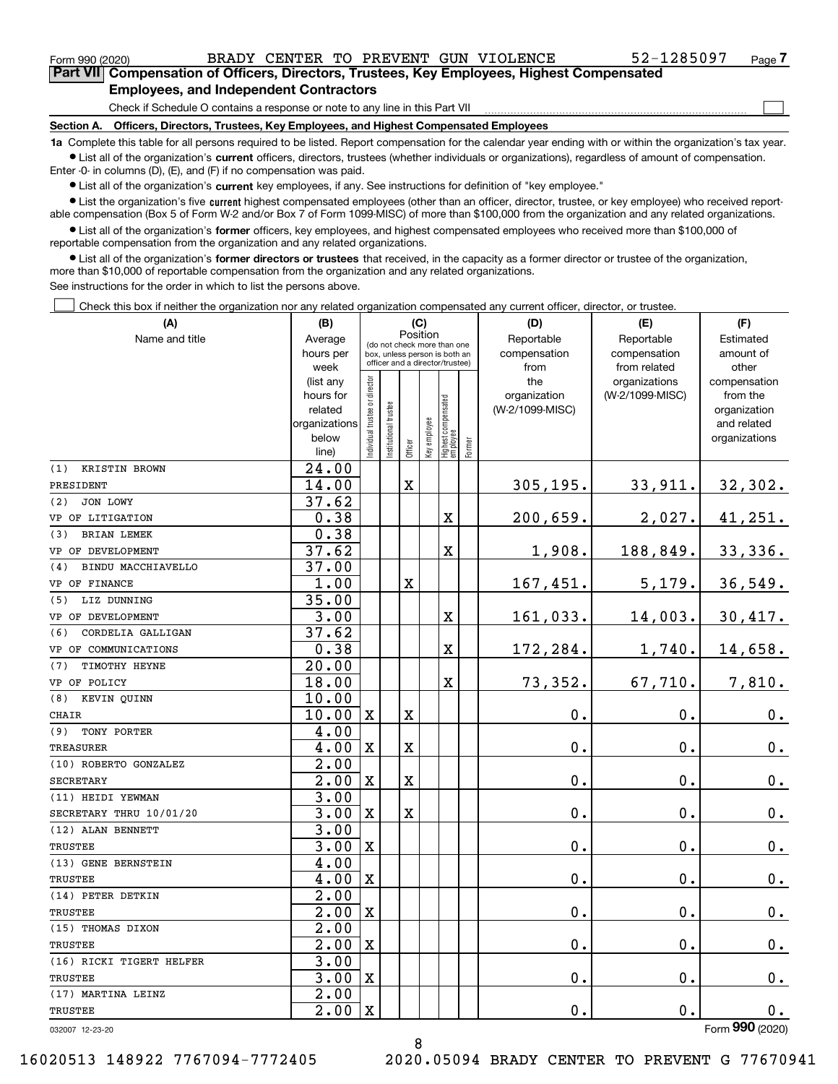$\begin{array}{c} \hline \end{array}$ 

| --------------- |                                                                                            |
|-----------------|--------------------------------------------------------------------------------------------|
|                 | Part VII Compensation of Officers, Directors, Trustees, Key Employees, Highest Compensated |
|                 | <b>Employees, and Independent Contractors</b>                                              |

Check if Schedule O contains a response or note to any line in this Part VII

**Section A. Officers, Directors, Trustees, Key Employees, and Highest Compensated Employees**

**1a**  Complete this table for all persons required to be listed. Report compensation for the calendar year ending with or within the organization's tax year. **•** List all of the organization's current officers, directors, trustees (whether individuals or organizations), regardless of amount of compensation.

Enter -0- in columns (D), (E), and (F) if no compensation was paid.

**•** List all of the organization's current key employees, if any. See instructions for definition of "key employee."

**•** List the organization's five current highest compensated employees (other than an officer, director, trustee, or key employee) who received reportable compensation (Box 5 of Form W-2 and/or Box 7 of Form 1099-MISC) of more than \$100,000 from the organization and any related organizations.

 $\bullet$  List all of the organization's former officers, key employees, and highest compensated employees who received more than \$100,000 of reportable compensation from the organization and any related organizations.

**•** List all of the organization's former directors or trustees that received, in the capacity as a former director or trustee of the organization, more than \$10,000 of reportable compensation from the organization and any related organizations.

See instructions for the order in which to list the persons above.

Check this box if neither the organization nor any related organization compensated any current officer, director, or trustee.  $\Box$ 

| (A)                         | (B)                  |                               |                                                                  | (C)         |              |                                 |        | (D)                             | (E)             | (F)                      |
|-----------------------------|----------------------|-------------------------------|------------------------------------------------------------------|-------------|--------------|---------------------------------|--------|---------------------------------|-----------------|--------------------------|
| Name and title              | Average              |                               | (do not check more than one                                      |             | Position     |                                 |        | Reportable                      | Reportable      | Estimated                |
|                             | hours per            |                               | box, unless person is both an<br>officer and a director/trustee) |             |              |                                 |        | compensation                    | compensation    | amount of                |
|                             | week                 |                               |                                                                  |             |              |                                 |        | from                            | from related    | other                    |
|                             | (list any            |                               |                                                                  |             |              |                                 |        | the                             | organizations   | compensation             |
|                             | hours for<br>related |                               |                                                                  |             |              |                                 |        | organization<br>(W-2/1099-MISC) | (W-2/1099-MISC) | from the<br>organization |
|                             | organizations        |                               |                                                                  |             |              |                                 |        |                                 |                 | and related              |
|                             | below                | ndividual trustee or director | Institutional trustee                                            |             | Key employee |                                 |        |                                 |                 | organizations            |
|                             | line)                |                               |                                                                  | Officer     |              | Highest compensated<br>employee | Former |                                 |                 |                          |
| (1)<br><b>KRISTIN BROWN</b> | $\overline{24.00}$   |                               |                                                                  |             |              |                                 |        |                                 |                 |                          |
| PRESIDENT                   | 14.00                |                               |                                                                  | X           |              |                                 |        | 305, 195.                       | 33,911.         | 32,302.                  |
| JON LOWY<br>(2)             | 37.62                |                               |                                                                  |             |              |                                 |        |                                 |                 |                          |
| VP OF LITIGATION            | 0.38                 |                               |                                                                  |             |              | $\mathbf X$                     |        | 200,659.                        | 2,027.          | 41,251.                  |
| <b>BRIAN LEMEK</b><br>(3)   | 0.38                 |                               |                                                                  |             |              |                                 |        |                                 |                 |                          |
| VP OF DEVELOPMENT           | 37.62                |                               |                                                                  |             |              | $\overline{\textbf{X}}$         |        | 1,908.                          | 188,849.        | 33,336.                  |
| BINDU MACCHIAVELLO<br>(4)   | 37.00                |                               |                                                                  |             |              |                                 |        |                                 |                 |                          |
| VP OF FINANCE               | 1.00                 |                               |                                                                  | X           |              |                                 |        | 167,451.                        | 5,179.          | 36,549.                  |
| LIZ DUNNING<br>(5)          | 35.00                |                               |                                                                  |             |              |                                 |        |                                 |                 |                          |
| VP OF DEVELOPMENT           | 3.00                 |                               |                                                                  |             |              | X                               |        | 161,033.                        | 14,003.         | 30,417.                  |
| CORDELIA GALLIGAN<br>(6)    | 37.62                |                               |                                                                  |             |              |                                 |        |                                 |                 |                          |
| VP OF COMMUNICATIONS        | 0.38                 |                               |                                                                  |             |              | $\mathbf X$                     |        | 172,284.                        | 1,740.          | 14,658.                  |
| TIMOTHY HEYNE<br>(7)        | 20.00                |                               |                                                                  |             |              |                                 |        |                                 |                 |                          |
| VP OF POLICY                | 18.00                |                               |                                                                  |             |              | $\overline{\mathbf{X}}$         |        | 73,352.                         | 67,710.         | 7,810.                   |
| KEVIN OUINN<br>(8)          | 10.00                |                               |                                                                  |             |              |                                 |        |                                 |                 |                          |
| CHAIR                       | 10.00                | $\mathbf X$                   |                                                                  | X           |              |                                 |        | $\mathbf 0$ .                   | 0.              | 0.                       |
| TONY PORTER<br>(9)          | 4.00                 |                               |                                                                  |             |              |                                 |        |                                 |                 |                          |
| <b>TREASURER</b>            | 4.00                 | $\mathbf X$                   |                                                                  | $\mathbf X$ |              |                                 |        | $\mathbf 0$ .                   | 0.              | 0.                       |
| (10) ROBERTO GONZALEZ       | 2.00                 |                               |                                                                  |             |              |                                 |        |                                 |                 |                          |
| <b>SECRETARY</b>            | 2.00                 | $\mathbf X$                   |                                                                  | X           |              |                                 |        | $0$ .                           | $0$ .           | 0.                       |
| (11) HEIDI YEWMAN           | 3.00                 |                               |                                                                  |             |              |                                 |        |                                 |                 |                          |
| SECRETARY THRU 10/01/20     | 3.00                 | $\mathbf X$                   |                                                                  | X           |              |                                 |        | $\mathbf 0$ .                   | 0.              | 0.                       |
| (12) ALAN BENNETT           | 3.00                 |                               |                                                                  |             |              |                                 |        |                                 |                 |                          |
| <b>TRUSTEE</b>              | 3.00                 | $\mathbf x$                   |                                                                  |             |              |                                 |        | 0.                              | 0.              | $0_{.}$                  |
| (13) GENE BERNSTEIN         | 4.00                 |                               |                                                                  |             |              |                                 |        |                                 |                 |                          |
| <b>TRUSTEE</b>              | 4.00                 | $\mathbf X$                   |                                                                  |             |              |                                 |        | 0.                              | 0.              | $0_{.}$                  |
| (14) PETER DETKIN           | 2.00                 |                               |                                                                  |             |              |                                 |        |                                 |                 |                          |
| TRUSTEE                     | 2.00                 | $\mathbf X$                   |                                                                  |             |              |                                 |        | $\mathbf 0$ .                   | 0.              | 0.                       |
| (15) THOMAS DIXON           | 2.00                 |                               |                                                                  |             |              |                                 |        |                                 |                 |                          |
| TRUSTEE                     | 2.00                 | $\mathbf X$                   |                                                                  |             |              |                                 |        | $\mathbf 0$ .                   | 0.              | 0.                       |
| (16) RICKI TIGERT HELFER    | 3.00                 |                               |                                                                  |             |              |                                 |        |                                 |                 |                          |
| TRUSTEE                     | 3.00                 | $\mathbf X$                   |                                                                  |             |              |                                 |        | $\mathbf 0$ .                   | 0.              | $\mathbf 0$ .            |
| (17) MARTINA LEINZ          | 2.00                 |                               |                                                                  |             |              |                                 |        |                                 |                 |                          |
| <b>TRUSTEE</b>              | 2.00                 | $\mathbf X$                   |                                                                  |             |              |                                 |        | $0$ .                           | 0.              | 0.                       |
| 032007 12-23-20             |                      |                               |                                                                  |             |              |                                 |        |                                 |                 | Form 990 (2020)          |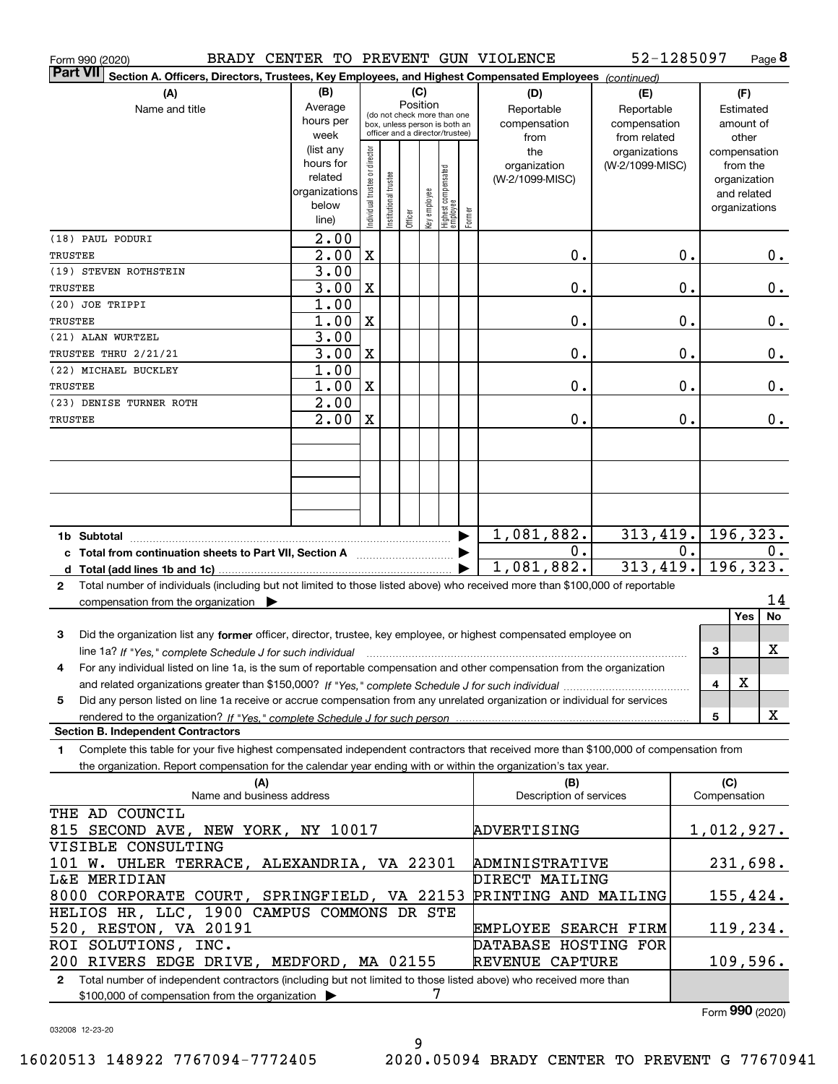| BRADY CENTER TO PREVENT GUN VIOLENCE<br>Form 990 (2020)                                                                                   |                                                                               |                                         |                       |         |              |                                 |              |                                | 52-1285097      |           |                     | Page 8                      |
|-------------------------------------------------------------------------------------------------------------------------------------------|-------------------------------------------------------------------------------|-----------------------------------------|-----------------------|---------|--------------|---------------------------------|--------------|--------------------------------|-----------------|-----------|---------------------|-----------------------------|
| <b>Part VII</b><br>Section A. Officers, Directors, Trustees, Key Employees, and Highest Compensated Employees (continued)                 |                                                                               |                                         |                       |         |              |                                 |              |                                |                 |           |                     |                             |
| (B)<br>(C)<br>(A)<br>(D)<br>(E)                                                                                                           |                                                                               |                                         |                       |         |              |                                 |              |                                |                 |           | (F)                 |                             |
| Name and title                                                                                                                            | Average                                                                       | Position<br>(do not check more than one |                       |         |              |                                 |              | Reportable                     | Reportable      |           |                     | Estimated                   |
|                                                                                                                                           | hours per<br>box, unless person is both an<br>officer and a director/trustee) |                                         |                       |         |              |                                 | compensation | compensation                   |                 |           | amount of           |                             |
|                                                                                                                                           | week                                                                          |                                         |                       |         |              |                                 |              | from                           | from related    |           |                     | other                       |
|                                                                                                                                           | (list any                                                                     |                                         |                       |         |              |                                 |              | the                            | organizations   |           |                     | compensation                |
|                                                                                                                                           | hours for<br>related                                                          |                                         |                       |         |              |                                 |              | organization                   | (W-2/1099-MISC) |           |                     | from the                    |
|                                                                                                                                           | organizations                                                                 |                                         |                       |         |              |                                 |              | (W-2/1099-MISC)                |                 |           |                     | organization<br>and related |
|                                                                                                                                           | below                                                                         |                                         |                       |         |              |                                 |              |                                |                 |           |                     | organizations               |
|                                                                                                                                           | line)                                                                         | Individual trustee or director          | Institutional trustee | Officer | Key employee | Highest compensated<br>employee | Former       |                                |                 |           |                     |                             |
| (18) PAUL PODURI                                                                                                                          | 2.00                                                                          |                                         |                       |         |              |                                 |              |                                |                 |           |                     |                             |
| TRUSTEE                                                                                                                                   | 2.00                                                                          | $\mathbf X$                             |                       |         |              |                                 |              | 0.                             |                 | 0.        |                     | 0.                          |
| (19) STEVEN ROTHSTEIN                                                                                                                     | 3.00                                                                          |                                         |                       |         |              |                                 |              |                                |                 |           |                     |                             |
| TRUSTEE                                                                                                                                   | 3.00                                                                          | X                                       |                       |         |              |                                 |              | 0.                             |                 | 0.        |                     | $\mathbf 0$ .               |
| (20) JOE TRIPPI                                                                                                                           | 1.00                                                                          |                                         |                       |         |              |                                 |              |                                |                 |           |                     |                             |
| TRUSTEE                                                                                                                                   | 1.00                                                                          | $\mathbf X$                             |                       |         |              |                                 |              | 0.                             |                 | 0.        |                     | 0.                          |
| (21) ALAN WURTZEL                                                                                                                         | 3.00                                                                          |                                         |                       |         |              |                                 |              |                                |                 |           |                     |                             |
| TRUSTEE THRU 2/21/21                                                                                                                      | 3.00                                                                          | X                                       |                       |         |              |                                 |              | 0.                             |                 | 0.        |                     | $\mathbf 0$ .               |
| (22) MICHAEL BUCKLEY                                                                                                                      | 1.00                                                                          |                                         |                       |         |              |                                 |              |                                |                 |           |                     |                             |
| TRUSTEE                                                                                                                                   | 1.00                                                                          | X                                       |                       |         |              |                                 |              | 0.                             |                 | 0.        |                     | 0.                          |
| (23) DENISE TURNER ROTH                                                                                                                   | 2.00                                                                          |                                         |                       |         |              |                                 |              |                                |                 |           |                     |                             |
| TRUSTEE                                                                                                                                   | 2.00                                                                          | X                                       |                       |         |              |                                 |              | 0.                             |                 | 0.        |                     | 0.                          |
|                                                                                                                                           |                                                                               |                                         |                       |         |              |                                 |              |                                |                 |           |                     |                             |
|                                                                                                                                           |                                                                               |                                         |                       |         |              |                                 |              |                                |                 |           |                     |                             |
|                                                                                                                                           |                                                                               |                                         |                       |         |              |                                 |              |                                |                 |           |                     |                             |
|                                                                                                                                           |                                                                               |                                         |                       |         |              |                                 |              |                                |                 |           |                     |                             |
|                                                                                                                                           |                                                                               |                                         |                       |         |              |                                 |              |                                |                 |           |                     |                             |
| 313,419.<br>1,081,882.<br>▶<br>1b Subtotal                                                                                                |                                                                               |                                         |                       |         |              |                                 |              |                                |                 | 196, 323. |                     |                             |
| c Total from continuation sheets to Part VII, Section A                                                                                   |                                                                               |                                         |                       |         |              |                                 |              | 0.                             |                 | 0.        |                     | 0.                          |
|                                                                                                                                           |                                                                               |                                         |                       |         |              |                                 | 1,081,882.   | 313,419.                       |                 |           | 196,323.            |                             |
| Total number of individuals (including but not limited to those listed above) who received more than \$100,000 of reportable<br>2         |                                                                               |                                         |                       |         |              |                                 |              |                                |                 |           |                     |                             |
| compensation from the organization $\blacktriangleright$                                                                                  |                                                                               |                                         |                       |         |              |                                 |              |                                |                 |           |                     | 14                          |
|                                                                                                                                           |                                                                               |                                         |                       |         |              |                                 |              |                                |                 |           |                     | No<br>Yes                   |
| Did the organization list any former officer, director, trustee, key employee, or highest compensated employee on<br>3                    |                                                                               |                                         |                       |         |              |                                 |              |                                |                 |           |                     |                             |
| line 1a? If "Yes," complete Schedule J for such individual manufactured contained and the Ves," complete Schedule J for such individual   |                                                                               |                                         |                       |         |              |                                 |              |                                |                 |           | 3                   | X                           |
| For any individual listed on line 1a, is the sum of reportable compensation and other compensation from the organization<br>4             |                                                                               |                                         |                       |         |              |                                 |              |                                |                 |           |                     |                             |
|                                                                                                                                           |                                                                               |                                         |                       |         |              |                                 |              |                                |                 |           | 4                   | X                           |
| Did any person listed on line 1a receive or accrue compensation from any unrelated organization or individual for services<br>5           |                                                                               |                                         |                       |         |              |                                 |              |                                |                 |           |                     |                             |
|                                                                                                                                           |                                                                               |                                         |                       |         |              |                                 |              |                                |                 |           | 5                   | X                           |
| <b>Section B. Independent Contractors</b>                                                                                                 |                                                                               |                                         |                       |         |              |                                 |              |                                |                 |           |                     |                             |
| Complete this table for your five highest compensated independent contractors that received more than \$100,000 of compensation from<br>1 |                                                                               |                                         |                       |         |              |                                 |              |                                |                 |           |                     |                             |
| the organization. Report compensation for the calendar year ending with or within the organization's tax year.                            |                                                                               |                                         |                       |         |              |                                 |              |                                |                 |           |                     |                             |
| (A)<br>Name and business address                                                                                                          |                                                                               |                                         |                       |         |              |                                 |              | (B)<br>Description of services |                 |           | (C)<br>Compensation |                             |
|                                                                                                                                           |                                                                               |                                         |                       |         |              |                                 |              |                                |                 |           |                     |                             |
| THE AD COUNCIL                                                                                                                            |                                                                               |                                         |                       |         |              |                                 |              | ADVERTISING                    |                 |           |                     |                             |
| 815 SECOND AVE, NEW YORK, NY 10017<br>VISIBLE CONSULTING                                                                                  |                                                                               |                                         |                       |         |              |                                 |              |                                |                 |           |                     | 1,012,927.                  |
| 101 W. UHLER TERRACE, ALEXANDRIA, VA 22301                                                                                                |                                                                               |                                         |                       |         |              |                                 |              | ADMINISTRATIVE                 |                 |           |                     | <u>231,698.</u>             |
| <b>L&amp;E MERIDIAN</b>                                                                                                                   |                                                                               |                                         |                       |         |              |                                 |              | DIRECT MAILING                 |                 |           |                     |                             |
| 8000 CORPORATE COURT, SPRINGFIELD, VA 22153                                                                                               |                                                                               |                                         |                       |         |              |                                 |              | PRINTING AND MAILING           |                 |           |                     | 155,424.                    |
| HELIOS HR, LLC, 1900 CAMPUS COMMONS DR STE                                                                                                |                                                                               |                                         |                       |         |              |                                 |              |                                |                 |           |                     |                             |
| 520, RESTON, VA 20191                                                                                                                     |                                                                               |                                         |                       |         |              |                                 |              | EMPLOYEE SEARCH FIRM           |                 |           |                     | 119,234.                    |
| ROI SOLUTIONS, INC.                                                                                                                       |                                                                               |                                         |                       |         |              |                                 |              | DATABASE HOSTING FOR           |                 |           |                     |                             |
| 200 RIVERS EDGE DRIVE, MEDFORD, MA 02155                                                                                                  |                                                                               |                                         |                       |         |              |                                 |              | <b>REVENUE CAPTURE</b>         |                 |           |                     | 109,596.                    |
| Total number of independent contractors (including but not limited to those listed above) who received more than<br>$\mathbf{2}$          |                                                                               |                                         |                       |         |              |                                 |              |                                |                 |           |                     |                             |
| \$100,000 of compensation from the organization                                                                                           |                                                                               |                                         |                       |         | 7            |                                 |              |                                |                 |           |                     |                             |

Form (2020) **990**

032008 12-23-20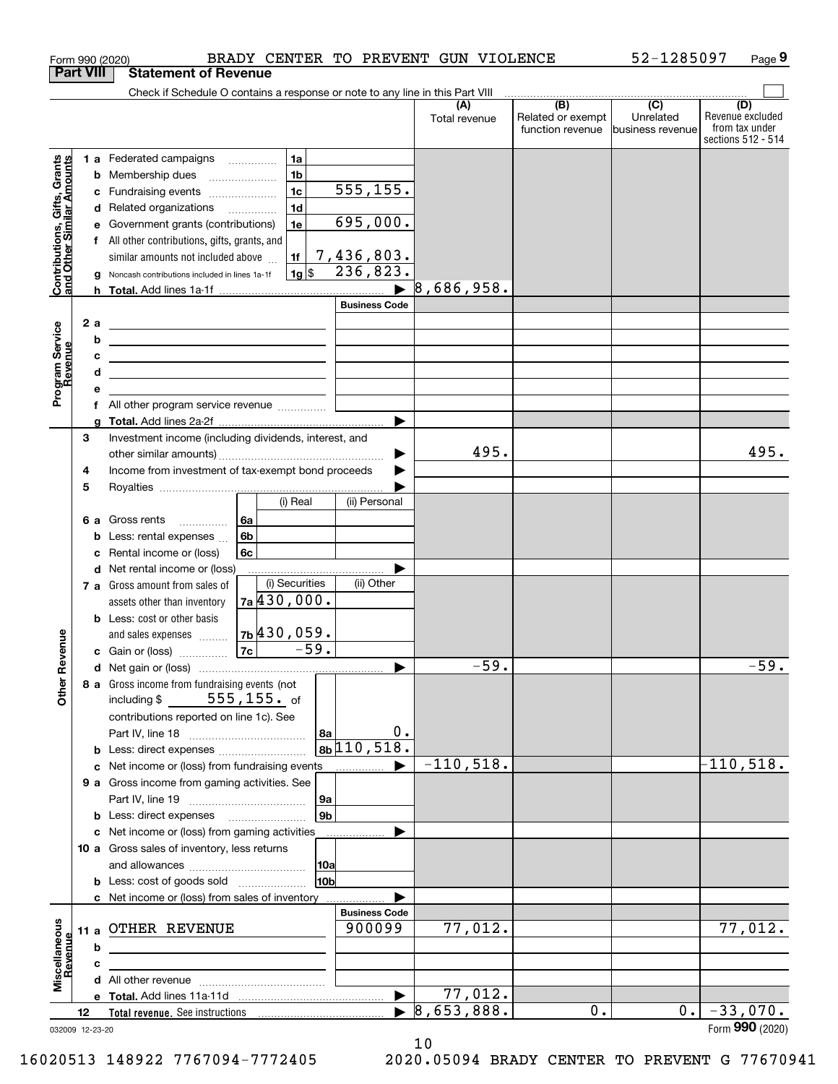|                                                           |      | BRADY CENTER TO PREVENT GUN VIOLENCE<br>Form 990 (2020)                                      |                                |               |                                                     | 52-1285097                    | Page 9                                                          |
|-----------------------------------------------------------|------|----------------------------------------------------------------------------------------------|--------------------------------|---------------|-----------------------------------------------------|-------------------------------|-----------------------------------------------------------------|
| <b>Part VIII</b>                                          |      | <b>Statement of Revenue</b>                                                                  |                                |               |                                                     |                               |                                                                 |
|                                                           |      | Check if Schedule O contains a response or note to any line in this Part VIII                |                                |               | $\overline{(\mathsf{B})}$ $\overline{(\mathsf{C})}$ |                               |                                                                 |
|                                                           |      |                                                                                              |                                | Total revenue | Related or exempt<br>function revenue               | Unrelated<br>business revenue | (D)<br>Revenue excluded<br>from tax under<br>sections 512 - 514 |
|                                                           |      | 1 a Federated campaigns<br>1a                                                                |                                |               |                                                     |                               |                                                                 |
|                                                           |      | 1 <sub>b</sub><br>Membership dues<br>b<br>$\ldots \ldots \ldots \ldots \ldots$               |                                |               |                                                     |                               |                                                                 |
|                                                           |      | 1 <sub>c</sub><br>Fundraising events<br>с                                                    | 555, 155.                      |               |                                                     |                               |                                                                 |
|                                                           |      | 1 <sub>d</sub><br>Related organizations<br>d                                                 |                                |               |                                                     |                               |                                                                 |
|                                                           |      | 1e<br>Government grants (contributions)                                                      | 695,000.                       |               |                                                     |                               |                                                                 |
|                                                           |      | All other contributions, gifts, grants, and<br>f                                             |                                |               |                                                     |                               |                                                                 |
| Contributions, Gifts, Grants<br>and Other Similar Amounts |      | similar amounts not included above<br>1f<br>$1g$ \$                                          | 7,436,803.<br>236,823.         |               |                                                     |                               |                                                                 |
|                                                           |      | Noncash contributions included in lines 1a-1f<br>h.                                          |                                | 8,686,958.    |                                                     |                               |                                                                 |
|                                                           |      |                                                                                              | <b>Business Code</b>           |               |                                                     |                               |                                                                 |
|                                                           | 2 a  | <u> 1980 - Johann Barn, fransk politik (d. 1980)</u>                                         |                                |               |                                                     |                               |                                                                 |
|                                                           |      | b<br>the contract of the contract of the contract of the contract of the contract of         |                                |               |                                                     |                               |                                                                 |
|                                                           |      | <u> 1989 - Johann Barbara, martxa alemaniar arg</u>                                          |                                |               |                                                     |                               |                                                                 |
|                                                           |      | d<br><u> 1989 - Johann Stein, mars an deus an deus Amerikaanse komme van de Fryske komme</u> |                                |               |                                                     |                               |                                                                 |
| Program Service<br>Revenue                                |      |                                                                                              |                                |               |                                                     |                               |                                                                 |
|                                                           |      | All other program service revenue<br>f                                                       |                                |               |                                                     |                               |                                                                 |
|                                                           |      |                                                                                              |                                |               |                                                     |                               |                                                                 |
|                                                           | 3    | Investment income (including dividends, interest, and                                        |                                |               |                                                     |                               |                                                                 |
|                                                           |      |                                                                                              |                                | 495.          |                                                     |                               | 495.                                                            |
|                                                           | 4    | Income from investment of tax-exempt bond proceeds                                           |                                |               |                                                     |                               |                                                                 |
|                                                           | 5    | (i) Real                                                                                     | (ii) Personal                  |               |                                                     |                               |                                                                 |
|                                                           | 6а   | Gross rents<br>6a                                                                            |                                |               |                                                     |                               |                                                                 |
|                                                           |      | .<br>6b<br>Less: rental expenses<br>b                                                        |                                |               |                                                     |                               |                                                                 |
|                                                           |      | 6c<br>Rental income or (loss)<br>с                                                           |                                |               |                                                     |                               |                                                                 |
|                                                           |      | Net rental income or (loss)<br>d                                                             |                                |               |                                                     |                               |                                                                 |
|                                                           |      | (i) Securities<br>7 a Gross amount from sales of                                             | (ii) Other                     |               |                                                     |                               |                                                                 |
|                                                           |      | 7a/430,000.<br>assets other than inventory                                                   |                                |               |                                                     |                               |                                                                 |
|                                                           |      | <b>b</b> Less: cost or other basis                                                           |                                |               |                                                     |                               |                                                                 |
|                                                           |      | <sub>7b</sub>  430,059.<br>and sales expenses                                                |                                |               |                                                     |                               |                                                                 |
| evenue                                                    |      | $-59.$<br> 7c <br>c Gain or (loss)                                                           |                                |               |                                                     |                               |                                                                 |
|                                                           |      |                                                                                              |                                | 59.           |                                                     |                               | 59.                                                             |
| Other <sub>R</sub>                                        |      | 8 a Gross income from fundraising events (not                                                |                                |               |                                                     |                               |                                                                 |
|                                                           |      | $555$ ,155. $_{\rm of}$<br>including \$                                                      |                                |               |                                                     |                               |                                                                 |
|                                                           |      | contributions reported on line 1c). See                                                      | 0.                             |               |                                                     |                               |                                                                 |
|                                                           |      | l 8a<br>b                                                                                    | $8b\sqrt{110,518}$ .           |               |                                                     |                               |                                                                 |
|                                                           |      | Net income or (loss) from fundraising events<br>с                                            | .                              | $-110,518.$   |                                                     |                               | $-110,518.$                                                     |
|                                                           |      | 9 a Gross income from gaming activities. See                                                 |                                |               |                                                     |                               |                                                                 |
|                                                           |      | 9a                                                                                           |                                |               |                                                     |                               |                                                                 |
|                                                           |      | 9 <sub>b</sub><br><b>b</b> Less: direct expenses <b>manually</b>                             |                                |               |                                                     |                               |                                                                 |
|                                                           |      | c Net income or (loss) from gaming activities                                                |                                |               |                                                     |                               |                                                                 |
|                                                           |      | 10 a Gross sales of inventory, less returns                                                  |                                |               |                                                     |                               |                                                                 |
|                                                           |      | 10a                                                                                          |                                |               |                                                     |                               |                                                                 |
|                                                           |      | 10b<br><b>b</b> Less: cost of goods sold                                                     |                                |               |                                                     |                               |                                                                 |
|                                                           |      | c Net income or (loss) from sales of inventory                                               |                                |               |                                                     |                               |                                                                 |
|                                                           |      | OTHER REVENUE                                                                                | <b>Business Code</b><br>900099 | 77,012.       |                                                     |                               | 77,012.                                                         |
|                                                           | 11 a |                                                                                              |                                |               |                                                     |                               |                                                                 |
|                                                           |      | b                                                                                            |                                |               |                                                     |                               |                                                                 |
| Miscellaneous<br>Revenue                                  |      | с                                                                                            |                                |               |                                                     |                               |                                                                 |
|                                                           |      |                                                                                              |                                | 77,012.       |                                                     |                               |                                                                 |
|                                                           | 12   |                                                                                              |                                | 8,653,888.    | 0.                                                  | 0.1                           | $-33,070.$                                                      |
|                                                           |      | 032009 12-23-20                                                                              |                                |               |                                                     |                               | Form 990 (2020)                                                 |

032009 12-23-20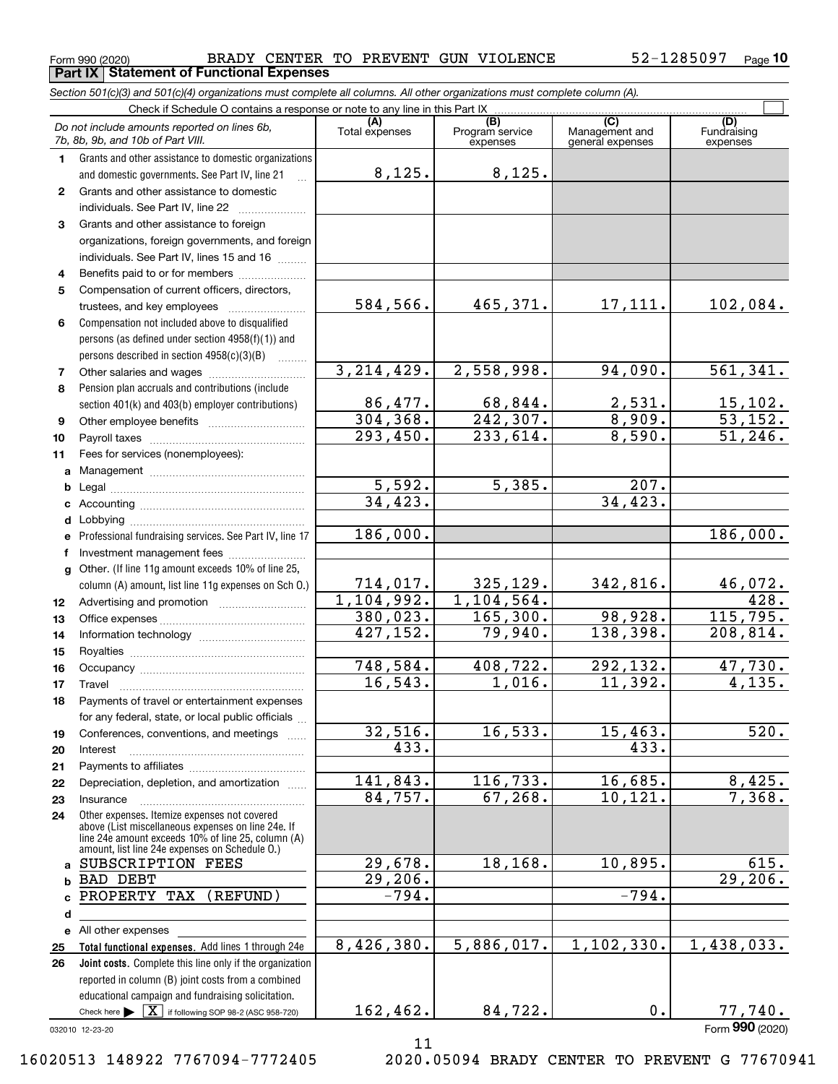**Part IX Statement of Functional Expenses**

 $_{\rm Form}$   $_{990}$  (2020)  $_{\rm Page}$  BRADY CENTER TO PREVENT GUN VIOLENCE  $_{\rm 52-1285097}$   $_{\rm Page}$ 52-1285097 Page 10

*Section 501(c)(3) and 501(c)(4) organizations must complete all columns. All other organizations must complete column (A).*

|          | Check if Schedule O contains a response or note to any line in this Part IX                                                                                |                       |                                                 |                                           |                                |  |  |  |  |  |  |
|----------|------------------------------------------------------------------------------------------------------------------------------------------------------------|-----------------------|-------------------------------------------------|-------------------------------------------|--------------------------------|--|--|--|--|--|--|
|          | Do not include amounts reported on lines 6b,<br>7b, 8b, 9b, and 10b of Part VIII.                                                                          | (A)<br>Total expenses | $\overline{(B)}$<br>Program service<br>expenses | (C)<br>Management and<br>general expenses | (D)<br>Fundraising<br>expenses |  |  |  |  |  |  |
| 1        | Grants and other assistance to domestic organizations                                                                                                      |                       |                                                 |                                           |                                |  |  |  |  |  |  |
|          | and domestic governments. See Part IV, line 21                                                                                                             | 8,125.                | 8,125.                                          |                                           |                                |  |  |  |  |  |  |
| 2        | Grants and other assistance to domestic                                                                                                                    |                       |                                                 |                                           |                                |  |  |  |  |  |  |
|          | individuals. See Part IV, line 22                                                                                                                          |                       |                                                 |                                           |                                |  |  |  |  |  |  |
| 3        | Grants and other assistance to foreign                                                                                                                     |                       |                                                 |                                           |                                |  |  |  |  |  |  |
|          | organizations, foreign governments, and foreign                                                                                                            |                       |                                                 |                                           |                                |  |  |  |  |  |  |
|          | individuals. See Part IV, lines 15 and 16                                                                                                                  |                       |                                                 |                                           |                                |  |  |  |  |  |  |
| 4        | Benefits paid to or for members                                                                                                                            |                       |                                                 |                                           |                                |  |  |  |  |  |  |
| 5        | Compensation of current officers, directors,                                                                                                               |                       |                                                 |                                           |                                |  |  |  |  |  |  |
|          |                                                                                                                                                            | 584,566.              | 465,371.                                        | 17,111.                                   | 102,084.                       |  |  |  |  |  |  |
| 6        | Compensation not included above to disqualified                                                                                                            |                       |                                                 |                                           |                                |  |  |  |  |  |  |
|          | persons (as defined under section 4958(f)(1)) and                                                                                                          |                       |                                                 |                                           |                                |  |  |  |  |  |  |
|          | persons described in section 4958(c)(3)(B)                                                                                                                 |                       |                                                 |                                           |                                |  |  |  |  |  |  |
| 7        | Other salaries and wages                                                                                                                                   | 3, 214, 429.          | 2,558,998.                                      | 94,090.                                   | 561,341.                       |  |  |  |  |  |  |
| 8        | Pension plan accruals and contributions (include                                                                                                           |                       |                                                 |                                           |                                |  |  |  |  |  |  |
|          | section 401(k) and 403(b) employer contributions)                                                                                                          | 86,477.               | 68,844.                                         | 2,531.                                    | $\frac{15,102.}{53,152.}$      |  |  |  |  |  |  |
| 9        |                                                                                                                                                            | 304, 368.             | 242, 307.                                       | 8,909.                                    |                                |  |  |  |  |  |  |
| 10       |                                                                                                                                                            | 293,450.              | 233,614.                                        | 8,590.                                    | 51,246.                        |  |  |  |  |  |  |
| 11       | Fees for services (nonemployees):                                                                                                                          |                       |                                                 |                                           |                                |  |  |  |  |  |  |
| a        |                                                                                                                                                            |                       | 5,385.                                          |                                           |                                |  |  |  |  |  |  |
| b        |                                                                                                                                                            | 5,592.<br>34, 423.    |                                                 | 207.<br>34, 423.                          |                                |  |  |  |  |  |  |
| c        |                                                                                                                                                            |                       |                                                 |                                           |                                |  |  |  |  |  |  |
| d        |                                                                                                                                                            | 186,000.              |                                                 |                                           | 186,000.                       |  |  |  |  |  |  |
| е        | Professional fundraising services. See Part IV, line 17                                                                                                    |                       |                                                 |                                           |                                |  |  |  |  |  |  |
| f        | Investment management fees                                                                                                                                 |                       |                                                 |                                           |                                |  |  |  |  |  |  |
| g        | Other. (If line 11g amount exceeds 10% of line 25,                                                                                                         | 714,017.              | 325,129.                                        | 342,816.                                  | <u>46,072.</u>                 |  |  |  |  |  |  |
|          | column (A) amount, list line 11g expenses on Sch O.)                                                                                                       | 1,104,992.            | 1, 104, 564.                                    |                                           | 428.                           |  |  |  |  |  |  |
| 12<br>13 |                                                                                                                                                            | 380,023.              | 165, 300.                                       | 98,928.                                   | 115,795.                       |  |  |  |  |  |  |
| 14       |                                                                                                                                                            | 427, 152.             | 79,940.                                         | 138,398.                                  | $\overline{208,814}$ .         |  |  |  |  |  |  |
| 15       |                                                                                                                                                            |                       |                                                 |                                           |                                |  |  |  |  |  |  |
| 16       |                                                                                                                                                            | 748, 584.             | 408, 722.                                       | 292, 132.                                 | 47,730.                        |  |  |  |  |  |  |
| 17       | Travel                                                                                                                                                     | 16, 543.              | 1,016.                                          | 11,392.                                   | 4,135.                         |  |  |  |  |  |  |
| 18       | Payments of travel or entertainment expenses                                                                                                               |                       |                                                 |                                           |                                |  |  |  |  |  |  |
|          | for any federal, state, or local public officials                                                                                                          |                       |                                                 |                                           |                                |  |  |  |  |  |  |
| 19       | Conferences, conventions, and meetings                                                                                                                     | 32,516.               | 16, 533.                                        | 15,463.                                   | $\overline{520}$ .             |  |  |  |  |  |  |
| 20       | Interest                                                                                                                                                   | 433.                  |                                                 | 433.                                      |                                |  |  |  |  |  |  |
| 21       |                                                                                                                                                            |                       |                                                 |                                           |                                |  |  |  |  |  |  |
| 22       | Depreciation, depletion, and amortization                                                                                                                  | 141,843.              | 116, 733.                                       | 16,685.                                   | 8,425.                         |  |  |  |  |  |  |
| 23       | Insurance                                                                                                                                                  | 84,757.               | 67, 268.                                        | 10, 121.                                  | 7,368.                         |  |  |  |  |  |  |
| 24       | Other expenses. Itemize expenses not covered                                                                                                               |                       |                                                 |                                           |                                |  |  |  |  |  |  |
|          | above (List miscellaneous expenses on line 24e. If<br>line 24e amount exceeds 10% of line 25, column (A)<br>amount, list line 24e expenses on Schedule O.) |                       |                                                 |                                           |                                |  |  |  |  |  |  |
| a        | SUBSCRIPTION FEES                                                                                                                                          | 29,678.               | 18,168.                                         | 10,895.                                   | 615.                           |  |  |  |  |  |  |
| b        | <b>BAD DEBT</b>                                                                                                                                            | 29,206.               |                                                 |                                           | 29,206.                        |  |  |  |  |  |  |
| C.       | PROPERTY TAX<br>(REFUND)                                                                                                                                   | $-794.$               |                                                 | $-794.$                                   |                                |  |  |  |  |  |  |
| d        |                                                                                                                                                            |                       |                                                 |                                           |                                |  |  |  |  |  |  |
|          | e All other expenses                                                                                                                                       |                       |                                                 |                                           |                                |  |  |  |  |  |  |
| 25       | Total functional expenses. Add lines 1 through 24e                                                                                                         | 8,426,380.            | 5,886,017.                                      | 1, 102, 330.                              | 1,438,033.                     |  |  |  |  |  |  |
| 26       | Joint costs. Complete this line only if the organization                                                                                                   |                       |                                                 |                                           |                                |  |  |  |  |  |  |
|          | reported in column (B) joint costs from a combined                                                                                                         |                       |                                                 |                                           |                                |  |  |  |  |  |  |
|          | educational campaign and fundraising solicitation.                                                                                                         |                       |                                                 |                                           |                                |  |  |  |  |  |  |
|          | Check here $\blacktriangleright \boxed{\textbf{X}}$ if following SOP 98-2 (ASC 958-720)                                                                    | 162,462.              | 84,722.                                         | 0.                                        | 77,740.                        |  |  |  |  |  |  |
|          | 032010 12-23-20                                                                                                                                            |                       |                                                 |                                           | Form 990 (2020)                |  |  |  |  |  |  |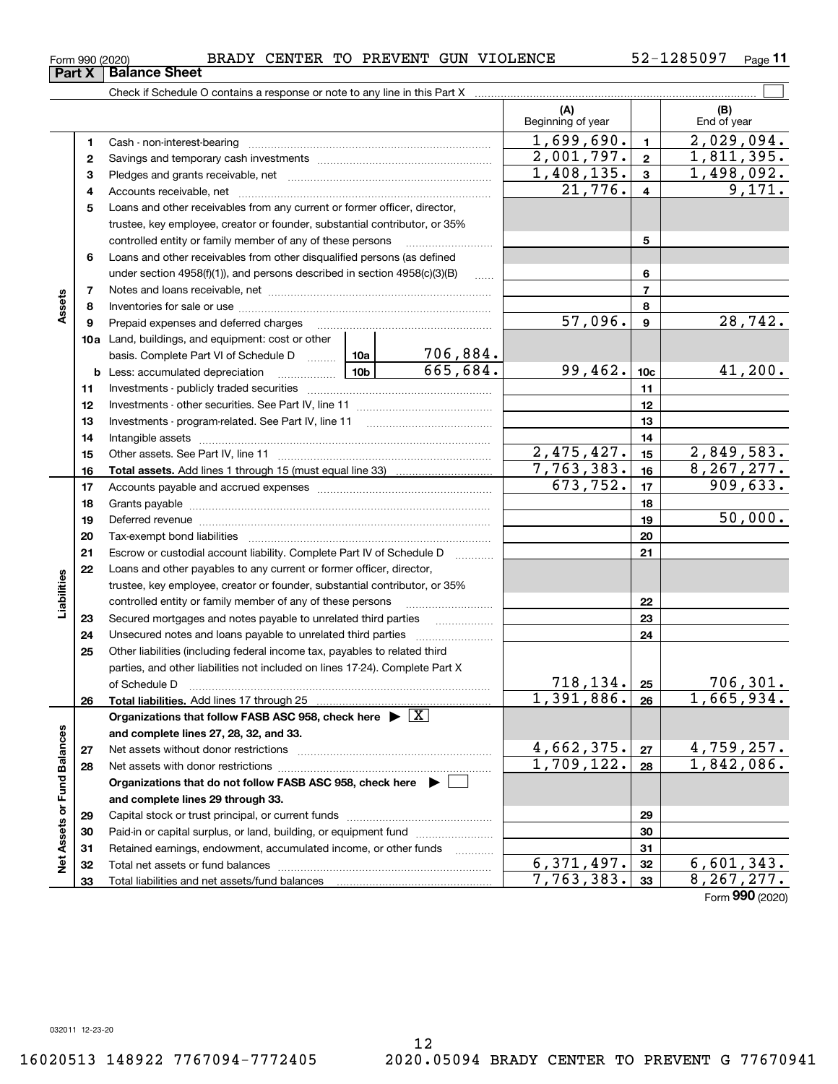12

|                             | Form 990 (2020) | BRADY CENTER TO PREVENT GUN VIOLENCE                                                                                                                                                                                           |  |                 |                                 |                         | 52-1285097<br>Page 11           |
|-----------------------------|-----------------|--------------------------------------------------------------------------------------------------------------------------------------------------------------------------------------------------------------------------------|--|-----------------|---------------------------------|-------------------------|---------------------------------|
|                             | Part X          | <b>Balance Sheet</b>                                                                                                                                                                                                           |  |                 |                                 |                         |                                 |
|                             |                 | Check if Schedule O contains a response or note to any line in this Part X [11] contains the content of the contains a response or note to any line in this Part X [11] contains the content of the content of the content of  |  |                 |                                 |                         |                                 |
|                             |                 |                                                                                                                                                                                                                                |  |                 | (A)<br>Beginning of year        |                         | (B)<br>End of year              |
|                             | 1               |                                                                                                                                                                                                                                |  | 1,699,690.      | $\mathbf{1}$                    | $\overline{2,029,094.}$ |                                 |
|                             | 2               |                                                                                                                                                                                                                                |  |                 | 2,001,797.                      | $\mathbf{2}$            | 1,811,395.                      |
|                             | з               |                                                                                                                                                                                                                                |  |                 | 1,408,135.                      | $\mathbf{3}$            | 1,498,092.                      |
|                             | 4               |                                                                                                                                                                                                                                |  |                 | 21,776.                         | 4                       | 9,171.                          |
|                             | 5               | Loans and other receivables from any current or former officer, director,                                                                                                                                                      |  |                 |                                 |                         |                                 |
|                             |                 | trustee, key employee, creator or founder, substantial contributor, or 35%                                                                                                                                                     |  |                 |                                 |                         |                                 |
|                             |                 | controlled entity or family member of any of these persons                                                                                                                                                                     |  | 5               |                                 |                         |                                 |
|                             | 6               | Loans and other receivables from other disqualified persons (as defined                                                                                                                                                        |  |                 |                                 |                         |                                 |
|                             |                 | under section $4958(f)(1)$ , and persons described in section $4958(c)(3)(B)$                                                                                                                                                  |  | 6               |                                 |                         |                                 |
|                             | $\overline{7}$  |                                                                                                                                                                                                                                |  | $\overline{7}$  |                                 |                         |                                 |
| Assets                      | 8               |                                                                                                                                                                                                                                |  |                 |                                 | 8                       |                                 |
|                             | 9               | Prepaid expenses and deferred charges                                                                                                                                                                                          |  |                 | 57,096.                         | 9                       | 28,742.                         |
|                             |                 | <b>10a</b> Land, buildings, and equipment: cost or other                                                                                                                                                                       |  |                 |                                 |                         |                                 |
|                             |                 | basis. Complete Part VI of Schedule D  10a                                                                                                                                                                                     |  | <u>706,884.</u> |                                 |                         |                                 |
|                             |                 | $\frac{10b}{10b}$<br><b>b</b> Less: accumulated depreciation                                                                                                                                                                   |  | 665,684.        | 99,462.                         | 10 <sub>c</sub>         | 41,200.                         |
|                             | 11              |                                                                                                                                                                                                                                |  |                 | 11                              |                         |                                 |
|                             | 12              |                                                                                                                                                                                                                                |  |                 | 12                              |                         |                                 |
|                             | 13              |                                                                                                                                                                                                                                |  |                 |                                 | 13                      |                                 |
|                             | 14              |                                                                                                                                                                                                                                |  |                 |                                 | 14                      |                                 |
|                             | 15              |                                                                                                                                                                                                                                |  |                 | 2,475,427.                      | 15                      | 2,849,583.                      |
|                             | 16              |                                                                                                                                                                                                                                |  |                 | 7,763,383.<br>673,752.          | 16                      | 8, 267, 277.                    |
|                             | 17              |                                                                                                                                                                                                                                |  |                 | 17                              | $\overline{909,633}$ .  |                                 |
|                             | 18              |                                                                                                                                                                                                                                |  |                 | 18                              | 50,000.                 |                                 |
|                             | 19              | Deferred revenue manual contracts and contracts are contracted and contract and contract are contracted and contract are contracted and contract are contracted and contract are contracted and contract are contracted and co |  |                 |                                 | 19                      |                                 |
|                             | 20              |                                                                                                                                                                                                                                |  |                 |                                 | 20                      |                                 |
|                             | 21<br>22        | Escrow or custodial account liability. Complete Part IV of Schedule D<br>Loans and other payables to any current or former officer, director,                                                                                  |  |                 |                                 | 21                      |                                 |
|                             |                 | trustee, key employee, creator or founder, substantial contributor, or 35%                                                                                                                                                     |  |                 |                                 |                         |                                 |
| Liabilities                 |                 | controlled entity or family member of any of these persons                                                                                                                                                                     |  |                 |                                 | 22                      |                                 |
|                             | 23              |                                                                                                                                                                                                                                |  |                 |                                 | 23                      |                                 |
|                             | 24              |                                                                                                                                                                                                                                |  |                 |                                 | 24                      |                                 |
|                             | 25              | Other liabilities (including federal income tax, payables to related third                                                                                                                                                     |  |                 |                                 |                         |                                 |
|                             |                 | parties, and other liabilities not included on lines 17-24). Complete Part X                                                                                                                                                   |  |                 |                                 |                         |                                 |
|                             |                 | of Schedule D                                                                                                                                                                                                                  |  |                 |                                 | 25                      |                                 |
|                             | 26              | Total liabilities. Add lines 17 through 25                                                                                                                                                                                     |  |                 | $\frac{718,134}{1,391,886}$     | 26                      | $\frac{706,301.}{1,665,934.}$   |
|                             |                 | Organizations that follow FASB ASC 958, check here $\blacktriangleright \boxed{X}$                                                                                                                                             |  |                 |                                 |                         |                                 |
|                             |                 | and complete lines 27, 28, 32, and 33.                                                                                                                                                                                         |  |                 |                                 |                         |                                 |
|                             | 27              | Net assets without donor restrictions                                                                                                                                                                                          |  |                 | $\frac{4,662,375.}{1,709,122.}$ | 27                      | $\frac{4,759,257.}{1,842,086.}$ |
|                             | 28              | Net assets with donor restrictions                                                                                                                                                                                             |  |                 |                                 | 28                      |                                 |
|                             |                 | Organizations that do not follow FASB ASC 958, check here $\blacktriangleright$                                                                                                                                                |  |                 |                                 |                         |                                 |
|                             |                 | and complete lines 29 through 33.                                                                                                                                                                                              |  |                 |                                 |                         |                                 |
|                             | 29              |                                                                                                                                                                                                                                |  |                 |                                 | 29                      |                                 |
| Net Assets or Fund Balances | 30              | Paid-in or capital surplus, or land, building, or equipment fund                                                                                                                                                               |  |                 |                                 | 30                      |                                 |
|                             | 31              | Retained earnings, endowment, accumulated income, or other funds                                                                                                                                                               |  |                 |                                 | 31                      |                                 |
|                             | 32              | Total net assets or fund balances                                                                                                                                                                                              |  |                 | $\overline{6,371,497}$ .        | 32                      | $\frac{6,601,343.}{8,267,277.}$ |
|                             | 33              |                                                                                                                                                                                                                                |  |                 | 7,763,383.                      | 33                      |                                 |

Form (2020) **990**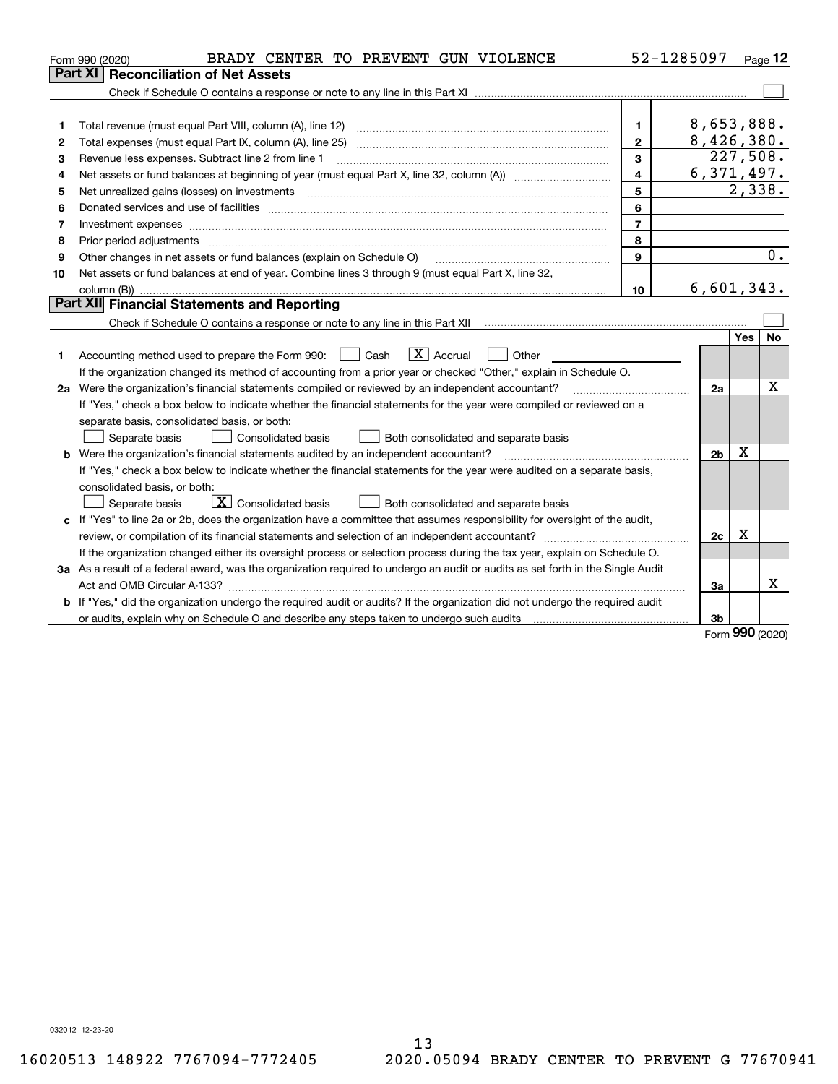|    | BRADY CENTER TO PREVENT GUN VIOLENCE<br>Form 990 (2020)                                                                         |                         | 52-1285097              |            | Page 12               |
|----|---------------------------------------------------------------------------------------------------------------------------------|-------------------------|-------------------------|------------|-----------------------|
|    | Part XI<br><b>Reconciliation of Net Assets</b>                                                                                  |                         |                         |            |                       |
|    |                                                                                                                                 |                         |                         |            |                       |
|    |                                                                                                                                 |                         |                         |            |                       |
| 1  |                                                                                                                                 | $\mathbf{1}$            | 8,653,888.              |            |                       |
| 2  |                                                                                                                                 | $\mathbf{2}$            | 8,426,380.              |            |                       |
| з  | Revenue less expenses. Subtract line 2 from line 1                                                                              | 3                       | 227,508.                |            |                       |
| 4  |                                                                                                                                 | $\overline{\mathbf{4}}$ | $\overline{6,371,497.}$ |            |                       |
| 5  |                                                                                                                                 | 5                       |                         |            | $\overline{2}$ , 338. |
| 6  |                                                                                                                                 | 6                       |                         |            |                       |
| 7  | Investment expenses www.communication.communication.com/www.communication.com/www.communication.com                             | $\overline{7}$          |                         |            |                       |
| 8  | Prior period adjustments www.communication.communication.com/news/communication.com/news/communication.com/new                  | 8                       |                         |            |                       |
| 9  | Other changes in net assets or fund balances (explain on Schedule O)                                                            | $\mathbf{9}$            |                         |            | $\overline{0}$ .      |
| 10 | Net assets or fund balances at end of year. Combine lines 3 through 9 (must equal Part X, line 32,                              |                         |                         |            |                       |
|    | column (B))                                                                                                                     | 10                      | 6,601,343.              |            |                       |
|    | Part XII Financial Statements and Reporting                                                                                     |                         |                         |            |                       |
|    |                                                                                                                                 |                         |                         |            |                       |
|    |                                                                                                                                 |                         |                         | <b>Yes</b> | <b>No</b>             |
| 1  | $\mathbf{X}$ Accrual<br>Accounting method used to prepare the Form 990: <u>I</u> Cash<br>    Other                              |                         |                         |            |                       |
|    | If the organization changed its method of accounting from a prior year or checked "Other," explain in Schedule O.               |                         |                         |            |                       |
|    | 2a Were the organization's financial statements compiled or reviewed by an independent accountant?                              |                         | 2a                      |            | х                     |
|    | If "Yes," check a box below to indicate whether the financial statements for the year were compiled or reviewed on a            |                         |                         |            |                       |
|    | separate basis, consolidated basis, or both:                                                                                    |                         |                         |            |                       |
|    | Separate basis<br>Consolidated basis<br>Both consolidated and separate basis                                                    |                         |                         |            |                       |
|    | <b>b</b> Were the organization's financial statements audited by an independent accountant?                                     |                         | 2 <sub>b</sub>          | X          |                       |
|    | If "Yes," check a box below to indicate whether the financial statements for the year were audited on a separate basis,         |                         |                         |            |                       |
|    | consolidated basis, or both:                                                                                                    |                         |                         |            |                       |
|    | $\boxed{\text{X}}$ Consolidated basis<br>Both consolidated and separate basis<br>Separate basis                                 |                         |                         |            |                       |
|    | c If "Yes" to line 2a or 2b, does the organization have a committee that assumes responsibility for oversight of the audit,     |                         |                         |            |                       |
|    |                                                                                                                                 |                         | 2c                      | X          |                       |
|    | If the organization changed either its oversight process or selection process during the tax year, explain on Schedule O.       |                         |                         |            |                       |
|    | 3a As a result of a federal award, was the organization required to undergo an audit or audits as set forth in the Single Audit |                         |                         |            |                       |
|    |                                                                                                                                 |                         | За                      |            | x                     |
|    | b If "Yes," did the organization undergo the required audit or audits? If the organization did not undergo the required audit   |                         |                         |            |                       |
|    |                                                                                                                                 |                         | 3b                      | 000        |                       |

Form (2020) **990**

032012 12-23-20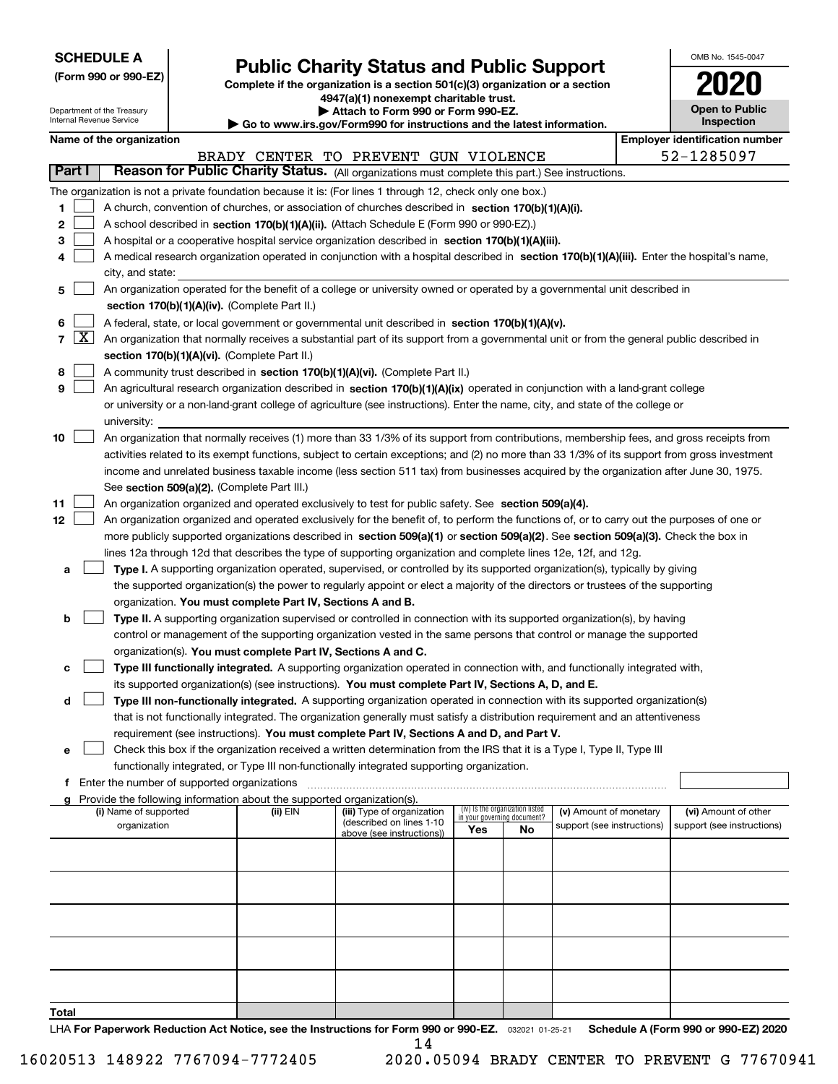| <b>SCHEDULE A</b> |  |  |  |  |  |  |
|-------------------|--|--|--|--|--|--|
|-------------------|--|--|--|--|--|--|

Department of the Treasury

# **Public Charity Status and Public Support**

**(Form 990 or 990-EZ) Complete if the organization is a section 501(c)(3) organization or a section 4947(a)(1) nonexempt charitable trust. | Attach to Form 990 or Form 990-EZ.** 

| www.irs.gov/Form990 for instructions and the latest information. |
|------------------------------------------------------------------|
|------------------------------------------------------------------|

| OMB No 1545-0047                    |
|-------------------------------------|
| 2020                                |
| <b>Open to Public</b><br>Inspection |

٦

|                |        | Internal Revenue Service |                                             |                                                                                    | Go to www.irs.gov/Form990 for instructions and the latest information.                                                                        |     |                                 |                            |  | Inspection                            |  |
|----------------|--------|--------------------------|---------------------------------------------|------------------------------------------------------------------------------------|-----------------------------------------------------------------------------------------------------------------------------------------------|-----|---------------------------------|----------------------------|--|---------------------------------------|--|
|                |        | Name of the organization |                                             |                                                                                    |                                                                                                                                               |     |                                 |                            |  | <b>Employer identification number</b> |  |
|                |        |                          |                                             |                                                                                    | BRADY CENTER TO PREVENT GUN VIOLENCE                                                                                                          |     |                                 |                            |  | 52-1285097                            |  |
|                | Part I |                          |                                             |                                                                                    | Reason for Public Charity Status. (All organizations must complete this part.) See instructions.                                              |     |                                 |                            |  |                                       |  |
|                |        |                          |                                             |                                                                                    | The organization is not a private foundation because it is: (For lines 1 through 12, check only one box.)                                     |     |                                 |                            |  |                                       |  |
| 1              |        |                          |                                             |                                                                                    | A church, convention of churches, or association of churches described in section 170(b)(1)(A)(i).                                            |     |                                 |                            |  |                                       |  |
| 2              |        |                          |                                             |                                                                                    | A school described in section 170(b)(1)(A)(ii). (Attach Schedule E (Form 990 or 990-EZ).)                                                     |     |                                 |                            |  |                                       |  |
| з              |        |                          |                                             |                                                                                    | A hospital or a cooperative hospital service organization described in section 170(b)(1)(A)(iii).                                             |     |                                 |                            |  |                                       |  |
| 4              |        |                          |                                             |                                                                                    | A medical research organization operated in conjunction with a hospital described in section 170(b)(1)(A)(iii). Enter the hospital's name,    |     |                                 |                            |  |                                       |  |
|                |        | city, and state:         |                                             |                                                                                    |                                                                                                                                               |     |                                 |                            |  |                                       |  |
| 5              |        |                          |                                             |                                                                                    | An organization operated for the benefit of a college or university owned or operated by a governmental unit described in                     |     |                                 |                            |  |                                       |  |
|                |        |                          |                                             | section 170(b)(1)(A)(iv). (Complete Part II.)                                      |                                                                                                                                               |     |                                 |                            |  |                                       |  |
| 6              |        |                          |                                             |                                                                                    | A federal, state, or local government or governmental unit described in section 170(b)(1)(A)(v).                                              |     |                                 |                            |  |                                       |  |
| $\overline{7}$ |        |                          |                                             |                                                                                    | $X$ An organization that normally receives a substantial part of its support from a governmental unit or from the general public described in |     |                                 |                            |  |                                       |  |
|                |        |                          |                                             | section 170(b)(1)(A)(vi). (Complete Part II.)                                      |                                                                                                                                               |     |                                 |                            |  |                                       |  |
| 8              |        |                          |                                             |                                                                                    | A community trust described in section 170(b)(1)(A)(vi). (Complete Part II.)                                                                  |     |                                 |                            |  |                                       |  |
| 9              |        |                          |                                             |                                                                                    | An agricultural research organization described in section 170(b)(1)(A)(ix) operated in conjunction with a land-grant college                 |     |                                 |                            |  |                                       |  |
|                |        |                          |                                             |                                                                                    | or university or a non-land-grant college of agriculture (see instructions). Enter the name, city, and state of the college or                |     |                                 |                            |  |                                       |  |
|                |        | university:              |                                             |                                                                                    |                                                                                                                                               |     |                                 |                            |  |                                       |  |
| 10             |        |                          |                                             |                                                                                    | An organization that normally receives (1) more than 33 1/3% of its support from contributions, membership fees, and gross receipts from      |     |                                 |                            |  |                                       |  |
|                |        |                          |                                             |                                                                                    | activities related to its exempt functions, subject to certain exceptions; and (2) no more than 33 1/3% of its support from gross investment  |     |                                 |                            |  |                                       |  |
|                |        |                          |                                             |                                                                                    | income and unrelated business taxable income (less section 511 tax) from businesses acquired by the organization after June 30, 1975.         |     |                                 |                            |  |                                       |  |
|                |        |                          |                                             | See section 509(a)(2). (Complete Part III.)                                        |                                                                                                                                               |     |                                 |                            |  |                                       |  |
| 11             |        |                          |                                             |                                                                                    | An organization organized and operated exclusively to test for public safety. See section 509(a)(4).                                          |     |                                 |                            |  |                                       |  |
| 12             |        |                          |                                             |                                                                                    | An organization organized and operated exclusively for the benefit of, to perform the functions of, or to carry out the purposes of one or    |     |                                 |                            |  |                                       |  |
|                |        |                          |                                             |                                                                                    | more publicly supported organizations described in section 509(a)(1) or section 509(a)(2). See section 509(a)(3). Check the box in            |     |                                 |                            |  |                                       |  |
|                |        |                          |                                             |                                                                                    |                                                                                                                                               |     |                                 |                            |  |                                       |  |
|                |        |                          |                                             |                                                                                    | lines 12a through 12d that describes the type of supporting organization and complete lines 12e, 12f, and 12g.                                |     |                                 |                            |  |                                       |  |
| а              |        |                          |                                             |                                                                                    | Type I. A supporting organization operated, supervised, or controlled by its supported organization(s), typically by giving                   |     |                                 |                            |  |                                       |  |
|                |        |                          |                                             |                                                                                    | the supported organization(s) the power to regularly appoint or elect a majority of the directors or trustees of the supporting               |     |                                 |                            |  |                                       |  |
|                |        |                          |                                             | organization. You must complete Part IV, Sections A and B.                         |                                                                                                                                               |     |                                 |                            |  |                                       |  |
| b              |        |                          |                                             |                                                                                    | Type II. A supporting organization supervised or controlled in connection with its supported organization(s), by having                       |     |                                 |                            |  |                                       |  |
|                |        |                          |                                             |                                                                                    | control or management of the supporting organization vested in the same persons that control or manage the supported                          |     |                                 |                            |  |                                       |  |
|                |        |                          |                                             | organization(s). You must complete Part IV, Sections A and C.                      |                                                                                                                                               |     |                                 |                            |  |                                       |  |
| с              |        |                          |                                             |                                                                                    | Type III functionally integrated. A supporting organization operated in connection with, and functionally integrated with,                    |     |                                 |                            |  |                                       |  |
|                |        |                          |                                             |                                                                                    | its supported organization(s) (see instructions). You must complete Part IV, Sections A, D, and E.                                            |     |                                 |                            |  |                                       |  |
| d              |        |                          |                                             |                                                                                    | Type III non-functionally integrated. A supporting organization operated in connection with its supported organization(s)                     |     |                                 |                            |  |                                       |  |
|                |        |                          |                                             |                                                                                    | that is not functionally integrated. The organization generally must satisfy a distribution requirement and an attentiveness                  |     |                                 |                            |  |                                       |  |
|                |        |                          |                                             |                                                                                    | requirement (see instructions). You must complete Part IV, Sections A and D, and Part V.                                                      |     |                                 |                            |  |                                       |  |
| е              |        |                          |                                             |                                                                                    | Check this box if the organization received a written determination from the IRS that it is a Type I, Type II, Type III                       |     |                                 |                            |  |                                       |  |
|                |        |                          |                                             |                                                                                    | functionally integrated, or Type III non-functionally integrated supporting organization.                                                     |     |                                 |                            |  |                                       |  |
| f              |        |                          | Enter the number of supported organizations |                                                                                    |                                                                                                                                               |     |                                 |                            |  |                                       |  |
|                |        | (i) Name of supported    |                                             | Provide the following information about the supported organization(s).<br>(ii) EIN | (iii) Type of organization                                                                                                                    |     | (iv) Is the organization listed | (v) Amount of monetary     |  | (vi) Amount of other                  |  |
|                |        | organization             |                                             |                                                                                    | (described on lines 1-10                                                                                                                      |     | in your governing document?     | support (see instructions) |  | support (see instructions)            |  |
|                |        |                          |                                             |                                                                                    | above (see instructions))                                                                                                                     | Yes | No                              |                            |  |                                       |  |
|                |        |                          |                                             |                                                                                    |                                                                                                                                               |     |                                 |                            |  |                                       |  |
|                |        |                          |                                             |                                                                                    |                                                                                                                                               |     |                                 |                            |  |                                       |  |
|                |        |                          |                                             |                                                                                    |                                                                                                                                               |     |                                 |                            |  |                                       |  |
|                |        |                          |                                             |                                                                                    |                                                                                                                                               |     |                                 |                            |  |                                       |  |
|                |        |                          |                                             |                                                                                    |                                                                                                                                               |     |                                 |                            |  |                                       |  |
|                |        |                          |                                             |                                                                                    |                                                                                                                                               |     |                                 |                            |  |                                       |  |
|                |        |                          |                                             |                                                                                    |                                                                                                                                               |     |                                 |                            |  |                                       |  |
|                |        |                          |                                             |                                                                                    |                                                                                                                                               |     |                                 |                            |  |                                       |  |
|                |        |                          |                                             |                                                                                    |                                                                                                                                               |     |                                 |                            |  |                                       |  |
|                |        |                          |                                             |                                                                                    |                                                                                                                                               |     |                                 |                            |  |                                       |  |
| Total          |        |                          |                                             |                                                                                    |                                                                                                                                               |     |                                 |                            |  |                                       |  |

LHA For Paperwork Reduction Act Notice, see the Instructions for Form 990 or 990-EZ. 032021 01-25-21 Schedule A (Form 990 or 990-EZ) 2020

16020513 148922 7767094-7772405 2020.05094 BRADY CENTER TO PREVENT G 77670941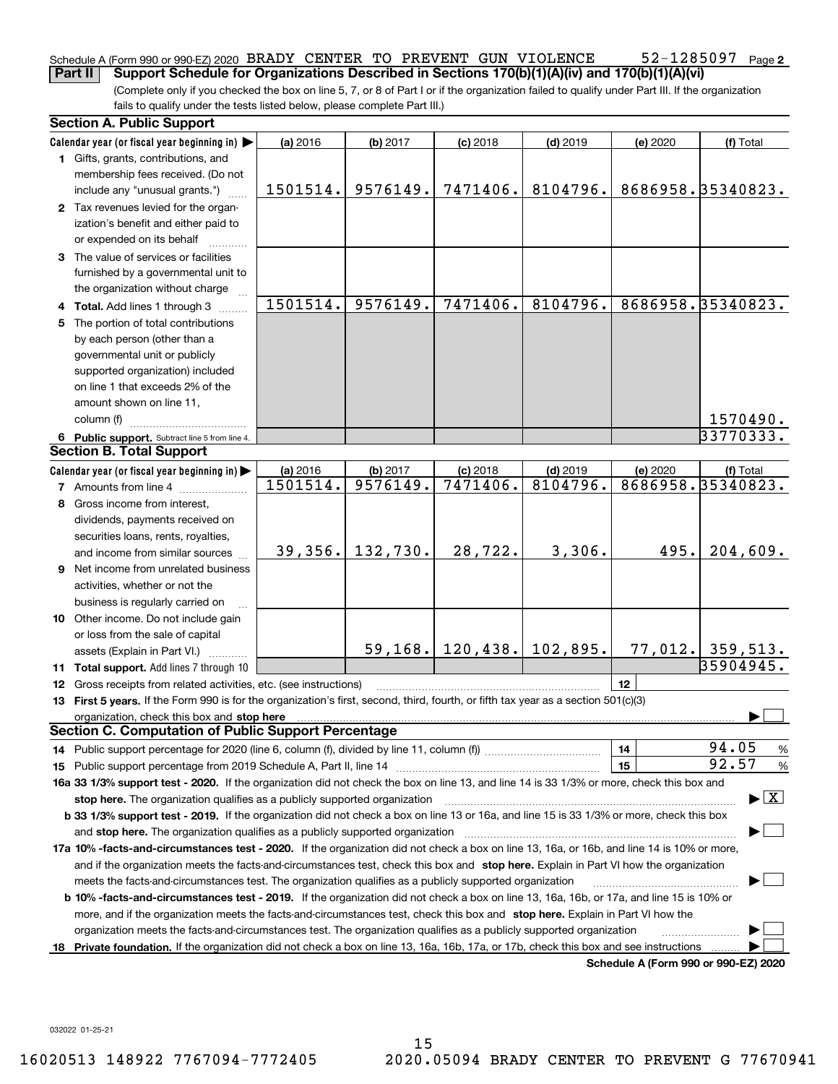### 52-1285097 Page 2 Schedule A (Form 990 or 990-EZ) 2020 BRADY CENTER TO PREVENT GUN VIOLENCE  $52-1285097$  Page **Part II** Support Schedule for Organizations Described in Sections 170(b)(1)(A)(iv) and 170(b)(1)(A)(vi)

(Complete only if you checked the box on line 5, 7, or 8 of Part I or if the organization failed to qualify under Part III. If the organization fails to qualify under the tests listed below, please complete Part III.)

|    | <b>Section A. Public Support</b>                                                                                                                                                                                               |                      |                      |                              |                        |                                      |                                          |
|----|--------------------------------------------------------------------------------------------------------------------------------------------------------------------------------------------------------------------------------|----------------------|----------------------|------------------------------|------------------------|--------------------------------------|------------------------------------------|
|    | Calendar year (or fiscal year beginning in)                                                                                                                                                                                    | (a) 2016             | (b) 2017             | $(c)$ 2018                   | $(d)$ 2019             | (e) 2020                             | (f) Total                                |
|    | 1 Gifts, grants, contributions, and                                                                                                                                                                                            |                      |                      |                              |                        |                                      |                                          |
|    | membership fees received. (Do not                                                                                                                                                                                              |                      |                      |                              |                        |                                      |                                          |
|    | include any "unusual grants.")                                                                                                                                                                                                 | 1501514.             | 9576149.             | 7471406.                     | 8104796.               |                                      | 8686958.35340823.                        |
|    | 2 Tax revenues levied for the organ-                                                                                                                                                                                           |                      |                      |                              |                        |                                      |                                          |
|    | ization's benefit and either paid to                                                                                                                                                                                           |                      |                      |                              |                        |                                      |                                          |
|    | or expended on its behalf                                                                                                                                                                                                      |                      |                      |                              |                        |                                      |                                          |
|    | 3 The value of services or facilities                                                                                                                                                                                          |                      |                      |                              |                        |                                      |                                          |
|    | furnished by a governmental unit to                                                                                                                                                                                            |                      |                      |                              |                        |                                      |                                          |
|    | the organization without charge                                                                                                                                                                                                |                      |                      |                              |                        |                                      |                                          |
|    | 4 Total. Add lines 1 through 3                                                                                                                                                                                                 | 1501514.             | 9576149.             | 7471406.                     | 8104796.               |                                      | 8686958.35340823.                        |
|    | The portion of total contributions                                                                                                                                                                                             |                      |                      |                              |                        |                                      |                                          |
|    | by each person (other than a                                                                                                                                                                                                   |                      |                      |                              |                        |                                      |                                          |
|    | governmental unit or publicly                                                                                                                                                                                                  |                      |                      |                              |                        |                                      |                                          |
|    | supported organization) included                                                                                                                                                                                               |                      |                      |                              |                        |                                      |                                          |
|    | on line 1 that exceeds 2% of the                                                                                                                                                                                               |                      |                      |                              |                        |                                      |                                          |
|    | amount shown on line 11,                                                                                                                                                                                                       |                      |                      |                              |                        |                                      |                                          |
|    | column (f)                                                                                                                                                                                                                     |                      |                      |                              |                        |                                      | 1570490.                                 |
|    |                                                                                                                                                                                                                                |                      |                      |                              |                        |                                      | 33770333.                                |
|    | 6 Public support. Subtract line 5 from line 4.<br><b>Section B. Total Support</b>                                                                                                                                              |                      |                      |                              |                        |                                      |                                          |
|    |                                                                                                                                                                                                                                |                      |                      |                              |                        |                                      |                                          |
|    | Calendar year (or fiscal year beginning in)                                                                                                                                                                                    | (a) 2016<br>1501514. | (b) 2017<br>9576149. | $(c)$ 2018<br>7471406.       | $(d)$ 2019<br>8104796. | (e) 2020                             | (f) Total<br>8686958.35340823.           |
|    | <b>7</b> Amounts from line 4                                                                                                                                                                                                   |                      |                      |                              |                        |                                      |                                          |
| 8  | Gross income from interest.                                                                                                                                                                                                    |                      |                      |                              |                        |                                      |                                          |
|    | dividends, payments received on                                                                                                                                                                                                |                      |                      |                              |                        |                                      |                                          |
|    | securities loans, rents, royalties,                                                                                                                                                                                            |                      |                      |                              |                        |                                      |                                          |
|    | and income from similar sources                                                                                                                                                                                                | 39, 356.             | 132,730.             | 28,722.                      | 3,306.                 | 495.                                 | 204,609.                                 |
| 9  | Net income from unrelated business                                                                                                                                                                                             |                      |                      |                              |                        |                                      |                                          |
|    | activities, whether or not the                                                                                                                                                                                                 |                      |                      |                              |                        |                                      |                                          |
|    | business is regularly carried on                                                                                                                                                                                               |                      |                      |                              |                        |                                      |                                          |
|    | 10 Other income. Do not include gain                                                                                                                                                                                           |                      |                      |                              |                        |                                      |                                          |
|    | or loss from the sale of capital                                                                                                                                                                                               |                      |                      |                              |                        |                                      |                                          |
|    | assets (Explain in Part VI.)                                                                                                                                                                                                   |                      |                      | 59, 168. 120, 438. 102, 895. |                        |                                      | 77,012.   359,513.                       |
|    | 11 Total support. Add lines 7 through 10                                                                                                                                                                                       |                      |                      |                              |                        |                                      | 35904945.                                |
|    | 12 Gross receipts from related activities, etc. (see instructions)                                                                                                                                                             |                      |                      |                              |                        | 12                                   |                                          |
|    | 13 First 5 years. If the Form 990 is for the organization's first, second, third, fourth, or fifth tax year as a section 501(c)(3)                                                                                             |                      |                      |                              |                        |                                      |                                          |
|    | organization, check this box and stop here manufactured and according to the state of the state of the state of the state of the state of the state of the state of the state of the state of the state of the state of the st |                      |                      |                              |                        |                                      |                                          |
|    | Section C. Computation of Public Support Percentage                                                                                                                                                                            |                      |                      |                              |                        |                                      |                                          |
|    |                                                                                                                                                                                                                                |                      |                      |                              |                        | 14                                   | 94.05<br>$\frac{9}{6}$                   |
|    | 15 Public support percentage from 2019 Schedule A, Part II, line 14                                                                                                                                                            |                      |                      |                              |                        | 15                                   | 92.57<br>$\%$                            |
|    | 16a 33 1/3% support test - 2020. If the organization did not check the box on line 13, and line 14 is 33 1/3% or more, check this box and                                                                                      |                      |                      |                              |                        |                                      |                                          |
|    | stop here. The organization qualifies as a publicly supported organization                                                                                                                                                     |                      |                      |                              |                        |                                      | $\blacktriangleright$ $\boxed{\text{X}}$ |
|    | b 33 1/3% support test - 2019. If the organization did not check a box on line 13 or 16a, and line 15 is 33 1/3% or more, check this box                                                                                       |                      |                      |                              |                        |                                      |                                          |
|    | and stop here. The organization qualifies as a publicly supported organization                                                                                                                                                 |                      |                      |                              |                        |                                      |                                          |
|    | 17a 10% -facts-and-circumstances test - 2020. If the organization did not check a box on line 13, 16a, or 16b, and line 14 is 10% or more,                                                                                     |                      |                      |                              |                        |                                      |                                          |
|    | and if the organization meets the facts-and-circumstances test, check this box and stop here. Explain in Part VI how the organization                                                                                          |                      |                      |                              |                        |                                      |                                          |
|    | meets the facts-and-circumstances test. The organization qualifies as a publicly supported organization                                                                                                                        |                      |                      |                              |                        |                                      |                                          |
|    | <b>b 10% -facts-and-circumstances test - 2019.</b> If the organization did not check a box on line 13, 16a, 16b, or 17a, and line 15 is 10% or                                                                                 |                      |                      |                              |                        |                                      |                                          |
|    | more, and if the organization meets the facts-and-circumstances test, check this box and stop here. Explain in Part VI how the                                                                                                 |                      |                      |                              |                        |                                      |                                          |
|    | organization meets the facts-and-circumstances test. The organization qualifies as a publicly supported organization                                                                                                           |                      |                      |                              |                        |                                      |                                          |
| 18 | Private foundation. If the organization did not check a box on line 13, 16a, 16b, 17a, or 17b, check this box and see instructions                                                                                             |                      |                      |                              |                        |                                      |                                          |
|    |                                                                                                                                                                                                                                |                      |                      |                              |                        | Schedule A (Form 990 or 990-F7) 2020 |                                          |

**Schedule A (Form 990 or 990-EZ) 2020**

032022 01-25-21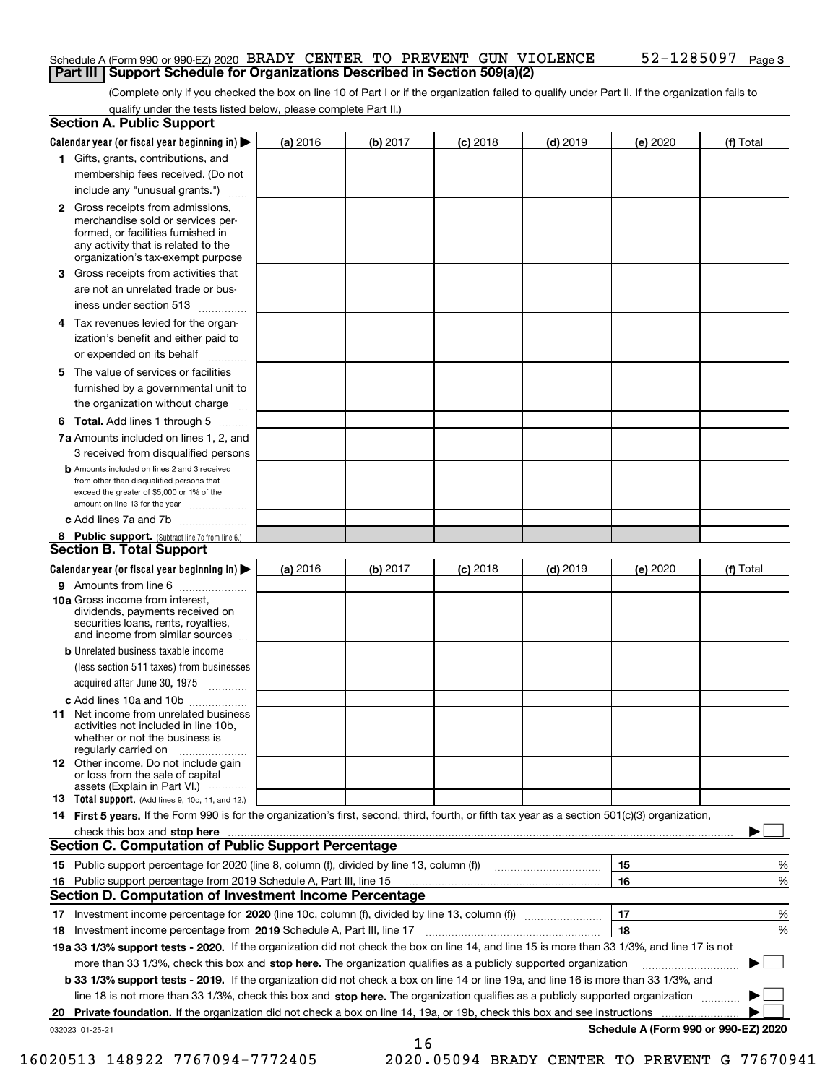# Schedule A (Form 990 or 990-EZ) 2020 BRADY CENTER TO PREVENT GUN VIOLENCE  $52-1285097$  Page **Part III | Support Schedule for Organizations Described in Section 509(a)(2)**

(Complete only if you checked the box on line 10 of Part I or if the organization failed to qualify under Part II. If the organization fails to qualify under the tests listed below, please complete Part II.)

|     | <b>Section A. Public Support</b>                                                                                                                                                                                               |          |          |            |            |          |                                      |
|-----|--------------------------------------------------------------------------------------------------------------------------------------------------------------------------------------------------------------------------------|----------|----------|------------|------------|----------|--------------------------------------|
|     | Calendar year (or fiscal year beginning in) $\blacktriangleright$                                                                                                                                                              | (a) 2016 | (b) 2017 | $(c)$ 2018 | $(d)$ 2019 | (e) 2020 | (f) Total                            |
|     | 1 Gifts, grants, contributions, and                                                                                                                                                                                            |          |          |            |            |          |                                      |
|     | membership fees received. (Do not                                                                                                                                                                                              |          |          |            |            |          |                                      |
|     | include any "unusual grants.")                                                                                                                                                                                                 |          |          |            |            |          |                                      |
|     | 2 Gross receipts from admissions,<br>merchandise sold or services per-<br>formed, or facilities furnished in<br>any activity that is related to the<br>organization's tax-exempt purpose                                       |          |          |            |            |          |                                      |
| з   | Gross receipts from activities that<br>are not an unrelated trade or bus-<br>iness under section 513                                                                                                                           |          |          |            |            |          |                                      |
|     | 4 Tax revenues levied for the organ-<br>ization's benefit and either paid to<br>or expended on its behalf                                                                                                                      |          |          |            |            |          |                                      |
|     | 5 The value of services or facilities<br>furnished by a governmental unit to<br>the organization without charge                                                                                                                |          |          |            |            |          |                                      |
|     | <b>6 Total.</b> Add lines 1 through 5 $\ldots$                                                                                                                                                                                 |          |          |            |            |          |                                      |
|     | 7a Amounts included on lines 1, 2, and<br>3 received from disqualified persons                                                                                                                                                 |          |          |            |            |          |                                      |
|     | <b>b</b> Amounts included on lines 2 and 3 received<br>from other than disqualified persons that<br>exceed the greater of \$5,000 or 1% of the<br>amount on line 13 for the year                                               |          |          |            |            |          |                                      |
|     | c Add lines 7a and 7b                                                                                                                                                                                                          |          |          |            |            |          |                                      |
|     | 8 Public support. (Subtract line 7c from line 6.)                                                                                                                                                                              |          |          |            |            |          |                                      |
|     | <b>Section B. Total Support</b>                                                                                                                                                                                                |          |          |            |            |          |                                      |
|     | Calendar year (or fiscal year beginning in) $\blacktriangleright$                                                                                                                                                              | (a) 2016 | (b) 2017 | $(c)$ 2018 | $(d)$ 2019 | (e) 2020 | (f) Total                            |
|     | 9 Amounts from line 6<br>10a Gross income from interest.<br>dividends, payments received on<br>securities loans, rents, royalties,<br>and income from similar sources                                                          |          |          |            |            |          |                                      |
|     | <b>b</b> Unrelated business taxable income                                                                                                                                                                                     |          |          |            |            |          |                                      |
|     | (less section 511 taxes) from businesses<br>acquired after June 30, 1975<br>$\overline{\phantom{a}}$                                                                                                                           |          |          |            |            |          |                                      |
|     | c Add lines 10a and 10b                                                                                                                                                                                                        |          |          |            |            |          |                                      |
|     | <b>11</b> Net income from unrelated business<br>activities not included in line 10b,<br>whether or not the business is<br>regularly carried on                                                                                 |          |          |            |            |          |                                      |
|     | <b>12</b> Other income. Do not include gain<br>or loss from the sale of capital<br>assets (Explain in Part VI.)                                                                                                                |          |          |            |            |          |                                      |
|     | <b>13</b> Total support. (Add lines 9, 10c, 11, and 12.)                                                                                                                                                                       |          |          |            |            |          |                                      |
|     | 14 First 5 years. If the Form 990 is for the organization's first, second, third, fourth, or fifth tax year as a section 501(c)(3) organization,                                                                               |          |          |            |            |          |                                      |
|     | check this box and stop here measurements and contact the contract of the contract of the contract of the contract of the contract of the contract of the contract of the contract of the contract of the contract of the cont |          |          |            |            |          |                                      |
|     | <b>Section C. Computation of Public Support Percentage</b>                                                                                                                                                                     |          |          |            |            |          |                                      |
|     |                                                                                                                                                                                                                                |          |          |            |            | 15       | %                                    |
| 16. | Public support percentage from 2019 Schedule A, Part III, line 15<br><b>Section D. Computation of Investment Income Percentage</b>                                                                                             |          |          |            |            | 16       | %                                    |
|     |                                                                                                                                                                                                                                |          |          |            |            | 17       | %                                    |
|     | 18 Investment income percentage from 2019 Schedule A, Part III, line 17                                                                                                                                                        |          |          |            |            | 18       | %                                    |
|     | 19a 33 1/3% support tests - 2020. If the organization did not check the box on line 14, and line 15 is more than 33 1/3%, and line 17 is not                                                                                   |          |          |            |            |          |                                      |
|     | more than 33 1/3%, check this box and stop here. The organization qualifies as a publicly supported organization                                                                                                               |          |          |            |            |          |                                      |
|     | b 33 1/3% support tests - 2019. If the organization did not check a box on line 14 or line 19a, and line 16 is more than 33 1/3%, and                                                                                          |          |          |            |            |          |                                      |
|     | line 18 is not more than 33 1/3%, check this box and stop here. The organization qualifies as a publicly supported organization                                                                                                |          |          |            |            |          |                                      |
| 20  | <b>Private foundation.</b> If the organization did not check a box on line 14, 19a, or 19b, check this box and see instructions                                                                                                |          |          |            |            |          |                                      |
|     | 032023 01-25-21                                                                                                                                                                                                                |          |          |            |            |          | Schedule A (Form 990 or 990-EZ) 2020 |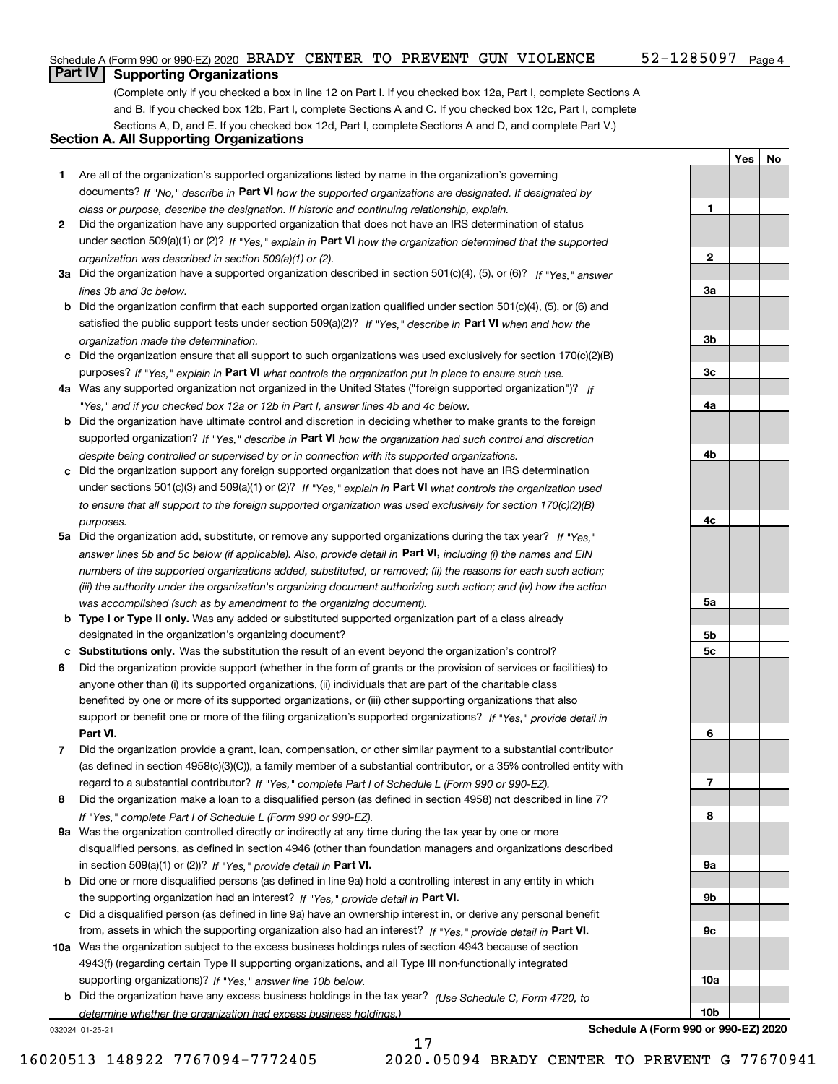**1**

**2**

**3a**

**3b**

**3c**

**4a**

**4b**

**4c**

**5a**

**5b 5c**

**6**

**7**

**8**

**9a**

**9b**

**9c**

**10a**

**10b**

**Yes No**

# **Part IV Supporting Organizations**

(Complete only if you checked a box in line 12 on Part I. If you checked box 12a, Part I, complete Sections A and B. If you checked box 12b, Part I, complete Sections A and C. If you checked box 12c, Part I, complete Sections A, D, and E. If you checked box 12d, Part I, complete Sections A and D, and complete Part V.)

# **Section A. All Supporting Organizations**

- **1** Are all of the organization's supported organizations listed by name in the organization's governing documents? If "No," describe in Part VI how the supported organizations are designated. If designated by *class or purpose, describe the designation. If historic and continuing relationship, explain.*
- **2** Did the organization have any supported organization that does not have an IRS determination of status under section 509(a)(1) or (2)? If "Yes," explain in Part VI how the organization determined that the supported *organization was described in section 509(a)(1) or (2).*
- **3a** Did the organization have a supported organization described in section 501(c)(4), (5), or (6)? If "Yes," answer *lines 3b and 3c below.*
- **b** Did the organization confirm that each supported organization qualified under section 501(c)(4), (5), or (6) and satisfied the public support tests under section 509(a)(2)? If "Yes," describe in Part VI when and how the *organization made the determination.*
- **c** Did the organization ensure that all support to such organizations was used exclusively for section 170(c)(2)(B) purposes? If "Yes," explain in Part VI what controls the organization put in place to ensure such use.
- **4 a** *If* Was any supported organization not organized in the United States ("foreign supported organization")? *"Yes," and if you checked box 12a or 12b in Part I, answer lines 4b and 4c below.*
- **b** Did the organization have ultimate control and discretion in deciding whether to make grants to the foreign supported organization? If "Yes," describe in Part VI how the organization had such control and discretion *despite being controlled or supervised by or in connection with its supported organizations.*
- **c** Did the organization support any foreign supported organization that does not have an IRS determination under sections 501(c)(3) and 509(a)(1) or (2)? If "Yes," explain in Part VI what controls the organization used *to ensure that all support to the foreign supported organization was used exclusively for section 170(c)(2)(B) purposes.*
- **5a** Did the organization add, substitute, or remove any supported organizations during the tax year? If "Yes," answer lines 5b and 5c below (if applicable). Also, provide detail in Part VI, including (i) the names and EIN *numbers of the supported organizations added, substituted, or removed; (ii) the reasons for each such action; (iii) the authority under the organization's organizing document authorizing such action; and (iv) how the action was accomplished (such as by amendment to the organizing document).*
- **b Type I or Type II only.** Was any added or substituted supported organization part of a class already designated in the organization's organizing document?
- **c Substitutions only.**  Was the substitution the result of an event beyond the organization's control?
- **6** Did the organization provide support (whether in the form of grants or the provision of services or facilities) to **Part VI.** *If "Yes," provide detail in* support or benefit one or more of the filing organization's supported organizations? anyone other than (i) its supported organizations, (ii) individuals that are part of the charitable class benefited by one or more of its supported organizations, or (iii) other supporting organizations that also
- **7** Did the organization provide a grant, loan, compensation, or other similar payment to a substantial contributor regard to a substantial contributor? If "Yes," complete Part I of Schedule L (Form 990 or 990-EZ). (as defined in section 4958(c)(3)(C)), a family member of a substantial contributor, or a 35% controlled entity with
- **8** Did the organization make a loan to a disqualified person (as defined in section 4958) not described in line 7? *If "Yes," complete Part I of Schedule L (Form 990 or 990-EZ).*
- **9 a** Was the organization controlled directly or indirectly at any time during the tax year by one or more in section 509(a)(1) or (2))? If "Yes," provide detail in Part VI. disqualified persons, as defined in section 4946 (other than foundation managers and organizations described
- **b** Did one or more disqualified persons (as defined in line 9a) hold a controlling interest in any entity in which the supporting organization had an interest? If "Yes," provide detail in Part VI.
- **c** Did a disqualified person (as defined in line 9a) have an ownership interest in, or derive any personal benefit from, assets in which the supporting organization also had an interest? If "Yes," provide detail in Part VI.
- **10 a** Was the organization subject to the excess business holdings rules of section 4943 because of section supporting organizations)? If "Yes," answer line 10b below. 4943(f) (regarding certain Type II supporting organizations, and all Type III non-functionally integrated
	- **b** Did the organization have any excess business holdings in the tax year? (Use Schedule C, Form 4720, to *determine whether the organization had excess business holdings.)*

17

032024 01-25-21

**Schedule A (Form 990 or 990-EZ) 2020**

16020513 148922 7767094-7772405 2020.05094 BRADY CENTER TO PREVENT G 77670941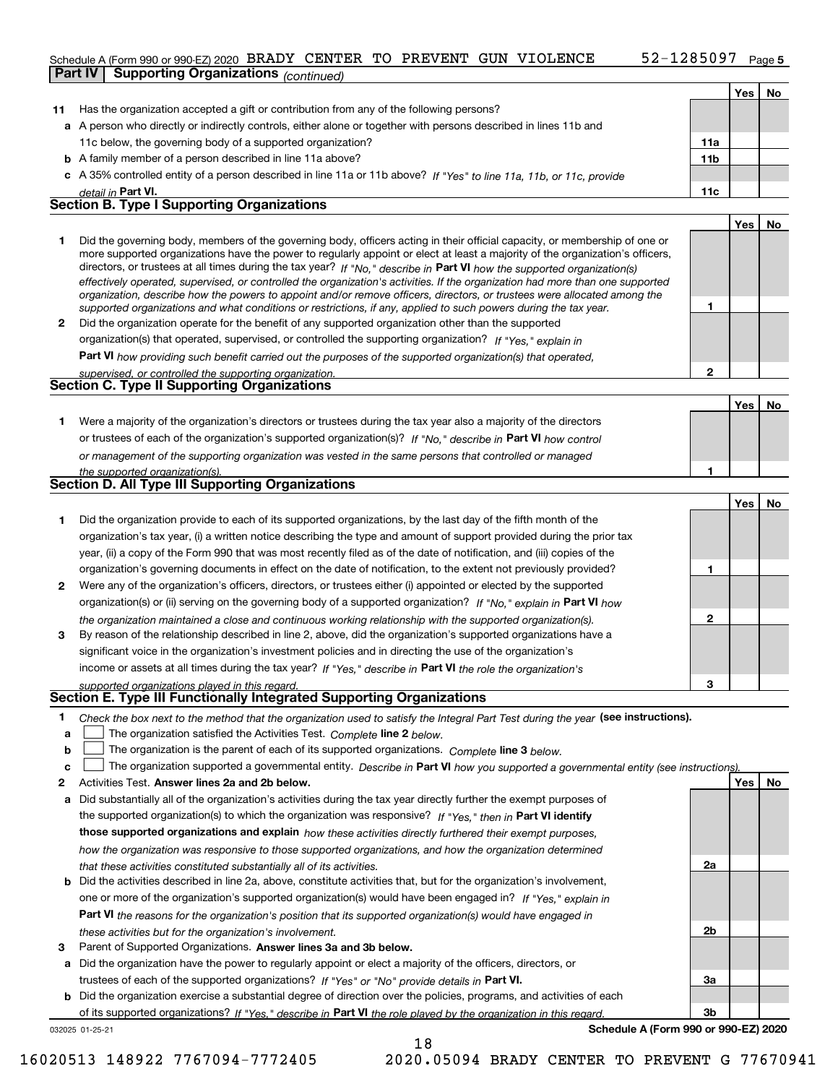# Schedule A (Form 990 or 990-EZ) 2020 BRADY CENTER TO PREVENT GUN VIOLENCE  $52-1285097$  Page

|              | beliedule $\Delta$ (Form 550 or 550-LZ) 2020 Extrap + CHR + HR + HR + HR + HR +<br><b>Part IV</b><br><b>Supporting Organizations (continued)</b>                                                                                                            | ------ <i>-</i> |     | ⊤ ay∈ J |
|--------------|-------------------------------------------------------------------------------------------------------------------------------------------------------------------------------------------------------------------------------------------------------------|-----------------|-----|---------|
|              |                                                                                                                                                                                                                                                             |                 | Yes | No      |
| 11           | Has the organization accepted a gift or contribution from any of the following persons?                                                                                                                                                                     |                 |     |         |
|              | a A person who directly or indirectly controls, either alone or together with persons described in lines 11b and                                                                                                                                            |                 |     |         |
|              | 11c below, the governing body of a supported organization?                                                                                                                                                                                                  | 11a             |     |         |
|              |                                                                                                                                                                                                                                                             | 11b             |     |         |
|              | <b>b</b> A family member of a person described in line 11a above?                                                                                                                                                                                           |                 |     |         |
|              | c A 35% controlled entity of a person described in line 11a or 11b above? If "Yes" to line 11a, 11b, or 11c, provide                                                                                                                                        |                 |     |         |
|              | detail in Part VI.<br><b>Section B. Type I Supporting Organizations</b>                                                                                                                                                                                     | 11c             |     |         |
|              |                                                                                                                                                                                                                                                             |                 | Yes | No      |
|              |                                                                                                                                                                                                                                                             |                 |     |         |
| 1.           | Did the governing body, members of the governing body, officers acting in their official capacity, or membership of one or<br>more supported organizations have the power to regularly appoint or elect at least a majority of the organization's officers, |                 |     |         |
|              | directors, or trustees at all times during the tax year? If "No," describe in Part VI how the supported organization(s)                                                                                                                                     |                 |     |         |
|              | effectively operated, supervised, or controlled the organization's activities. If the organization had more than one supported                                                                                                                              |                 |     |         |
|              | organization, describe how the powers to appoint and/or remove officers, directors, or trustees were allocated among the                                                                                                                                    |                 |     |         |
|              | supported organizations and what conditions or restrictions, if any, applied to such powers during the tax year.                                                                                                                                            | 1               |     |         |
| $\mathbf{2}$ | Did the organization operate for the benefit of any supported organization other than the supported                                                                                                                                                         |                 |     |         |
|              | organization(s) that operated, supervised, or controlled the supporting organization? If "Yes," explain in                                                                                                                                                  |                 |     |         |
|              | <b>Part VI</b> how providing such benefit carried out the purposes of the supported organization(s) that operated,                                                                                                                                          |                 |     |         |
|              | supervised, or controlled the supporting organization.<br><b>Section C. Type II Supporting Organizations</b>                                                                                                                                                | 2               |     |         |
|              |                                                                                                                                                                                                                                                             |                 |     |         |
|              |                                                                                                                                                                                                                                                             |                 | Yes | No      |
| 1.           | Were a majority of the organization's directors or trustees during the tax year also a majority of the directors                                                                                                                                            |                 |     |         |
|              | or trustees of each of the organization's supported organization(s)? If "No," describe in Part VI how control                                                                                                                                               |                 |     |         |
|              | or management of the supporting organization was vested in the same persons that controlled or managed                                                                                                                                                      |                 |     |         |
|              | the supported organization(s).                                                                                                                                                                                                                              | 1               |     |         |
|              | Section D. All Type III Supporting Organizations                                                                                                                                                                                                            |                 |     |         |
|              |                                                                                                                                                                                                                                                             |                 | Yes | No      |
| 1.           | Did the organization provide to each of its supported organizations, by the last day of the fifth month of the                                                                                                                                              |                 |     |         |
|              | organization's tax year, (i) a written notice describing the type and amount of support provided during the prior tax                                                                                                                                       |                 |     |         |
|              | year, (ii) a copy of the Form 990 that was most recently filed as of the date of notification, and (iii) copies of the                                                                                                                                      |                 |     |         |
|              | organization's governing documents in effect on the date of notification, to the extent not previously provided?                                                                                                                                            | 1               |     |         |
| 2            | Were any of the organization's officers, directors, or trustees either (i) appointed or elected by the supported                                                                                                                                            |                 |     |         |
|              | organization(s) or (ii) serving on the governing body of a supported organization? If "No," explain in Part VI how                                                                                                                                          |                 |     |         |
|              | the organization maintained a close and continuous working relationship with the supported organization(s).                                                                                                                                                 | 2               |     |         |
| 3            | By reason of the relationship described in line 2, above, did the organization's supported organizations have a                                                                                                                                             |                 |     |         |
|              | significant voice in the organization's investment policies and in directing the use of the organization's                                                                                                                                                  |                 |     |         |
|              | income or assets at all times during the tax year? If "Yes," describe in Part VI the role the organization's                                                                                                                                                |                 |     |         |
|              | supported organizations played in this regard.                                                                                                                                                                                                              | 3               |     |         |
|              | Section E. Type III Functionally Integrated Supporting Organizations                                                                                                                                                                                        |                 |     |         |
| 1.           | Check the box next to the method that the organization used to satisfy the Integral Part Test during the year (see instructions).                                                                                                                           |                 |     |         |
| a            | The organization satisfied the Activities Test. Complete line 2 below.                                                                                                                                                                                      |                 |     |         |
| b            | The organization is the parent of each of its supported organizations. Complete line 3 below.                                                                                                                                                               |                 |     |         |
| c            | The organization supported a governmental entity. Describe in Part VI how you supported a governmental entity (see instructions)                                                                                                                            |                 |     |         |
| 2            | Activities Test. Answer lines 2a and 2b below.                                                                                                                                                                                                              |                 | Yes | No      |
| а            | Did substantially all of the organization's activities during the tax year directly further the exempt purposes of                                                                                                                                          |                 |     |         |
|              | the supported organization(s) to which the organization was responsive? If "Yes," then in Part VI identify                                                                                                                                                  |                 |     |         |

**b** Did the activities described in line 2a, above, constitute activities that, but for the organization's involvement, **those supported organizations and explain**  *how these activities directly furthered their exempt purposes, how the organization was responsive to those supported organizations, and how the organization determined that these activities constituted substantially all of its activities.*

- **Part VI**  *the reasons for the organization's position that its supported organization(s) would have engaged in* one or more of the organization's supported organization(s) would have been engaged in? If "Yes," explain in *these activities but for the organization's involvement.*
- 3 Parent of Supported Organizations. Answer lines 3a and 3b below.

**a** Did the organization have the power to regularly appoint or elect a majority of the officers, directors, or trustees of each of the supported organizations? If "Yes" or "No" provide details in Part VI.

032025 01-25-21 **b** Did the organization exercise a substantial degree of direction over the policies, programs, and activities of each of its supported organizations? If "Yes," describe in Part VI the role played by the organization in this regard.

**Schedule A (Form 990 or 990-EZ) 2020**

**2a**

**2b**

**3a**

**3b**

18

16020513 148922 7767094-7772405 2020.05094 BRADY CENTER TO PREVENT G 77670941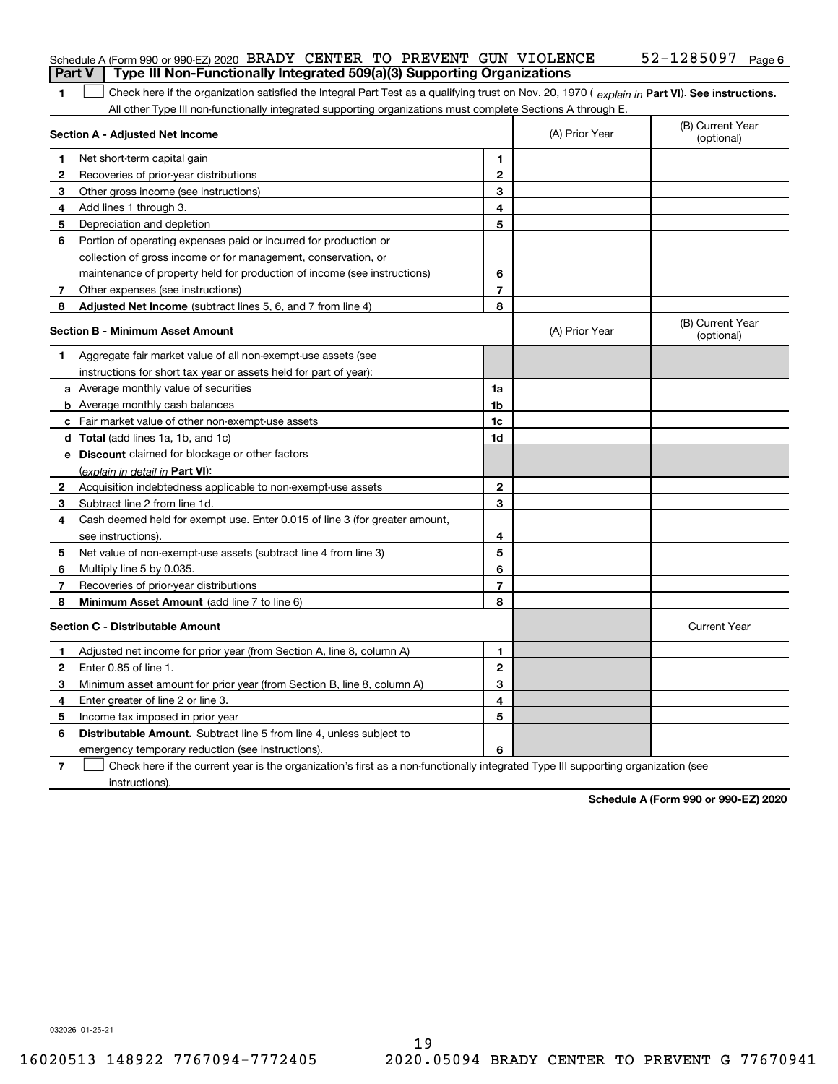|               | Schedule A (Form 990 or 990-EZ) 2020 BRADY CENTER TO PREVENT GUN VIOLENCE<br>Type III Non-Functionally Integrated 509(a)(3) Supporting Organizations |                |                | 52-1285097<br>Page 6           |  |  |
|---------------|------------------------------------------------------------------------------------------------------------------------------------------------------|----------------|----------------|--------------------------------|--|--|
| <b>Part V</b> |                                                                                                                                                      |                |                |                                |  |  |
|               | Check here if the organization satisfied the Integral Part Test as a qualifying trust on Nov. 20, 1970 (explain in Part VI). See instructions.<br>1  |                |                |                                |  |  |
|               | All other Type III non-functionally integrated supporting organizations must complete Sections A through E.<br>Section A - Adjusted Net Income       |                | (A) Prior Year | (B) Current Year<br>(optional) |  |  |
| 1             | Net short-term capital gain                                                                                                                          | 1              |                |                                |  |  |
| 2             | Recoveries of prior-year distributions                                                                                                               | $\overline{2}$ |                |                                |  |  |
| 3             | Other gross income (see instructions)                                                                                                                | 3              |                |                                |  |  |
| 4             | Add lines 1 through 3.                                                                                                                               | 4              |                |                                |  |  |
| 5             | Depreciation and depletion                                                                                                                           | 5              |                |                                |  |  |
| 6             | Portion of operating expenses paid or incurred for production or                                                                                     |                |                |                                |  |  |
|               | collection of gross income or for management, conservation, or                                                                                       |                |                |                                |  |  |
|               | maintenance of property held for production of income (see instructions)                                                                             | 6              |                |                                |  |  |
| 7             | Other expenses (see instructions)                                                                                                                    | $\overline{7}$ |                |                                |  |  |
| 8             | Adjusted Net Income (subtract lines 5, 6, and 7 from line 4)                                                                                         | 8              |                |                                |  |  |
|               | <b>Section B - Minimum Asset Amount</b>                                                                                                              |                | (A) Prior Year | (B) Current Year<br>(optional) |  |  |
| 1.            | Aggregate fair market value of all non-exempt-use assets (see                                                                                        |                |                |                                |  |  |
|               | instructions for short tax year or assets held for part of year):                                                                                    |                |                |                                |  |  |
|               | <b>a</b> Average monthly value of securities                                                                                                         | 1a             |                |                                |  |  |
|               | <b>b</b> Average monthly cash balances                                                                                                               | 1 <sub>b</sub> |                |                                |  |  |
|               | c Fair market value of other non-exempt-use assets                                                                                                   | 1c             |                |                                |  |  |
|               | d Total (add lines 1a, 1b, and 1c)                                                                                                                   | 1d             |                |                                |  |  |
|               | e Discount claimed for blockage or other factors                                                                                                     |                |                |                                |  |  |
|               | (explain in detail in Part VI):                                                                                                                      |                |                |                                |  |  |
| 2             | Acquisition indebtedness applicable to non-exempt-use assets                                                                                         | $\mathbf{2}$   |                |                                |  |  |
| 3             | Subtract line 2 from line 1d.                                                                                                                        | 3              |                |                                |  |  |
| 4             | Cash deemed held for exempt use. Enter 0.015 of line 3 (for greater amount,                                                                          |                |                |                                |  |  |
|               | see instructions).                                                                                                                                   | 4              |                |                                |  |  |
| 5             | Net value of non-exempt-use assets (subtract line 4 from line 3)                                                                                     | 5              |                |                                |  |  |
| 6             | Multiply line 5 by 0.035.                                                                                                                            | 6              |                |                                |  |  |
| 7             | Recoveries of prior-year distributions                                                                                                               | $\overline{7}$ |                |                                |  |  |
| 8             | Minimum Asset Amount (add line 7 to line 6)                                                                                                          | 8              |                |                                |  |  |
|               | <b>Section C - Distributable Amount</b>                                                                                                              |                |                | <b>Current Year</b>            |  |  |
|               | Adjusted net income for prior year (from Section A, line 8, column A)                                                                                | 1              |                |                                |  |  |
| 2             | Enter 0.85 of line 1.                                                                                                                                | 2              |                |                                |  |  |
| 3             | Minimum asset amount for prior year (from Section B, line 8, column A)                                                                               | 3              |                |                                |  |  |
| 4             | Enter greater of line 2 or line 3.                                                                                                                   | 4              |                |                                |  |  |
| 5             | Income tax imposed in prior year                                                                                                                     | 5              |                |                                |  |  |
| 6             | <b>Distributable Amount.</b> Subtract line 5 from line 4, unless subject to                                                                          |                |                |                                |  |  |
|               | emergency temporary reduction (see instructions).                                                                                                    | 6              |                |                                |  |  |
| 7             | Check here if the current year is the organization's first as a non-functionally integrated Type III supporting organization (see                    |                |                |                                |  |  |

instructions).

**Schedule A (Form 990 or 990-EZ) 2020**

032026 01-25-21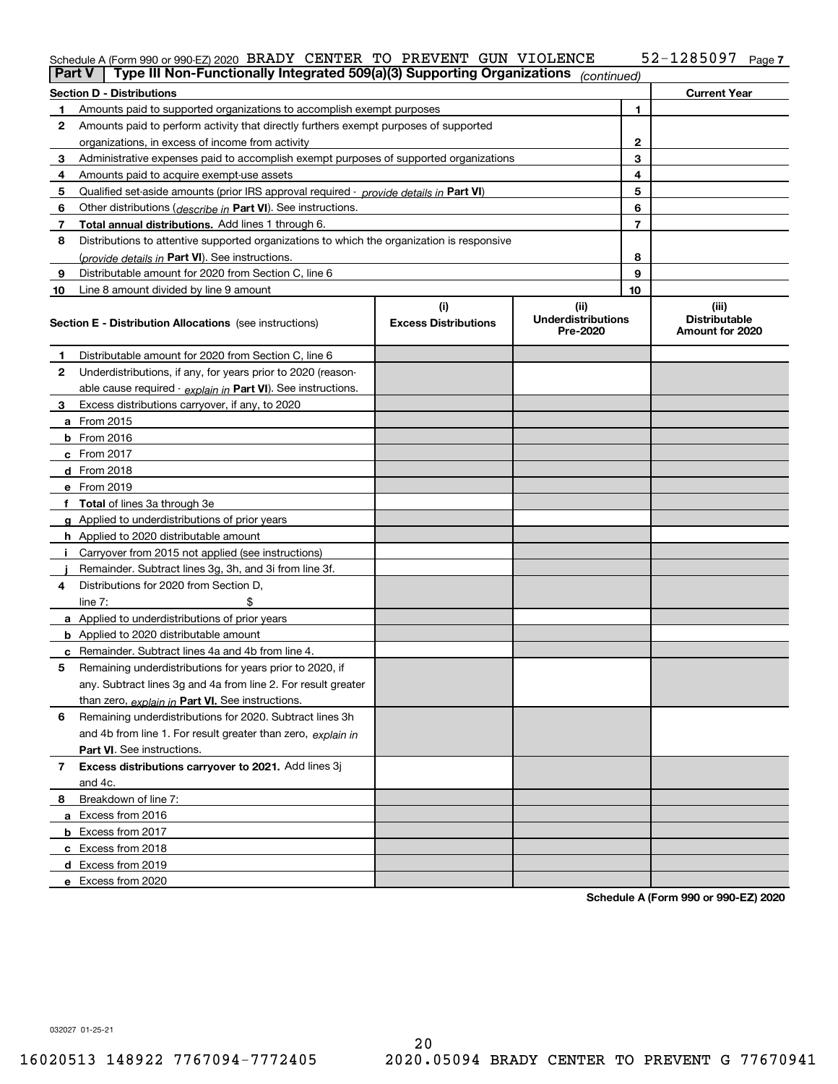### 52-1285097 Page 7 Schedule A (Form 990 or 990-EZ) 2020 BRADY CENTER TO PREVENT GUN VIOLENCE  $52-1285097$  Page

| <b>Part V</b> | Type III Non-Functionally Integrated 509(a)(3) Supporting Organizations                                      |                                    | (continued)                                   |    |                                                  |
|---------------|--------------------------------------------------------------------------------------------------------------|------------------------------------|-----------------------------------------------|----|--------------------------------------------------|
|               | <b>Section D - Distributions</b>                                                                             |                                    |                                               |    | <b>Current Year</b>                              |
| 1             | Amounts paid to supported organizations to accomplish exempt purposes                                        |                                    |                                               | 1  |                                                  |
| 2             | Amounts paid to perform activity that directly furthers exempt purposes of supported                         |                                    |                                               |    |                                                  |
|               | organizations, in excess of income from activity                                                             |                                    |                                               | 2  |                                                  |
| 3             | Administrative expenses paid to accomplish exempt purposes of supported organizations                        |                                    | 3                                             |    |                                                  |
| 4             | Amounts paid to acquire exempt-use assets                                                                    |                                    |                                               | 4  |                                                  |
| 5             | Qualified set-aside amounts (prior IRS approval required - provide details in Part VI)                       |                                    |                                               | 5  |                                                  |
| 6             | Other distributions ( <i>describe in</i> Part VI). See instructions.                                         |                                    |                                               | 6  |                                                  |
| 7             | <b>Total annual distributions.</b> Add lines 1 through 6.                                                    |                                    |                                               | 7  |                                                  |
| 8             | Distributions to attentive supported organizations to which the organization is responsive                   |                                    |                                               |    |                                                  |
|               | (provide details in Part VI). See instructions.                                                              |                                    |                                               | 8  |                                                  |
| 9             | Distributable amount for 2020 from Section C, line 6                                                         |                                    |                                               | 9  |                                                  |
| 10            | Line 8 amount divided by line 9 amount                                                                       |                                    |                                               | 10 |                                                  |
|               | <b>Section E - Distribution Allocations</b> (see instructions)                                               | (i)<br><b>Excess Distributions</b> | (ii)<br><b>Underdistributions</b><br>Pre-2020 |    | (iii)<br><b>Distributable</b><br>Amount for 2020 |
| 1             | Distributable amount for 2020 from Section C, line 6                                                         |                                    |                                               |    |                                                  |
| 2             | Underdistributions, if any, for years prior to 2020 (reason-                                                 |                                    |                                               |    |                                                  |
|               | able cause required - explain in Part VI). See instructions.                                                 |                                    |                                               |    |                                                  |
| З             | Excess distributions carryover, if any, to 2020                                                              |                                    |                                               |    |                                                  |
|               | <b>a</b> From 2015                                                                                           |                                    |                                               |    |                                                  |
|               | <b>b</b> From $2016$                                                                                         |                                    |                                               |    |                                                  |
|               | c From $2017$                                                                                                |                                    |                                               |    |                                                  |
|               | $d$ From 2018                                                                                                |                                    |                                               |    |                                                  |
|               | e From 2019                                                                                                  |                                    |                                               |    |                                                  |
|               | Total of lines 3a through 3e                                                                                 |                                    |                                               |    |                                                  |
| g             | Applied to underdistributions of prior years                                                                 |                                    |                                               |    |                                                  |
|               | h Applied to 2020 distributable amount                                                                       |                                    |                                               |    |                                                  |
|               | Carryover from 2015 not applied (see instructions)                                                           |                                    |                                               |    |                                                  |
|               | Remainder. Subtract lines 3g, 3h, and 3i from line 3f.                                                       |                                    |                                               |    |                                                  |
| 4             | Distributions for 2020 from Section D,                                                                       |                                    |                                               |    |                                                  |
|               | line $7:$                                                                                                    |                                    |                                               |    |                                                  |
|               | <b>a</b> Applied to underdistributions of prior years                                                        |                                    |                                               |    |                                                  |
|               | <b>b</b> Applied to 2020 distributable amount                                                                |                                    |                                               |    |                                                  |
|               | c Remainder. Subtract lines 4a and 4b from line 4.                                                           |                                    |                                               |    |                                                  |
| 5             | Remaining underdistributions for years prior to 2020, if                                                     |                                    |                                               |    |                                                  |
|               | any. Subtract lines 3g and 4a from line 2. For result greater                                                |                                    |                                               |    |                                                  |
| 6             | than zero, explain in Part VI. See instructions.<br>Remaining underdistributions for 2020. Subtract lines 3h |                                    |                                               |    |                                                  |
|               | and 4b from line 1. For result greater than zero, explain in                                                 |                                    |                                               |    |                                                  |
|               | Part VI. See instructions.                                                                                   |                                    |                                               |    |                                                  |
| 7             | Excess distributions carryover to 2021. Add lines 3j                                                         |                                    |                                               |    |                                                  |
|               | and 4c.                                                                                                      |                                    |                                               |    |                                                  |
| 8             | Breakdown of line 7:                                                                                         |                                    |                                               |    |                                                  |
|               | a Excess from 2016                                                                                           |                                    |                                               |    |                                                  |
|               | <b>b</b> Excess from 2017                                                                                    |                                    |                                               |    |                                                  |
|               | c Excess from 2018                                                                                           |                                    |                                               |    |                                                  |
|               | d Excess from 2019                                                                                           |                                    |                                               |    |                                                  |
|               | e Excess from 2020                                                                                           |                                    |                                               |    |                                                  |
|               |                                                                                                              |                                    |                                               |    |                                                  |

**Schedule A (Form 990 or 990-EZ) 2020**

032027 01-25-21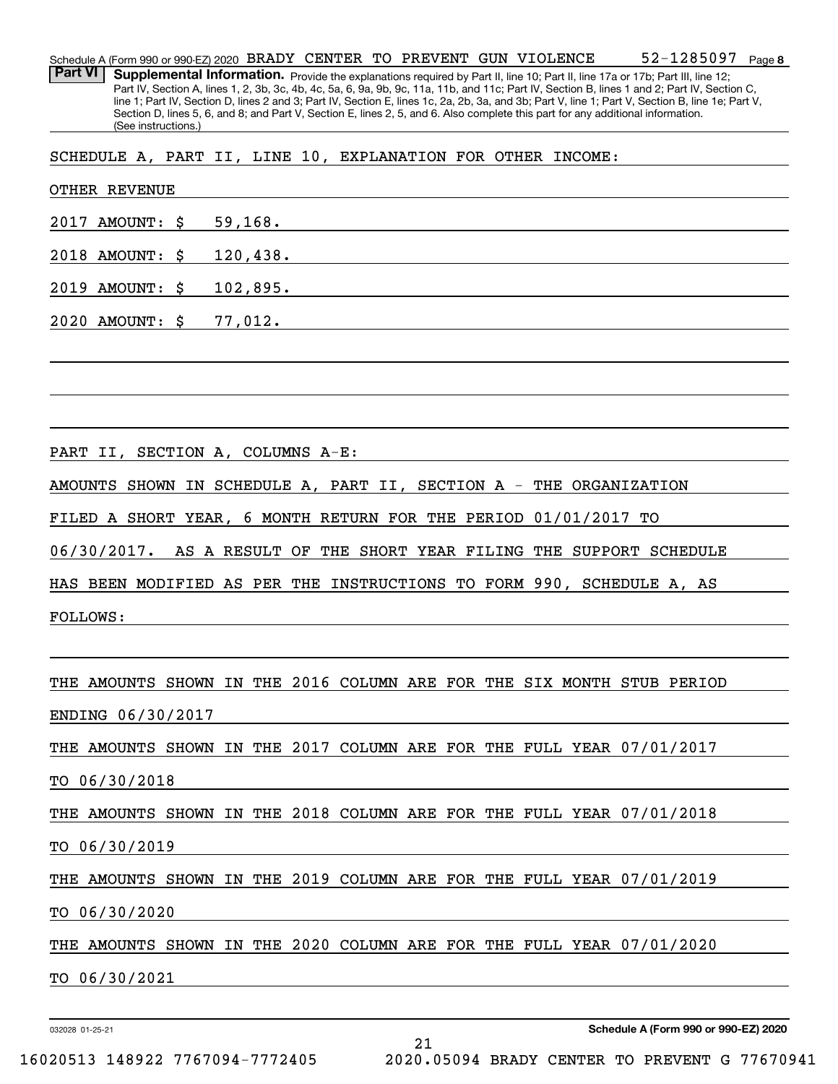**8** 52-1285097 Schedule A (Form 990 or 990-EZ) 2020  $\,$  BRADY  $\,$  CENTER  $\,$  TO  $\,$  PREVENT GUN  $\,$  VIOLENCE  $\,$   $\,$   $\,$  52  $-1285097$   $\,$  Page Part VI | Supplemental Information. Provide the explanations required by Part II, line 10; Part II, line 17a or 17b; Part III, line 12; Part IV, Section A, lines 1, 2, 3b, 3c, 4b, 4c, 5a, 6, 9a, 9b, 9c, 11a, 11b, and 11c; Part IV, Section B, lines 1 and 2; Part IV, Section C, line 1; Part IV, Section D, lines 2 and 3; Part IV, Section E, lines 1c, 2a, 2b, 3a, and 3b; Part V, line 1; Part V, Section B, line 1e; Part V, Section D, lines 5, 6, and 8; and Part V, Section E, lines 2, 5, and 6. Also complete this part for any additional information. (See instructions.)

SCHEDULE A, PART II, LINE 10, EXPLANATION FOR OTHER INCOME:

| <b>OTHER REVENUE</b>                                                   |  |  |  |  |  |
|------------------------------------------------------------------------|--|--|--|--|--|
| 2017 AMOUNT: $\frac{1}{2}$ 59,168.                                     |  |  |  |  |  |
| 2018 AMOUNT: \$ 120,438.                                               |  |  |  |  |  |
| 2019 AMOUNT: \$ 102,895.                                               |  |  |  |  |  |
| 2020 AMOUNT: $\frac{2}{77}$ , 012.                                     |  |  |  |  |  |
|                                                                        |  |  |  |  |  |
|                                                                        |  |  |  |  |  |
|                                                                        |  |  |  |  |  |
|                                                                        |  |  |  |  |  |
| AMOUNTS SHOWN IN SCHEDULE A, PART II, SECTION A - THE ORGANIZATION     |  |  |  |  |  |
| FILED A SHORT YEAR, 6 MONTH RETURN FOR THE PERIOD 01/01/2017 TO        |  |  |  |  |  |
| 06/30/2017. AS A RESULT OF THE SHORT YEAR FILING THE SUPPORT SCHEDULE  |  |  |  |  |  |
| HAS BEEN MODIFIED AS PER THE INSTRUCTIONS TO FORM 990, SCHEDULE A, AS  |  |  |  |  |  |
| <b>FOLLOWS:</b>                                                        |  |  |  |  |  |
|                                                                        |  |  |  |  |  |
| THE AMOUNTS SHOWN IN THE 2016 COLUMN ARE FOR THE SIX MONTH STUB PERIOD |  |  |  |  |  |
| ENDING 06/30/2017                                                      |  |  |  |  |  |
| THE AMOUNTS SHOWN IN THE 2017 COLUMN ARE FOR THE FULL YEAR 07/01/2017  |  |  |  |  |  |
| TO 06/30/2018                                                          |  |  |  |  |  |
| THE AMOUNTS SHOWN IN THE 2018 COLUMN ARE FOR THE FULL YEAR 07/01/2018  |  |  |  |  |  |
| TO 06/30/2019                                                          |  |  |  |  |  |
| THE AMOUNTS SHOWN IN THE 2019 COLUMN ARE FOR THE FULL YEAR 07/01/2019  |  |  |  |  |  |
| TO 06/30/2020                                                          |  |  |  |  |  |
| THE AMOUNTS SHOWN IN THE 2020 COLUMN ARE FOR THE FULL YEAR 07/01/2020  |  |  |  |  |  |
| TO 06/30/2021                                                          |  |  |  |  |  |
|                                                                        |  |  |  |  |  |

21

032028 01-25-21

16020513 148922 7767094-7772405 2020.05094 BRADY CENTER TO PREVENT G 77670941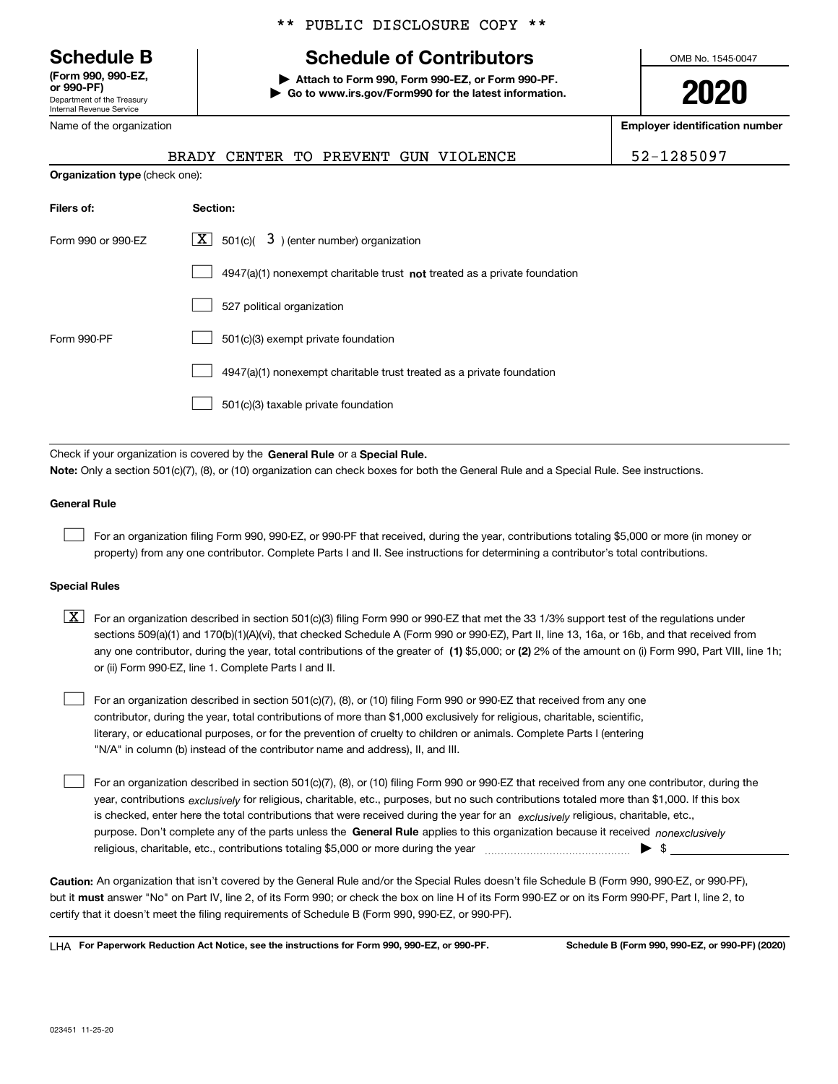Department of the Treasury Internal Revenue Service **(Form 990, 990-EZ,**

Name of the organization

**Organization type** (check one):

# \*\* PUBLIC DISCLOSURE COPY \*\*

# **Schedule B Schedule of Contributors**

**or 990-PF) | Attach to Form 990, Form 990-EZ, or Form 990-PF. | Go to www.irs.gov/Form990 for the latest information.** OMB No. 1545-0047

**2020**

**Employer identification number**

BRADY CENTER TO PREVENT GUN VIOLENCE  $\vert$  52-1285097

| Filers of:         | Section:                                                                    |
|--------------------|-----------------------------------------------------------------------------|
| Form 990 or 990-EZ | $\lfloor \mathbf{X} \rfloor$ 501(c)( 3) (enter number) organization         |
|                    | $4947(a)(1)$ nonexempt charitable trust not treated as a private foundation |
|                    | 527 political organization                                                  |
| Form 990-PF        | 501(c)(3) exempt private foundation                                         |
|                    | 4947(a)(1) nonexempt charitable trust treated as a private foundation       |
|                    | 501(c)(3) taxable private foundation                                        |
|                    |                                                                             |

Check if your organization is covered by the General Rule or a Special Rule. **Note:**  Only a section 501(c)(7), (8), or (10) organization can check boxes for both the General Rule and a Special Rule. See instructions.

# **General Rule**

 $\begin{array}{c} \hline \end{array}$ 

For an organization filing Form 990, 990-EZ, or 990-PF that received, during the year, contributions totaling \$5,000 or more (in money or property) from any one contributor. Complete Parts I and II. See instructions for determining a contributor's total contributions.

## **Special Rules**

any one contributor, during the year, total contributions of the greater of  $\,$  (1) \$5,000; or (2) 2% of the amount on (i) Form 990, Part VIII, line 1h;  $\boxed{\textbf{X}}$  For an organization described in section 501(c)(3) filing Form 990 or 990-EZ that met the 33 1/3% support test of the regulations under sections 509(a)(1) and 170(b)(1)(A)(vi), that checked Schedule A (Form 990 or 990-EZ), Part II, line 13, 16a, or 16b, and that received from or (ii) Form 990-EZ, line 1. Complete Parts I and II.

For an organization described in section 501(c)(7), (8), or (10) filing Form 990 or 990-EZ that received from any one contributor, during the year, total contributions of more than \$1,000 exclusively for religious, charitable, scientific, literary, or educational purposes, or for the prevention of cruelty to children or animals. Complete Parts I (entering "N/A" in column (b) instead of the contributor name and address), II, and III.  $\begin{array}{c} \hline \end{array}$ 

purpose. Don't complete any of the parts unless the General Rule applies to this organization because it received *nonexclusively* year, contributions <sub>exclusively</sub> for religious, charitable, etc., purposes, but no such contributions totaled more than \$1,000. If this box is checked, enter here the total contributions that were received during the year for an *exclusively* religious, charitable, etc., For an organization described in section 501(c)(7), (8), or (10) filing Form 990 or 990-EZ that received from any one contributor, during the religious, charitable, etc., contributions totaling \$5,000 or more during the year  $\Box$ — $\Box$   $\Box$  $\begin{array}{c} \hline \end{array}$ 

**Caution:**  An organization that isn't covered by the General Rule and/or the Special Rules doesn't file Schedule B (Form 990, 990-EZ, or 990-PF), but it **must** answer "No" on Part IV, line 2, of its Form 990; or check the box on line H of its Form 990-EZ or on its Form 990-PF, Part I, line 2, to certify that it doesn't meet the filing requirements of Schedule B (Form 990, 990-EZ, or 990-PF).

**For Paperwork Reduction Act Notice, see the instructions for Form 990, 990-EZ, or 990-PF. Schedule B (Form 990, 990-EZ, or 990-PF) (2020)** LHA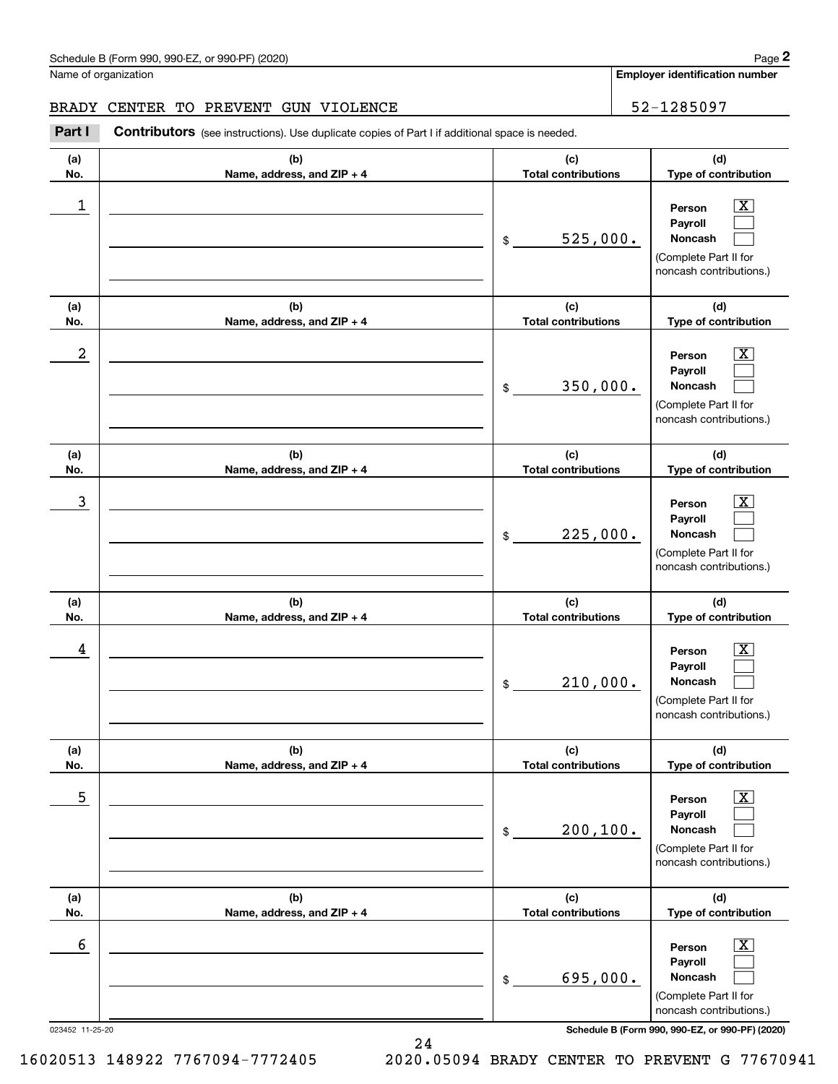**Employer identification number**

**(d) Type of contribution**

# BRADY CENTER TO PREVENT GUN VIOLENCE | 52-1285097

**(a) No. (b) Name, address, and ZIP + 4 (c) Total contributions Part I** Contributors (see instructions). Use duplicate copies of Part I if additional space is needed.

| 1<br>$\$\$                                      | 525,000.<br>(c)<br><b>Total contributions</b> | $\overline{\mathbf{x}}$<br>Person<br>Payroll<br>Noncash<br>(Complete Part II for<br>noncash contributions.)                                                  |
|-------------------------------------------------|-----------------------------------------------|--------------------------------------------------------------------------------------------------------------------------------------------------------------|
|                                                 |                                               |                                                                                                                                                              |
| (b)<br>(a)<br>No.<br>Name, address, and ZIP + 4 |                                               | (d)<br>Type of contribution                                                                                                                                  |
| 2<br>$\mathfrak{S}$                             | 350,000.                                      | $\overline{\mathbf{X}}$<br>Person<br>Payroll<br>Noncash<br>(Complete Part II for<br>noncash contributions.)                                                  |
| (b)<br>(a)                                      | (c)                                           | (d)                                                                                                                                                          |
| No.<br>Name, address, and ZIP + 4               | <b>Total contributions</b>                    | Type of contribution                                                                                                                                         |
| 3<br>\$                                         | 225,000.                                      | $\overline{\mathbf{x}}$<br>Person<br>Payroll<br>Noncash<br>(Complete Part II for<br>noncash contributions.)                                                  |
| (a)<br>(b)                                      | (c)                                           | (d)                                                                                                                                                          |
| No.<br>Name, address, and ZIP + 4               | <b>Total contributions</b>                    | Type of contribution                                                                                                                                         |
| 4<br>\$                                         | 210,000.                                      | $\overline{\mathbf{x}}$<br>Person<br>Payroll<br>Noncash<br>(Complete Part II for<br>noncash contributions.)                                                  |
| (b)<br>(a)                                      | (c)                                           | (d)                                                                                                                                                          |
| No.<br>Name, address, and ZIP + 4               | <b>Total contributions</b>                    | Type of contribution                                                                                                                                         |
| 5<br>$$\mathbb{S}$$                             | 200, 100.                                     | $\overline{\mathbf{x}}$<br>Person<br>Payroll<br>Noncash<br>(Complete Part II for<br>noncash contributions.)                                                  |
| (b)<br>(a)<br>No.<br>Name, address, and ZIP + 4 | (c)<br><b>Total contributions</b>             | (d)<br>Type of contribution                                                                                                                                  |
| 6<br>$\$$<br>023452 11-25-20                    | 695,000.                                      | $\overline{\text{X}}$<br>Person<br>Payroll<br>Noncash<br>(Complete Part II for<br>noncash contributions.)<br>Schedule B (Form 990, 990-EZ, or 990-PF) (2020) |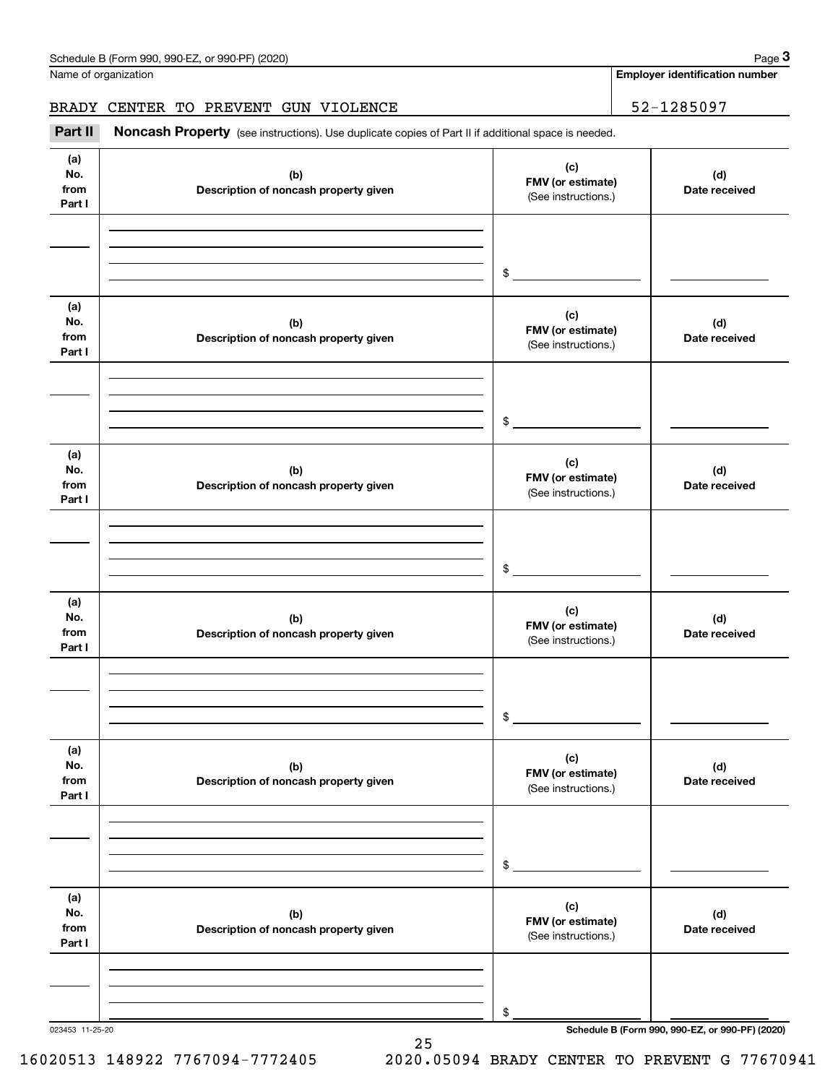Name of organization

**Employer identification number**

BRADY CENTER TO PREVENT GUN VIOLENCE 52-1285097

| Part II                      | Noncash Property (see instructions). Use duplicate copies of Part II if additional space is needed. |                                                 |                                                 |
|------------------------------|-----------------------------------------------------------------------------------------------------|-------------------------------------------------|-------------------------------------------------|
| (a)<br>No.<br>from<br>Part I | (b)<br>Description of noncash property given                                                        | (c)<br>FMV (or estimate)<br>(See instructions.) | (d)<br>Date received                            |
|                              |                                                                                                     | $\frac{1}{2}$                                   |                                                 |
| (a)<br>No.<br>from<br>Part I | (b)<br>Description of noncash property given                                                        | (c)<br>FMV (or estimate)<br>(See instructions.) | (d)<br>Date received                            |
|                              |                                                                                                     | \$                                              |                                                 |
| (a)<br>No.<br>from<br>Part I | (b)<br>Description of noncash property given                                                        | (c)<br>FMV (or estimate)<br>(See instructions.) | (d)<br>Date received                            |
|                              |                                                                                                     | $\$$                                            |                                                 |
| (a)<br>No.<br>from<br>Part I | (b)<br>Description of noncash property given                                                        | (c)<br>FMV (or estimate)<br>(See instructions.) | (d)<br>Date received                            |
|                              |                                                                                                     | \$                                              |                                                 |
| (a)<br>No.<br>from<br>Part I | (b)<br>Description of noncash property given                                                        | (c)<br>FMV (or estimate)<br>(See instructions.) | (d)<br>Date received                            |
|                              |                                                                                                     | \$                                              |                                                 |
| (a)<br>No.<br>from<br>Part I | (b)<br>Description of noncash property given                                                        | (c)<br>FMV (or estimate)<br>(See instructions.) | (d)<br>Date received                            |
|                              |                                                                                                     |                                                 |                                                 |
|                              | 023453 11-25-20                                                                                     | \$                                              | Schedule B (Form 990, 990-EZ, or 990-PF) (2020) |

16020513 148922 7767094-7772405 2020.05094 BRADY CENTER TO PREVENT G 77670941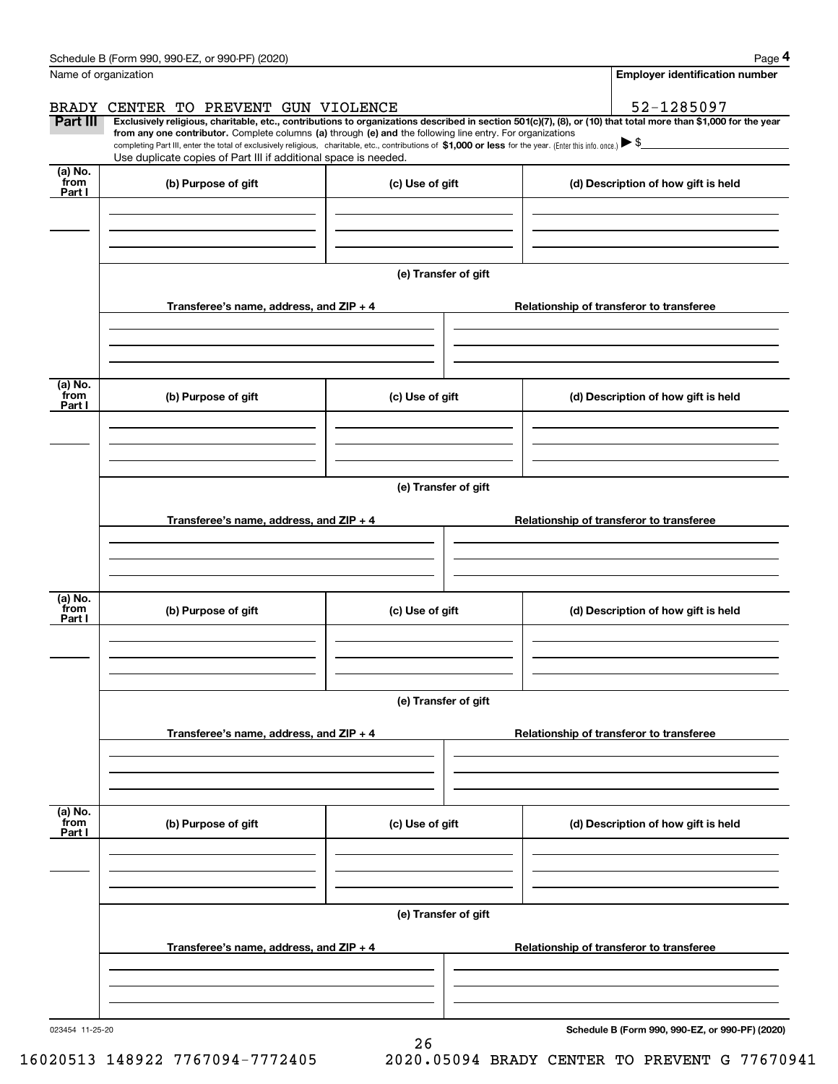|                           | Name of organization                                                                                                                                                          | <b>Employer identification number</b>   |  |                                                                                                                                                                                                                                                                                                                                 |
|---------------------------|-------------------------------------------------------------------------------------------------------------------------------------------------------------------------------|-----------------------------------------|--|---------------------------------------------------------------------------------------------------------------------------------------------------------------------------------------------------------------------------------------------------------------------------------------------------------------------------------|
|                           | BRADY CENTER TO PREVENT GUN VIOLENCE                                                                                                                                          |                                         |  | 52-1285097                                                                                                                                                                                                                                                                                                                      |
| Part III                  | from any one contributor. Complete columns (a) through (e) and the following line entry. For organizations<br>Use duplicate copies of Part III if additional space is needed. |                                         |  | Exclusively religious, charitable, etc., contributions to organizations described in section 501(c)(7), (8), or (10) that total more than \$1,000 for the year<br>completing Part III, enter the total of exclusively religious, charitable, etc., contributions of \$1,000 or less for the year. (Enter this info. once.) ▶ \$ |
| (a) No.<br>from<br>Part I | (b) Purpose of gift                                                                                                                                                           | (c) Use of gift                         |  | (d) Description of how gift is held                                                                                                                                                                                                                                                                                             |
|                           |                                                                                                                                                                               |                                         |  |                                                                                                                                                                                                                                                                                                                                 |
|                           |                                                                                                                                                                               | (e) Transfer of gift                    |  |                                                                                                                                                                                                                                                                                                                                 |
|                           | Transferee's name, address, and ZIP + 4                                                                                                                                       |                                         |  | Relationship of transferor to transferee                                                                                                                                                                                                                                                                                        |
| (a) No.<br>from<br>Part I | (b) Purpose of gift                                                                                                                                                           | (c) Use of gift                         |  | (d) Description of how gift is held                                                                                                                                                                                                                                                                                             |
|                           |                                                                                                                                                                               |                                         |  |                                                                                                                                                                                                                                                                                                                                 |
|                           |                                                                                                                                                                               | (e) Transfer of gift                    |  |                                                                                                                                                                                                                                                                                                                                 |
|                           | Transferee's name, address, and ZIP + 4                                                                                                                                       |                                         |  | Relationship of transferor to transferee                                                                                                                                                                                                                                                                                        |
| (a) No.                   |                                                                                                                                                                               |                                         |  |                                                                                                                                                                                                                                                                                                                                 |
| from<br>Part I            | (b) Purpose of gift                                                                                                                                                           | (c) Use of gift                         |  | (d) Description of how gift is held                                                                                                                                                                                                                                                                                             |
|                           |                                                                                                                                                                               | (e) Transfer of gift                    |  |                                                                                                                                                                                                                                                                                                                                 |
|                           |                                                                                                                                                                               | Transferee's name, address, and ZIP + 4 |  | Relationship of transferor to transferee                                                                                                                                                                                                                                                                                        |
|                           |                                                                                                                                                                               |                                         |  |                                                                                                                                                                                                                                                                                                                                 |
| (a) No.<br>from<br>Part I | (b) Purpose of gift                                                                                                                                                           | (c) Use of gift                         |  | (d) Description of how gift is held                                                                                                                                                                                                                                                                                             |
|                           |                                                                                                                                                                               |                                         |  |                                                                                                                                                                                                                                                                                                                                 |
|                           | (e) Transfer of gift<br>Transferee's name, address, and ZIP + 4                                                                                                               |                                         |  | Relationship of transferor to transferee                                                                                                                                                                                                                                                                                        |
|                           |                                                                                                                                                                               |                                         |  |                                                                                                                                                                                                                                                                                                                                 |
|                           |                                                                                                                                                                               |                                         |  |                                                                                                                                                                                                                                                                                                                                 |

26

023454 11-25-20

**Schedule B (Form 990, 990-EZ, or 990-PF) (2020)**

**4**

Schedule B (Form 990, 990-EZ, or 990-PF) (2020)

16020513 148922 7767094-7772405 2020.05094 BRADY CENTER TO PREVENT G 77670941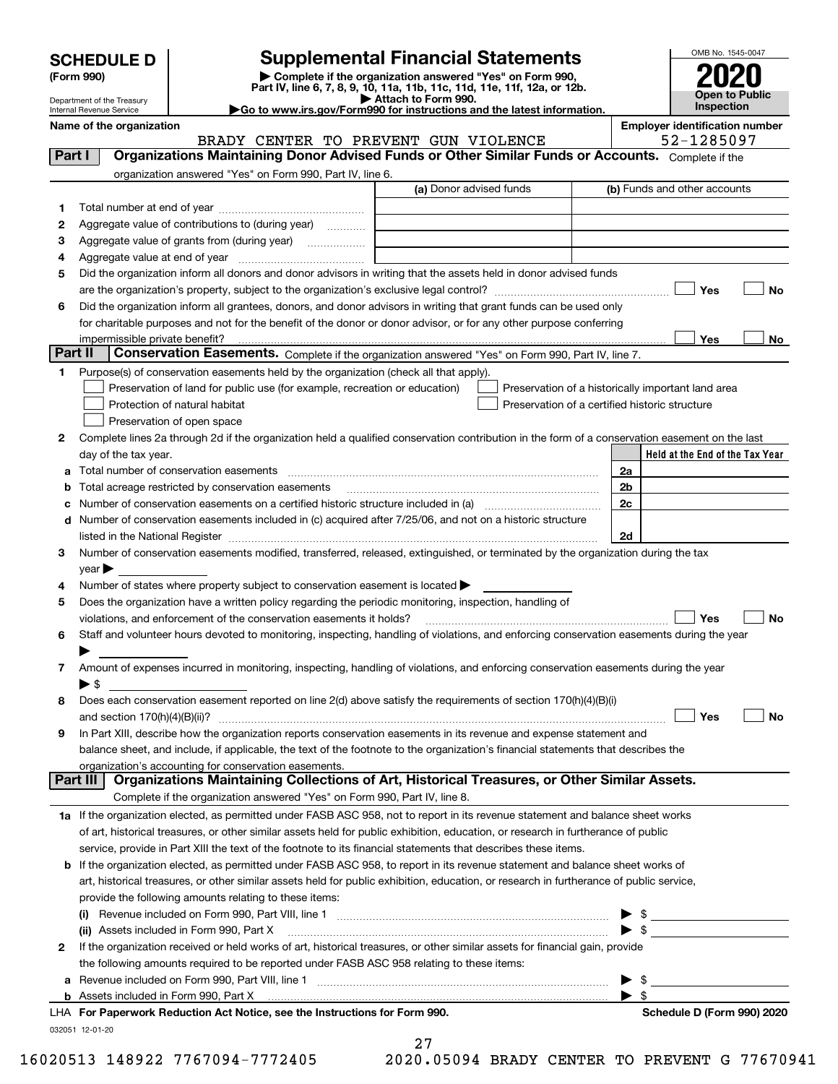| <b>SCHEDULE D</b> |  |
|-------------------|--|
|-------------------|--|

| (Form 990) |  |
|------------|--|
|------------|--|

**(Form 990) | Complete if the organization answered "Yes" on Form 990, Part IV, line 6, 7, 8, 9, 10, 11a, 11b, 11c, 11d, 11e, 11f, 12a, or 12b. SCHEDULE D Supplemental Financial Statements**<br> **Form 990**<br>
Part IV, line 6, 7, 8, 9, 10, 11a, 11b, 11c, 11d, 11e, 11f, 12a, or 12b.



Department of the Treasury Internal Revenue Service

**| Attach to Form 990. |Go to www.irs.gov/Form990 for instructions and the latest information.**

Name of the organization **Employer identification** number

BRADY CENTER TO PREVENT GUN VIOLENCE  $\vert$  52-1285097

| Part I       | Organizations Maintaining Donor Advised Funds or Other Similar Funds or Accounts. Complete if the                                              |                         |    |                                                    |
|--------------|------------------------------------------------------------------------------------------------------------------------------------------------|-------------------------|----|----------------------------------------------------|
|              | organization answered "Yes" on Form 990, Part IV, line 6.                                                                                      | (a) Donor advised funds |    | (b) Funds and other accounts                       |
| 1            |                                                                                                                                                |                         |    |                                                    |
| 2            | Aggregate value of contributions to (during year)                                                                                              |                         |    |                                                    |
| з            | Aggregate value of grants from (during year)                                                                                                   |                         |    |                                                    |
| 4            |                                                                                                                                                |                         |    |                                                    |
| 5            | Did the organization inform all donors and donor advisors in writing that the assets held in donor advised funds                               |                         |    |                                                    |
|              |                                                                                                                                                |                         |    | Yes<br>No                                          |
| 6            | Did the organization inform all grantees, donors, and donor advisors in writing that grant funds can be used only                              |                         |    |                                                    |
|              | for charitable purposes and not for the benefit of the donor or donor advisor, or for any other purpose conferring                             |                         |    |                                                    |
|              |                                                                                                                                                |                         |    | Yes<br>No                                          |
| Part II      | Conservation Easements. Complete if the organization answered "Yes" on Form 990, Part IV, line 7.                                              |                         |    |                                                    |
| 1.           | Purpose(s) of conservation easements held by the organization (check all that apply).                                                          |                         |    |                                                    |
|              | Preservation of land for public use (for example, recreation or education)                                                                     |                         |    | Preservation of a historically important land area |
|              | Protection of natural habitat                                                                                                                  |                         |    | Preservation of a certified historic structure     |
|              | Preservation of open space                                                                                                                     |                         |    |                                                    |
| 2            | Complete lines 2a through 2d if the organization held a qualified conservation contribution in the form of a conservation easement on the last |                         |    |                                                    |
|              | day of the tax year.                                                                                                                           |                         |    | Held at the End of the Tax Year                    |
| а            | Total number of conservation easements                                                                                                         |                         | 2a |                                                    |
| b            | Total acreage restricted by conservation easements                                                                                             |                         | 2b |                                                    |
|              | Number of conservation easements on a certified historic structure included in (a) manufacture included in (a)                                 |                         | 2c |                                                    |
|              | Number of conservation easements included in (c) acquired after 7/25/06, and not on a historic structure                                       |                         |    |                                                    |
|              |                                                                                                                                                |                         | 2d |                                                    |
| 3            | Number of conservation easements modified, transferred, released, extinguished, or terminated by the organization during the tax               |                         |    |                                                    |
|              | year                                                                                                                                           |                         |    |                                                    |
| 4            | Number of states where property subject to conservation easement is located >                                                                  |                         |    |                                                    |
| 5            | Does the organization have a written policy regarding the periodic monitoring, inspection, handling of                                         |                         |    |                                                    |
|              | violations, and enforcement of the conservation easements it holds?                                                                            |                         |    | Yes<br>No                                          |
| 6            | Staff and volunteer hours devoted to monitoring, inspecting, handling of violations, and enforcing conservation easements during the year      |                         |    |                                                    |
|              |                                                                                                                                                |                         |    |                                                    |
| 7            | Amount of expenses incurred in monitoring, inspecting, handling of violations, and enforcing conservation easements during the year            |                         |    |                                                    |
|              | $\blacktriangleright$ s                                                                                                                        |                         |    |                                                    |
| 8            | Does each conservation easement reported on line 2(d) above satisfy the requirements of section 170(h)(4)(B)(i)                                |                         |    |                                                    |
|              |                                                                                                                                                |                         |    | Yes<br>No                                          |
| 9            | In Part XIII, describe how the organization reports conservation easements in its revenue and expense statement and                            |                         |    |                                                    |
|              | balance sheet, and include, if applicable, the text of the footnote to the organization's financial statements that describes the              |                         |    |                                                    |
|              | organization's accounting for conservation easements.                                                                                          |                         |    |                                                    |
| Part III     | Organizations Maintaining Collections of Art, Historical Treasures, or Other Similar Assets.                                                   |                         |    |                                                    |
|              | Complete if the organization answered "Yes" on Form 990, Part IV, line 8.                                                                      |                         |    |                                                    |
|              | 1a If the organization elected, as permitted under FASB ASC 958, not to report in its revenue statement and balance sheet works                |                         |    |                                                    |
|              | of art, historical treasures, or other similar assets held for public exhibition, education, or research in furtherance of public              |                         |    |                                                    |
|              | service, provide in Part XIII the text of the footnote to its financial statements that describes these items.                                 |                         |    |                                                    |
| b            | If the organization elected, as permitted under FASB ASC 958, to report in its revenue statement and balance sheet works of                    |                         |    |                                                    |
|              | art, historical treasures, or other similar assets held for public exhibition, education, or research in furtherance of public service,        |                         |    |                                                    |
|              | provide the following amounts relating to these items:                                                                                         |                         |    |                                                    |
|              |                                                                                                                                                |                         |    | \$                                                 |
|              | (ii) Assets included in Form 990, Part X                                                                                                       |                         |    | $\frac{1}{\sqrt{2}}$                               |
| $\mathbf{2}$ | If the organization received or held works of art, historical treasures, or other similar assets for financial gain, provide                   |                         |    |                                                    |
|              | the following amounts required to be reported under FASB ASC 958 relating to these items:                                                      |                         |    |                                                    |
| а            |                                                                                                                                                |                         |    | \$                                                 |
|              |                                                                                                                                                |                         |    | -\$                                                |
|              | LHA For Paperwork Reduction Act Notice, see the Instructions for Form 990.                                                                     |                         |    | Schedule D (Form 990) 2020                         |
|              | 032051 12-01-20                                                                                                                                |                         |    |                                                    |
|              |                                                                                                                                                |                         |    |                                                    |

27

16020513 148922 7767094-7772405 2020.05094 BRADY CENTER TO PREVENT G 77670941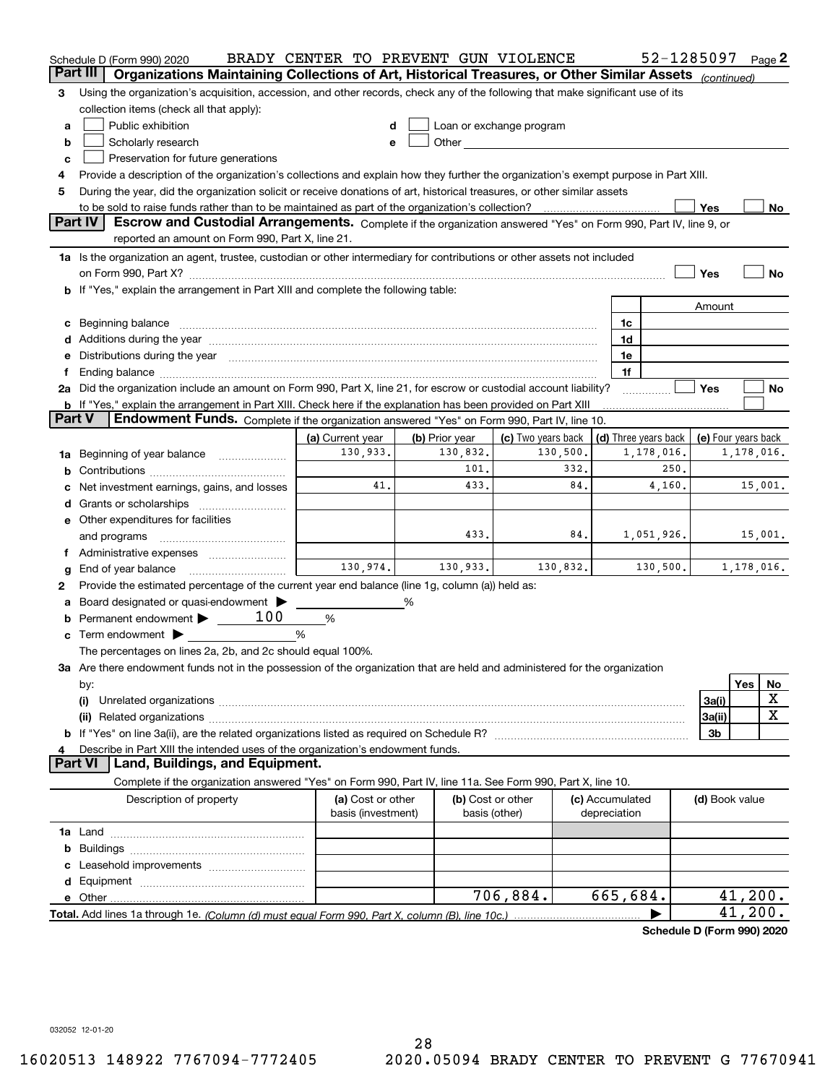| Part III<br>Organizations Maintaining Collections of Art, Historical Treasures, or Other Similar Assets<br>(continued)<br>Using the organization's acquisition, accession, and other records, check any of the following that make significant use of its<br>з<br>collection items (check all that apply):<br>Public exhibition<br>Loan or exchange program<br>a<br>Other and the contract of the contract of the contract of the contract of the contract of the contract of the contract of the contract of the contract of the contract of the contract of the contract of the contract of the<br>Scholarly research<br>b<br>е<br>Preservation for future generations<br>c<br>Provide a description of the organization's collections and explain how they further the organization's exempt purpose in Part XIII.<br>4<br>During the year, did the organization solicit or receive donations of art, historical treasures, or other similar assets<br>5<br>to be sold to raise funds rather than to be maintained as part of the organization's collection?<br>Yes<br>No<br><b>Part IV</b><br>Escrow and Custodial Arrangements. Complete if the organization answered "Yes" on Form 990, Part IV, line 9, or<br>reported an amount on Form 990, Part X, line 21.<br>1a Is the organization an agent, trustee, custodian or other intermediary for contributions or other assets not included<br>Yes<br>No<br>on Form 990, Part X? [11] matter contracts and contracts and contracts are contracted and contracts are contracted and contract and contract of the contract of the contract of the contract of the contract of the contract o<br>b If "Yes," explain the arrangement in Part XIII and complete the following table:<br>Amount<br>Beginning balance material content contracts and all the content of the content of the content of the content of the content of the content of the content of the content of the content of the content of the content of the<br>1c<br>c<br>Additions during the year manufactured and an according to the year manufactured and according the year manufactured and according the year manufactured and according the year manufactured and according the year manufactur<br>1d<br>Distributions during the year manufactured and an account of the state of the state of the state of the state o<br>1e<br>е<br>1f<br>Ť.<br>2a Did the organization include an amount on Form 990, Part X, line 21, for escrow or custodial account liability?<br>Yes<br>No<br><b>b</b> If "Yes," explain the arrangement in Part XIII. Check here if the explanation has been provided on Part XIII<br>Part V<br>Endowment Funds. Complete if the organization answered "Yes" on Form 990, Part IV, line 10.<br>(d) Three years back<br>(a) Current year<br>(b) Prior year<br>(c) Two years back<br>(e) Four years back<br>130,933.<br>130,832.<br>130,500.<br>1,178,016.<br>1,178,016.<br>Beginning of year balance<br>1a<br>101.<br>332.<br>250.<br>41.<br>433.<br>84.<br>15,001.<br>4,160.<br>Net investment earnings, gains, and losses<br>d<br>e Other expenditures for facilities<br>433.<br>84.<br>1,051,926.<br>15,001.<br>and programs<br>f Administrative expenses<br>130,974.<br>130,933.<br>130,832.<br>130,500.<br>1,178,016.<br>End of year balance<br>g<br>Provide the estimated percentage of the current year end balance (line 1g, column (a)) held as:<br>2<br>Board designated or quasi-endowment ><br>%<br>а<br>Permanent endowment > 100<br>%<br><b>c</b> Term endowment $\blacktriangleright$<br>%<br>The percentages on lines 2a, 2b, and 2c should equal 100%.<br>3a Are there endowment funds not in the possession of the organization that are held and administered for the organization<br>Yes<br>No<br>by:<br>х<br>3a(i)<br>(i)<br>$\mathbf X$<br>3a(ii)<br>3b<br>Describe in Part XIII the intended uses of the organization's endowment funds.<br>4<br>Part VI<br>Land, Buildings, and Equipment.<br>Complete if the organization answered "Yes" on Form 990, Part IV, line 11a. See Form 990, Part X, line 10.<br>Description of property<br>(a) Cost or other<br>(b) Cost or other<br>(c) Accumulated<br>(d) Book value<br>basis (investment)<br>basis (other)<br>depreciation<br><b>1a</b> Land ………………………………………………<br>b | Schedule D (Form 990) 2020 | BRADY CENTER TO PREVENT GUN VIOLENCE |  |  |  |  |  | 52-1285097 |  |  | Page 2 |
|----------------------------------------------------------------------------------------------------------------------------------------------------------------------------------------------------------------------------------------------------------------------------------------------------------------------------------------------------------------------------------------------------------------------------------------------------------------------------------------------------------------------------------------------------------------------------------------------------------------------------------------------------------------------------------------------------------------------------------------------------------------------------------------------------------------------------------------------------------------------------------------------------------------------------------------------------------------------------------------------------------------------------------------------------------------------------------------------------------------------------------------------------------------------------------------------------------------------------------------------------------------------------------------------------------------------------------------------------------------------------------------------------------------------------------------------------------------------------------------------------------------------------------------------------------------------------------------------------------------------------------------------------------------------------------------------------------------------------------------------------------------------------------------------------------------------------------------------------------------------------------------------------------------------------------------------------------------------------------------------------------------------------------------------------------------------------------------------------------------------------------------------------------------------------------------------------------------------------------------------------------------------------------------------------------------------------------------------------------------------------------------------------------------------------------------------------------------------------------------------------------------------------------------------------------------------------------------------------------------------------------------------------------------------------------------------------------------------------------------------------------------------------------------------------------------------------------------------------------------------------------------------------------------------------------------------------------------------------------------------------------------------------------------------------------------------------------------------------------------------------------------------------------------------------------------------------------------------------------------------------------------------------------------------------------------------------------------------------------------------------------------------------------------------------------------------------------------------------------------------------------------------------------------------------------------------------------------------------------------------------------------------------------------------------------------------------------------------------------------------------------------------------------------------------------------------------------------------------------------------------------------------------------------------------------------------------------------------------------------------------------------------------------------------------------------------------------------------------------------------------------------------------------------------------------------------------------------------------------------------------------------------------------------------------|----------------------------|--------------------------------------|--|--|--|--|--|------------|--|--|--------|
|                                                                                                                                                                                                                                                                                                                                                                                                                                                                                                                                                                                                                                                                                                                                                                                                                                                                                                                                                                                                                                                                                                                                                                                                                                                                                                                                                                                                                                                                                                                                                                                                                                                                                                                                                                                                                                                                                                                                                                                                                                                                                                                                                                                                                                                                                                                                                                                                                                                                                                                                                                                                                                                                                                                                                                                                                                                                                                                                                                                                                                                                                                                                                                                                                                                                                                                                                                                                                                                                                                                                                                                                                                                                                                                                                                                                                                                                                                                                                                                                                                                                                                                                                                                                                                                                                                    |                            |                                      |  |  |  |  |  |            |  |  |        |
|                                                                                                                                                                                                                                                                                                                                                                                                                                                                                                                                                                                                                                                                                                                                                                                                                                                                                                                                                                                                                                                                                                                                                                                                                                                                                                                                                                                                                                                                                                                                                                                                                                                                                                                                                                                                                                                                                                                                                                                                                                                                                                                                                                                                                                                                                                                                                                                                                                                                                                                                                                                                                                                                                                                                                                                                                                                                                                                                                                                                                                                                                                                                                                                                                                                                                                                                                                                                                                                                                                                                                                                                                                                                                                                                                                                                                                                                                                                                                                                                                                                                                                                                                                                                                                                                                                    |                            |                                      |  |  |  |  |  |            |  |  |        |
|                                                                                                                                                                                                                                                                                                                                                                                                                                                                                                                                                                                                                                                                                                                                                                                                                                                                                                                                                                                                                                                                                                                                                                                                                                                                                                                                                                                                                                                                                                                                                                                                                                                                                                                                                                                                                                                                                                                                                                                                                                                                                                                                                                                                                                                                                                                                                                                                                                                                                                                                                                                                                                                                                                                                                                                                                                                                                                                                                                                                                                                                                                                                                                                                                                                                                                                                                                                                                                                                                                                                                                                                                                                                                                                                                                                                                                                                                                                                                                                                                                                                                                                                                                                                                                                                                                    |                            |                                      |  |  |  |  |  |            |  |  |        |
|                                                                                                                                                                                                                                                                                                                                                                                                                                                                                                                                                                                                                                                                                                                                                                                                                                                                                                                                                                                                                                                                                                                                                                                                                                                                                                                                                                                                                                                                                                                                                                                                                                                                                                                                                                                                                                                                                                                                                                                                                                                                                                                                                                                                                                                                                                                                                                                                                                                                                                                                                                                                                                                                                                                                                                                                                                                                                                                                                                                                                                                                                                                                                                                                                                                                                                                                                                                                                                                                                                                                                                                                                                                                                                                                                                                                                                                                                                                                                                                                                                                                                                                                                                                                                                                                                                    |                            |                                      |  |  |  |  |  |            |  |  |        |
|                                                                                                                                                                                                                                                                                                                                                                                                                                                                                                                                                                                                                                                                                                                                                                                                                                                                                                                                                                                                                                                                                                                                                                                                                                                                                                                                                                                                                                                                                                                                                                                                                                                                                                                                                                                                                                                                                                                                                                                                                                                                                                                                                                                                                                                                                                                                                                                                                                                                                                                                                                                                                                                                                                                                                                                                                                                                                                                                                                                                                                                                                                                                                                                                                                                                                                                                                                                                                                                                                                                                                                                                                                                                                                                                                                                                                                                                                                                                                                                                                                                                                                                                                                                                                                                                                                    |                            |                                      |  |  |  |  |  |            |  |  |        |
|                                                                                                                                                                                                                                                                                                                                                                                                                                                                                                                                                                                                                                                                                                                                                                                                                                                                                                                                                                                                                                                                                                                                                                                                                                                                                                                                                                                                                                                                                                                                                                                                                                                                                                                                                                                                                                                                                                                                                                                                                                                                                                                                                                                                                                                                                                                                                                                                                                                                                                                                                                                                                                                                                                                                                                                                                                                                                                                                                                                                                                                                                                                                                                                                                                                                                                                                                                                                                                                                                                                                                                                                                                                                                                                                                                                                                                                                                                                                                                                                                                                                                                                                                                                                                                                                                                    |                            |                                      |  |  |  |  |  |            |  |  |        |
|                                                                                                                                                                                                                                                                                                                                                                                                                                                                                                                                                                                                                                                                                                                                                                                                                                                                                                                                                                                                                                                                                                                                                                                                                                                                                                                                                                                                                                                                                                                                                                                                                                                                                                                                                                                                                                                                                                                                                                                                                                                                                                                                                                                                                                                                                                                                                                                                                                                                                                                                                                                                                                                                                                                                                                                                                                                                                                                                                                                                                                                                                                                                                                                                                                                                                                                                                                                                                                                                                                                                                                                                                                                                                                                                                                                                                                                                                                                                                                                                                                                                                                                                                                                                                                                                                                    |                            |                                      |  |  |  |  |  |            |  |  |        |
|                                                                                                                                                                                                                                                                                                                                                                                                                                                                                                                                                                                                                                                                                                                                                                                                                                                                                                                                                                                                                                                                                                                                                                                                                                                                                                                                                                                                                                                                                                                                                                                                                                                                                                                                                                                                                                                                                                                                                                                                                                                                                                                                                                                                                                                                                                                                                                                                                                                                                                                                                                                                                                                                                                                                                                                                                                                                                                                                                                                                                                                                                                                                                                                                                                                                                                                                                                                                                                                                                                                                                                                                                                                                                                                                                                                                                                                                                                                                                                                                                                                                                                                                                                                                                                                                                                    |                            |                                      |  |  |  |  |  |            |  |  |        |
|                                                                                                                                                                                                                                                                                                                                                                                                                                                                                                                                                                                                                                                                                                                                                                                                                                                                                                                                                                                                                                                                                                                                                                                                                                                                                                                                                                                                                                                                                                                                                                                                                                                                                                                                                                                                                                                                                                                                                                                                                                                                                                                                                                                                                                                                                                                                                                                                                                                                                                                                                                                                                                                                                                                                                                                                                                                                                                                                                                                                                                                                                                                                                                                                                                                                                                                                                                                                                                                                                                                                                                                                                                                                                                                                                                                                                                                                                                                                                                                                                                                                                                                                                                                                                                                                                                    |                            |                                      |  |  |  |  |  |            |  |  |        |
|                                                                                                                                                                                                                                                                                                                                                                                                                                                                                                                                                                                                                                                                                                                                                                                                                                                                                                                                                                                                                                                                                                                                                                                                                                                                                                                                                                                                                                                                                                                                                                                                                                                                                                                                                                                                                                                                                                                                                                                                                                                                                                                                                                                                                                                                                                                                                                                                                                                                                                                                                                                                                                                                                                                                                                                                                                                                                                                                                                                                                                                                                                                                                                                                                                                                                                                                                                                                                                                                                                                                                                                                                                                                                                                                                                                                                                                                                                                                                                                                                                                                                                                                                                                                                                                                                                    |                            |                                      |  |  |  |  |  |            |  |  |        |
|                                                                                                                                                                                                                                                                                                                                                                                                                                                                                                                                                                                                                                                                                                                                                                                                                                                                                                                                                                                                                                                                                                                                                                                                                                                                                                                                                                                                                                                                                                                                                                                                                                                                                                                                                                                                                                                                                                                                                                                                                                                                                                                                                                                                                                                                                                                                                                                                                                                                                                                                                                                                                                                                                                                                                                                                                                                                                                                                                                                                                                                                                                                                                                                                                                                                                                                                                                                                                                                                                                                                                                                                                                                                                                                                                                                                                                                                                                                                                                                                                                                                                                                                                                                                                                                                                                    |                            |                                      |  |  |  |  |  |            |  |  |        |
|                                                                                                                                                                                                                                                                                                                                                                                                                                                                                                                                                                                                                                                                                                                                                                                                                                                                                                                                                                                                                                                                                                                                                                                                                                                                                                                                                                                                                                                                                                                                                                                                                                                                                                                                                                                                                                                                                                                                                                                                                                                                                                                                                                                                                                                                                                                                                                                                                                                                                                                                                                                                                                                                                                                                                                                                                                                                                                                                                                                                                                                                                                                                                                                                                                                                                                                                                                                                                                                                                                                                                                                                                                                                                                                                                                                                                                                                                                                                                                                                                                                                                                                                                                                                                                                                                                    |                            |                                      |  |  |  |  |  |            |  |  |        |
|                                                                                                                                                                                                                                                                                                                                                                                                                                                                                                                                                                                                                                                                                                                                                                                                                                                                                                                                                                                                                                                                                                                                                                                                                                                                                                                                                                                                                                                                                                                                                                                                                                                                                                                                                                                                                                                                                                                                                                                                                                                                                                                                                                                                                                                                                                                                                                                                                                                                                                                                                                                                                                                                                                                                                                                                                                                                                                                                                                                                                                                                                                                                                                                                                                                                                                                                                                                                                                                                                                                                                                                                                                                                                                                                                                                                                                                                                                                                                                                                                                                                                                                                                                                                                                                                                                    |                            |                                      |  |  |  |  |  |            |  |  |        |
|                                                                                                                                                                                                                                                                                                                                                                                                                                                                                                                                                                                                                                                                                                                                                                                                                                                                                                                                                                                                                                                                                                                                                                                                                                                                                                                                                                                                                                                                                                                                                                                                                                                                                                                                                                                                                                                                                                                                                                                                                                                                                                                                                                                                                                                                                                                                                                                                                                                                                                                                                                                                                                                                                                                                                                                                                                                                                                                                                                                                                                                                                                                                                                                                                                                                                                                                                                                                                                                                                                                                                                                                                                                                                                                                                                                                                                                                                                                                                                                                                                                                                                                                                                                                                                                                                                    |                            |                                      |  |  |  |  |  |            |  |  |        |
|                                                                                                                                                                                                                                                                                                                                                                                                                                                                                                                                                                                                                                                                                                                                                                                                                                                                                                                                                                                                                                                                                                                                                                                                                                                                                                                                                                                                                                                                                                                                                                                                                                                                                                                                                                                                                                                                                                                                                                                                                                                                                                                                                                                                                                                                                                                                                                                                                                                                                                                                                                                                                                                                                                                                                                                                                                                                                                                                                                                                                                                                                                                                                                                                                                                                                                                                                                                                                                                                                                                                                                                                                                                                                                                                                                                                                                                                                                                                                                                                                                                                                                                                                                                                                                                                                                    |                            |                                      |  |  |  |  |  |            |  |  |        |
|                                                                                                                                                                                                                                                                                                                                                                                                                                                                                                                                                                                                                                                                                                                                                                                                                                                                                                                                                                                                                                                                                                                                                                                                                                                                                                                                                                                                                                                                                                                                                                                                                                                                                                                                                                                                                                                                                                                                                                                                                                                                                                                                                                                                                                                                                                                                                                                                                                                                                                                                                                                                                                                                                                                                                                                                                                                                                                                                                                                                                                                                                                                                                                                                                                                                                                                                                                                                                                                                                                                                                                                                                                                                                                                                                                                                                                                                                                                                                                                                                                                                                                                                                                                                                                                                                                    |                            |                                      |  |  |  |  |  |            |  |  |        |
|                                                                                                                                                                                                                                                                                                                                                                                                                                                                                                                                                                                                                                                                                                                                                                                                                                                                                                                                                                                                                                                                                                                                                                                                                                                                                                                                                                                                                                                                                                                                                                                                                                                                                                                                                                                                                                                                                                                                                                                                                                                                                                                                                                                                                                                                                                                                                                                                                                                                                                                                                                                                                                                                                                                                                                                                                                                                                                                                                                                                                                                                                                                                                                                                                                                                                                                                                                                                                                                                                                                                                                                                                                                                                                                                                                                                                                                                                                                                                                                                                                                                                                                                                                                                                                                                                                    |                            |                                      |  |  |  |  |  |            |  |  |        |
|                                                                                                                                                                                                                                                                                                                                                                                                                                                                                                                                                                                                                                                                                                                                                                                                                                                                                                                                                                                                                                                                                                                                                                                                                                                                                                                                                                                                                                                                                                                                                                                                                                                                                                                                                                                                                                                                                                                                                                                                                                                                                                                                                                                                                                                                                                                                                                                                                                                                                                                                                                                                                                                                                                                                                                                                                                                                                                                                                                                                                                                                                                                                                                                                                                                                                                                                                                                                                                                                                                                                                                                                                                                                                                                                                                                                                                                                                                                                                                                                                                                                                                                                                                                                                                                                                                    |                            |                                      |  |  |  |  |  |            |  |  |        |
|                                                                                                                                                                                                                                                                                                                                                                                                                                                                                                                                                                                                                                                                                                                                                                                                                                                                                                                                                                                                                                                                                                                                                                                                                                                                                                                                                                                                                                                                                                                                                                                                                                                                                                                                                                                                                                                                                                                                                                                                                                                                                                                                                                                                                                                                                                                                                                                                                                                                                                                                                                                                                                                                                                                                                                                                                                                                                                                                                                                                                                                                                                                                                                                                                                                                                                                                                                                                                                                                                                                                                                                                                                                                                                                                                                                                                                                                                                                                                                                                                                                                                                                                                                                                                                                                                                    |                            |                                      |  |  |  |  |  |            |  |  |        |
|                                                                                                                                                                                                                                                                                                                                                                                                                                                                                                                                                                                                                                                                                                                                                                                                                                                                                                                                                                                                                                                                                                                                                                                                                                                                                                                                                                                                                                                                                                                                                                                                                                                                                                                                                                                                                                                                                                                                                                                                                                                                                                                                                                                                                                                                                                                                                                                                                                                                                                                                                                                                                                                                                                                                                                                                                                                                                                                                                                                                                                                                                                                                                                                                                                                                                                                                                                                                                                                                                                                                                                                                                                                                                                                                                                                                                                                                                                                                                                                                                                                                                                                                                                                                                                                                                                    |                            |                                      |  |  |  |  |  |            |  |  |        |
|                                                                                                                                                                                                                                                                                                                                                                                                                                                                                                                                                                                                                                                                                                                                                                                                                                                                                                                                                                                                                                                                                                                                                                                                                                                                                                                                                                                                                                                                                                                                                                                                                                                                                                                                                                                                                                                                                                                                                                                                                                                                                                                                                                                                                                                                                                                                                                                                                                                                                                                                                                                                                                                                                                                                                                                                                                                                                                                                                                                                                                                                                                                                                                                                                                                                                                                                                                                                                                                                                                                                                                                                                                                                                                                                                                                                                                                                                                                                                                                                                                                                                                                                                                                                                                                                                                    |                            |                                      |  |  |  |  |  |            |  |  |        |
|                                                                                                                                                                                                                                                                                                                                                                                                                                                                                                                                                                                                                                                                                                                                                                                                                                                                                                                                                                                                                                                                                                                                                                                                                                                                                                                                                                                                                                                                                                                                                                                                                                                                                                                                                                                                                                                                                                                                                                                                                                                                                                                                                                                                                                                                                                                                                                                                                                                                                                                                                                                                                                                                                                                                                                                                                                                                                                                                                                                                                                                                                                                                                                                                                                                                                                                                                                                                                                                                                                                                                                                                                                                                                                                                                                                                                                                                                                                                                                                                                                                                                                                                                                                                                                                                                                    |                            |                                      |  |  |  |  |  |            |  |  |        |
|                                                                                                                                                                                                                                                                                                                                                                                                                                                                                                                                                                                                                                                                                                                                                                                                                                                                                                                                                                                                                                                                                                                                                                                                                                                                                                                                                                                                                                                                                                                                                                                                                                                                                                                                                                                                                                                                                                                                                                                                                                                                                                                                                                                                                                                                                                                                                                                                                                                                                                                                                                                                                                                                                                                                                                                                                                                                                                                                                                                                                                                                                                                                                                                                                                                                                                                                                                                                                                                                                                                                                                                                                                                                                                                                                                                                                                                                                                                                                                                                                                                                                                                                                                                                                                                                                                    |                            |                                      |  |  |  |  |  |            |  |  |        |
|                                                                                                                                                                                                                                                                                                                                                                                                                                                                                                                                                                                                                                                                                                                                                                                                                                                                                                                                                                                                                                                                                                                                                                                                                                                                                                                                                                                                                                                                                                                                                                                                                                                                                                                                                                                                                                                                                                                                                                                                                                                                                                                                                                                                                                                                                                                                                                                                                                                                                                                                                                                                                                                                                                                                                                                                                                                                                                                                                                                                                                                                                                                                                                                                                                                                                                                                                                                                                                                                                                                                                                                                                                                                                                                                                                                                                                                                                                                                                                                                                                                                                                                                                                                                                                                                                                    |                            |                                      |  |  |  |  |  |            |  |  |        |
|                                                                                                                                                                                                                                                                                                                                                                                                                                                                                                                                                                                                                                                                                                                                                                                                                                                                                                                                                                                                                                                                                                                                                                                                                                                                                                                                                                                                                                                                                                                                                                                                                                                                                                                                                                                                                                                                                                                                                                                                                                                                                                                                                                                                                                                                                                                                                                                                                                                                                                                                                                                                                                                                                                                                                                                                                                                                                                                                                                                                                                                                                                                                                                                                                                                                                                                                                                                                                                                                                                                                                                                                                                                                                                                                                                                                                                                                                                                                                                                                                                                                                                                                                                                                                                                                                                    |                            |                                      |  |  |  |  |  |            |  |  |        |
|                                                                                                                                                                                                                                                                                                                                                                                                                                                                                                                                                                                                                                                                                                                                                                                                                                                                                                                                                                                                                                                                                                                                                                                                                                                                                                                                                                                                                                                                                                                                                                                                                                                                                                                                                                                                                                                                                                                                                                                                                                                                                                                                                                                                                                                                                                                                                                                                                                                                                                                                                                                                                                                                                                                                                                                                                                                                                                                                                                                                                                                                                                                                                                                                                                                                                                                                                                                                                                                                                                                                                                                                                                                                                                                                                                                                                                                                                                                                                                                                                                                                                                                                                                                                                                                                                                    |                            |                                      |  |  |  |  |  |            |  |  |        |
|                                                                                                                                                                                                                                                                                                                                                                                                                                                                                                                                                                                                                                                                                                                                                                                                                                                                                                                                                                                                                                                                                                                                                                                                                                                                                                                                                                                                                                                                                                                                                                                                                                                                                                                                                                                                                                                                                                                                                                                                                                                                                                                                                                                                                                                                                                                                                                                                                                                                                                                                                                                                                                                                                                                                                                                                                                                                                                                                                                                                                                                                                                                                                                                                                                                                                                                                                                                                                                                                                                                                                                                                                                                                                                                                                                                                                                                                                                                                                                                                                                                                                                                                                                                                                                                                                                    |                            |                                      |  |  |  |  |  |            |  |  |        |
|                                                                                                                                                                                                                                                                                                                                                                                                                                                                                                                                                                                                                                                                                                                                                                                                                                                                                                                                                                                                                                                                                                                                                                                                                                                                                                                                                                                                                                                                                                                                                                                                                                                                                                                                                                                                                                                                                                                                                                                                                                                                                                                                                                                                                                                                                                                                                                                                                                                                                                                                                                                                                                                                                                                                                                                                                                                                                                                                                                                                                                                                                                                                                                                                                                                                                                                                                                                                                                                                                                                                                                                                                                                                                                                                                                                                                                                                                                                                                                                                                                                                                                                                                                                                                                                                                                    |                            |                                      |  |  |  |  |  |            |  |  |        |
|                                                                                                                                                                                                                                                                                                                                                                                                                                                                                                                                                                                                                                                                                                                                                                                                                                                                                                                                                                                                                                                                                                                                                                                                                                                                                                                                                                                                                                                                                                                                                                                                                                                                                                                                                                                                                                                                                                                                                                                                                                                                                                                                                                                                                                                                                                                                                                                                                                                                                                                                                                                                                                                                                                                                                                                                                                                                                                                                                                                                                                                                                                                                                                                                                                                                                                                                                                                                                                                                                                                                                                                                                                                                                                                                                                                                                                                                                                                                                                                                                                                                                                                                                                                                                                                                                                    |                            |                                      |  |  |  |  |  |            |  |  |        |
|                                                                                                                                                                                                                                                                                                                                                                                                                                                                                                                                                                                                                                                                                                                                                                                                                                                                                                                                                                                                                                                                                                                                                                                                                                                                                                                                                                                                                                                                                                                                                                                                                                                                                                                                                                                                                                                                                                                                                                                                                                                                                                                                                                                                                                                                                                                                                                                                                                                                                                                                                                                                                                                                                                                                                                                                                                                                                                                                                                                                                                                                                                                                                                                                                                                                                                                                                                                                                                                                                                                                                                                                                                                                                                                                                                                                                                                                                                                                                                                                                                                                                                                                                                                                                                                                                                    |                            |                                      |  |  |  |  |  |            |  |  |        |
|                                                                                                                                                                                                                                                                                                                                                                                                                                                                                                                                                                                                                                                                                                                                                                                                                                                                                                                                                                                                                                                                                                                                                                                                                                                                                                                                                                                                                                                                                                                                                                                                                                                                                                                                                                                                                                                                                                                                                                                                                                                                                                                                                                                                                                                                                                                                                                                                                                                                                                                                                                                                                                                                                                                                                                                                                                                                                                                                                                                                                                                                                                                                                                                                                                                                                                                                                                                                                                                                                                                                                                                                                                                                                                                                                                                                                                                                                                                                                                                                                                                                                                                                                                                                                                                                                                    |                            |                                      |  |  |  |  |  |            |  |  |        |
|                                                                                                                                                                                                                                                                                                                                                                                                                                                                                                                                                                                                                                                                                                                                                                                                                                                                                                                                                                                                                                                                                                                                                                                                                                                                                                                                                                                                                                                                                                                                                                                                                                                                                                                                                                                                                                                                                                                                                                                                                                                                                                                                                                                                                                                                                                                                                                                                                                                                                                                                                                                                                                                                                                                                                                                                                                                                                                                                                                                                                                                                                                                                                                                                                                                                                                                                                                                                                                                                                                                                                                                                                                                                                                                                                                                                                                                                                                                                                                                                                                                                                                                                                                                                                                                                                                    |                            |                                      |  |  |  |  |  |            |  |  |        |
|                                                                                                                                                                                                                                                                                                                                                                                                                                                                                                                                                                                                                                                                                                                                                                                                                                                                                                                                                                                                                                                                                                                                                                                                                                                                                                                                                                                                                                                                                                                                                                                                                                                                                                                                                                                                                                                                                                                                                                                                                                                                                                                                                                                                                                                                                                                                                                                                                                                                                                                                                                                                                                                                                                                                                                                                                                                                                                                                                                                                                                                                                                                                                                                                                                                                                                                                                                                                                                                                                                                                                                                                                                                                                                                                                                                                                                                                                                                                                                                                                                                                                                                                                                                                                                                                                                    |                            |                                      |  |  |  |  |  |            |  |  |        |
|                                                                                                                                                                                                                                                                                                                                                                                                                                                                                                                                                                                                                                                                                                                                                                                                                                                                                                                                                                                                                                                                                                                                                                                                                                                                                                                                                                                                                                                                                                                                                                                                                                                                                                                                                                                                                                                                                                                                                                                                                                                                                                                                                                                                                                                                                                                                                                                                                                                                                                                                                                                                                                                                                                                                                                                                                                                                                                                                                                                                                                                                                                                                                                                                                                                                                                                                                                                                                                                                                                                                                                                                                                                                                                                                                                                                                                                                                                                                                                                                                                                                                                                                                                                                                                                                                                    |                            |                                      |  |  |  |  |  |            |  |  |        |
|                                                                                                                                                                                                                                                                                                                                                                                                                                                                                                                                                                                                                                                                                                                                                                                                                                                                                                                                                                                                                                                                                                                                                                                                                                                                                                                                                                                                                                                                                                                                                                                                                                                                                                                                                                                                                                                                                                                                                                                                                                                                                                                                                                                                                                                                                                                                                                                                                                                                                                                                                                                                                                                                                                                                                                                                                                                                                                                                                                                                                                                                                                                                                                                                                                                                                                                                                                                                                                                                                                                                                                                                                                                                                                                                                                                                                                                                                                                                                                                                                                                                                                                                                                                                                                                                                                    |                            |                                      |  |  |  |  |  |            |  |  |        |
|                                                                                                                                                                                                                                                                                                                                                                                                                                                                                                                                                                                                                                                                                                                                                                                                                                                                                                                                                                                                                                                                                                                                                                                                                                                                                                                                                                                                                                                                                                                                                                                                                                                                                                                                                                                                                                                                                                                                                                                                                                                                                                                                                                                                                                                                                                                                                                                                                                                                                                                                                                                                                                                                                                                                                                                                                                                                                                                                                                                                                                                                                                                                                                                                                                                                                                                                                                                                                                                                                                                                                                                                                                                                                                                                                                                                                                                                                                                                                                                                                                                                                                                                                                                                                                                                                                    |                            |                                      |  |  |  |  |  |            |  |  |        |
|                                                                                                                                                                                                                                                                                                                                                                                                                                                                                                                                                                                                                                                                                                                                                                                                                                                                                                                                                                                                                                                                                                                                                                                                                                                                                                                                                                                                                                                                                                                                                                                                                                                                                                                                                                                                                                                                                                                                                                                                                                                                                                                                                                                                                                                                                                                                                                                                                                                                                                                                                                                                                                                                                                                                                                                                                                                                                                                                                                                                                                                                                                                                                                                                                                                                                                                                                                                                                                                                                                                                                                                                                                                                                                                                                                                                                                                                                                                                                                                                                                                                                                                                                                                                                                                                                                    |                            |                                      |  |  |  |  |  |            |  |  |        |
|                                                                                                                                                                                                                                                                                                                                                                                                                                                                                                                                                                                                                                                                                                                                                                                                                                                                                                                                                                                                                                                                                                                                                                                                                                                                                                                                                                                                                                                                                                                                                                                                                                                                                                                                                                                                                                                                                                                                                                                                                                                                                                                                                                                                                                                                                                                                                                                                                                                                                                                                                                                                                                                                                                                                                                                                                                                                                                                                                                                                                                                                                                                                                                                                                                                                                                                                                                                                                                                                                                                                                                                                                                                                                                                                                                                                                                                                                                                                                                                                                                                                                                                                                                                                                                                                                                    |                            |                                      |  |  |  |  |  |            |  |  |        |
|                                                                                                                                                                                                                                                                                                                                                                                                                                                                                                                                                                                                                                                                                                                                                                                                                                                                                                                                                                                                                                                                                                                                                                                                                                                                                                                                                                                                                                                                                                                                                                                                                                                                                                                                                                                                                                                                                                                                                                                                                                                                                                                                                                                                                                                                                                                                                                                                                                                                                                                                                                                                                                                                                                                                                                                                                                                                                                                                                                                                                                                                                                                                                                                                                                                                                                                                                                                                                                                                                                                                                                                                                                                                                                                                                                                                                                                                                                                                                                                                                                                                                                                                                                                                                                                                                                    |                            |                                      |  |  |  |  |  |            |  |  |        |
|                                                                                                                                                                                                                                                                                                                                                                                                                                                                                                                                                                                                                                                                                                                                                                                                                                                                                                                                                                                                                                                                                                                                                                                                                                                                                                                                                                                                                                                                                                                                                                                                                                                                                                                                                                                                                                                                                                                                                                                                                                                                                                                                                                                                                                                                                                                                                                                                                                                                                                                                                                                                                                                                                                                                                                                                                                                                                                                                                                                                                                                                                                                                                                                                                                                                                                                                                                                                                                                                                                                                                                                                                                                                                                                                                                                                                                                                                                                                                                                                                                                                                                                                                                                                                                                                                                    |                            |                                      |  |  |  |  |  |            |  |  |        |
|                                                                                                                                                                                                                                                                                                                                                                                                                                                                                                                                                                                                                                                                                                                                                                                                                                                                                                                                                                                                                                                                                                                                                                                                                                                                                                                                                                                                                                                                                                                                                                                                                                                                                                                                                                                                                                                                                                                                                                                                                                                                                                                                                                                                                                                                                                                                                                                                                                                                                                                                                                                                                                                                                                                                                                                                                                                                                                                                                                                                                                                                                                                                                                                                                                                                                                                                                                                                                                                                                                                                                                                                                                                                                                                                                                                                                                                                                                                                                                                                                                                                                                                                                                                                                                                                                                    |                            |                                      |  |  |  |  |  |            |  |  |        |
|                                                                                                                                                                                                                                                                                                                                                                                                                                                                                                                                                                                                                                                                                                                                                                                                                                                                                                                                                                                                                                                                                                                                                                                                                                                                                                                                                                                                                                                                                                                                                                                                                                                                                                                                                                                                                                                                                                                                                                                                                                                                                                                                                                                                                                                                                                                                                                                                                                                                                                                                                                                                                                                                                                                                                                                                                                                                                                                                                                                                                                                                                                                                                                                                                                                                                                                                                                                                                                                                                                                                                                                                                                                                                                                                                                                                                                                                                                                                                                                                                                                                                                                                                                                                                                                                                                    |                            |                                      |  |  |  |  |  |            |  |  |        |
|                                                                                                                                                                                                                                                                                                                                                                                                                                                                                                                                                                                                                                                                                                                                                                                                                                                                                                                                                                                                                                                                                                                                                                                                                                                                                                                                                                                                                                                                                                                                                                                                                                                                                                                                                                                                                                                                                                                                                                                                                                                                                                                                                                                                                                                                                                                                                                                                                                                                                                                                                                                                                                                                                                                                                                                                                                                                                                                                                                                                                                                                                                                                                                                                                                                                                                                                                                                                                                                                                                                                                                                                                                                                                                                                                                                                                                                                                                                                                                                                                                                                                                                                                                                                                                                                                                    |                            |                                      |  |  |  |  |  |            |  |  |        |
|                                                                                                                                                                                                                                                                                                                                                                                                                                                                                                                                                                                                                                                                                                                                                                                                                                                                                                                                                                                                                                                                                                                                                                                                                                                                                                                                                                                                                                                                                                                                                                                                                                                                                                                                                                                                                                                                                                                                                                                                                                                                                                                                                                                                                                                                                                                                                                                                                                                                                                                                                                                                                                                                                                                                                                                                                                                                                                                                                                                                                                                                                                                                                                                                                                                                                                                                                                                                                                                                                                                                                                                                                                                                                                                                                                                                                                                                                                                                                                                                                                                                                                                                                                                                                                                                                                    |                            |                                      |  |  |  |  |  |            |  |  |        |
|                                                                                                                                                                                                                                                                                                                                                                                                                                                                                                                                                                                                                                                                                                                                                                                                                                                                                                                                                                                                                                                                                                                                                                                                                                                                                                                                                                                                                                                                                                                                                                                                                                                                                                                                                                                                                                                                                                                                                                                                                                                                                                                                                                                                                                                                                                                                                                                                                                                                                                                                                                                                                                                                                                                                                                                                                                                                                                                                                                                                                                                                                                                                                                                                                                                                                                                                                                                                                                                                                                                                                                                                                                                                                                                                                                                                                                                                                                                                                                                                                                                                                                                                                                                                                                                                                                    |                            |                                      |  |  |  |  |  |            |  |  |        |
|                                                                                                                                                                                                                                                                                                                                                                                                                                                                                                                                                                                                                                                                                                                                                                                                                                                                                                                                                                                                                                                                                                                                                                                                                                                                                                                                                                                                                                                                                                                                                                                                                                                                                                                                                                                                                                                                                                                                                                                                                                                                                                                                                                                                                                                                                                                                                                                                                                                                                                                                                                                                                                                                                                                                                                                                                                                                                                                                                                                                                                                                                                                                                                                                                                                                                                                                                                                                                                                                                                                                                                                                                                                                                                                                                                                                                                                                                                                                                                                                                                                                                                                                                                                                                                                                                                    |                            |                                      |  |  |  |  |  |            |  |  |        |
|                                                                                                                                                                                                                                                                                                                                                                                                                                                                                                                                                                                                                                                                                                                                                                                                                                                                                                                                                                                                                                                                                                                                                                                                                                                                                                                                                                                                                                                                                                                                                                                                                                                                                                                                                                                                                                                                                                                                                                                                                                                                                                                                                                                                                                                                                                                                                                                                                                                                                                                                                                                                                                                                                                                                                                                                                                                                                                                                                                                                                                                                                                                                                                                                                                                                                                                                                                                                                                                                                                                                                                                                                                                                                                                                                                                                                                                                                                                                                                                                                                                                                                                                                                                                                                                                                                    |                            |                                      |  |  |  |  |  |            |  |  |        |
|                                                                                                                                                                                                                                                                                                                                                                                                                                                                                                                                                                                                                                                                                                                                                                                                                                                                                                                                                                                                                                                                                                                                                                                                                                                                                                                                                                                                                                                                                                                                                                                                                                                                                                                                                                                                                                                                                                                                                                                                                                                                                                                                                                                                                                                                                                                                                                                                                                                                                                                                                                                                                                                                                                                                                                                                                                                                                                                                                                                                                                                                                                                                                                                                                                                                                                                                                                                                                                                                                                                                                                                                                                                                                                                                                                                                                                                                                                                                                                                                                                                                                                                                                                                                                                                                                                    |                            |                                      |  |  |  |  |  |            |  |  |        |
| d                                                                                                                                                                                                                                                                                                                                                                                                                                                                                                                                                                                                                                                                                                                                                                                                                                                                                                                                                                                                                                                                                                                                                                                                                                                                                                                                                                                                                                                                                                                                                                                                                                                                                                                                                                                                                                                                                                                                                                                                                                                                                                                                                                                                                                                                                                                                                                                                                                                                                                                                                                                                                                                                                                                                                                                                                                                                                                                                                                                                                                                                                                                                                                                                                                                                                                                                                                                                                                                                                                                                                                                                                                                                                                                                                                                                                                                                                                                                                                                                                                                                                                                                                                                                                                                                                                  |                            |                                      |  |  |  |  |  |            |  |  |        |
| 706,884.<br>665,684.<br>41,200.                                                                                                                                                                                                                                                                                                                                                                                                                                                                                                                                                                                                                                                                                                                                                                                                                                                                                                                                                                                                                                                                                                                                                                                                                                                                                                                                                                                                                                                                                                                                                                                                                                                                                                                                                                                                                                                                                                                                                                                                                                                                                                                                                                                                                                                                                                                                                                                                                                                                                                                                                                                                                                                                                                                                                                                                                                                                                                                                                                                                                                                                                                                                                                                                                                                                                                                                                                                                                                                                                                                                                                                                                                                                                                                                                                                                                                                                                                                                                                                                                                                                                                                                                                                                                                                                    |                            |                                      |  |  |  |  |  |            |  |  |        |
| 200.<br>41                                                                                                                                                                                                                                                                                                                                                                                                                                                                                                                                                                                                                                                                                                                                                                                                                                                                                                                                                                                                                                                                                                                                                                                                                                                                                                                                                                                                                                                                                                                                                                                                                                                                                                                                                                                                                                                                                                                                                                                                                                                                                                                                                                                                                                                                                                                                                                                                                                                                                                                                                                                                                                                                                                                                                                                                                                                                                                                                                                                                                                                                                                                                                                                                                                                                                                                                                                                                                                                                                                                                                                                                                                                                                                                                                                                                                                                                                                                                                                                                                                                                                                                                                                                                                                                                                         |                            |                                      |  |  |  |  |  |            |  |  |        |

**Schedule D (Form 990) 2020**

032052 12-01-20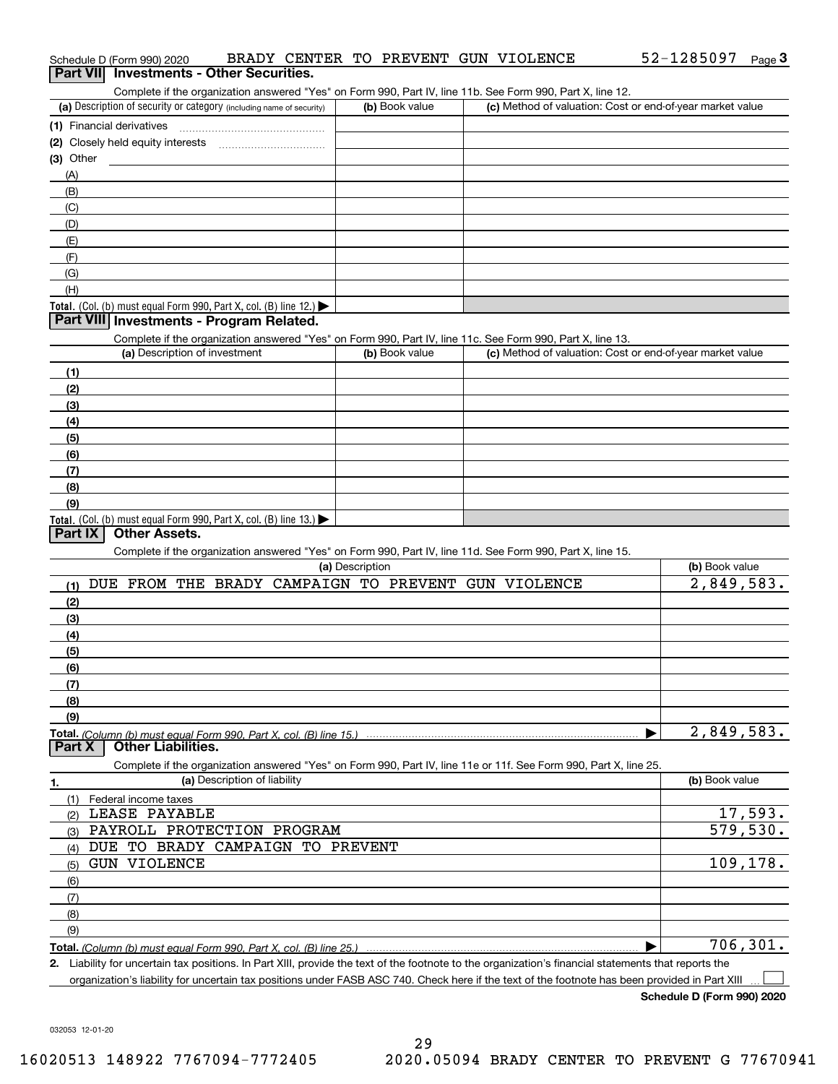| (a) Description of security or category (including name of security)                                                                                              | (b) Book value  | Complete if the organization answered "Yes" on Form 990, Part IV, line 11b. See Form 990, Part X, line 12.<br>(c) Method of valuation: Cost or end-of-year market value |                                        |
|-------------------------------------------------------------------------------------------------------------------------------------------------------------------|-----------------|-------------------------------------------------------------------------------------------------------------------------------------------------------------------------|----------------------------------------|
|                                                                                                                                                                   |                 |                                                                                                                                                                         |                                        |
| (2) Closely held equity interests                                                                                                                                 |                 |                                                                                                                                                                         |                                        |
| $(3)$ Other                                                                                                                                                       |                 |                                                                                                                                                                         |                                        |
| (A)                                                                                                                                                               |                 |                                                                                                                                                                         |                                        |
| (B)                                                                                                                                                               |                 |                                                                                                                                                                         |                                        |
| (C)                                                                                                                                                               |                 |                                                                                                                                                                         |                                        |
| (D)                                                                                                                                                               |                 |                                                                                                                                                                         |                                        |
| (E)                                                                                                                                                               |                 |                                                                                                                                                                         |                                        |
| (F)                                                                                                                                                               |                 |                                                                                                                                                                         |                                        |
| (G)                                                                                                                                                               |                 |                                                                                                                                                                         |                                        |
| (H)                                                                                                                                                               |                 |                                                                                                                                                                         |                                        |
| Total. (Col. (b) must equal Form 990, Part X, col. (B) line $12$ .)                                                                                               |                 |                                                                                                                                                                         |                                        |
| Part VIII Investments - Program Related.                                                                                                                          |                 |                                                                                                                                                                         |                                        |
| Complete if the organization answered "Yes" on Form 990, Part IV, line 11c. See Form 990, Part X, line 13.                                                        |                 |                                                                                                                                                                         |                                        |
| (a) Description of investment                                                                                                                                     | (b) Book value  | (c) Method of valuation: Cost or end-of-year market value                                                                                                               |                                        |
|                                                                                                                                                                   |                 |                                                                                                                                                                         |                                        |
| (1)                                                                                                                                                               |                 |                                                                                                                                                                         |                                        |
| (2)                                                                                                                                                               |                 |                                                                                                                                                                         |                                        |
| (3)                                                                                                                                                               |                 |                                                                                                                                                                         |                                        |
| (4)                                                                                                                                                               |                 |                                                                                                                                                                         |                                        |
| (5)                                                                                                                                                               |                 |                                                                                                                                                                         |                                        |
| (6)                                                                                                                                                               |                 |                                                                                                                                                                         |                                        |
| (7)                                                                                                                                                               |                 |                                                                                                                                                                         |                                        |
| (8)                                                                                                                                                               |                 |                                                                                                                                                                         |                                        |
| (9)<br>Total. (Col. (b) must equal Form 990, Part X, col. (B) line $13.$ )                                                                                        |                 |                                                                                                                                                                         |                                        |
| Complete if the organization answered "Yes" on Form 990, Part IV, line 11d. See Form 990, Part X, line 15.<br>DUE FROM THE BRADY CAMPAIGN TO PREVENT GUN VIOLENCE | (a) Description |                                                                                                                                                                         | (b) Book value                         |
| (1)                                                                                                                                                               |                 |                                                                                                                                                                         |                                        |
|                                                                                                                                                                   |                 |                                                                                                                                                                         |                                        |
| (2)                                                                                                                                                               |                 |                                                                                                                                                                         |                                        |
| (3)                                                                                                                                                               |                 |                                                                                                                                                                         |                                        |
| (4)                                                                                                                                                               |                 |                                                                                                                                                                         |                                        |
| (5)                                                                                                                                                               |                 |                                                                                                                                                                         |                                        |
| (6)<br>(7)                                                                                                                                                        |                 |                                                                                                                                                                         |                                        |
| (8)                                                                                                                                                               |                 |                                                                                                                                                                         |                                        |
|                                                                                                                                                                   |                 |                                                                                                                                                                         |                                        |
| (9)<br><b>Other Liabilities.</b><br>Part X                                                                                                                        |                 |                                                                                                                                                                         | $\overline{2,849,583}$ .<br>2,849,583. |
| Complete if the organization answered "Yes" on Form 990, Part IV, line 11e or 11f. See Form 990, Part X, line 25.                                                 |                 |                                                                                                                                                                         |                                        |
| (a) Description of liability                                                                                                                                      |                 |                                                                                                                                                                         | (b) Book value                         |
| (1)<br>Federal income taxes                                                                                                                                       |                 |                                                                                                                                                                         |                                        |
| LEASE PAYABLE<br>(2)                                                                                                                                              |                 |                                                                                                                                                                         |                                        |
| PAYROLL PROTECTION PROGRAM<br>(3)                                                                                                                                 |                 |                                                                                                                                                                         |                                        |
| DUE TO BRADY CAMPAIGN TO PREVENT<br>(4)                                                                                                                           |                 |                                                                                                                                                                         |                                        |
| <b>GUN VIOLENCE</b><br>(5)                                                                                                                                        |                 |                                                                                                                                                                         |                                        |
| (6)                                                                                                                                                               |                 |                                                                                                                                                                         |                                        |
| (7)                                                                                                                                                               |                 |                                                                                                                                                                         |                                        |
| 1.                                                                                                                                                                |                 |                                                                                                                                                                         |                                        |
| (8)<br>(9)                                                                                                                                                        |                 |                                                                                                                                                                         | 17,593.<br>579,530.<br>109,178.        |

032053 12-01-20

## Schedule D (Form 990) 2020 BRADY CENTER TO PREVENT GUN VIOLENCE 52-1285097 Page **Schedule D (Form 990) 2020**

| Complete if the organization answered "Yes" on Form 990, Part IV, line 11b. See Form 990, Part X, line 12. |                |                                                           |  |  |  |  |  |  |  |  |  |
|------------------------------------------------------------------------------------------------------------|----------------|-----------------------------------------------------------|--|--|--|--|--|--|--|--|--|
| (a) Description of security or category (including name of security)                                       | (b) Book value | (c) Method of valuation: Cost or end-of-year market value |  |  |  |  |  |  |  |  |  |
| (1) Financial derivatives                                                                                  |                |                                                           |  |  |  |  |  |  |  |  |  |
| (2) Closely held equity interests                                                                          |                |                                                           |  |  |  |  |  |  |  |  |  |
| (3) Other                                                                                                  |                |                                                           |  |  |  |  |  |  |  |  |  |
| (A)                                                                                                        |                |                                                           |  |  |  |  |  |  |  |  |  |
| (B)                                                                                                        |                |                                                           |  |  |  |  |  |  |  |  |  |
| (C)                                                                                                        |                |                                                           |  |  |  |  |  |  |  |  |  |
| (D)                                                                                                        |                |                                                           |  |  |  |  |  |  |  |  |  |
| (E)                                                                                                        |                |                                                           |  |  |  |  |  |  |  |  |  |
|                                                                                                            |                |                                                           |  |  |  |  |  |  |  |  |  |
|                                                                                                            |                |                                                           |  |  |  |  |  |  |  |  |  |

organization's liability for uncertain tax positions under FASB ASC 740. Check here if the text of the footnote has been provided in Part XIII

**Schedule D (Form 990) 2020**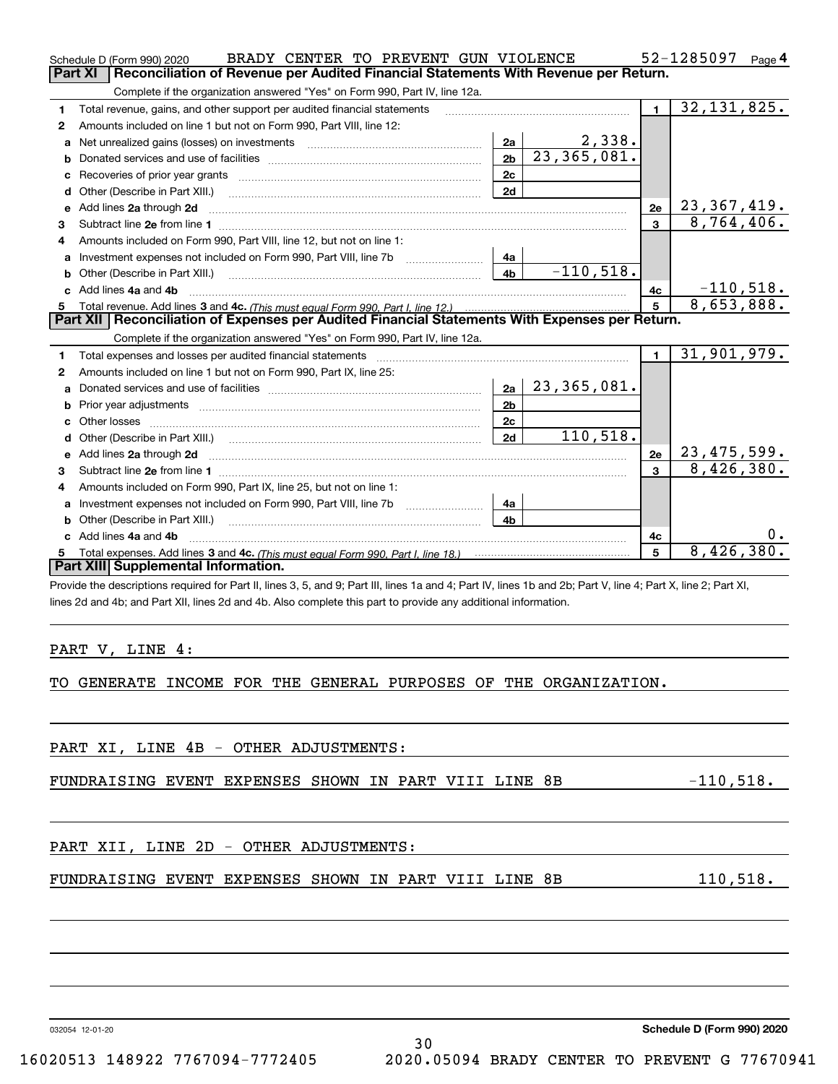|   | BRADY CENTER TO PREVENT GUN VIOLENCE<br>Schedule D (Form 990) 2020                                                                                             |                |                            |                                  | 52-1285097<br>Page 4             |
|---|----------------------------------------------------------------------------------------------------------------------------------------------------------------|----------------|----------------------------|----------------------------------|----------------------------------|
|   | Reconciliation of Revenue per Audited Financial Statements With Revenue per Return.<br>Part XI                                                                 |                |                            |                                  |                                  |
|   | Complete if the organization answered "Yes" on Form 990, Part IV, line 12a.                                                                                    |                |                            |                                  |                                  |
| 1 | Total revenue, gains, and other support per audited financial statements                                                                                       |                |                            | $\mathbf{1}$                     | 32, 131, 825.                    |
| 2 | Amounts included on line 1 but not on Form 990, Part VIII, line 12:                                                                                            |                |                            |                                  |                                  |
| a | Net unrealized gains (losses) on investments [11] matter contracts and the unrealized gains (losses) on investments                                            | 2a             | $\frac{2,338}{23,365,081}$ |                                  |                                  |
| b |                                                                                                                                                                | 2 <sub>b</sub> |                            |                                  |                                  |
|   |                                                                                                                                                                | 2c             |                            |                                  |                                  |
| d | Other (Describe in Part XIII.)                                                                                                                                 |                |                            |                                  |                                  |
| е | Add lines 2a through 2d                                                                                                                                        |                | 2e                         | $\frac{23,367,419.}{8,764,406.}$ |                                  |
| 3 |                                                                                                                                                                |                |                            | $\mathbf{a}$                     |                                  |
| 4 | Amounts included on Form 990, Part VIII, line 12, but not on line 1:                                                                                           |                |                            |                                  |                                  |
| a |                                                                                                                                                                | 4a             |                            |                                  |                                  |
|   |                                                                                                                                                                | 4 <sub>b</sub> | $-110,518.$                |                                  |                                  |
|   | c Add lines 4a and 4b                                                                                                                                          |                |                            | 4с                               | $-110,518.$                      |
| 5 |                                                                                                                                                                | 5              | 8,653,888.                 |                                  |                                  |
|   | Part XII Reconciliation of Expenses per Audited Financial Statements With Expenses per Return.                                                                 |                |                            |                                  |                                  |
|   | Complete if the organization answered "Yes" on Form 990, Part IV, line 12a.                                                                                    |                |                            |                                  |                                  |
| 1 |                                                                                                                                                                |                |                            | $\blacksquare$                   | 31,901,979.                      |
| 2 | Amounts included on line 1 but not on Form 990, Part IX, line 25:                                                                                              |                |                            |                                  |                                  |
| а |                                                                                                                                                                | 2a             | 23,365,081.                |                                  |                                  |
| b |                                                                                                                                                                | 2 <sub>b</sub> |                            |                                  |                                  |
| c |                                                                                                                                                                | 2c             |                            |                                  |                                  |
|   | d Other (Describe in Part XIII.) (2000) (2000) (2000) (2000) (2000) (2000) (2000) (2000) (2000) (2000) (2000) (                                                | 2d             | 110,518.                   |                                  |                                  |
|   |                                                                                                                                                                |                |                            | 2е                               | $\frac{23,475,599.}{8,426,380.}$ |
| 3 |                                                                                                                                                                |                |                            | 3                                |                                  |
| 4 | Amounts included on Form 990, Part IX, line 25, but not on line 1:                                                                                             |                |                            |                                  |                                  |
| a |                                                                                                                                                                | 4a             |                            |                                  |                                  |
| b |                                                                                                                                                                | 4 <sub>b</sub> |                            |                                  |                                  |
|   | c Add lines 4a and 4b                                                                                                                                          |                |                            | 4c                               |                                  |
| 5 |                                                                                                                                                                |                |                            | 5                                | 8,426,380.                       |
|   | Part XIII Supplemental Information.                                                                                                                            |                |                            |                                  |                                  |
|   | Provide the descriptions required for Part II, lines 3, 5, and 9; Part III, lines 1a and 4; Part IV, lines 1b and 2b; Part V, line 4; Part X, line 2; Part XI, |                |                            |                                  |                                  |
|   | lines 2d and 4b; and Part XII, lines 2d and 4b. Also complete this part to provide any additional information.                                                 |                |                            |                                  |                                  |
|   |                                                                                                                                                                |                |                            |                                  |                                  |
|   |                                                                                                                                                                |                |                            |                                  |                                  |
|   | PART V, LINE 4:                                                                                                                                                |                |                            |                                  |                                  |

# TO GENERATE INCOME FOR THE GENERAL PURPOSES OF THE ORGANIZATION.

|  | PART XI, LINE 4B - OTHER ADJUSTMENTS:                 |  |  |  |             |  |
|--|-------------------------------------------------------|--|--|--|-------------|--|
|  | FUNDRAISING EVENT EXPENSES SHOWN IN PART VIII LINE 8B |  |  |  | $-110,518.$ |  |
|  |                                                       |  |  |  |             |  |
|  | PART XII, LINE 2D - OTHER ADJUSTMENTS:                |  |  |  |             |  |
|  | FUNDRAISING EVENT EXPENSES SHOWN IN PART VIII LINE 8B |  |  |  | 110,518.    |  |
|  |                                                       |  |  |  |             |  |
|  |                                                       |  |  |  |             |  |
|  |                                                       |  |  |  |             |  |

30

032054 12-01-20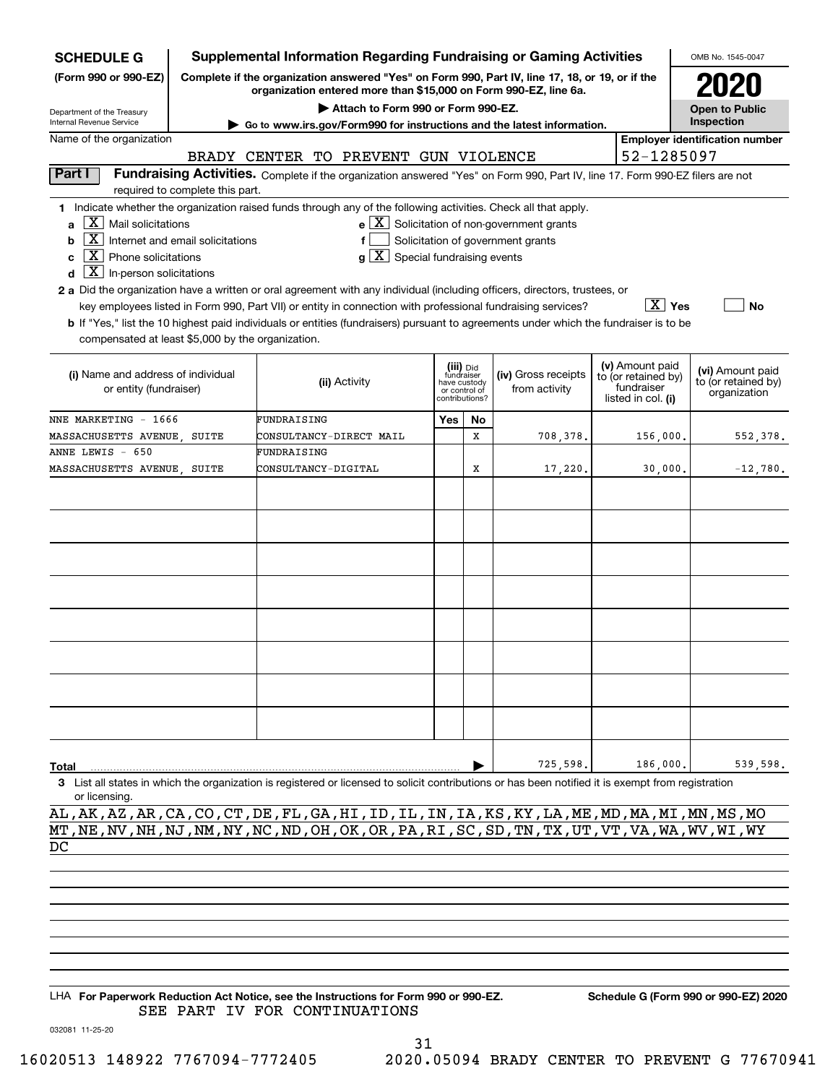| <b>SCHEDULE G</b>                                                                                                              |                                 | <b>Supplemental Information Regarding Fundraising or Gaming Activities</b>                                                                                          |  |                         |                               |                                                                      |  |                                   | OMB No. 1545-0047                     |  |  |  |  |
|--------------------------------------------------------------------------------------------------------------------------------|---------------------------------|---------------------------------------------------------------------------------------------------------------------------------------------------------------------|--|-------------------------|-------------------------------|----------------------------------------------------------------------|--|-----------------------------------|---------------------------------------|--|--|--|--|
| (Form 990 or 990-EZ)                                                                                                           |                                 | Complete if the organization answered "Yes" on Form 990, Part IV, line 17, 18, or 19, or if the<br>organization entered more than \$15,000 on Form 990-EZ, line 6a. |  |                         |                               |                                                                      |  |                                   |                                       |  |  |  |  |
| Department of the Treasury                                                                                                     |                                 | Attach to Form 990 or Form 990-EZ.                                                                                                                                  |  |                         |                               |                                                                      |  |                                   | Open to Public                        |  |  |  |  |
| <b>Internal Revenue Service</b>                                                                                                |                                 | Go to www.irs.gov/Form990 for instructions and the latest information.                                                                                              |  |                         |                               |                                                                      |  |                                   | Inspection                            |  |  |  |  |
| Name of the organization                                                                                                       |                                 |                                                                                                                                                                     |  |                         |                               |                                                                      |  |                                   | <b>Employer identification number</b> |  |  |  |  |
|                                                                                                                                |                                 | BRADY CENTER TO PREVENT GUN VIOLENCE                                                                                                                                |  |                         |                               |                                                                      |  | 52-1285097                        |                                       |  |  |  |  |
| Part I                                                                                                                         | required to complete this part. | Fundraising Activities. Complete if the organization answered "Yes" on Form 990, Part IV, line 17. Form 990-EZ filers are not                                       |  |                         |                               |                                                                      |  |                                   |                                       |  |  |  |  |
|                                                                                                                                |                                 | 1 Indicate whether the organization raised funds through any of the following activities. Check all that apply.                                                     |  |                         |                               |                                                                      |  |                                   |                                       |  |  |  |  |
| $ X $ Mail solicitations<br>a                                                                                                  |                                 |                                                                                                                                                                     |  |                         |                               | $\mathbf{e} \times \mathbf{X}$ Solicitation of non-government grants |  |                                   |                                       |  |  |  |  |
| $\boxed{\text{X}}$ Internet and email solicitations<br>b                                                                       |                                 |                                                                                                                                                                     |  |                         |                               |                                                                      |  |                                   |                                       |  |  |  |  |
| Solicitation of government grants<br>$\boxed{\textbf{X}}$ Phone solicitations<br> X <br>Special fundraising events<br>c<br>g l |                                 |                                                                                                                                                                     |  |                         |                               |                                                                      |  |                                   |                                       |  |  |  |  |
| $\boxed{\textbf{X}}$ In-person solicitations<br>d                                                                              |                                 |                                                                                                                                                                     |  |                         |                               |                                                                      |  |                                   |                                       |  |  |  |  |
|                                                                                                                                |                                 | 2 a Did the organization have a written or oral agreement with any individual (including officers, directors, trustees, or                                          |  |                         |                               |                                                                      |  |                                   |                                       |  |  |  |  |
|                                                                                                                                |                                 | key employees listed in Form 990, Part VII) or entity in connection with professional fundraising services?                                                         |  |                         |                               |                                                                      |  | $\boxed{\text{X}}$ Yes            | No                                    |  |  |  |  |
|                                                                                                                                |                                 | b If "Yes," list the 10 highest paid individuals or entities (fundraisers) pursuant to agreements under which the fundraiser is to be                               |  |                         |                               |                                                                      |  |                                   |                                       |  |  |  |  |
| compensated at least \$5,000 by the organization.                                                                              |                                 |                                                                                                                                                                     |  |                         |                               |                                                                      |  |                                   |                                       |  |  |  |  |
|                                                                                                                                |                                 |                                                                                                                                                                     |  |                         |                               |                                                                      |  |                                   |                                       |  |  |  |  |
| (i) Name and address of individual                                                                                             |                                 |                                                                                                                                                                     |  | (iii) Did<br>fundraiser |                               | (iv) Gross receipts                                                  |  | (v) Amount paid                   | (vi) Amount paid                      |  |  |  |  |
| or entity (fundraiser)                                                                                                         |                                 | (ii) Activity                                                                                                                                                       |  |                         | have custody<br>or control of | from activity                                                        |  | to (or retained by)<br>fundraiser | to (or retained by)                   |  |  |  |  |
|                                                                                                                                |                                 |                                                                                                                                                                     |  |                         | contributions?                |                                                                      |  | listed in col. (i)                | organization                          |  |  |  |  |
| NNE MARKETING - 1666                                                                                                           |                                 | FUNDRAISING                                                                                                                                                         |  | Yes                     | No                            |                                                                      |  |                                   |                                       |  |  |  |  |
| MASSACHUSETTS AVENUE, SUITE                                                                                                    |                                 | CONSULTANCY-DIRECT MAIL                                                                                                                                             |  |                         | X                             | 708,378.                                                             |  | 156,000.                          | 552,378.                              |  |  |  |  |
| ANNE LEWIS - 650                                                                                                               |                                 | FUNDRAISING                                                                                                                                                         |  |                         |                               |                                                                      |  |                                   |                                       |  |  |  |  |
| MASSACHUSETTS AVENUE, SUITE                                                                                                    |                                 | <b>CONSULTANCY-DIGITAL</b>                                                                                                                                          |  |                         | X                             | 17,220.                                                              |  | 30,000.                           | $-12,780.$                            |  |  |  |  |
|                                                                                                                                |                                 |                                                                                                                                                                     |  |                         |                               |                                                                      |  |                                   |                                       |  |  |  |  |
|                                                                                                                                |                                 |                                                                                                                                                                     |  |                         |                               |                                                                      |  |                                   |                                       |  |  |  |  |
|                                                                                                                                |                                 |                                                                                                                                                                     |  |                         |                               |                                                                      |  |                                   |                                       |  |  |  |  |
|                                                                                                                                |                                 |                                                                                                                                                                     |  |                         |                               |                                                                      |  |                                   |                                       |  |  |  |  |
|                                                                                                                                |                                 |                                                                                                                                                                     |  |                         |                               |                                                                      |  |                                   |                                       |  |  |  |  |
|                                                                                                                                |                                 |                                                                                                                                                                     |  |                         |                               |                                                                      |  |                                   |                                       |  |  |  |  |
|                                                                                                                                |                                 |                                                                                                                                                                     |  |                         |                               |                                                                      |  |                                   |                                       |  |  |  |  |
|                                                                                                                                |                                 |                                                                                                                                                                     |  |                         |                               |                                                                      |  |                                   |                                       |  |  |  |  |
|                                                                                                                                |                                 |                                                                                                                                                                     |  |                         |                               |                                                                      |  |                                   |                                       |  |  |  |  |
|                                                                                                                                |                                 |                                                                                                                                                                     |  |                         |                               |                                                                      |  |                                   |                                       |  |  |  |  |
|                                                                                                                                |                                 |                                                                                                                                                                     |  |                         |                               |                                                                      |  |                                   |                                       |  |  |  |  |
|                                                                                                                                |                                 |                                                                                                                                                                     |  |                         |                               |                                                                      |  |                                   |                                       |  |  |  |  |
|                                                                                                                                |                                 |                                                                                                                                                                     |  |                         |                               |                                                                      |  |                                   |                                       |  |  |  |  |
|                                                                                                                                |                                 |                                                                                                                                                                     |  |                         |                               |                                                                      |  |                                   |                                       |  |  |  |  |
|                                                                                                                                |                                 |                                                                                                                                                                     |  |                         |                               |                                                                      |  |                                   |                                       |  |  |  |  |
|                                                                                                                                |                                 |                                                                                                                                                                     |  |                         |                               |                                                                      |  |                                   |                                       |  |  |  |  |
|                                                                                                                                |                                 |                                                                                                                                                                     |  |                         |                               |                                                                      |  |                                   |                                       |  |  |  |  |
| Total                                                                                                                          |                                 |                                                                                                                                                                     |  |                         |                               | 725,598.                                                             |  | 186,000.                          | 539,598.                              |  |  |  |  |
| or licensing.                                                                                                                  |                                 | 3 List all states in which the organization is registered or licensed to solicit contributions or has been notified it is exempt from registration                  |  |                         |                               |                                                                      |  |                                   |                                       |  |  |  |  |

AL,AK,AZ,AR,CA,CO,CT,DE,FL,GA,HI,ID,IL,IN,IA,KS,KY,LA,ME,MD,MA,MI,MN,MS,MO MT,NE,NV,NH,NJ,NM,NY,NC,ND,OH,OK,OR,PA,RI,SC,SD,TN,TX,UT,VT,VA,WA,WV,WI,WY DC

LHA For Paperwork Reduction Act Notice, see the Instructions for Form 990 or 990-EZ. Schedule G (Form 990 or 990-EZ) 2020 SEE PART IV FOR CONTINUATIONS

032081 11-25-20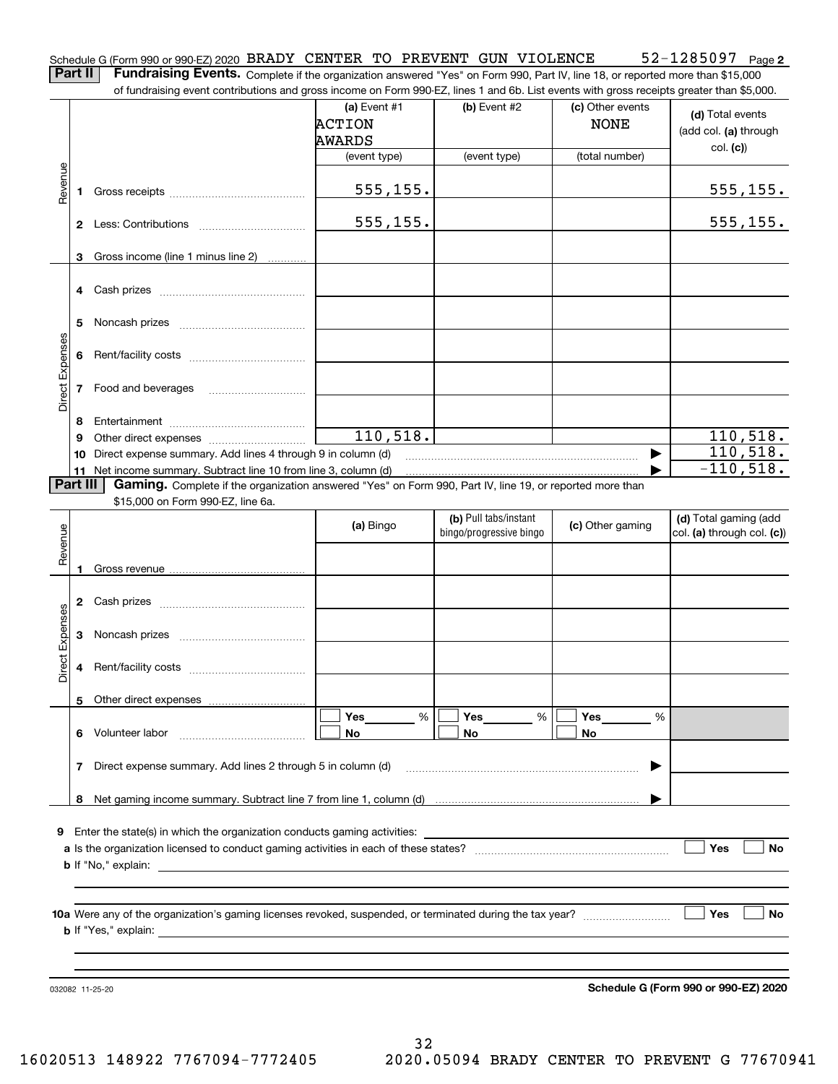|  |  |  |  |  |  | Schedule G (Form 990 or 990-EZ) 2020 BRADY CENTER TO PREVENT GUN VIOLENCE | $52 - 1285097$ Page 2 |  |
|--|--|--|--|--|--|---------------------------------------------------------------------------|-----------------------|--|
|  |  |  |  |  |  |                                                                           |                       |  |

Part II | Fundraising Events. Complete if the organization answered "Yes" on Form 990, Part IV, line 18, or reported more than \$15,000 of fundraising event contributions and gross income on Form 990-EZ, lines 1 and 6b. List events with gross receipts greater than \$5,000.

|                 |                                                                                                                                                                                                                                          | 01 Turidi aləli iy everit continuutun 3 and yruss incume un nomin 990-LZ, illies in and ub. List events with yruss receipts yreater than \$9,000. |                |                         |                  |                                      |  |  |  |  |  |  |  |
|-----------------|------------------------------------------------------------------------------------------------------------------------------------------------------------------------------------------------------------------------------------------|---------------------------------------------------------------------------------------------------------------------------------------------------|----------------|-------------------------|------------------|--------------------------------------|--|--|--|--|--|--|--|
|                 |                                                                                                                                                                                                                                          |                                                                                                                                                   | (a) Event $#1$ | (b) Event $#2$          | (c) Other events | (d) Total events                     |  |  |  |  |  |  |  |
|                 |                                                                                                                                                                                                                                          |                                                                                                                                                   | <b>ACTION</b>  |                         | <b>NONE</b>      | (add col. (a) through                |  |  |  |  |  |  |  |
|                 |                                                                                                                                                                                                                                          |                                                                                                                                                   | AWARDS         |                         |                  | col. (c)                             |  |  |  |  |  |  |  |
|                 |                                                                                                                                                                                                                                          |                                                                                                                                                   | (event type)   | (event type)            | (total number)   |                                      |  |  |  |  |  |  |  |
| Revenue         | 1.                                                                                                                                                                                                                                       |                                                                                                                                                   | 555, 155.      |                         |                  | 555, 155.                            |  |  |  |  |  |  |  |
|                 |                                                                                                                                                                                                                                          |                                                                                                                                                   | 555, 155.      |                         |                  | 555, 155.                            |  |  |  |  |  |  |  |
|                 |                                                                                                                                                                                                                                          |                                                                                                                                                   |                |                         |                  |                                      |  |  |  |  |  |  |  |
|                 |                                                                                                                                                                                                                                          | 3 Gross income (line 1 minus line 2)                                                                                                              |                |                         |                  |                                      |  |  |  |  |  |  |  |
|                 |                                                                                                                                                                                                                                          |                                                                                                                                                   |                |                         |                  |                                      |  |  |  |  |  |  |  |
|                 | 5                                                                                                                                                                                                                                        |                                                                                                                                                   |                |                         |                  |                                      |  |  |  |  |  |  |  |
|                 | 6                                                                                                                                                                                                                                        |                                                                                                                                                   |                |                         |                  |                                      |  |  |  |  |  |  |  |
| Direct Expenses |                                                                                                                                                                                                                                          | 7 Food and beverages                                                                                                                              |                |                         |                  |                                      |  |  |  |  |  |  |  |
|                 | 8                                                                                                                                                                                                                                        |                                                                                                                                                   |                |                         |                  |                                      |  |  |  |  |  |  |  |
|                 | 9                                                                                                                                                                                                                                        |                                                                                                                                                   | 110, 518.      |                         |                  | 110, 518.                            |  |  |  |  |  |  |  |
|                 |                                                                                                                                                                                                                                          | 10 Direct expense summary. Add lines 4 through 9 in column (d)                                                                                    |                |                         |                  | 110, 518.                            |  |  |  |  |  |  |  |
|                 |                                                                                                                                                                                                                                          | 11 Net income summary. Subtract line 10 from line 3, column (d)                                                                                   |                |                         |                  | $-110,518.$                          |  |  |  |  |  |  |  |
| <b>Part III</b> |                                                                                                                                                                                                                                          | Gaming. Complete if the organization answered "Yes" on Form 990, Part IV, line 19, or reported more than                                          |                |                         |                  |                                      |  |  |  |  |  |  |  |
|                 |                                                                                                                                                                                                                                          | \$15,000 on Form 990-EZ, line 6a.                                                                                                                 |                | (b) Pull tabs/instant   |                  | (d) Total gaming (add                |  |  |  |  |  |  |  |
|                 |                                                                                                                                                                                                                                          |                                                                                                                                                   | (a) Bingo      | bingo/progressive bingo | (c) Other gaming | col. (a) through col. (c))           |  |  |  |  |  |  |  |
| Revenue         |                                                                                                                                                                                                                                          |                                                                                                                                                   |                |                         |                  |                                      |  |  |  |  |  |  |  |
|                 | 1                                                                                                                                                                                                                                        |                                                                                                                                                   |                |                         |                  |                                      |  |  |  |  |  |  |  |
|                 |                                                                                                                                                                                                                                          |                                                                                                                                                   |                |                         |                  |                                      |  |  |  |  |  |  |  |
|                 |                                                                                                                                                                                                                                          |                                                                                                                                                   |                |                         |                  |                                      |  |  |  |  |  |  |  |
|                 |                                                                                                                                                                                                                                          |                                                                                                                                                   |                |                         |                  |                                      |  |  |  |  |  |  |  |
|                 | 3                                                                                                                                                                                                                                        |                                                                                                                                                   |                |                         |                  |                                      |  |  |  |  |  |  |  |
| Direct Expenses | 4                                                                                                                                                                                                                                        |                                                                                                                                                   |                |                         |                  |                                      |  |  |  |  |  |  |  |
|                 |                                                                                                                                                                                                                                          |                                                                                                                                                   |                |                         |                  |                                      |  |  |  |  |  |  |  |
|                 |                                                                                                                                                                                                                                          | 5 Other direct expenses                                                                                                                           |                |                         |                  |                                      |  |  |  |  |  |  |  |
|                 |                                                                                                                                                                                                                                          |                                                                                                                                                   | Yes<br>%       | Yes<br>%                | Yes<br>%         |                                      |  |  |  |  |  |  |  |
|                 | 6.                                                                                                                                                                                                                                       | Volunteer labor                                                                                                                                   | No             | No                      | No               |                                      |  |  |  |  |  |  |  |
|                 | 7                                                                                                                                                                                                                                        | Direct expense summary. Add lines 2 through 5 in column (d)                                                                                       |                |                         |                  |                                      |  |  |  |  |  |  |  |
|                 | 8                                                                                                                                                                                                                                        |                                                                                                                                                   |                |                         |                  |                                      |  |  |  |  |  |  |  |
|                 |                                                                                                                                                                                                                                          |                                                                                                                                                   |                |                         |                  |                                      |  |  |  |  |  |  |  |
| 9               |                                                                                                                                                                                                                                          | Enter the state(s) in which the organization conducts gaming activities:                                                                          |                |                         |                  |                                      |  |  |  |  |  |  |  |
|                 |                                                                                                                                                                                                                                          |                                                                                                                                                   |                |                         |                  | Yes<br><b>No</b>                     |  |  |  |  |  |  |  |
|                 |                                                                                                                                                                                                                                          | <b>b</b> If "No," explain:                                                                                                                        |                |                         |                  |                                      |  |  |  |  |  |  |  |
|                 |                                                                                                                                                                                                                                          |                                                                                                                                                   |                |                         |                  |                                      |  |  |  |  |  |  |  |
|                 |                                                                                                                                                                                                                                          |                                                                                                                                                   |                |                         |                  |                                      |  |  |  |  |  |  |  |
|                 |                                                                                                                                                                                                                                          | Yes<br>No                                                                                                                                         |                |                         |                  |                                      |  |  |  |  |  |  |  |
|                 | <b>b</b> If "Yes," explain: <b>b</b> If the set of the set of the set of the set of the set of the set of the set of the set of the set of the set of the set of the set of the set of the set of the set of the set of the set of the s |                                                                                                                                                   |                |                         |                  |                                      |  |  |  |  |  |  |  |
|                 |                                                                                                                                                                                                                                          |                                                                                                                                                   |                |                         |                  |                                      |  |  |  |  |  |  |  |
|                 |                                                                                                                                                                                                                                          |                                                                                                                                                   |                |                         |                  | Schedule G (Form 990 or 990-EZ) 2020 |  |  |  |  |  |  |  |
|                 |                                                                                                                                                                                                                                          | 032082 11-25-20                                                                                                                                   |                |                         |                  |                                      |  |  |  |  |  |  |  |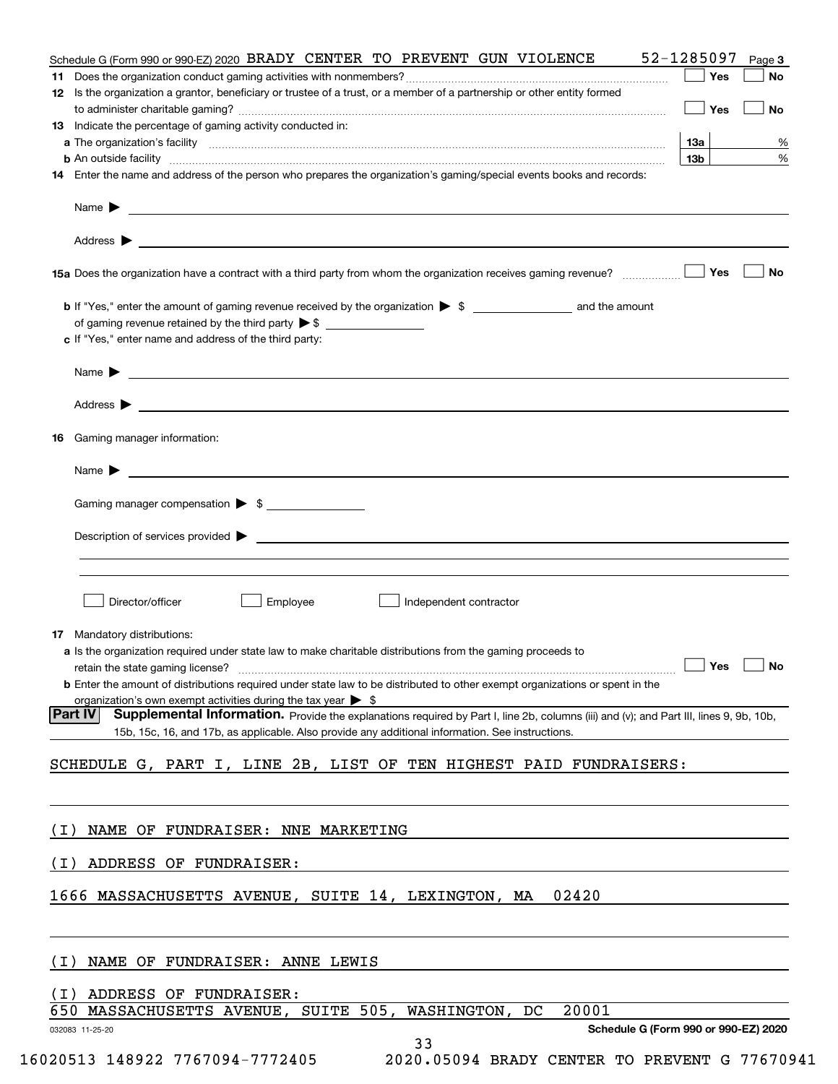| Schedule G (Form 990 or 990-EZ) 2020 BRADY CENTER TO PREVENT GUN VIOLENCE                                                                                                                                                                                            | 52-1285097      |     | Page 3    |
|----------------------------------------------------------------------------------------------------------------------------------------------------------------------------------------------------------------------------------------------------------------------|-----------------|-----|-----------|
|                                                                                                                                                                                                                                                                      |                 | Yes | No        |
| 12 Is the organization a grantor, beneficiary or trustee of a trust, or a member of a partnership or other entity formed                                                                                                                                             |                 |     |           |
|                                                                                                                                                                                                                                                                      | $\Box$ Yes      |     | <b>No</b> |
| Indicate the percentage of gaming activity conducted in:<br>13                                                                                                                                                                                                       |                 |     |           |
|                                                                                                                                                                                                                                                                      | 13а             |     | %         |
| <b>b</b> An outside facility <b>contained and the contract of the contract of the contract of the contract of the contract of the contract of the contract of the contract of the contract of the contract of the contract of the con</b>                            | 13 <sub>b</sub> |     | %         |
| 14 Enter the name and address of the person who prepares the organization's gaming/special events books and records:                                                                                                                                                 |                 |     |           |
| Name $\blacktriangleright$ $\frac{1}{\sqrt{1-\frac{1}{2}}\left(1-\frac{1}{2}\right)}$                                                                                                                                                                                |                 |     |           |
|                                                                                                                                                                                                                                                                      |                 |     |           |
|                                                                                                                                                                                                                                                                      |                 |     |           |
|                                                                                                                                                                                                                                                                      |                 |     | No        |
|                                                                                                                                                                                                                                                                      |                 |     |           |
|                                                                                                                                                                                                                                                                      |                 |     |           |
| c If "Yes," enter name and address of the third party:                                                                                                                                                                                                               |                 |     |           |
| $\blacksquare$ Name $\blacktriangleright$                                                                                                                                                                                                                            |                 |     |           |
|                                                                                                                                                                                                                                                                      |                 |     |           |
| Gaming manager information:<br>16                                                                                                                                                                                                                                    |                 |     |           |
| <u> 1990 - Jan Barat de Barat de la contrada de la contrada de la contrada de la contrada de la contrada de la c</u><br>Name $\blacktriangleright$                                                                                                                   |                 |     |           |
|                                                                                                                                                                                                                                                                      |                 |     |           |
| Gaming manager compensation > \$                                                                                                                                                                                                                                     |                 |     |           |
| $Description of services provided$ $\triangleright$                                                                                                                                                                                                                  |                 |     |           |
| Director/officer<br>Employee<br>Independent contractor<br>Mandatory distributions:<br>17<br>a Is the organization required under state law to make charitable distributions from the gaming proceeds to                                                              |                 |     |           |
| <b>b</b> Enter the amount of distributions required under state law to be distributed to other exempt organizations or spent in the                                                                                                                                  |                 |     |           |
| organization's own exempt activities during the tax year $\triangleright$ \$                                                                                                                                                                                         |                 |     |           |
| <b>Supplemental Information.</b> Provide the explanations required by Part I, line 2b, columns (iii) and (v); and Part III, lines 9, 9b, 10b,<br><b>Part IVI</b><br>15b, 15c, 16, and 17b, as applicable. Also provide any additional information. See instructions. |                 |     |           |
| SCHEDULE G, PART I, LINE 2B, LIST OF TEN HIGHEST PAID FUNDRAISERS:                                                                                                                                                                                                   |                 |     |           |
|                                                                                                                                                                                                                                                                      |                 |     |           |
| NAME OF FUNDRAISER: NNE MARKETING<br>( I )                                                                                                                                                                                                                           |                 |     |           |
| ADDRESS OF FUNDRAISER:<br>( I )                                                                                                                                                                                                                                      |                 |     |           |
|                                                                                                                                                                                                                                                                      |                 |     |           |
| 1666 MASSACHUSETTS AVENUE, SUITE 14, LEXINGTON, MA<br>02420                                                                                                                                                                                                          |                 |     |           |
|                                                                                                                                                                                                                                                                      |                 |     |           |
| ( I )<br>NAME OF FUNDRAISER: ANNE LEWIS                                                                                                                                                                                                                              |                 |     |           |
| (I) ADDRESS OF FUNDRAISER:<br>650 MASSACHUSETTS AVENUE, SUITE 505, WASHINGTON, DC<br>20001                                                                                                                                                                           |                 |     |           |
| Schedule G (Form 990 or 990-EZ) 2020                                                                                                                                                                                                                                 |                 |     |           |
| 032083 11-25-20<br>33                                                                                                                                                                                                                                                |                 |     |           |
| 16020513 148922 7767094-7772405<br>2020.05094 BRADY CENTER TO PREVENT G 77670941                                                                                                                                                                                     |                 |     |           |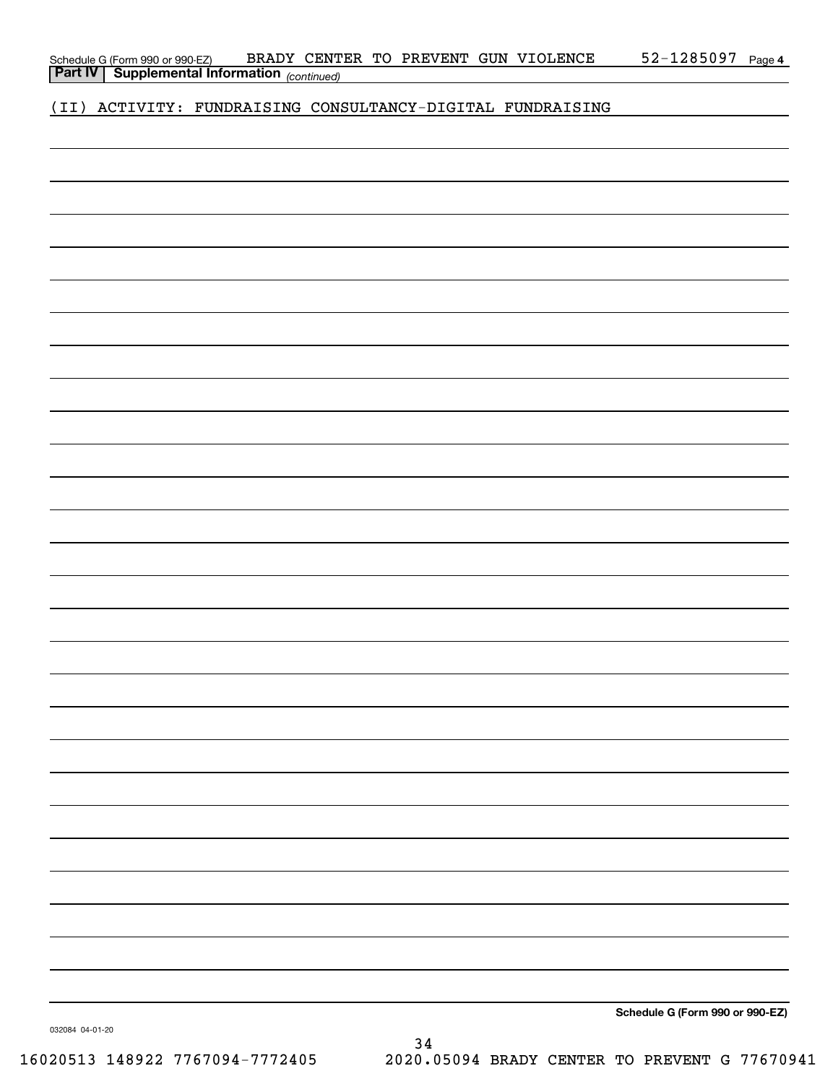032084 04-01-20

34 16020513 148922 7767094-7772405 2020.05094 BRADY CENTER TO PREVENT G 77670941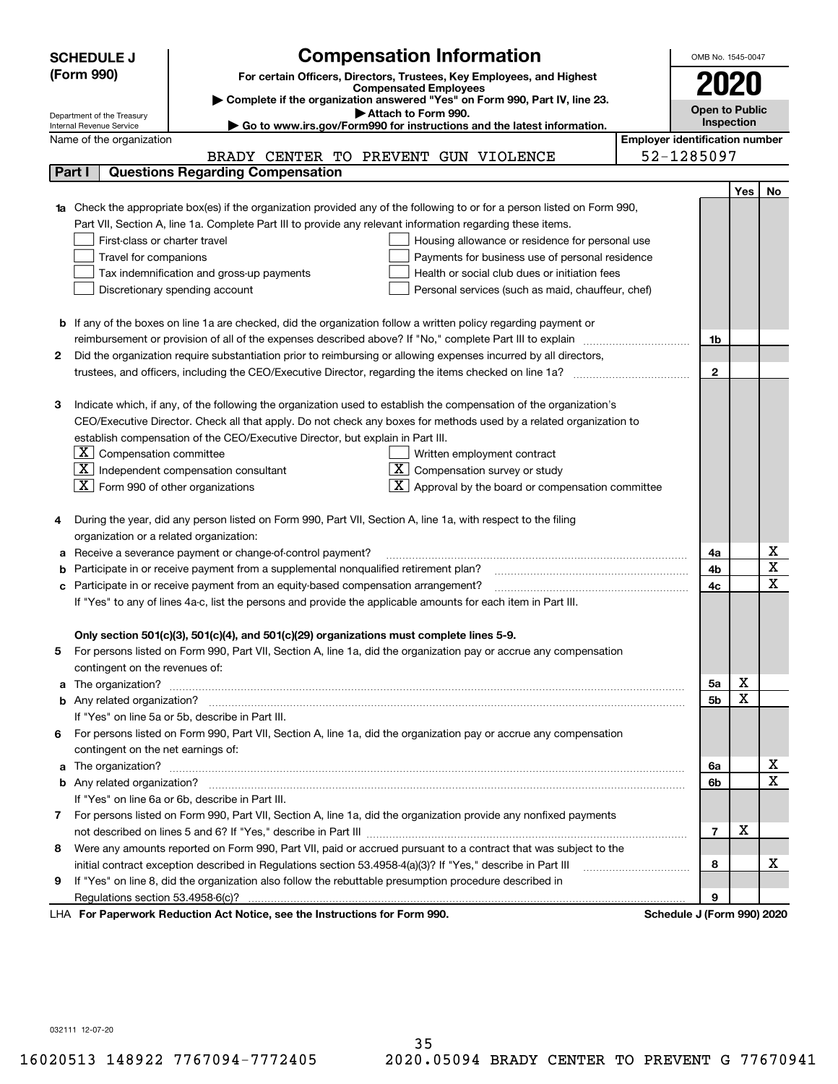|        | <b>Compensation Information</b><br><b>SCHEDULE J</b>                                                                                                    | OMB No. 1545-0047     |            |                         |
|--------|---------------------------------------------------------------------------------------------------------------------------------------------------------|-----------------------|------------|-------------------------|
|        | (Form 990)<br>For certain Officers, Directors, Trustees, Key Employees, and Highest                                                                     |                       |            |                         |
|        | <b>Compensated Employees</b>                                                                                                                            |                       |            |                         |
|        | Complete if the organization answered "Yes" on Form 990, Part IV, line 23.                                                                              | <b>Open to Public</b> |            |                         |
|        | Attach to Form 990.<br>Department of the Treasury<br>Go to www.irs.gov/Form990 for instructions and the latest information.<br>Internal Revenue Service |                       | Inspection |                         |
|        | <b>Employer identification number</b><br>Name of the organization                                                                                       |                       |            |                         |
|        | BRADY CENTER TO PREVENT GUN VIOLENCE                                                                                                                    | 52-1285097            |            |                         |
| Part I | <b>Questions Regarding Compensation</b>                                                                                                                 |                       |            |                         |
|        |                                                                                                                                                         |                       | <b>Yes</b> | No                      |
|        | 1a Check the appropriate box(es) if the organization provided any of the following to or for a person listed on Form 990,                               |                       |            |                         |
|        | Part VII, Section A, line 1a. Complete Part III to provide any relevant information regarding these items.                                              |                       |            |                         |
|        | First-class or charter travel<br>Housing allowance or residence for personal use                                                                        |                       |            |                         |
|        | Travel for companions<br>Payments for business use of personal residence                                                                                |                       |            |                         |
|        | Tax indemnification and gross-up payments<br>Health or social club dues or initiation fees                                                              |                       |            |                         |
|        | Discretionary spending account<br>Personal services (such as maid, chauffeur, chef)                                                                     |                       |            |                         |
|        |                                                                                                                                                         |                       |            |                         |
|        | <b>b</b> If any of the boxes on line 1a are checked, did the organization follow a written policy regarding payment or                                  |                       |            |                         |
|        | reimbursement or provision of all of the expenses described above? If "No," complete Part III to explain                                                | 1b                    |            |                         |
| 2      | Did the organization require substantiation prior to reimbursing or allowing expenses incurred by all directors,                                        |                       |            |                         |
|        | trustees, and officers, including the CEO/Executive Director, regarding the items checked on line 1a?                                                   | $\mathbf{2}$          |            |                         |
|        |                                                                                                                                                         |                       |            |                         |
| З      | Indicate which, if any, of the following the organization used to establish the compensation of the organization's                                      |                       |            |                         |
|        | CEO/Executive Director. Check all that apply. Do not check any boxes for methods used by a related organization to                                      |                       |            |                         |
|        | establish compensation of the CEO/Executive Director, but explain in Part III.                                                                          |                       |            |                         |
|        | $\lfloor \texttt{X} \rfloor$ Compensation committee<br>Written employment contract                                                                      |                       |            |                         |
|        | $X$ Compensation survey or study<br>$ \mathbf{X} $ Independent compensation consultant                                                                  |                       |            |                         |
|        | $ \mathbf{X} $ Form 990 of other organizations<br>$\mathbf{X}$ Approval by the board or compensation committee                                          |                       |            |                         |
|        |                                                                                                                                                         |                       |            |                         |
|        | During the year, did any person listed on Form 990, Part VII, Section A, line 1a, with respect to the filing                                            |                       |            |                         |
|        | organization or a related organization:                                                                                                                 |                       |            |                         |
| а      | Receive a severance payment or change-of-control payment?                                                                                               | 4a                    |            | х                       |
| b      | Participate in or receive payment from a supplemental nonqualified retirement plan?                                                                     | 4b                    |            | $\overline{\mathbf{x}}$ |
| с      | Participate in or receive payment from an equity-based compensation arrangement?                                                                        | 4c                    |            | $\overline{\mathbf{x}}$ |
|        | If "Yes" to any of lines 4a-c, list the persons and provide the applicable amounts for each item in Part III.                                           |                       |            |                         |
|        |                                                                                                                                                         |                       |            |                         |
|        | Only section 501(c)(3), 501(c)(4), and 501(c)(29) organizations must complete lines 5-9.                                                                |                       |            |                         |
|        | For persons listed on Form 990, Part VII, Section A, line 1a, did the organization pay or accrue any compensation                                       |                       |            |                         |
|        | contingent on the revenues of:                                                                                                                          |                       |            |                         |
| a      |                                                                                                                                                         | 5а                    | х          |                         |
|        |                                                                                                                                                         | 5 <sub>b</sub>        | X          |                         |
|        | If "Yes" on line 5a or 5b, describe in Part III.                                                                                                        |                       |            |                         |
| 6.     | For persons listed on Form 990, Part VII, Section A, line 1a, did the organization pay or accrue any compensation                                       |                       |            |                         |
|        | contingent on the net earnings of:                                                                                                                      |                       |            |                         |
| a      |                                                                                                                                                         | 6a                    |            | х                       |
|        |                                                                                                                                                         | 6b                    |            | $\overline{\mathbf{x}}$ |
|        | If "Yes" on line 6a or 6b, describe in Part III.                                                                                                        |                       |            |                         |
|        | 7 For persons listed on Form 990, Part VII, Section A, line 1a, did the organization provide any nonfixed payments                                      |                       |            |                         |
|        |                                                                                                                                                         | $\overline{7}$        | X          |                         |
| 8      | Were any amounts reported on Form 990, Part VII, paid or accrued pursuant to a contract that was subject to the                                         |                       |            |                         |
|        | initial contract exception described in Regulations section 53.4958-4(a)(3)? If "Yes," describe in Part III                                             | 8                     |            | х                       |
| 9      | If "Yes" on line 8, did the organization also follow the rebuttable presumption procedure described in                                                  |                       |            |                         |
|        |                                                                                                                                                         | 9                     |            |                         |
|        | <b>Department: Reduction Act Notice, see the Instructions for Form 000</b><br>Schodule I (Form 000) 2020                                                |                       |            |                         |

LHA For Paperwork Reduction Act Notice, see the Instructions for Form 990. Schedule J (Form 990) 2020

032111 12-07-20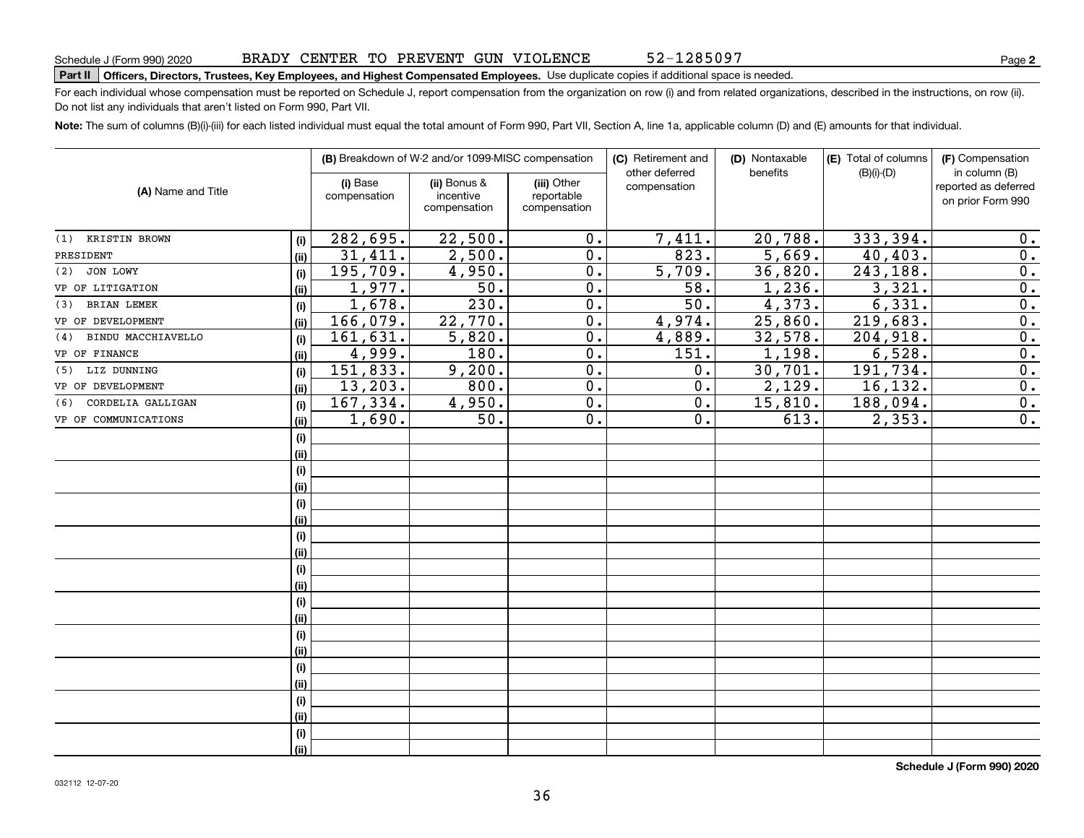52-1285097

### Part II | Officers, Directors, Trustees, Key Employees, and Highest Compensated Employees. Use duplicate copies if additional space is needed.

For each individual whose compensation must be reported on Schedule J, report compensation from the organization on row (i) and from related organizations, described in the instructions, on row (ii). Do not list any individuals that aren't listed on Form 990, Part VII.

Note: The sum of columns (B)(i)-(iii) for each listed individual must equal the total amount of Form 990, Part VII, Section A, line 1a, applicable column (D) and (E) amounts for that individual.

|                           |      | (B) Breakdown of W-2 and/or 1099-MISC compensation |                                           | (C) Retirement and                        | (D) Nontaxable                 | (E) Total of columns | (F) Compensation |                                                            |
|---------------------------|------|----------------------------------------------------|-------------------------------------------|-------------------------------------------|--------------------------------|----------------------|------------------|------------------------------------------------------------|
| (A) Name and Title        |      | (i) Base<br>compensation                           | (ii) Bonus &<br>incentive<br>compensation | (iii) Other<br>reportable<br>compensation | other deferred<br>compensation | benefits             | $(B)(i)-(D)$     | in column (B)<br>reported as deferred<br>on prior Form 990 |
| (1) KRISTIN BROWN         | (i)  | 282,695.                                           | 22,500.                                   | 0.                                        | 7,411.                         | 20,788.              | 333,394.         | 0.                                                         |
| PRESIDENT                 | (ii) | 31,411.                                            | 2,500.                                    | $0$ .                                     | 823.                           | 5,669.               | 40,403.          | 0.                                                         |
| JON LOWY<br>(2)           | (i)  | 195,709.                                           | 4,950.                                    | 0.                                        | 5,709.                         | 36,820.              | 243,188.         | $\overline{0}$ .                                           |
| VP OF LITIGATION          | (i)  | 1,977.                                             | $\overline{50}$ .                         | $\overline{0}$ .                          | 58.                            | 1,236.               | 3,321.           | $\overline{0}$ .                                           |
| <b>BRIAN LEMEK</b><br>(3) | (i)  | 1,678.                                             | 230.                                      | $\overline{0}$ .                          | $\overline{50}$ .              | 4,373.               | 6,331.           | $\overline{0}$ .                                           |
| VP OF DEVELOPMENT         | (ii) | 166,079.                                           | 22,770.                                   | $\overline{0}$ .                          | 4,974.                         | 25,860.              | 219,683.         | $\overline{0}$ .                                           |
| BINDU MACCHIAVELLO<br>(4) | (i)  | 161,631.                                           | 5,820.                                    | 0.                                        | 4,889.                         | 32,578.              | 204,918.         | $\overline{0}$ .                                           |
| VP OF FINANCE             | (ii) | 4,999.                                             | 180.                                      | 0.                                        | 151.                           | 1,198.               | 6,528.           | $\overline{0}$ .                                           |
| LIZ DUNNING<br>(5)        | (i)  | 151,833.                                           | 9,200.                                    | 0.                                        | 0.                             | 30,701.              | 191,734.         | 0.                                                         |
| VP OF DEVELOPMENT         | (ii) | 13, 203.                                           | 800.                                      | 0.                                        | $\mathbf 0$ .                  | 2,129.               | 16, 132.         | 0.                                                         |
| CORDELIA GALLIGAN<br>(6)  | (i)  | 167, 334.                                          | 4,950.                                    | $\overline{0}$ .                          | 0.                             | 15,810.              | 188,094.         | $\overline{0}$ .                                           |
| VP OF COMMUNICATIONS      | (ii) | 1,690.                                             | 50.                                       | $\overline{0}$ .                          | 0.                             | 613.                 | 2, 353.          | $\overline{0}$ .                                           |
|                           | (i)  |                                                    |                                           |                                           |                                |                      |                  |                                                            |
|                           | (ii) |                                                    |                                           |                                           |                                |                      |                  |                                                            |
|                           | (i)  |                                                    |                                           |                                           |                                |                      |                  |                                                            |
|                           | (ii) |                                                    |                                           |                                           |                                |                      |                  |                                                            |
|                           | (i)  |                                                    |                                           |                                           |                                |                      |                  |                                                            |
|                           | (ii) |                                                    |                                           |                                           |                                |                      |                  |                                                            |
|                           | (i)  |                                                    |                                           |                                           |                                |                      |                  |                                                            |
|                           | (ii) |                                                    |                                           |                                           |                                |                      |                  |                                                            |
|                           | (i)  |                                                    |                                           |                                           |                                |                      |                  |                                                            |
|                           | (ii) |                                                    |                                           |                                           |                                |                      |                  |                                                            |
|                           | (i)  |                                                    |                                           |                                           |                                |                      |                  |                                                            |
|                           | (ii) |                                                    |                                           |                                           |                                |                      |                  |                                                            |
|                           | (i)  |                                                    |                                           |                                           |                                |                      |                  |                                                            |
|                           | (ii) |                                                    |                                           |                                           |                                |                      |                  |                                                            |
|                           | (i)  |                                                    |                                           |                                           |                                |                      |                  |                                                            |
|                           | (ii) |                                                    |                                           |                                           |                                |                      |                  |                                                            |
|                           | (i)  |                                                    |                                           |                                           |                                |                      |                  |                                                            |
|                           | (ii) |                                                    |                                           |                                           |                                |                      |                  |                                                            |
|                           | (i)  |                                                    |                                           |                                           |                                |                      |                  |                                                            |
|                           | (ii) |                                                    |                                           |                                           |                                |                      |                  |                                                            |

**Schedule J (Form 990) 2020**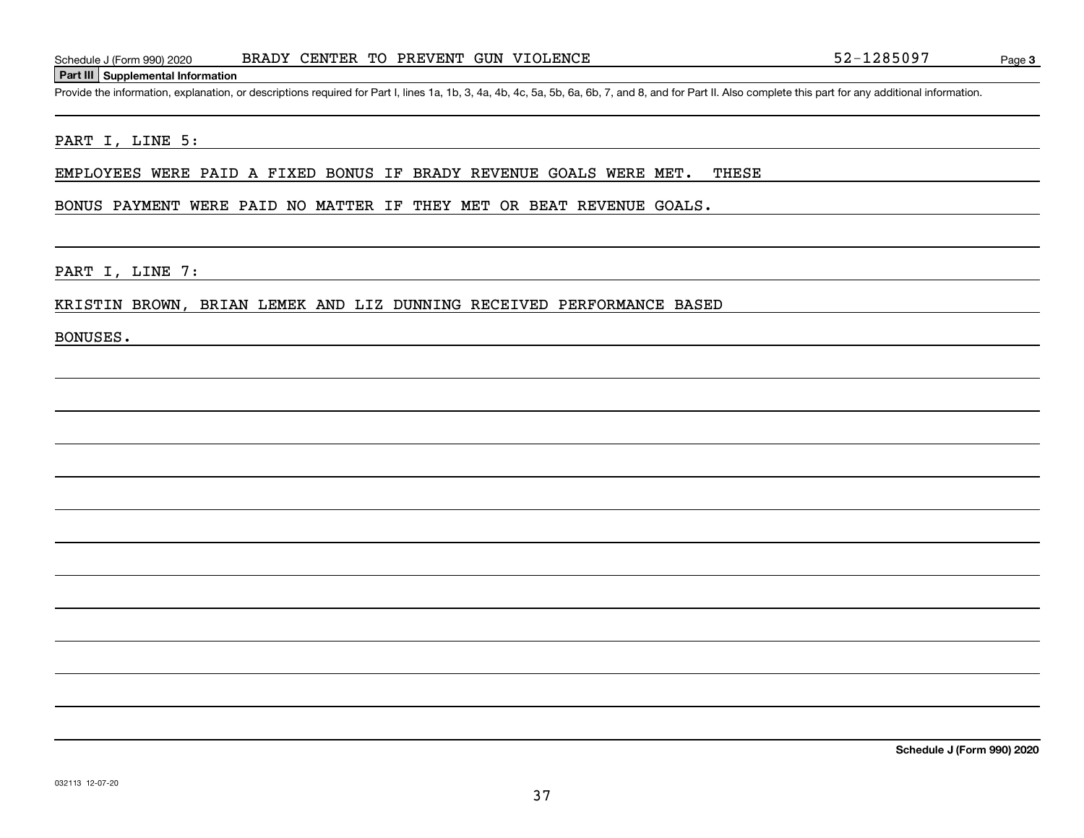# **Part III Supplemental Information**

Provide the information, explanation, or descriptions required for Part I, lines 1a, 1b, 3, 4a, 4b, 4c, 5a, 5b, 6a, 6b, 7, and 8, and for Part II. Also complete this part for any additional information.

# PART I, LINE 5:

EMPLOYEES WERE PAID A FIXED BONUS IF BRADY REVENUE GOALS WERE MET. THESE

## BONUS PAYMENT WERE PAID NO MATTER IF THEY MET OR BEAT REVENUE GOALS.

PART I, LINE 7:

### KRISTIN BROWN, BRIAN LEMEK AND LIZ DUNNING RECEIVED PERFORMANCE BASED

BONUSES.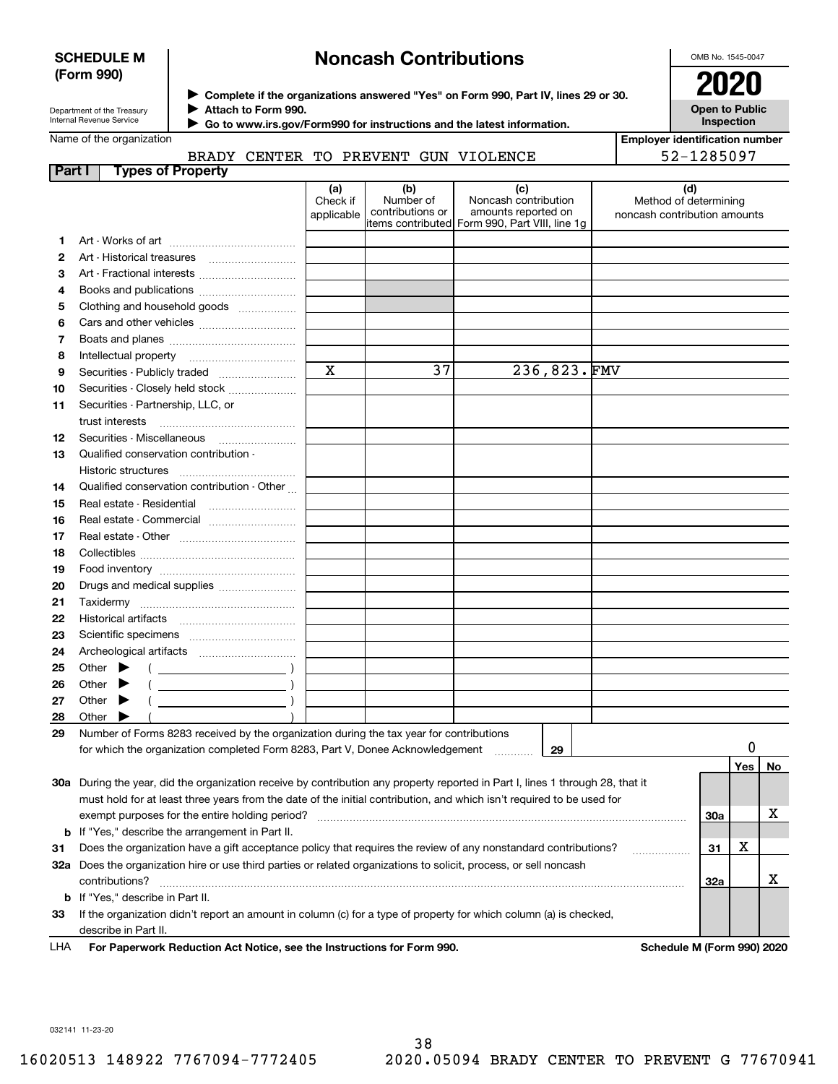# **SCHEDULE M (Form 990)**

# **Noncash Contributions**

OMB No. 1545-0047

| Department of the Treasury |
|----------------------------|
| Internal Revenue Service   |

**Part I** Type

**Complete if the organizations answered "Yes" on Form 990, Part IV, lines 29 or 30.** <sup>J</sup>**2020 Attach to Form 990.** J

 **Go to www.irs.gov/Form990 for instructions and the latest information.** J



Name of the organization

BRADY CENTER TO PREVENT GUN VIOLENCE

**Employer identification number** 52-1285097

| Parl I | Types of Property                                                                                                                                                                                                                                                                                                                                                                                                                                                                                                                                                                                                   |                               |                                      |                                                                                                        |                                                              |     |     |    |
|--------|---------------------------------------------------------------------------------------------------------------------------------------------------------------------------------------------------------------------------------------------------------------------------------------------------------------------------------------------------------------------------------------------------------------------------------------------------------------------------------------------------------------------------------------------------------------------------------------------------------------------|-------------------------------|--------------------------------------|--------------------------------------------------------------------------------------------------------|--------------------------------------------------------------|-----|-----|----|
|        |                                                                                                                                                                                                                                                                                                                                                                                                                                                                                                                                                                                                                     | (a)<br>Check if<br>applicable | (b)<br>Number of<br>contributions or | (c)<br>Noncash contribution<br>amounts reported on<br> items contributed  Form 990, Part VIII, line 1g | (d)<br>Method of determining<br>noncash contribution amounts |     |     |    |
| 1.     |                                                                                                                                                                                                                                                                                                                                                                                                                                                                                                                                                                                                                     |                               |                                      |                                                                                                        |                                                              |     |     |    |
| 2      |                                                                                                                                                                                                                                                                                                                                                                                                                                                                                                                                                                                                                     |                               |                                      |                                                                                                        |                                                              |     |     |    |
| 3      |                                                                                                                                                                                                                                                                                                                                                                                                                                                                                                                                                                                                                     |                               |                                      |                                                                                                        |                                                              |     |     |    |
| 4      |                                                                                                                                                                                                                                                                                                                                                                                                                                                                                                                                                                                                                     |                               |                                      |                                                                                                        |                                                              |     |     |    |
| 5      | Clothing and household goods                                                                                                                                                                                                                                                                                                                                                                                                                                                                                                                                                                                        |                               |                                      |                                                                                                        |                                                              |     |     |    |
| 6      |                                                                                                                                                                                                                                                                                                                                                                                                                                                                                                                                                                                                                     |                               |                                      |                                                                                                        |                                                              |     |     |    |
| 7      |                                                                                                                                                                                                                                                                                                                                                                                                                                                                                                                                                                                                                     |                               |                                      |                                                                                                        |                                                              |     |     |    |
| 8      |                                                                                                                                                                                                                                                                                                                                                                                                                                                                                                                                                                                                                     |                               |                                      |                                                                                                        |                                                              |     |     |    |
| 9      | Securities - Publicly traded                                                                                                                                                                                                                                                                                                                                                                                                                                                                                                                                                                                        | $\mathbf X$                   | 37                                   | 236,823.FMV                                                                                            |                                                              |     |     |    |
| 10     | Securities - Closely held stock                                                                                                                                                                                                                                                                                                                                                                                                                                                                                                                                                                                     |                               |                                      |                                                                                                        |                                                              |     |     |    |
| 11     | Securities - Partnership, LLC, or                                                                                                                                                                                                                                                                                                                                                                                                                                                                                                                                                                                   |                               |                                      |                                                                                                        |                                                              |     |     |    |
|        |                                                                                                                                                                                                                                                                                                                                                                                                                                                                                                                                                                                                                     |                               |                                      |                                                                                                        |                                                              |     |     |    |
| 12     |                                                                                                                                                                                                                                                                                                                                                                                                                                                                                                                                                                                                                     |                               |                                      |                                                                                                        |                                                              |     |     |    |
| 13     | Qualified conservation contribution -                                                                                                                                                                                                                                                                                                                                                                                                                                                                                                                                                                               |                               |                                      |                                                                                                        |                                                              |     |     |    |
|        |                                                                                                                                                                                                                                                                                                                                                                                                                                                                                                                                                                                                                     |                               |                                      |                                                                                                        |                                                              |     |     |    |
| 14     | Qualified conservation contribution - Other                                                                                                                                                                                                                                                                                                                                                                                                                                                                                                                                                                         |                               |                                      |                                                                                                        |                                                              |     |     |    |
| 15     | Real estate - Residential                                                                                                                                                                                                                                                                                                                                                                                                                                                                                                                                                                                           |                               |                                      |                                                                                                        |                                                              |     |     |    |
| 16     |                                                                                                                                                                                                                                                                                                                                                                                                                                                                                                                                                                                                                     |                               |                                      |                                                                                                        |                                                              |     |     |    |
| 17     |                                                                                                                                                                                                                                                                                                                                                                                                                                                                                                                                                                                                                     |                               |                                      |                                                                                                        |                                                              |     |     |    |
| 18     |                                                                                                                                                                                                                                                                                                                                                                                                                                                                                                                                                                                                                     |                               |                                      |                                                                                                        |                                                              |     |     |    |
| 19     |                                                                                                                                                                                                                                                                                                                                                                                                                                                                                                                                                                                                                     |                               |                                      |                                                                                                        |                                                              |     |     |    |
| 20     | Drugs and medical supplies                                                                                                                                                                                                                                                                                                                                                                                                                                                                                                                                                                                          |                               |                                      |                                                                                                        |                                                              |     |     |    |
| 21     |                                                                                                                                                                                                                                                                                                                                                                                                                                                                                                                                                                                                                     |                               |                                      |                                                                                                        |                                                              |     |     |    |
| 22     |                                                                                                                                                                                                                                                                                                                                                                                                                                                                                                                                                                                                                     |                               |                                      |                                                                                                        |                                                              |     |     |    |
| 23     |                                                                                                                                                                                                                                                                                                                                                                                                                                                                                                                                                                                                                     |                               |                                      |                                                                                                        |                                                              |     |     |    |
| 24     |                                                                                                                                                                                                                                                                                                                                                                                                                                                                                                                                                                                                                     |                               |                                      |                                                                                                        |                                                              |     |     |    |
| 25     | Other $\blacktriangleright$<br>$($ )                                                                                                                                                                                                                                                                                                                                                                                                                                                                                                                                                                                |                               |                                      |                                                                                                        |                                                              |     |     |    |
| 26     | $\left(\begin{array}{ccc} \begin{array}{ccc} \begin{array}{ccc} \end{array} & \begin{array}{ccc} \end{array} & \begin{array}{ccc} \end{array} & \begin{array}{ccc} \end{array} & \begin{array}{ccc} \end{array} & \begin{array}{ccc} \end{array} & \begin{array}{ccc} \end{array} & \begin{array}{ccc} \end{array} & \begin{array}{ccc} \end{array} & \begin{array}{ccc} \end{array} & \begin{array}{ccc} \end{array} & \begin{array}{ccc} \end{array} & \begin{array}{ccc} \end{array} & \begin{array}{ccc} \end{array} & \begin{array}{ccc} \end{array} & \begin{array}{ccc} \end$<br>Other $\blacktriangleright$ |                               |                                      |                                                                                                        |                                                              |     |     |    |
| 27     | Other $\blacktriangleright$                                                                                                                                                                                                                                                                                                                                                                                                                                                                                                                                                                                         |                               |                                      |                                                                                                        |                                                              |     |     |    |
| 28     | Other<br>▸                                                                                                                                                                                                                                                                                                                                                                                                                                                                                                                                                                                                          |                               |                                      |                                                                                                        |                                                              |     |     |    |
| 29     | Number of Forms 8283 received by the organization during the tax year for contributions                                                                                                                                                                                                                                                                                                                                                                                                                                                                                                                             |                               |                                      |                                                                                                        |                                                              |     |     |    |
|        | for which the organization completed Form 8283, Part V, Donee Acknowledgement                                                                                                                                                                                                                                                                                                                                                                                                                                                                                                                                       |                               |                                      | 29<br>.                                                                                                |                                                              |     | 0   |    |
|        |                                                                                                                                                                                                                                                                                                                                                                                                                                                                                                                                                                                                                     |                               |                                      |                                                                                                        |                                                              |     | Yes | No |
|        | 30a During the year, did the organization receive by contribution any property reported in Part I, lines 1 through 28, that it                                                                                                                                                                                                                                                                                                                                                                                                                                                                                      |                               |                                      |                                                                                                        |                                                              |     |     |    |
|        | must hold for at least three years from the date of the initial contribution, and which isn't required to be used for                                                                                                                                                                                                                                                                                                                                                                                                                                                                                               |                               |                                      |                                                                                                        |                                                              |     |     |    |
|        |                                                                                                                                                                                                                                                                                                                                                                                                                                                                                                                                                                                                                     |                               |                                      |                                                                                                        |                                                              | 30a |     | x  |
|        | <b>b</b> If "Yes," describe the arrangement in Part II.                                                                                                                                                                                                                                                                                                                                                                                                                                                                                                                                                             |                               |                                      |                                                                                                        |                                                              |     |     |    |
| 31     | Does the organization have a gift acceptance policy that requires the review of any nonstandard contributions?                                                                                                                                                                                                                                                                                                                                                                                                                                                                                                      |                               |                                      |                                                                                                        |                                                              | 31  | х   |    |
|        | 32a Does the organization hire or use third parties or related organizations to solicit, process, or sell noncash                                                                                                                                                                                                                                                                                                                                                                                                                                                                                                   |                               |                                      |                                                                                                        |                                                              |     |     |    |
|        | contributions?                                                                                                                                                                                                                                                                                                                                                                                                                                                                                                                                                                                                      |                               |                                      |                                                                                                        |                                                              | 32a |     | x  |
|        | <b>b</b> If "Yes," describe in Part II.                                                                                                                                                                                                                                                                                                                                                                                                                                                                                                                                                                             |                               |                                      |                                                                                                        |                                                              |     |     |    |
| 33     | If the organization didn't report an amount in column (c) for a type of property for which column (a) is checked,                                                                                                                                                                                                                                                                                                                                                                                                                                                                                                   |                               |                                      |                                                                                                        |                                                              |     |     |    |
|        | describe in Part II.                                                                                                                                                                                                                                                                                                                                                                                                                                                                                                                                                                                                |                               |                                      |                                                                                                        |                                                              |     |     |    |
| I ⊔ ∧  | For Department: Dedication Act Nation and the Instructions for Form 000                                                                                                                                                                                                                                                                                                                                                                                                                                                                                                                                             |                               |                                      |                                                                                                        | Schodule M (Form 000) 2020                                   |     |     |    |

**For Paperwork Reduction Act Notice, see the Instructions for Form 990. Schedule M (Form 990) 2020** LHA

032141 11-23-20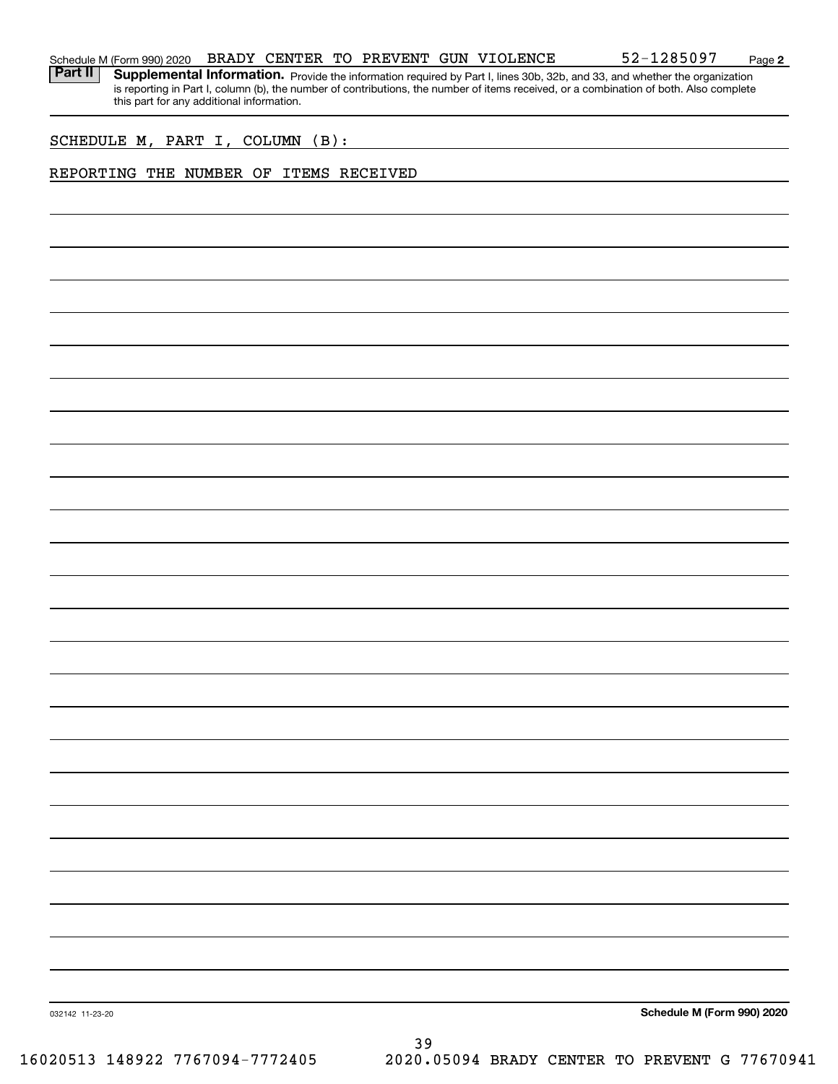**2**

Part II | Supplemental Information. Provide the information required by Part I, lines 30b, 32b, and 33, and whether the organization is reporting in Part I, column (b), the number of contributions, the number of items received, or a combination of both. Also complete this part for any additional information.

SCHEDULE M, PART I, COLUMN (B):

# REPORTING THE NUMBER OF ITEMS RECEIVED

**Schedule M (Form 990) 2020**

032142 11-23-20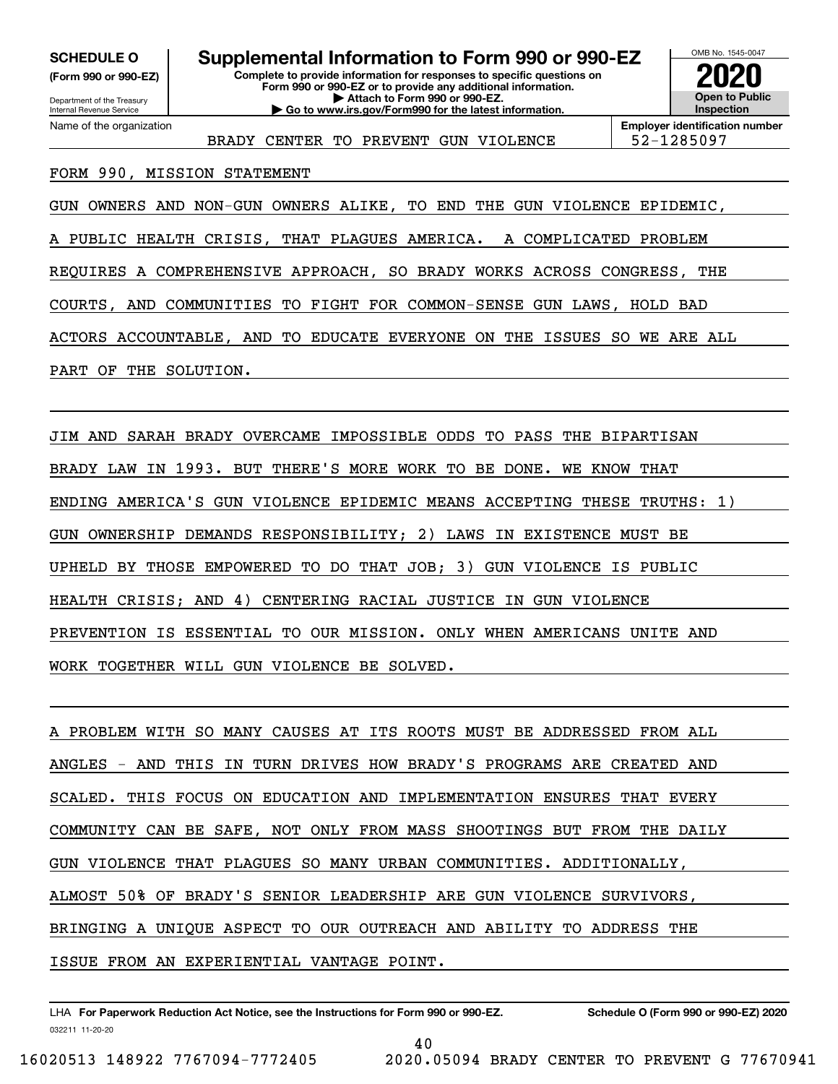**(Form 990 or 990-EZ)**

Department of the Treasury

Name of the organization

Internal Revenue Service

**Complete to provide information for responses to specific questions on Form 990 or 990-EZ or to provide any additional information. | Attach to Form 990 or 990-EZ. | Go to www.irs.gov/Form990 for the latest information. SCHEDULE 0** | Supplemental Information to Form 990 or 990-EZ



BRADY CENTER TO PREVENT GUN VIOLENCE | 52-1285097

**Employer identification number**

# FORM 990, MISSION STATEMENT

GUN OWNERS AND NON-GUN OWNERS ALIKE, TO END THE GUN VIOLENCE EPIDEMIC,

A PUBLIC HEALTH CRISIS, THAT PLAGUES AMERICA. A COMPLICATED PROBLEM

REQUIRES A COMPREHENSIVE APPROACH, SO BRADY WORKS ACROSS CONGRESS, THE

COURTS, AND COMMUNITIES TO FIGHT FOR COMMON-SENSE GUN LAWS, HOLD BAD

ACTORS ACCOUNTABLE, AND TO EDUCATE EVERYONE ON THE ISSUES SO WE ARE ALL

PART OF THE SOLUTION.

JIM AND SARAH BRADY OVERCAME IMPOSSIBLE ODDS TO PASS THE BIPARTISAN BRADY LAW IN 1993. BUT THERE'S MORE WORK TO BE DONE. WE KNOW THAT ENDING AMERICA'S GUN VIOLENCE EPIDEMIC MEANS ACCEPTING THESE TRUTHS: 1) GUN OWNERSHIP DEMANDS RESPONSIBILITY; 2) LAWS IN EXISTENCE MUST BE UPHELD BY THOSE EMPOWERED TO DO THAT JOB; 3) GUN VIOLENCE IS PUBLIC HEALTH CRISIS; AND 4) CENTERING RACIAL JUSTICE IN GUN VIOLENCE PREVENTION IS ESSENTIAL TO OUR MISSION. ONLY WHEN AMERICANS UNITE AND WORK TOGETHER WILL GUN VIOLENCE BE SOLVED.

A PROBLEM WITH SO MANY CAUSES AT ITS ROOTS MUST BE ADDRESSED FROM ALL ANGLES - AND THIS IN TURN DRIVES HOW BRADY'S PROGRAMS ARE CREATED AND SCALED. THIS FOCUS ON EDUCATION AND IMPLEMENTATION ENSURES THAT EVERY COMMUNITY CAN BE SAFE, NOT ONLY FROM MASS SHOOTINGS BUT FROM THE DAILY GUN VIOLENCE THAT PLAGUES SO MANY URBAN COMMUNITIES. ADDITIONALLY, ALMOST 50% OF BRADY'S SENIOR LEADERSHIP ARE GUN VIOLENCE SURVIVORS, BRINGING A UNIQUE ASPECT TO OUR OUTREACH AND ABILITY TO ADDRESS THE ISSUE FROM AN EXPERIENTIAL VANTAGE POINT.

032211 11-20-20 LHA For Paperwork Reduction Act Notice, see the Instructions for Form 990 or 990-EZ. Schedule O (Form 990 or 990-EZ) 2020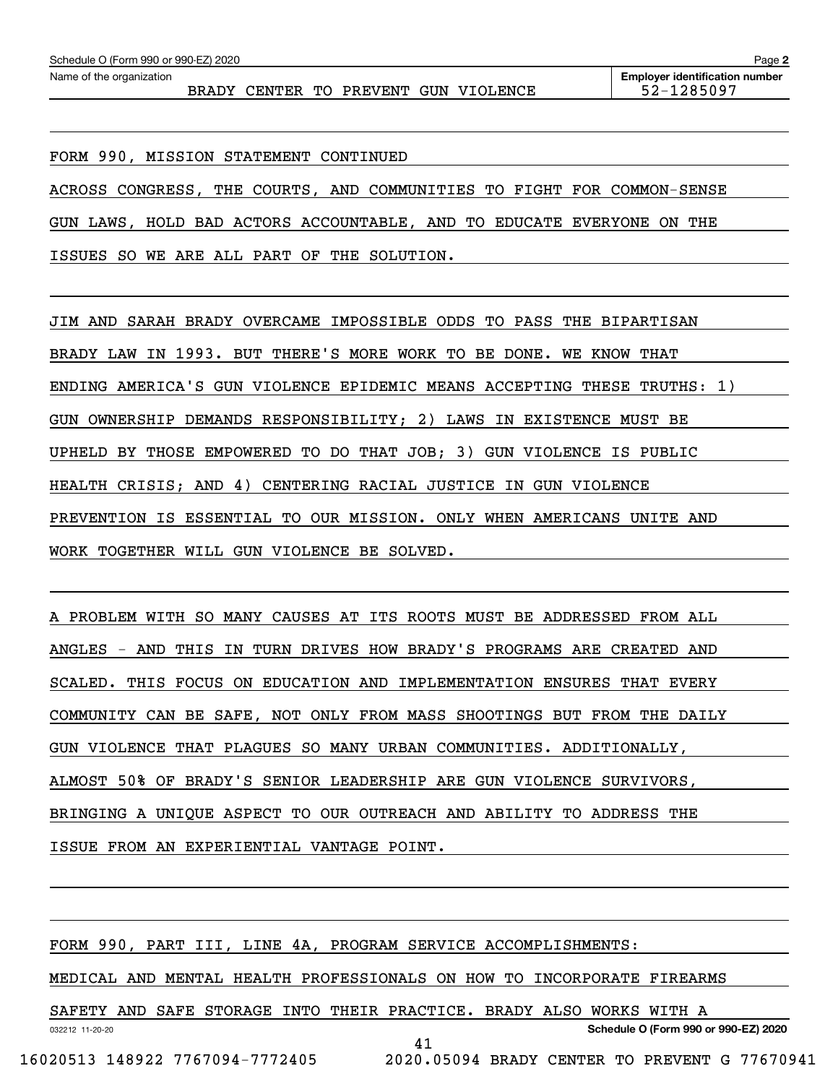FORM 990, MISSION STATEMENT CONTINUED

ACROSS CONGRESS, THE COURTS, AND COMMUNITIES TO FIGHT FOR COMMON-SENSE

GUN LAWS, HOLD BAD ACTORS ACCOUNTABLE, AND TO EDUCATE EVERYONE ON THE

ISSUES SO WE ARE ALL PART OF THE SOLUTION.

JIM AND SARAH BRADY OVERCAME IMPOSSIBLE ODDS TO PASS THE BIPARTISAN BRADY LAW IN 1993. BUT THERE'S MORE WORK TO BE DONE. WE KNOW THAT ENDING AMERICA'S GUN VIOLENCE EPIDEMIC MEANS ACCEPTING THESE TRUTHS: 1) GUN OWNERSHIP DEMANDS RESPONSIBILITY; 2) LAWS IN EXISTENCE MUST BE UPHELD BY THOSE EMPOWERED TO DO THAT JOB; 3) GUN VIOLENCE IS PUBLIC HEALTH CRISIS; AND 4) CENTERING RACIAL JUSTICE IN GUN VIOLENCE PREVENTION IS ESSENTIAL TO OUR MISSION. ONLY WHEN AMERICANS UNITE AND WORK TOGETHER WILL GUN VIOLENCE BE SOLVED.

A PROBLEM WITH SO MANY CAUSES AT ITS ROOTS MUST BE ADDRESSED FROM ALL ANGLES - AND THIS IN TURN DRIVES HOW BRADY'S PROGRAMS ARE CREATED AND SCALED. THIS FOCUS ON EDUCATION AND IMPLEMENTATION ENSURES THAT EVERY COMMUNITY CAN BE SAFE, NOT ONLY FROM MASS SHOOTINGS BUT FROM THE DAILY GUN VIOLENCE THAT PLAGUES SO MANY URBAN COMMUNITIES. ADDITIONALLY, ALMOST 50% OF BRADY'S SENIOR LEADERSHIP ARE GUN VIOLENCE SURVIVORS, BRINGING A UNIQUE ASPECT TO OUR OUTREACH AND ABILITY TO ADDRESS THE ISSUE FROM AN EXPERIENTIAL VANTAGE POINT.

FORM 990, PART III, LINE 4A, PROGRAM SERVICE ACCOMPLISHMENTS:

MEDICAL AND MENTAL HEALTH PROFESSIONALS ON HOW TO INCORPORATE FIREARMS

032212 11-20-20 SAFETY AND SAFE STORAGE INTO THEIR PRACTICE. BRADY ALSO WORKS WITH A

**Schedule O (Form 990 or 990-EZ) 2020**

41

16020513 148922 7767094-7772405 2020.05094 BRADY CENTER TO PREVENT G 77670941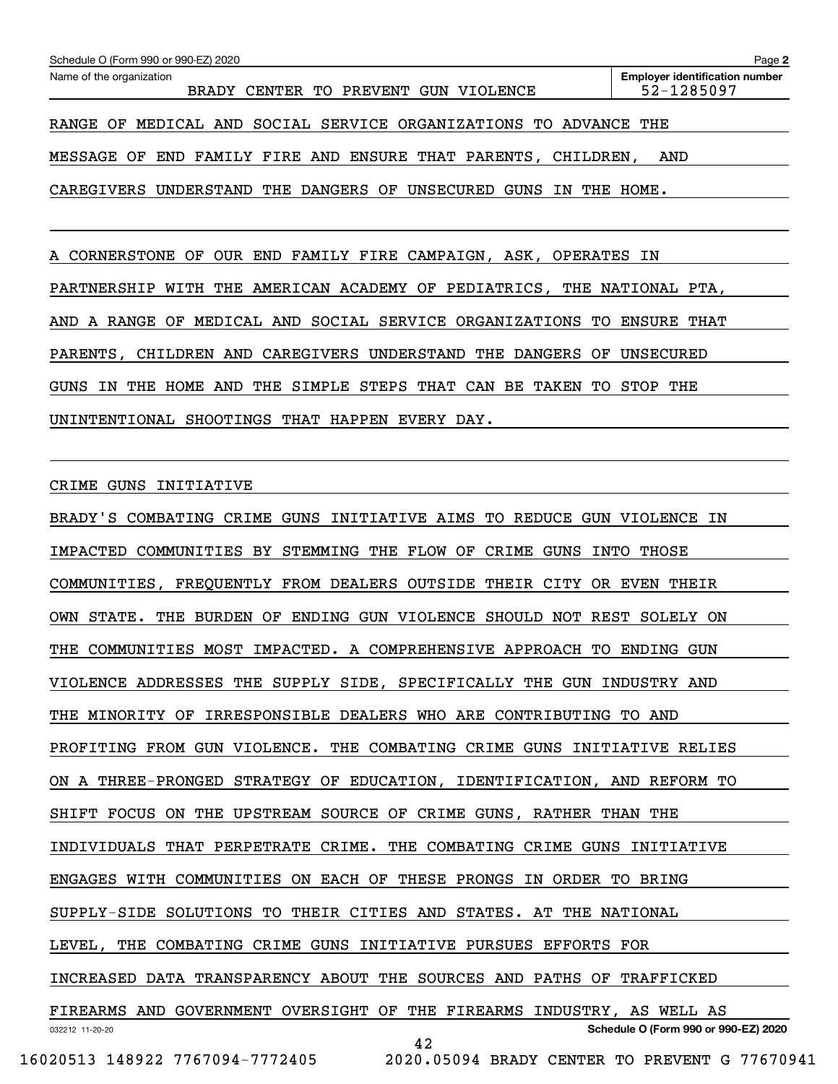| Schedule O (Form 990 or 990-EZ) 2020<br>Name of the organization                 | Page 2<br><b>Employer identification number</b> |
|----------------------------------------------------------------------------------|-------------------------------------------------|
| BRADY CENTER TO PREVENT GUN VIOLENCE                                             | 52-1285097                                      |
| RANGE OF MEDICAL AND SOCIAL SERVICE ORGANIZATIONS TO ADVANCE THE                 |                                                 |
| MESSAGE OF END FAMILY FIRE AND ENSURE THAT PARENTS, CHILDREN, AND                |                                                 |
| CAREGIVERS UNDERSTAND THE DANGERS OF UNSECURED GUNS IN THE HOME.                 |                                                 |
|                                                                                  |                                                 |
| A CORNERSTONE OF OUR END FAMILY FIRE CAMPAIGN, ASK, OPERATES IN                  |                                                 |
| PARTNERSHIP WITH THE AMERICAN ACADEMY OF PEDIATRICS, THE NATIONAL PTA,           |                                                 |
| AND A RANGE OF MEDICAL AND SOCIAL SERVICE ORGANIZATIONS TO ENSURE THAT           |                                                 |
| PARENTS, CHILDREN AND CAREGIVERS UNDERSTAND THE DANGERS OF UNSECURED             |                                                 |
| GUNS IN THE HOME AND THE SIMPLE STEPS THAT CAN BE TAKEN TO STOP THE              |                                                 |
| UNINTENTIONAL SHOOTINGS THAT HAPPEN EVERY DAY.                                   |                                                 |
|                                                                                  |                                                 |
| CRIME GUNS INITIATIVE                                                            |                                                 |
| BRADY'S COMBATING CRIME GUNS INITIATIVE AIMS TO REDUCE GUN VIOLENCE IN           |                                                 |
| IMPACTED COMMUNITIES BY STEMMING THE FLOW OF CRIME GUNS INTO THOSE               |                                                 |
| COMMUNITIES, FREQUENTLY FROM DEALERS OUTSIDE THEIR CITY OR EVEN THEIR            |                                                 |
| OWN STATE. THE BURDEN OF ENDING GUN VIOLENCE SHOULD NOT REST SOLELY ON           |                                                 |
| THE COMMUNITIES MOST IMPACTED. A COMPREHENSIVE APPROACH TO ENDING GUN            |                                                 |
| VIOLENCE ADDRESSES THE SUPPLY SIDE, SPECIFICALLY THE GUN INDUSTRY AND            |                                                 |
| THE MINORITY OF IRRESPONSIBLE DEALERS WHO ARE CONTRIBUTING TO AND                |                                                 |
| PROFITING FROM GUN VIOLENCE. THE COMBATING CRIME GUNS INITIATIVE RELIES          |                                                 |
| ON A THREE-PRONGED STRATEGY OF EDUCATION, IDENTIFICATION, AND REFORM TO          |                                                 |
| SHIFT FOCUS ON THE UPSTREAM SOURCE OF CRIME GUNS, RATHER THAN THE                |                                                 |
| INDIVIDUALS THAT PERPETRATE CRIME. THE COMBATING CRIME GUNS INITIATIVE           |                                                 |
| ENGAGES WITH COMMUNITIES ON EACH OF THESE PRONGS IN ORDER TO BRING               |                                                 |
| SUPPLY-SIDE SOLUTIONS TO THEIR CITIES AND STATES. AT THE NATIONAL                |                                                 |
| LEVEL, THE COMBATING CRIME GUNS INITIATIVE PURSUES EFFORTS FOR                   |                                                 |
| INCREASED DATA TRANSPARENCY ABOUT THE SOURCES AND PATHS OF TRAFFICKED            |                                                 |
| FIREARMS AND GOVERNMENT OVERSIGHT OF THE FIREARMS INDUSTRY, AS WELL AS           |                                                 |
| 032212 11-20-20<br>42                                                            | Schedule O (Form 990 or 990-EZ) 2020            |
| 16020513 148922 7767094-7772405<br>2020.05094 BRADY CENTER TO PREVENT G 77670941 |                                                 |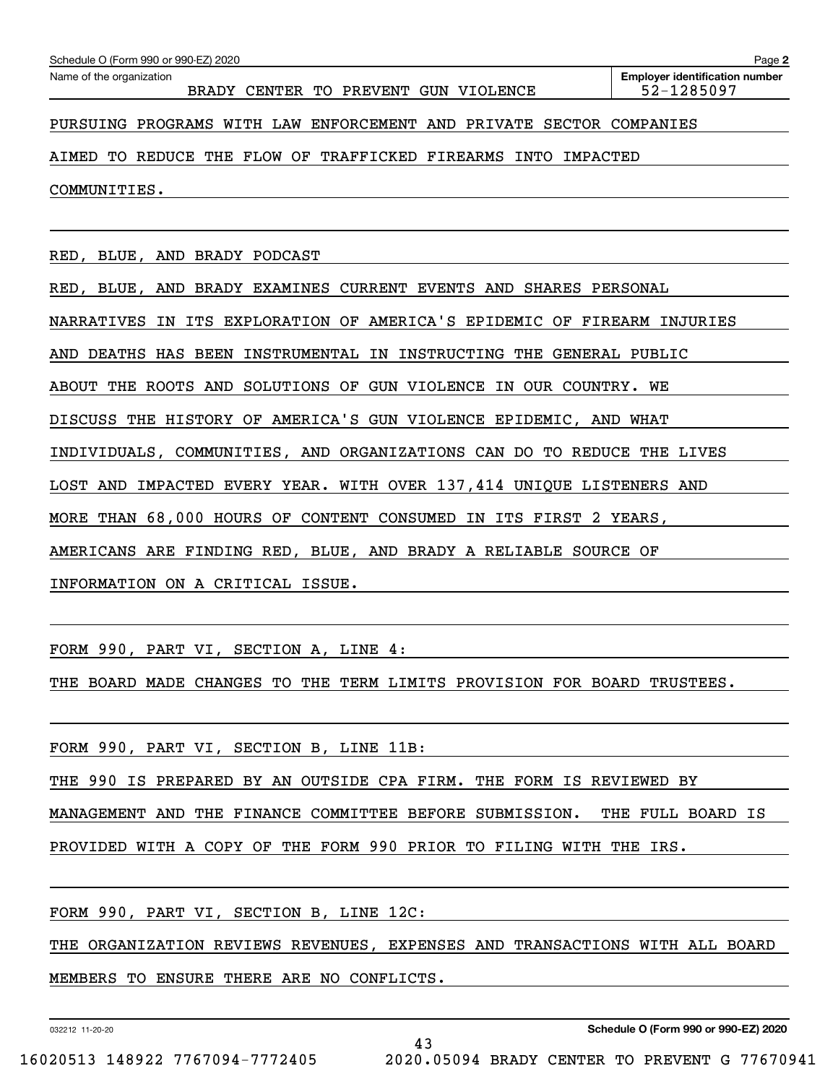| Schedule O (Form 990 or 990-EZ) 2020                                    | Page 2                                              |
|-------------------------------------------------------------------------|-----------------------------------------------------|
| Name of the organization<br>BRADY CENTER TO PREVENT GUN VIOLENCE        | <b>Employer identification number</b><br>52-1285097 |
| PURSUING PROGRAMS WITH LAW ENFORCEMENT AND PRIVATE SECTOR COMPANIES     |                                                     |
| AIMED TO REDUCE THE FLOW OF TRAFFICKED FIREARMS INTO IMPACTED           |                                                     |
| COMMUNITIES.                                                            |                                                     |
|                                                                         |                                                     |
| RED, BLUE, AND BRADY PODCAST                                            |                                                     |
| RED, BLUE, AND BRADY EXAMINES CURRENT EVENTS AND SHARES PERSONAL        |                                                     |
| NARRATIVES IN ITS EXPLORATION OF AMERICA'S EPIDEMIC OF FIREARM INJURIES |                                                     |
| AND DEATHS HAS BEEN INSTRUMENTAL IN INSTRUCTING THE GENERAL PUBLIC      |                                                     |
| ABOUT THE ROOTS AND SOLUTIONS OF GUN VIOLENCE IN OUR COUNTRY. WE        |                                                     |
| DISCUSS THE HISTORY OF AMERICA'S GUN VIOLENCE EPIDEMIC, AND WHAT        |                                                     |
| INDIVIDUALS, COMMUNITIES, AND ORGANIZATIONS CAN DO TO REDUCE THE LIVES  |                                                     |
| LOST AND IMPACTED EVERY YEAR. WITH OVER 137, 414 UNIQUE LISTENERS AND   |                                                     |
| MORE THAN 68,000 HOURS OF CONTENT CONSUMED IN ITS FIRST 2 YEARS,        |                                                     |
| AMERICANS ARE FINDING RED, BLUE, AND BRADY A RELIABLE SOURCE OF         |                                                     |

INFORMATION ON A CRITICAL ISSUE.

FORM 990, PART VI, SECTION A, LINE 4:

THE BOARD MADE CHANGES TO THE TERM LIMITS PROVISION FOR BOARD TRUSTEES.

FORM 990, PART VI, SECTION B, LINE 11B:

THE 990 IS PREPARED BY AN OUTSIDE CPA FIRM. THE FORM IS REVIEWED BY

MANAGEMENT AND THE FINANCE COMMITTEE BEFORE SUBMISSION. THE FULL BOARD IS

PROVIDED WITH A COPY OF THE FORM 990 PRIOR TO FILING WITH THE IRS.

FORM 990, PART VI, SECTION B, LINE 12C:

THE ORGANIZATION REVIEWS REVENUES, EXPENSES AND TRANSACTIONS WITH ALL BOARD

43

MEMBERS TO ENSURE THERE ARE NO CONFLICTS.

032212 11-20-20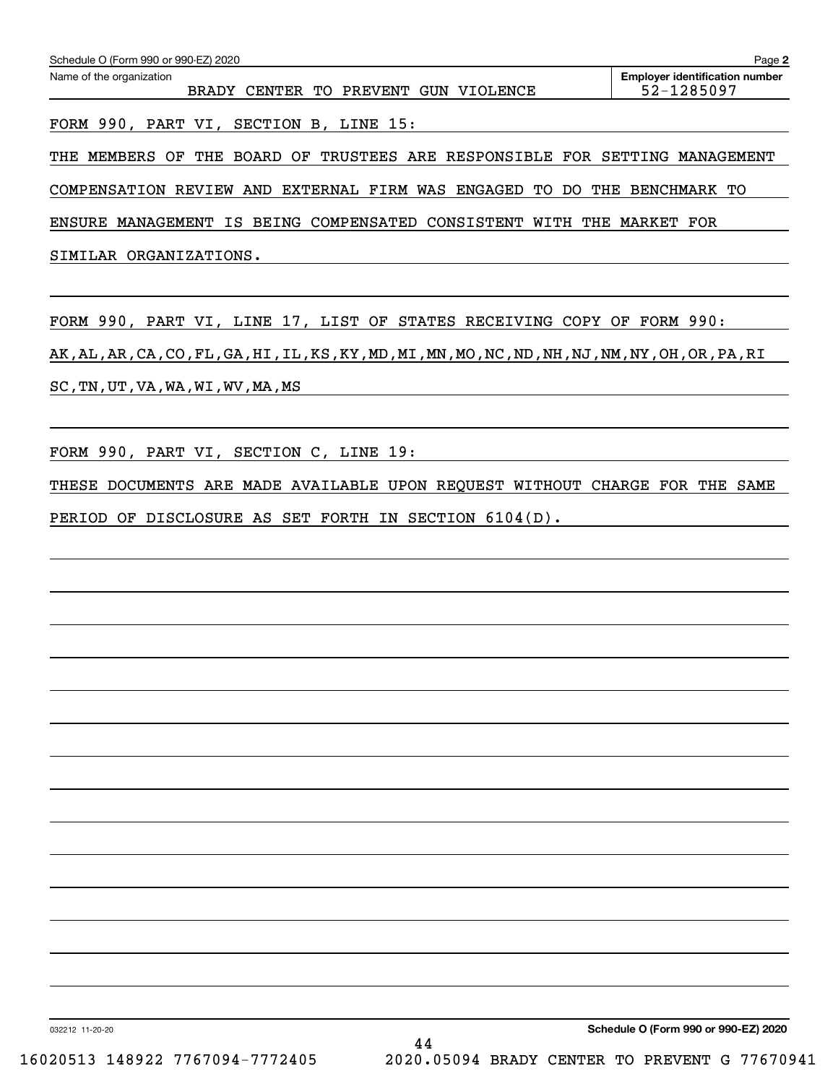FORM 990, PART VI, SECTION B, LINE 15:

THE MEMBERS OF THE BOARD OF TRUSTEES ARE RESPONSIBLE FOR SETTING MANAGEMENT

COMPENSATION REVIEW AND EXTERNAL FIRM WAS ENGAGED TO DO THE BENCHMARK TO

ENSURE MANAGEMENT IS BEING COMPENSATED CONSISTENT WITH THE MARKET FOR

SIMILAR ORGANIZATIONS.

FORM 990, PART VI, LINE 17, LIST OF STATES RECEIVING COPY OF FORM 990: AK,AL,AR,CA,CO,FL,GA,HI,IL,KS,KY,MD,MI,MN,MO,NC,ND,NH,NJ,NM,NY,OH,OR,PA,RI SC,TN,UT,VA,WA,WI,WV,MA,MS

FORM 990, PART VI, SECTION C, LINE 19:

THESE DOCUMENTS ARE MADE AVAILABLE UPON REQUEST WITHOUT CHARGE FOR THE SAME PERIOD OF DISCLOSURE AS SET FORTH IN SECTION 6104(D).

**Schedule O (Form 990 or 990-EZ) 2020**

032212 11-20-20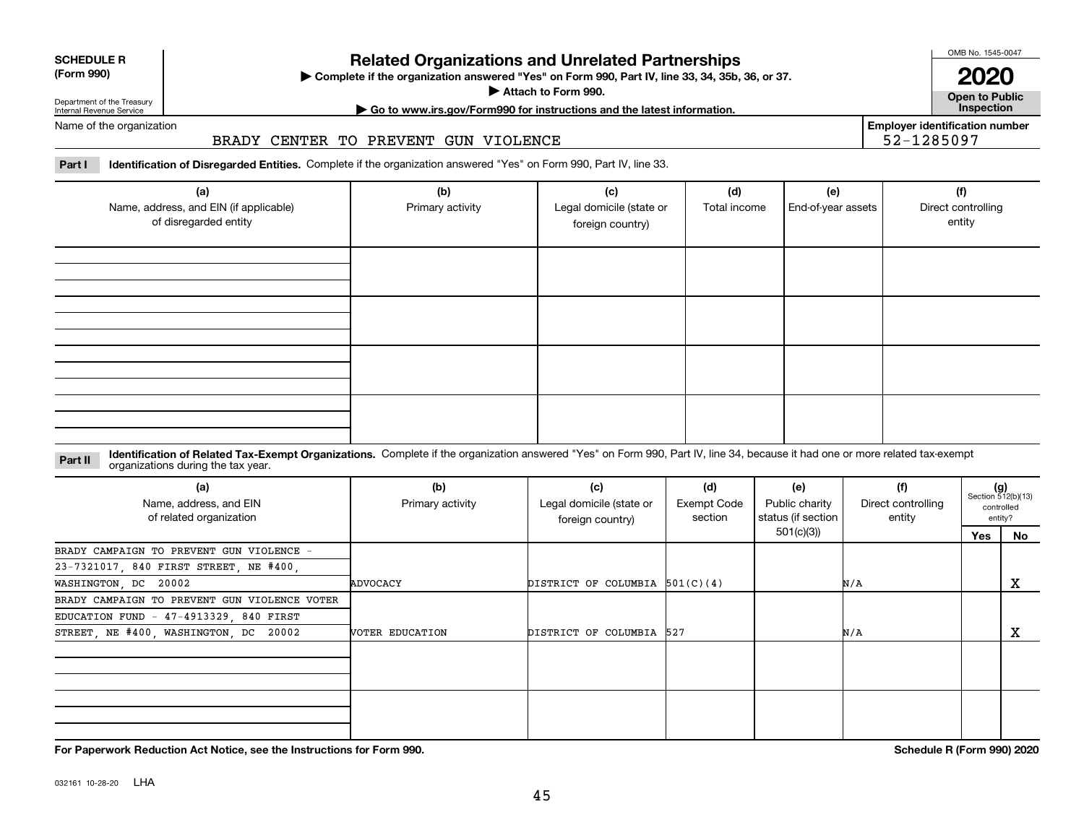032161 10-28-20 LHA

**For Paperwork Reduction Act Notice, see the Instructions for Form 990. Schedule R (Form 990) 2020**

# **Related Organizations and Unrelated Partnerships**

**(Form 990) Complete if the organization answered "Yes" on Form 990, Part IV, line 33, 34, 35b, 36, or 37.** |

**Attach to Form 990. Consumer to Public Service Service Service Service Service Service Service Service Service Service Service Service Service Service Service Service Service Service Service Service Service Service Serv** 

Department of the Treasury Internal Revenue Service Name of the organization

# BRADY CENTER TO PREVENT GUN VIOLENCE

Part I ldentification of Disregarded Entities. Complete if the organization answered "Yes" on Form 990, Part IV, line 33.

| (a)<br>Name, address, and EIN (if applicable)<br>of disregarded entity | (b)<br>Primary activity | (c)<br>Legal domicile (state or<br>foreign country) | (d)<br>Total income | (e)<br>End-of-year assets | (f)<br>Direct controlling<br>entity |
|------------------------------------------------------------------------|-------------------------|-----------------------------------------------------|---------------------|---------------------------|-------------------------------------|
|                                                                        |                         |                                                     |                     |                           |                                     |
|                                                                        |                         |                                                     |                     |                           |                                     |
|                                                                        |                         |                                                     |                     |                           |                                     |
|                                                                        |                         |                                                     |                     |                           |                                     |

### **Part II Identification of Related Tax-Exempt Organizations.** Complete if the organization answered "Yes" on Form 990, Part IV, line 34, because it had one or more related tax-exempt<br> **Part II** Organizations during the tax organizations during the tax year.

| (a)<br>Name, address, and EIN<br>of related organization | (b)<br>Primary activity | (c)<br>Legal domicile (state or<br>foreign country) | (d)<br>Exempt Code<br>section | (e)<br>Public charity<br>status (if section | (f)<br>Direct controlling<br>entity |     | $(g)$<br>Section 512(b)(13)<br>controlled<br>entity? |
|----------------------------------------------------------|-------------------------|-----------------------------------------------------|-------------------------------|---------------------------------------------|-------------------------------------|-----|------------------------------------------------------|
|                                                          |                         |                                                     |                               | 501(c)(3))                                  |                                     | Yes | No.                                                  |
| BRADY CAMPAIGN TO PREVENT GUN VIOLENCE -                 |                         |                                                     |                               |                                             |                                     |     |                                                      |
| 23-7321017, 840 FIRST STREET, NE #400,                   |                         |                                                     |                               |                                             |                                     |     |                                                      |
| WASHINGTON, DC 20002                                     | ADVOCACY                | DISTRICT OF COLUMBIA $501(C)(4)$                    |                               |                                             | N/A                                 |     | x                                                    |
| BRADY CAMPAIGN TO PREVENT GUN VIOLENCE VOTER             |                         |                                                     |                               |                                             |                                     |     |                                                      |
| EDUCATION FUND - 47-4913329, 840 FIRST                   |                         |                                                     |                               |                                             |                                     |     |                                                      |
| STREET, NE #400, WASHINGTON, DC 20002                    | VOTER EDUCATION         | DISTRICT OF COLUMBIA 527                            |                               |                                             | N/A                                 |     | х                                                    |
|                                                          |                         |                                                     |                               |                                             |                                     |     |                                                      |
|                                                          |                         |                                                     |                               |                                             |                                     |     |                                                      |
|                                                          |                         |                                                     |                               |                                             |                                     |     |                                                      |
|                                                          |                         |                                                     |                               |                                             |                                     |     |                                                      |
|                                                          |                         |                                                     |                               |                                             |                                     |     |                                                      |
|                                                          |                         |                                                     |                               |                                             |                                     |     |                                                      |

**Employer identification number**

52-1285097

OMB No. 1545-0047 **| Go to www.irs.gov/Form990 for instructions and the latest information. Inspection 2020**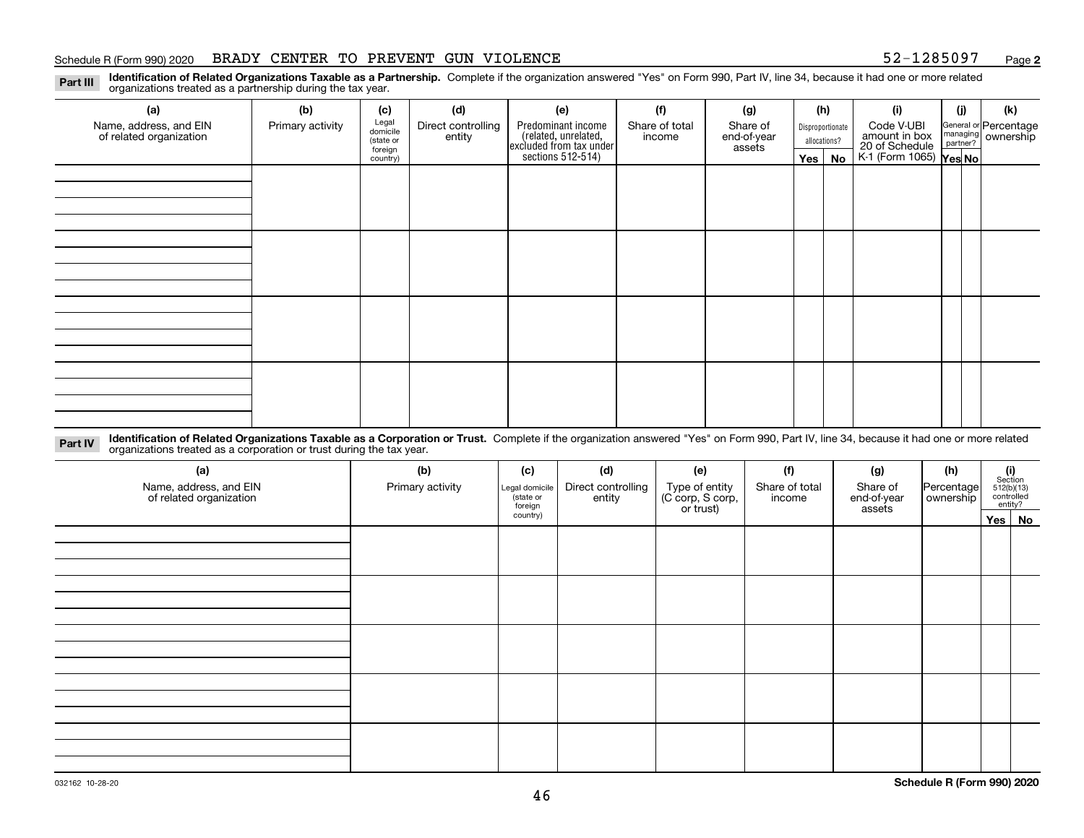# Schedule R (Form 990) 2020 BRADY CENTER TO PREVENT GUN VIOLENCE 52-1285097 Page

**2**

Part III Identification of Related Organizations Taxable as a Partnership. Complete if the organization answered "Yes" on Form 990, Part IV, line 34, because it had one or more related<br>examples the organizations tracted as organizations treated as a partnership during the tax year.

| (a)                                               | (b)              | (c)                  | (d)                          | (e)                                                                 | (f)                | (g)                      |                         | (h)              | (i)                                      | (j)                         | (k) |                                                           |  |  |  |  |  |  |  |
|---------------------------------------------------|------------------|----------------------|------------------------------|---------------------------------------------------------------------|--------------------|--------------------------|-------------------------|------------------|------------------------------------------|-----------------------------|-----|-----------------------------------------------------------|--|--|--|--|--|--|--|
| Name, address, and EIN<br>of related organization | Primary activity | Legal<br>domicile    | Direct controlling<br>entity |                                                                     | Predominant income | Share of total<br>income | Share of<br>end-of-year | Disproportionate |                                          | Code V-UBI<br>amount in box |     | General or Percentage<br>managing<br>partner?<br>partner? |  |  |  |  |  |  |  |
|                                                   |                  | (state or<br>foreign |                              |                                                                     |                    | assets                   |                         | allocations?     |                                          |                             |     |                                                           |  |  |  |  |  |  |  |
|                                                   |                  | country)             |                              | related, unrelated,<br>excluded from tax under<br>sections 512-514) |                    |                          | Yes $ $                 | No               | 20 of Schedule<br>K-1 (Form 1065) Yes No |                             |     |                                                           |  |  |  |  |  |  |  |
|                                                   |                  |                      |                              |                                                                     |                    |                          |                         |                  |                                          |                             |     |                                                           |  |  |  |  |  |  |  |
|                                                   |                  |                      |                              |                                                                     |                    |                          |                         |                  |                                          |                             |     |                                                           |  |  |  |  |  |  |  |
|                                                   |                  |                      |                              |                                                                     |                    |                          |                         |                  |                                          |                             |     |                                                           |  |  |  |  |  |  |  |
|                                                   |                  |                      |                              |                                                                     |                    |                          |                         |                  |                                          |                             |     |                                                           |  |  |  |  |  |  |  |
|                                                   |                  |                      |                              |                                                                     |                    |                          |                         |                  |                                          |                             |     |                                                           |  |  |  |  |  |  |  |
|                                                   |                  |                      |                              |                                                                     |                    |                          |                         |                  |                                          |                             |     |                                                           |  |  |  |  |  |  |  |
|                                                   |                  |                      |                              |                                                                     |                    |                          |                         |                  |                                          |                             |     |                                                           |  |  |  |  |  |  |  |
|                                                   |                  |                      |                              |                                                                     |                    |                          |                         |                  |                                          |                             |     |                                                           |  |  |  |  |  |  |  |
|                                                   |                  |                      |                              |                                                                     |                    |                          |                         |                  |                                          |                             |     |                                                           |  |  |  |  |  |  |  |
|                                                   |                  |                      |                              |                                                                     |                    |                          |                         |                  |                                          |                             |     |                                                           |  |  |  |  |  |  |  |
|                                                   |                  |                      |                              |                                                                     |                    |                          |                         |                  |                                          |                             |     |                                                           |  |  |  |  |  |  |  |
|                                                   |                  |                      |                              |                                                                     |                    |                          |                         |                  |                                          |                             |     |                                                           |  |  |  |  |  |  |  |
|                                                   |                  |                      |                              |                                                                     |                    |                          |                         |                  |                                          |                             |     |                                                           |  |  |  |  |  |  |  |
|                                                   |                  |                      |                              |                                                                     |                    |                          |                         |                  |                                          |                             |     |                                                           |  |  |  |  |  |  |  |
|                                                   |                  |                      |                              |                                                                     |                    |                          |                         |                  |                                          |                             |     |                                                           |  |  |  |  |  |  |  |
|                                                   |                  |                      |                              |                                                                     |                    |                          |                         |                  |                                          |                             |     |                                                           |  |  |  |  |  |  |  |
|                                                   |                  |                      |                              |                                                                     |                    |                          |                         |                  |                                          |                             |     |                                                           |  |  |  |  |  |  |  |

Part IV Identification of Related Organizations Taxable as a Corporation or Trust. Complete if the organization answered "Yes" on Form 990, Part IV, line 34, because it had one or more related<br>Computations tracted as a cor organizations treated as a corporation or trust during the tax year.

| (a)<br>Name, address, and EIN<br>of related organization | (b)<br>Primary activity | (c)<br>Legal domicile<br>state or<br>foreign | (d)<br>Direct controlling<br>entity | (e)<br>Type of entity<br>(C corp, S corp,<br>or trust) | (f)<br>Share of total<br>income | (g)<br>Share of<br>end-of-year<br>assets | (h)<br>Percentage<br>ownership | $(i)$ Section<br>512(b)(13)<br>controlled<br>entity? |        |  |  |  |  |
|----------------------------------------------------------|-------------------------|----------------------------------------------|-------------------------------------|--------------------------------------------------------|---------------------------------|------------------------------------------|--------------------------------|------------------------------------------------------|--------|--|--|--|--|
|                                                          |                         | country)                                     |                                     |                                                        |                                 |                                          |                                |                                                      | Yes No |  |  |  |  |
|                                                          |                         |                                              |                                     |                                                        |                                 |                                          |                                |                                                      |        |  |  |  |  |
|                                                          |                         |                                              |                                     |                                                        |                                 |                                          |                                |                                                      |        |  |  |  |  |
|                                                          |                         |                                              |                                     |                                                        |                                 |                                          |                                |                                                      |        |  |  |  |  |
|                                                          |                         |                                              |                                     |                                                        |                                 |                                          |                                |                                                      |        |  |  |  |  |
|                                                          |                         |                                              |                                     |                                                        |                                 |                                          |                                |                                                      |        |  |  |  |  |
|                                                          |                         |                                              |                                     |                                                        |                                 |                                          |                                |                                                      |        |  |  |  |  |
|                                                          |                         |                                              |                                     |                                                        |                                 |                                          |                                |                                                      |        |  |  |  |  |
|                                                          |                         |                                              |                                     |                                                        |                                 |                                          |                                |                                                      |        |  |  |  |  |
|                                                          |                         |                                              |                                     |                                                        |                                 |                                          |                                |                                                      |        |  |  |  |  |
|                                                          |                         |                                              |                                     |                                                        |                                 |                                          |                                |                                                      |        |  |  |  |  |
|                                                          |                         |                                              |                                     |                                                        |                                 |                                          |                                |                                                      |        |  |  |  |  |
|                                                          |                         |                                              |                                     |                                                        |                                 |                                          |                                |                                                      |        |  |  |  |  |
|                                                          |                         |                                              |                                     |                                                        |                                 |                                          |                                |                                                      |        |  |  |  |  |
|                                                          |                         |                                              |                                     |                                                        |                                 |                                          |                                |                                                      |        |  |  |  |  |
|                                                          |                         |                                              |                                     |                                                        |                                 |                                          |                                |                                                      |        |  |  |  |  |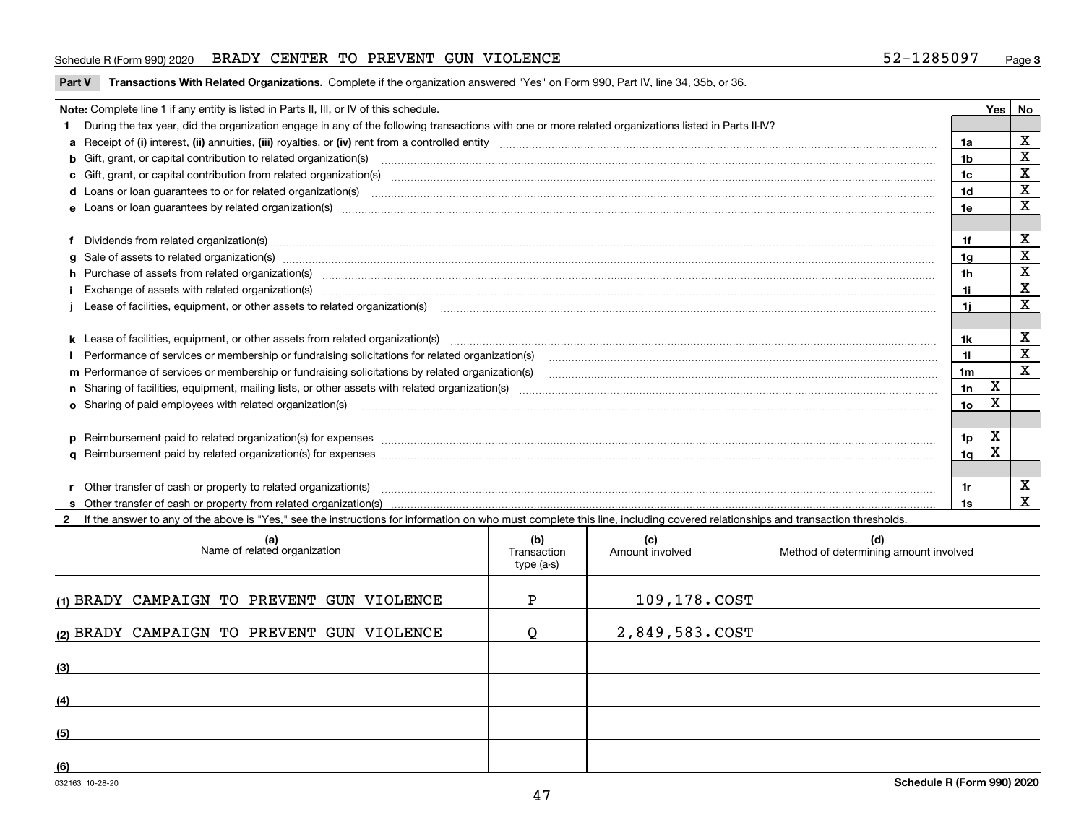# Schedule R (Form 990) 2020 BRADY CENTER TO PREVENT GUN VIOLENCE 52-1285097 Page

Part V Transactions With Related Organizations. Complete if the organization answered "Yes" on Form 990, Part IV, line 34, 35b, or 36.

|   | Note: Complete line 1 if any entity is listed in Parts II, III, or IV of this schedule.                                                                                                                                        |                | Yes I       | No                      |
|---|--------------------------------------------------------------------------------------------------------------------------------------------------------------------------------------------------------------------------------|----------------|-------------|-------------------------|
|   | During the tax year, did the organization engage in any of the following transactions with one or more related organizations listed in Parts II-IV?                                                                            |                |             |                         |
|   |                                                                                                                                                                                                                                | 1a             |             | X                       |
|   | b Gift, grant, or capital contribution to related organization(s) manufactured and contribution to related organization(s)                                                                                                     | 1b             |             | $\mathbf X$             |
|   |                                                                                                                                                                                                                                | 1c             |             | X                       |
|   |                                                                                                                                                                                                                                | 1d             |             | $\mathbf X$             |
|   |                                                                                                                                                                                                                                | 1e             |             | X                       |
|   |                                                                                                                                                                                                                                |                |             |                         |
|   | Dividends from related organization(s) manufactured and contract and contract and contract and contract and contract and contract and contract and contract and contract and contract and contract and contract and contract a | 1f             |             | х                       |
| a |                                                                                                                                                                                                                                | 1 <sub>q</sub> |             | $\overline{\mathbf{x}}$ |
|   | h Purchase of assets from related organization(s) manufactured and content to the content of the content of the content of the content of the content of the content of the content of the content of the content of the conte | 1h             |             | X                       |
|   | Exchange of assets with related organization(s) www.assettion.com/www.assettion.com/www.assettion.com/www.assettion.com/www.assettion.com/www.assettion.com/www.assettion.com/www.assettion.com/www.assettion.com/www.assettio | 1i.            |             | $\mathbf X$             |
|   | Lease of facilities, equipment, or other assets to related organization(s) manufactured content and content and content and content and content and content and content and content and content and content and content and co | 1i.            |             | X                       |
|   |                                                                                                                                                                                                                                |                |             |                         |
|   |                                                                                                                                                                                                                                | 1k             |             | х                       |
|   |                                                                                                                                                                                                                                | $\mathbf{1}$   |             | $\mathbf X$             |
|   | m Performance of services or membership or fundraising solicitations by related organization(s)                                                                                                                                | 1 <sub>m</sub> |             | $\overline{\mathbf{x}}$ |
|   |                                                                                                                                                                                                                                | 1n             | $\mathbf X$ |                         |
|   | <b>o</b> Sharing of paid employees with related organization(s)                                                                                                                                                                | 1о             | X           |                         |
|   |                                                                                                                                                                                                                                |                |             |                         |
|   |                                                                                                                                                                                                                                | 1p             | X           |                         |
|   |                                                                                                                                                                                                                                | 1q             | X           |                         |
|   |                                                                                                                                                                                                                                |                |             |                         |
|   | Other transfer of cash or property to related organization(s)                                                                                                                                                                  | 1r             |             | х                       |
|   |                                                                                                                                                                                                                                | 1s             |             | $\mathbf X$             |
|   | 2 If the answer to any of the above is "Yes," see the instructions for information on who must complete this line, including covered relationships and transaction thresholds.                                                 |                |             |                         |

| (a)<br>Name of related organization        | (b)<br>Transaction<br>type (a-s) | (c)<br>Amount involved | (d)<br>Method of determining amount involved |
|--------------------------------------------|----------------------------------|------------------------|----------------------------------------------|
| (1) BRADY CAMPAIGN TO PREVENT GUN VIOLENCE | Þ                                | 109,178. COST          |                                              |
| (2) BRADY CAMPAIGN TO PREVENT GUN VIOLENCE | O                                | $2,849,583.$ COST      |                                              |
| (3)                                        |                                  |                        |                                              |
| (4)                                        |                                  |                        |                                              |
| (5)                                        |                                  |                        |                                              |
| (6)                                        |                                  |                        |                                              |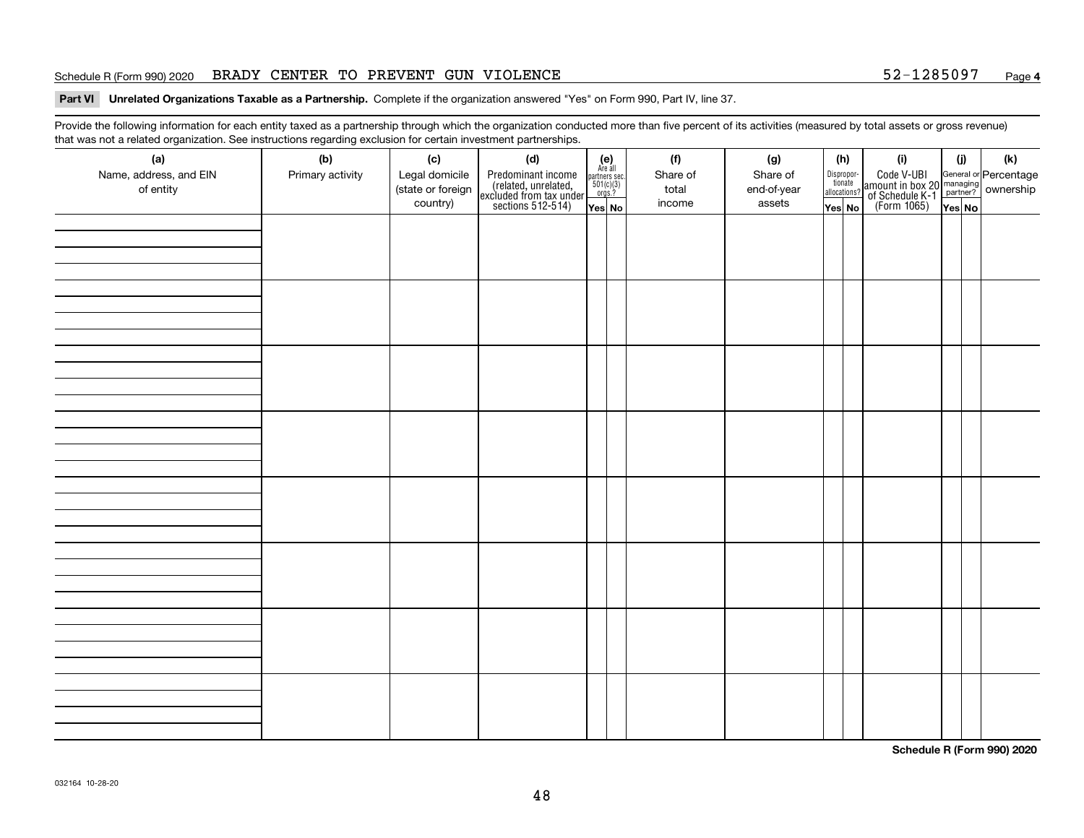# Schedule R (Form 990) 2020 BRADY CENTER TO PREVENT GUN VIOLENCE 52-1285097 Page

Part VI Unrelated Organizations Taxable as a Partnership. Complete if the organization answered "Yes" on Form 990, Part IV, line 37.

Provide the following information for each entity taxed as a partnership through which the organization conducted more than five percent of its activities (measured by total assets or gross revenue) that was not a related organization. See instructions regarding exclusion for certain investment partnerships.

| (a)<br>Name, address, and EIN<br>of entity | $\tilde{}$<br>(b)<br>Primary activity | (c)<br>Legal domicile<br>(state or foreign<br>country) | (d)<br>Predominant income<br>(related, unrelated,<br>excluded from tax under<br>sections 512-514) | $(e)$<br>Are all<br>$\begin{array}{c}\n\text{partners} \sec.\n\\ \n501(c)(3)\n\\ \n0rgs.?\n\end{array}$<br>Yes No | (f)<br>Share of<br>total<br>income | (g)<br>Share of<br>end-of-year<br>assets | (h)<br>Dispropor-<br>tionate<br>allocations?<br>Yes No | (i)<br>Code V-UBI<br>amount in box 20 managing<br>of Schedule K-1<br>(Form 1065)<br>$\overline{Yes}$ No | (i)<br>Yes No | (k) |
|--------------------------------------------|---------------------------------------|--------------------------------------------------------|---------------------------------------------------------------------------------------------------|-------------------------------------------------------------------------------------------------------------------|------------------------------------|------------------------------------------|--------------------------------------------------------|---------------------------------------------------------------------------------------------------------|---------------|-----|
|                                            |                                       |                                                        |                                                                                                   |                                                                                                                   |                                    |                                          |                                                        |                                                                                                         |               |     |
|                                            |                                       |                                                        |                                                                                                   |                                                                                                                   |                                    |                                          |                                                        |                                                                                                         |               |     |
|                                            |                                       |                                                        |                                                                                                   |                                                                                                                   |                                    |                                          |                                                        |                                                                                                         |               |     |
|                                            |                                       |                                                        |                                                                                                   |                                                                                                                   |                                    |                                          |                                                        |                                                                                                         |               |     |
|                                            |                                       |                                                        |                                                                                                   |                                                                                                                   |                                    |                                          |                                                        |                                                                                                         |               |     |
|                                            |                                       |                                                        |                                                                                                   |                                                                                                                   |                                    |                                          |                                                        |                                                                                                         |               |     |
|                                            |                                       |                                                        |                                                                                                   |                                                                                                                   |                                    |                                          |                                                        |                                                                                                         |               |     |
|                                            |                                       |                                                        |                                                                                                   |                                                                                                                   |                                    |                                          |                                                        |                                                                                                         |               |     |

**Schedule R (Form 990) 2020**